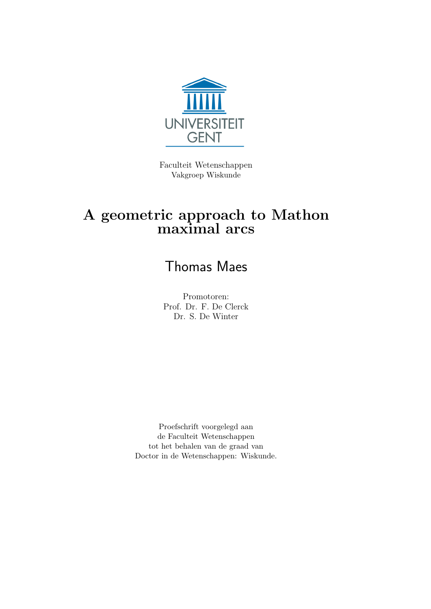

Faculteit Wetenschappen Vakgroep Wiskunde

### A geometric approach to Mathon maximal arcs

## Thomas Maes

Promotoren: Prof. Dr. F. De Clerck Dr. S. De Winter

Proefschrift voorgelegd aan de Faculteit Wetenschappen tot het behalen van de graad van Doctor in de Wetenschappen: Wiskunde.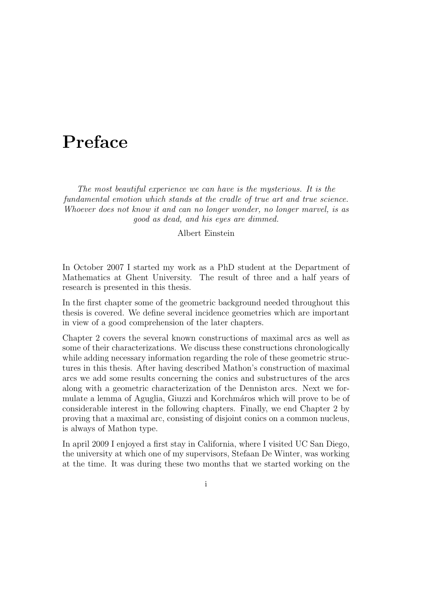## Preface

The most beautiful experience we can have is the mysterious. It is the fundamental emotion which stands at the cradle of true art and true science. Whoever does not know it and can no longer wonder, no longer marvel, is as good as dead, and his eyes are dimmed.

Albert Einstein

In October 2007 I started my work as a PhD student at the Department of Mathematics at Ghent University. The result of three and a half years of research is presented in this thesis.

In the first chapter some of the geometric background needed throughout this thesis is covered. We define several incidence geometries which are important in view of a good comprehension of the later chapters.

Chapter 2 covers the several known constructions of maximal arcs as well as some of their characterizations. We discuss these constructions chronologically while adding necessary information regarding the role of these geometric structures in this thesis. After having described Mathon's construction of maximal arcs we add some results concerning the conics and substructures of the arcs along with a geometric characterization of the Denniston arcs. Next we formulate a lemma of Aguglia, Giuzzi and Korchmáros which will prove to be of considerable interest in the following chapters. Finally, we end Chapter 2 by proving that a maximal arc, consisting of disjoint conics on a common nucleus, is always of Mathon type.

In april 2009 I enjoyed a first stay in California, where I visited UC San Diego, the university at which one of my supervisors, Stefaan De Winter, was working at the time. It was during these two months that we started working on the

i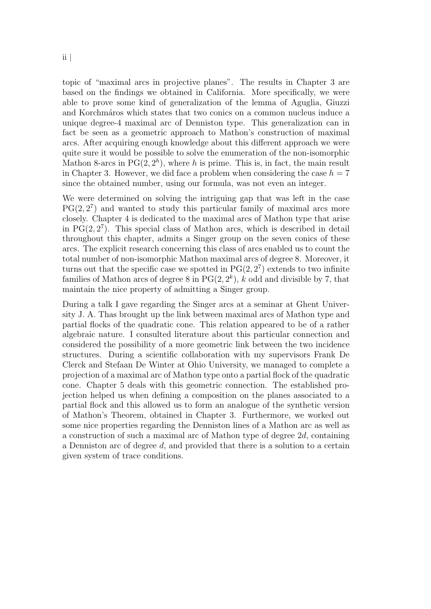topic of "maximal arcs in projective planes". The results in Chapter 3 are based on the findings we obtained in California. More specifically, we were able to prove some kind of generalization of the lemma of Aguglia, Giuzzi and Korchmáros which states that two conics on a common nucleus induce a unique degree-4 maximal arc of Denniston type. This generalization can in fact be seen as a geometric approach to Mathon's construction of maximal arcs. After acquiring enough knowledge about this different approach we were quite sure it would be possible to solve the enumeration of the non-isomorphic Mathon 8-arcs in  $PG(2, 2<sup>h</sup>)$ , where h is prime. This is, in fact, the main result in Chapter 3. However, we did face a problem when considering the case  $h = 7$ since the obtained number, using our formula, was not even an integer.

We were determined on solving the intriguing gap that was left in the case  $PG(2, 2<sup>7</sup>)$  and wanted to study this particular family of maximal arcs more closely. Chapter 4 is dedicated to the maximal arcs of Mathon type that arise in  $PG(2, 2<sup>7</sup>)$ . This special class of Mathon arcs, which is described in detail throughout this chapter, admits a Singer group on the seven conics of these arcs. The explicit research concerning this class of arcs enabled us to count the total number of non-isomorphic Mathon maximal arcs of degree 8. Moreover, it turns out that the specific case we spotted in  $PG(2, 2<sup>7</sup>)$  extends to two infinite families of Mathon arcs of degree 8 in  $PG(2, 2<sup>k</sup>)$ , k odd and divisible by 7, that maintain the nice property of admitting a Singer group.

During a talk I gave regarding the Singer arcs at a seminar at Ghent University J. A. Thas brought up the link between maximal arcs of Mathon type and partial flocks of the quadratic cone. This relation appeared to be of a rather algebraic nature. I consulted literature about this particular connection and considered the possibility of a more geometric link between the two incidence structures. During a scientific collaboration with my supervisors Frank De Clerck and Stefaan De Winter at Ohio University, we managed to complete a projection of a maximal arc of Mathon type onto a partial flock of the quadratic cone. Chapter 5 deals with this geometric connection. The established projection helped us when defining a composition on the planes associated to a partial flock and this allowed us to form an analogue of the synthetic version of Mathon's Theorem, obtained in Chapter 3. Furthermore, we worked out some nice properties regarding the Denniston lines of a Mathon arc as well as a construction of such a maximal arc of Mathon type of degree  $2d$ , containing a Denniston arc of degree d, and provided that there is a solution to a certain given system of trace conditions.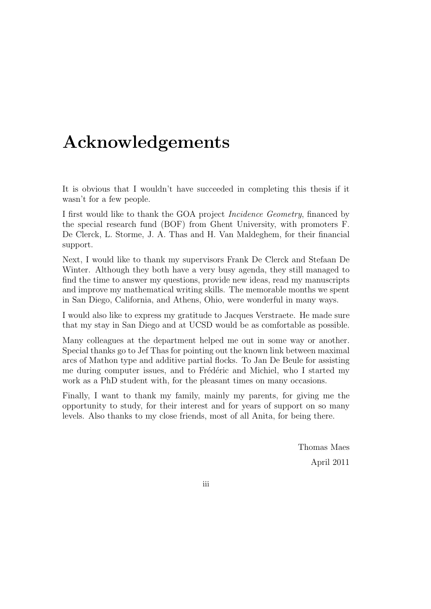## Acknowledgements

It is obvious that I wouldn't have succeeded in completing this thesis if it wasn't for a few people.

I first would like to thank the GOA project Incidence Geometry, financed by the special research fund (BOF) from Ghent University, with promoters F. De Clerck, L. Storme, J. A. Thas and H. Van Maldeghem, for their financial support.

Next, I would like to thank my supervisors Frank De Clerck and Stefaan De Winter. Although they both have a very busy agenda, they still managed to find the time to answer my questions, provide new ideas, read my manuscripts and improve my mathematical writing skills. The memorable months we spent in San Diego, California, and Athens, Ohio, were wonderful in many ways.

I would also like to express my gratitude to Jacques Verstraete. He made sure that my stay in San Diego and at UCSD would be as comfortable as possible.

Many colleagues at the department helped me out in some way or another. Special thanks go to Jef Thas for pointing out the known link between maximal arcs of Mathon type and additive partial flocks. To Jan De Beule for assisting me during computer issues, and to Frédéric and Michiel, who I started my work as a PhD student with, for the pleasant times on many occasions.

Finally, I want to thank my family, mainly my parents, for giving me the opportunity to study, for their interest and for years of support on so many levels. Also thanks to my close friends, most of all Anita, for being there.

Thomas Maes

April 2011

iii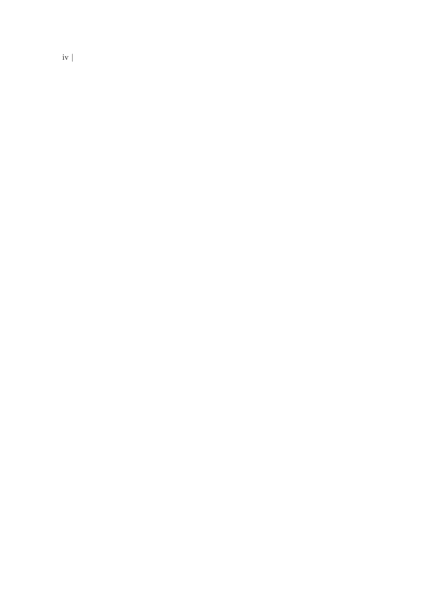iv $\vert$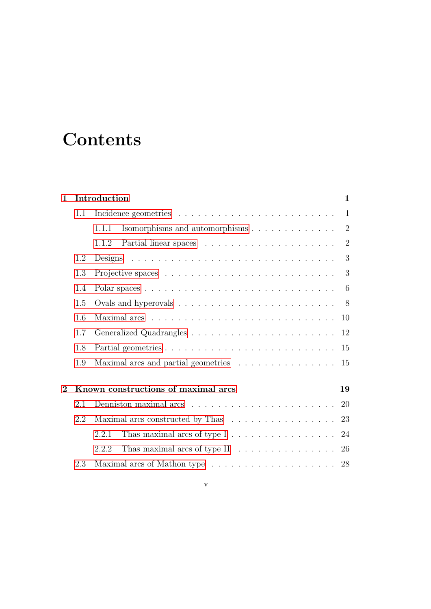# **Contents**

| $\mathbf{1}$   |     | Introduction<br>1                                                                       |                |  |  |  |
|----------------|-----|-----------------------------------------------------------------------------------------|----------------|--|--|--|
|                | 1.1 |                                                                                         |                |  |  |  |
|                |     | Isomorphisms and automorphisms<br>1.1.1                                                 | $\overline{2}$ |  |  |  |
|                |     | 1.1.2                                                                                   | 2              |  |  |  |
|                | 1.2 |                                                                                         | 3              |  |  |  |
|                | 1.3 |                                                                                         |                |  |  |  |
|                | 1.4 |                                                                                         |                |  |  |  |
|                | 1.5 | Ovals and hyperovals $\ldots \ldots \ldots \ldots \ldots \ldots \ldots \ldots \ldots 8$ |                |  |  |  |
|                | 1.6 |                                                                                         |                |  |  |  |
|                | 1.7 |                                                                                         |                |  |  |  |
|                | 1.8 |                                                                                         |                |  |  |  |
|                | 1.9 | Maximal arcs and partial geometries $\dots \dots \dots \dots \dots \dots \dots$         |                |  |  |  |
|                |     |                                                                                         |                |  |  |  |
| $\overline{2}$ |     | Known constructions of maximal arcs<br>19                                               |                |  |  |  |
|                | 2.1 |                                                                                         |                |  |  |  |
|                | 2.2 | Maximal arcs constructed by Thas 23                                                     |                |  |  |  |
|                |     | Thas maximal arcs of type $1 \ldots \ldots \ldots \ldots \ldots 24$<br>2.2.1            |                |  |  |  |
|                |     | Thas maximal arcs of type II $\ldots \ldots \ldots \ldots \ldots$ 26<br>2.2.2           |                |  |  |  |
|                | 2.3 |                                                                                         |                |  |  |  |
|                |     |                                                                                         |                |  |  |  |

v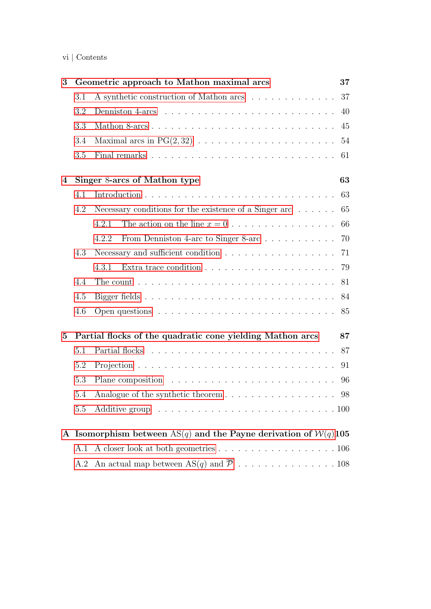|  | vi   Contents |
|--|---------------|
|--|---------------|

| 3 |     | Geometric approach to Mathon maximal arcs                                                   |    |  |  |  |
|---|-----|---------------------------------------------------------------------------------------------|----|--|--|--|
|   | 3.1 | A synthetic construction of Mathon arcs<br>37                                               |    |  |  |  |
|   | 3.2 | Denniston 4-arcs $\dots \dots \dots \dots \dots \dots \dots \dots \dots \dots \dots$        | 40 |  |  |  |
|   | 3.3 |                                                                                             |    |  |  |  |
|   | 3.4 |                                                                                             |    |  |  |  |
|   | 3.5 | Final remarks $\ldots \ldots \ldots \ldots \ldots \ldots \ldots \ldots \ldots \ldots$       |    |  |  |  |
| 4 |     | Singer 8-arcs of Mathon type                                                                |    |  |  |  |
|   | 4.1 |                                                                                             |    |  |  |  |
|   | 4.2 | Necessary conditions for the existence of a Singer arc $\dots \dots$ 65                     |    |  |  |  |
|   |     | 4.2.1                                                                                       |    |  |  |  |
|   |     | 4.2.2                                                                                       |    |  |  |  |
|   | 4.3 | Necessary and sufficient condition $\ldots \ldots \ldots \ldots \ldots \ldots$ 71           |    |  |  |  |
|   |     | Extra trace condition $\ldots \ldots \ldots \ldots \ldots \ldots \ldots$ 79<br>4.3.1        |    |  |  |  |
|   | 4.4 | The count $\ldots \ldots \ldots \ldots \ldots \ldots \ldots \ldots \ldots \ldots \ldots 81$ |    |  |  |  |
|   | 4.5 |                                                                                             |    |  |  |  |
|   | 4.6 | Open questions $\ldots \ldots \ldots \ldots \ldots \ldots \ldots \ldots \ldots \ldots 85$   |    |  |  |  |
| 5 |     | Partial flocks of the quadratic cone yielding Mathon arcs                                   |    |  |  |  |
|   | 5.1 |                                                                                             |    |  |  |  |
|   | 5.2 |                                                                                             | 91 |  |  |  |
|   | 5.3 |                                                                                             | 96 |  |  |  |
|   | 5.4 |                                                                                             | 98 |  |  |  |
|   | 5.5 |                                                                                             |    |  |  |  |
|   |     | A Isomorphism between $AS(q)$ and the Payne derivation of $W(q)$ 105                        |    |  |  |  |
|   | A.1 | A closer look at both geometries 106                                                        |    |  |  |  |
|   | A.2 |                                                                                             |    |  |  |  |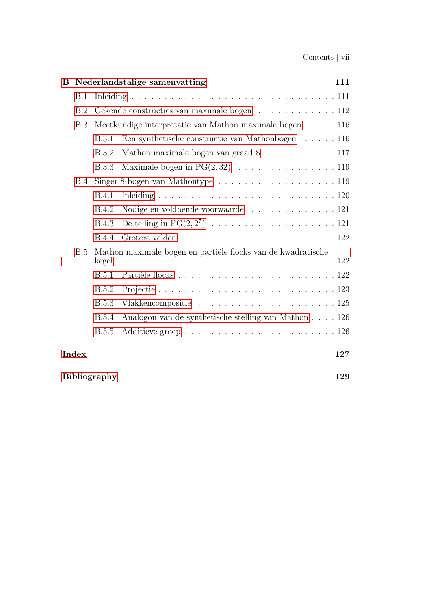| в   | Nederlandstalige samenvatting | 111                                                     |                                                                                       |     |  |
|-----|-------------------------------|---------------------------------------------------------|---------------------------------------------------------------------------------------|-----|--|
|     | B.1                           |                                                         |                                                                                       |     |  |
| B.2 |                               |                                                         | Gekende constructies van maximale bogen 112                                           |     |  |
|     | B.3                           | Meetkundige interpretatie van Mathon maximale bogen 116 |                                                                                       |     |  |
|     |                               | B.3.1                                                   | Een synthetische constructie van Mathonbogen 116                                      |     |  |
|     |                               | B.3.2                                                   | Mathon maximale bogen van graad $8\,$ 117                                             |     |  |
|     |                               | B.3.3                                                   |                                                                                       |     |  |
|     | <b>B.4</b>                    |                                                         | Singer 8-bogen van Mathontype 119                                                     |     |  |
|     |                               | <b>B.4.1</b>                                            |                                                                                       |     |  |
|     |                               | <b>B.4.2</b>                                            | Nodige en voldoende voorwaarde  121                                                   |     |  |
|     |                               | <b>B.4.3</b>                                            |                                                                                       |     |  |
|     |                               | B.4.4                                                   |                                                                                       |     |  |
|     | B.5                           |                                                         | Mathon maximale bogen en partiële flocks van de kwadratische                          |     |  |
|     |                               | <b>B.5.1</b>                                            |                                                                                       |     |  |
|     |                               | B.5.2                                                   | Projectie $\ldots \ldots \ldots \ldots \ldots \ldots \ldots \ldots \ldots \ldots 123$ |     |  |
|     |                               | B.5.3                                                   |                                                                                       |     |  |
|     |                               | <b>B.5.4</b>                                            | Analogon van de synthetische stelling van Mathon 126                                  |     |  |
|     |                               | B.5.5                                                   |                                                                                       |     |  |
|     | Index                         |                                                         |                                                                                       | 127 |  |

#### [Bibliography](#page-135-1) 129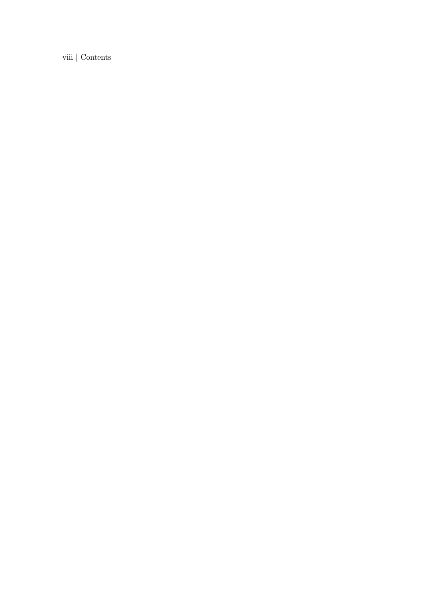viii | Contents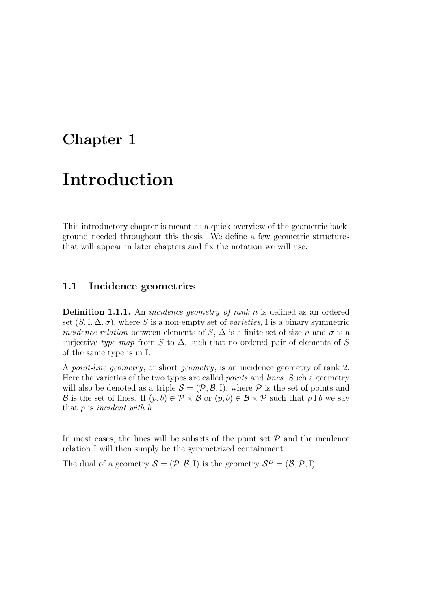### <span id="page-10-0"></span>Chapter 1

## Introduction

This introductory chapter is meant as a quick overview of the geometric background needed throughout this thesis. We define a few geometric structures that will appear in later chapters and fix the notation we will use.

#### <span id="page-10-1"></span>1.1 Incidence geometries

Definition 1.1.1. An *incidence geometry of rank n* is defined as an ordered set  $(S, I, \Delta, \sigma)$ , where S is a non-empty set of varieties, I is a binary symmetric incidence relation between elements of S,  $\Delta$  is a finite set of size n and  $\sigma$  is a surjective type map from S to  $\Delta$ , such that no ordered pair of elements of S of the same type is in I.

A point-line geometry, or short geometry, is an incidence geometry of rank 2. Here the varieties of the two types are called points and lines. Such a geometry will also be denoted as a triple  $S = (\mathcal{P}, \mathcal{B}, I)$ , where  $\mathcal P$  is the set of points and B is the set of lines. If  $(p, b) \in \mathcal{P} \times \mathcal{B}$  or  $(p, b) \in \mathcal{B} \times \mathcal{P}$  such that p I b we say that p is incident with b.

In most cases, the lines will be subsets of the point set  $P$  and the incidence relation I will then simply be the symmetrized containment.

The dual of a geometry  $S = (\mathcal{P}, \mathcal{B}, I)$  is the geometry  $\mathcal{S}^D = (\mathcal{B}, \mathcal{P}, I)$ .

1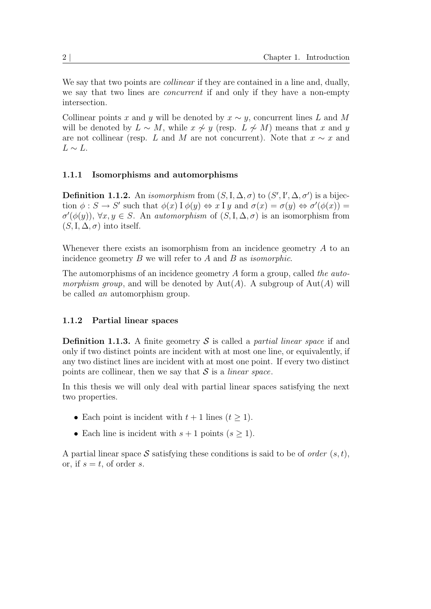We say that two points are *collinear* if they are contained in a line and, dually, we say that two lines are concurrent if and only if they have a non-empty intersection.

Collinear points x and y will be denoted by  $x \sim y$ , concurrent lines L and M will be denoted by  $L \sim M$ , while  $x \not\sim y$  (resp.  $L \not\sim M$ ) means that x and y are not collinear (resp. L and M are not concurrent). Note that  $x \sim x$  and  $L \sim L$ .

#### <span id="page-11-0"></span>1.1.1 Isomorphisms and automorphisms

<span id="page-11-2"></span>**Definition 1.1.2.** An isomorphism from  $(S, I, \Delta, \sigma)$  to  $(S', I', \Delta, \sigma')$  is a bijection  $\phi : S \to S'$  such that  $\phi(x) \to \phi(y) \Leftrightarrow x \to y$  and  $\sigma(x) = \sigma(y) \Leftrightarrow \sigma'(\phi(x)) =$  $\sigma'(\phi(y))$ ,  $\forall x, y \in S$ . An *automorphism* of  $(S, I, \Delta, \sigma)$  is an isomorphism from  $(S, I, \Delta, \sigma)$  into itself.

Whenever there exists an isomorphism from an incidence geometry  $A$  to an incidence geometry  $B$  we will refer to  $A$  and  $B$  as *isomorphic*.

The automorphisms of an incidence geometry A form a group, called the auto*morphism group*, and will be denoted by Aut(A). A subgroup of Aut(A) will be called an automorphism group.

#### <span id="page-11-1"></span>1.1.2 Partial linear spaces

**Definition 1.1.3.** A finite geometry  $S$  is called a *partial linear space* if and only if two distinct points are incident with at most one line, or equivalently, if any two distinct lines are incident with at most one point. If every two distinct points are collinear, then we say that  $S$  is a *linear space*.

In this thesis we will only deal with partial linear spaces satisfying the next two properties.

- Each point is incident with  $t + 1$  lines  $(t \geq 1)$ .
- Each line is incident with  $s + 1$  points  $(s \geq 1)$ .

A partial linear space S satisfying these conditions is said to be of order  $(s, t)$ , or, if  $s = t$ , of order s.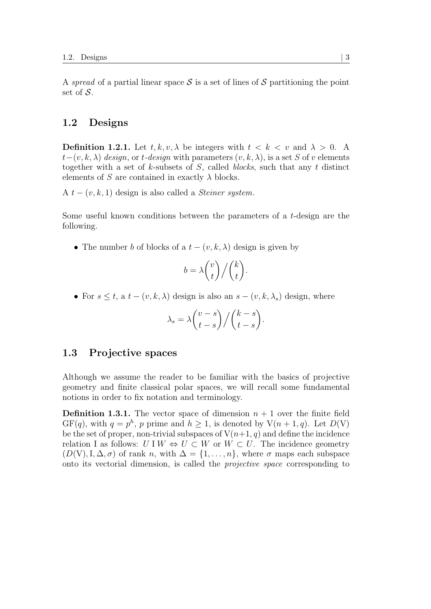A spread of a partial linear space  $S$  is a set of lines of S partitioning the point set of  $S$ .

#### <span id="page-12-0"></span>1.2 Designs

**Definition 1.2.1.** Let  $t, k, v, \lambda$  be integers with  $t < k < v$  and  $\lambda > 0$ . A  $t-(v, k, \lambda)$  design, or t-design with parameters  $(v, k, \lambda)$ , is a set S of v elements together with a set of k-subsets of  $S$ , called *blocks*, such that any t distinct elements of S are contained in exactly  $\lambda$  blocks.

A  $t - (v, k, 1)$  design is also called a *Steiner system*.

Some useful known conditions between the parameters of a t-design are the following.

• The number b of blocks of a  $t - (v, k, \lambda)$  design is given by

$$
b = \lambda \binom{v}{t} / \binom{k}{t}.
$$

• For  $s \leq t$ , a  $t - (v, k, \lambda)$  design is also an  $s - (v, k, \lambda_s)$  design, where

$$
\lambda_s = \lambda \binom{v-s}{t-s} / \binom{k-s}{t-s}.
$$

#### <span id="page-12-1"></span>1.3 Projective spaces

Although we assume the reader to be familiar with the basics of projective geometry and finite classical polar spaces, we will recall some fundamental notions in order to fix notation and terminology.

**Definition 1.3.1.** The vector space of dimension  $n + 1$  over the finite field  $GF(q)$ , with  $q = p^h$ , p prime and  $h \geq 1$ , is denoted by  $V(n + 1, q)$ . Let  $D(V)$ be the set of proper, non-trivial subspaces of  $V(n+1, q)$  and define the incidence relation I as follows:  $U \perp W \Leftrightarrow U \subset W$  or  $W \subset U$ . The incidence geometry  $(D(V), I, \Delta, \sigma)$  of rank n, with  $\Delta = \{1, \ldots, n\}$ , where  $\sigma$  maps each subspace onto its vectorial dimension, is called the projective space corresponding to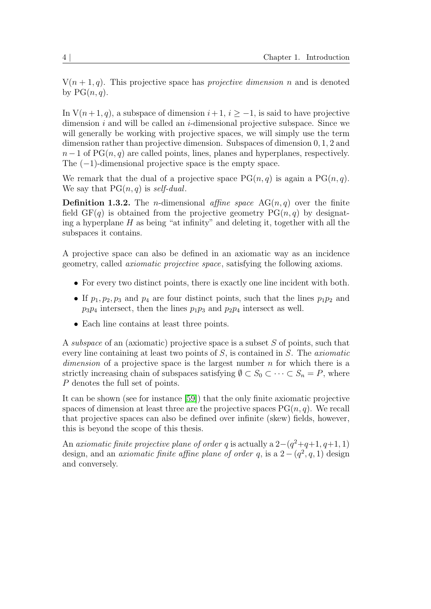$V(n + 1, q)$ . This projective space has *projective dimension* n and is denoted by  $PG(n, q)$ .

In  $V(n+1, q)$ , a subspace of dimension  $i+1$ ,  $i \geq -1$ , is said to have projective dimension  $i$  and will be called an  $i$ -dimensional projective subspace. Since we will generally be working with projective spaces, we will simply use the term dimension rather than projective dimension. Subspaces of dimension 0, 1, 2 and  $n-1$  of PG(n, q) are called points, lines, planes and hyperplanes, respectively. The  $(-1)$ -dimensional projective space is the empty space.

We remark that the dual of a projective space  $PG(n, q)$  is again a  $PG(n, q)$ . We say that  $PG(n, q)$  is self-dual.

**Definition 1.3.2.** The *n*-dimensional *affine space*  $AG(n, q)$  over the finite field  $GF(q)$  is obtained from the projective geometry  $PG(n, q)$  by designating a hyperplane  $H$  as being "at infinity" and deleting it, together with all the subspaces it contains.

A projective space can also be defined in an axiomatic way as an incidence geometry, called axiomatic projective space, satisfying the following axioms.

- For every two distinct points, there is exactly one line incident with both.
- If  $p_1, p_2, p_3$  and  $p_4$  are four distinct points, such that the lines  $p_1p_2$  and  $p_3p_4$  intersect, then the lines  $p_1p_3$  and  $p_2p_4$  intersect as well.
- Each line contains at least three points.

A subspace of an (axiomatic) projective space is a subset S of points, such that every line containing at least two points of  $S$ , is contained in  $S$ . The *axiomatic* dimension of a projective space is the largest number  $n$  for which there is a strictly increasing chain of subspaces satisfying  $\emptyset \subset S_0 \subset \cdots \subset S_n = P$ , where P denotes the full set of points.

It can be shown (see for instance [\[59\]](#page-142-0)) that the only finite axiomatic projective spaces of dimension at least three are the projective spaces  $PG(n, q)$ . We recall that projective spaces can also be defined over infinite (skew) fields, however, this is beyond the scope of this thesis.

An axiomatic finite projective plane of order q is actually a  $2-(q^2+q+1, q+1, 1)$ design, and an *axiomatic finite affine plane of order q*, is a  $2 - (q^2, q, 1)$  design and conversely.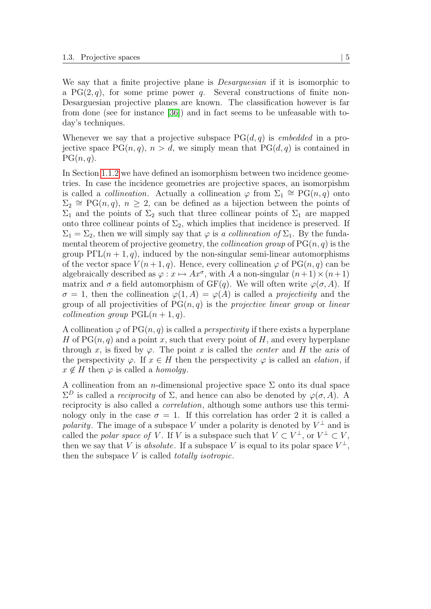We say that a finite projective plane is *Desarguesian* if it is isomorphic to a  $PG(2, q)$ , for some prime power q. Several constructions of finite non-Desarguesian projective planes are known. The classification however is far from done (see for instance [\[36\]](#page-141-0)) and in fact seems to be unfeasable with today's techniques.

Whenever we say that a projective subspace  $PG(d, q)$  is *embedded* in a projective space  $PG(n, q)$ ,  $n > d$ , we simply mean that  $PG(d, q)$  is contained in  $PG(n, q)$ .

In Section [1.1.2](#page-11-2) we have defined an isomorphism between two incidence geometries. In case the incidence geometries are projective spaces, an isomorpishm is called a *collineation*. Actually a collineation  $\varphi$  from  $\Sigma_1 \cong PG(n,q)$  onto  $\Sigma_2 \cong PG(n,q), n \geq 2$ , can be defined as a bijection between the points of  $\Sigma_1$  and the points of  $\Sigma_2$  such that three collinear points of  $\Sigma_1$  are mapped onto three collinear points of  $\Sigma_2$ , which implies that incidence is preserved. If  $\Sigma_1 = \Sigma_2$ , then we will simply say that  $\varphi$  is a collineation of  $\Sigma_1$ . By the fundamental theorem of projective geometry, the *collineation group* of  $PG(n, q)$  is the group  $P\Gamma L(n+1,q)$ , induced by the non-singular semi-linear automorphisms of the vector space  $V(n+1,q)$ . Hence, every collineation  $\varphi$  of PG $(n,q)$  can be algebraically described as  $\varphi: x \mapsto Ax^{\sigma}$ , with A a non-singular  $(n+1) \times (n+1)$ matrix and  $\sigma$  a field automorphism of GF(q). We will often write  $\varphi(\sigma, A)$ . If  $\sigma = 1$ , then the collineation  $\varphi(1, A) = \varphi(A)$  is called a projectivity and the group of all projectivities of  $PG(n, q)$  is the *projective linear group* or *linear* collineation group  $PGL(n + 1, q)$ .

A collineation  $\varphi$  of PG(n, q) is called a *perspectivity* if there exists a hyperplane H of  $PG(n, q)$  and a point x, such that every point of H, and every hyperplane through x, is fixed by  $\varphi$ . The point x is called the *center* and H the axis of the perspectivity  $\varphi$ . If  $x \in H$  then the perspectivity  $\varphi$  is called an *elation*, if  $x \notin H$  then  $\varphi$  is called a *homolay*.

A collineation from an *n*-dimensional projective space  $\Sigma$  onto its dual space  $\Sigma^D$  is called a *reciprocity* of  $\Sigma$ , and hence can also be denoted by  $\varphi(\sigma, A)$ . A reciprocity is also called a correlation, although some authors use this terminology only in the case  $\sigma = 1$ . If this correlation has order 2 it is called a polarity. The image of a subspace V under a polarity is denoted by  $V^{\perp}$  and is called the *polar space of V*. If V is a subspace such that  $V \subset V^{\perp}$ , or  $V^{\perp} \subset V$ , then we say that V is *absolute*. If a subspace V is equal to its polar space  $V^{\perp}$ , then the subspace  $V$  is called *totally isotropic*.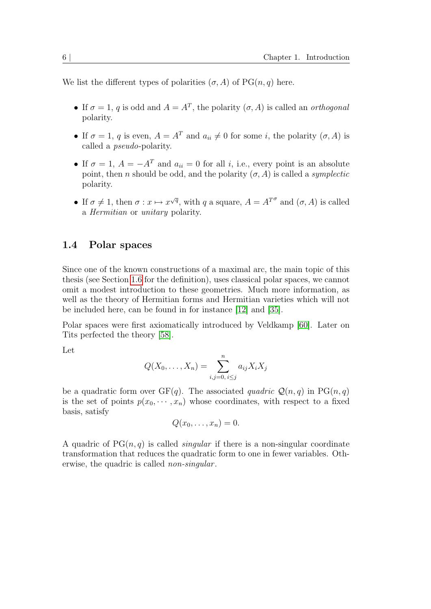We list the different types of polarities  $(\sigma, A)$  of PG $(n, q)$  here.

- If  $\sigma = 1$ , q is odd and  $A = A^T$ , the polarity  $(\sigma, A)$  is called an *orthogonal* polarity.
- If  $\sigma = 1$ , q is even,  $A = A^T$  and  $a_{ii} \neq 0$  for some i, the polarity  $(\sigma, A)$  is called a pseudo-polarity.
- If  $\sigma = 1$ ,  $A = -A^T$  and  $a_{ii} = 0$  for all *i*, i.e., every point is an absolute point, then n should be odd, and the polarity  $(\sigma, A)$  is called a *symplectic* polarity.
- If  $\sigma \neq 1$ , then  $\sigma : x \mapsto x^{\sqrt{q}}$ , with q a square,  $A = A^{T^{\sigma}}$  and  $(\sigma, A)$  is called a Hermitian or unitary polarity.

#### <span id="page-15-0"></span>1.4 Polar spaces

Since one of the known constructions of a maximal arc, the main topic of this thesis (see Section [1.6](#page-19-0) for the definition), uses classical polar spaces, we cannot omit a modest introduction to these geometries. Much more information, as well as the theory of Hermitian forms and Hermitian varieties which will not be included here, can be found in for instance [\[12\]](#page-139-0) and [\[35\]](#page-141-1).

Polar spaces were first axiomatically introduced by Veldkamp [\[60\]](#page-142-1). Later on Tits perfected the theory [\[58\]](#page-142-2).

Let

$$
Q(X_0,\ldots,X_n)=\sum_{i,j=0,\,i\leq j}^n a_{ij}X_iX_j
$$

be a quadratic form over  $GF(q)$ . The associated *quadric*  $Q(n, q)$  in PG $(n, q)$ is the set of points  $p(x_0, \dots, x_n)$  whose coordinates, with respect to a fixed basis, satisfy

$$
Q(x_0,\ldots,x_n)=0.
$$

A quadric of  $PG(n, q)$  is called *singular* if there is a non-singular coordinate transformation that reduces the quadratic form to one in fewer variables. Otherwise, the quadric is called *non-singular*.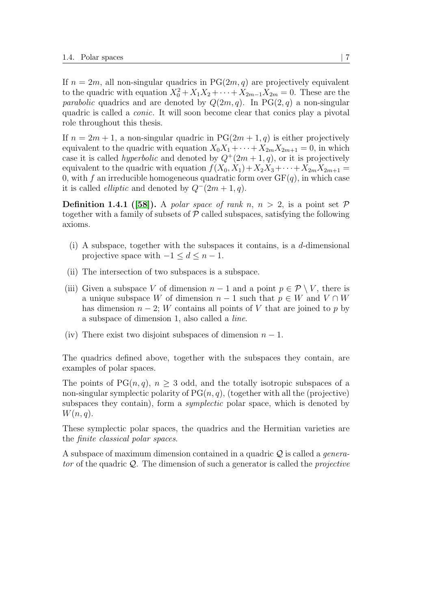If  $n = 2m$ , all non-singular quadrics in PG $(2m, q)$  are projectively equivalent to the quadric with equation  $X_0^2 + X_1X_2 + \cdots + X_{2m-1}X_{2m} = 0$ . These are the *parabolic* quadrics and are denoted by  $Q(2m, q)$ . In PG(2, q) a non-singular quadric is called a conic. It will soon become clear that conics play a pivotal role throughout this thesis.

If  $n = 2m + 1$ , a non-singular quadric in  $PG(2m + 1, q)$  is either projectively equivalent to the quadric with equation  $X_0X_1 + \cdots + X_{2m}X_{2m+1} = 0$ , in which case it is called *hyperbolic* and denoted by  $Q^+(2m+1, q)$ , or it is projectively equivalent to the quadric with equation  $f(X_0, X_1) + X_2X_3 + \cdots + X_{2m}X_{2m+1} =$ 0, with f an irreducible homogeneous quadratic form over  $GF(q)$ , in which case it is called *elliptic* and denoted by  $Q^-(2m+1, q)$ .

**Definition 1.4.1** ([\[58\]](#page-142-2)). A polar space of rank n,  $n > 2$ , is a point set  $\mathcal{P}$ together with a family of subsets of  $P$  called subspaces, satisfying the following axioms.

- (i) A subspace, together with the subspaces it contains, is a  $d$ -dimensional projective space with  $-1 \leq d \leq n-1$ .
- (ii) The intersection of two subspaces is a subspace.
- (iii) Given a subspace V of dimension  $n-1$  and a point  $p \in \mathcal{P} \setminus V$ , there is a unique subspace W of dimension  $n-1$  such that  $p \in W$  and  $V \cap W$ has dimension  $n-2$ ; W contains all points of V that are joined to p by a subspace of dimension 1, also called a line.
- (iv) There exist two disjoint subspaces of dimension  $n-1$ .

The quadrics defined above, together with the subspaces they contain, are examples of polar spaces.

The points of PG $(n, q)$ ,  $n > 3$  odd, and the totally isotropic subspaces of a non-singular symplectic polarity of  $PG(n, q)$ , (together with all the (projective) subspaces they contain), form a *symplectic* polar space, which is denoted by  $W(n, q)$ .

These symplectic polar spaces, the quadrics and the Hermitian varieties are the finite classical polar spaces.

A subspace of maximum dimension contained in a quadric  $\mathcal Q$  is called a *genera*tor of the quadric  $\mathcal{Q}$ . The dimension of such a generator is called the *projective*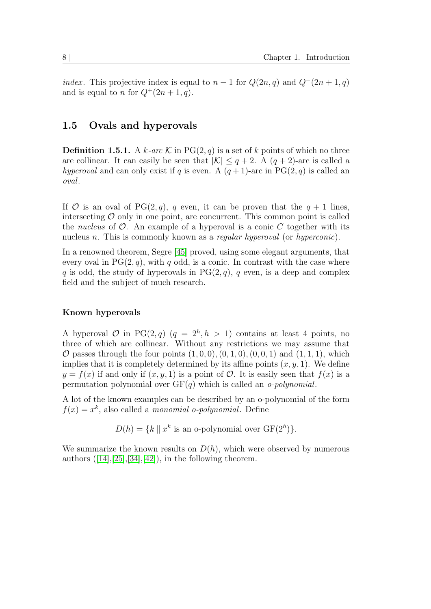*index*. This projective index is equal to  $n - 1$  for  $Q(2n, q)$  and  $Q^-(2n + 1, q)$ and is equal to n for  $Q^+(2n+1, q)$ .

#### <span id="page-17-0"></span>1.5 Ovals and hyperovals

**Definition 1.5.1.** A k-arc K in PG(2, q) is a set of k points of which no three are collinear. It can easily be seen that  $|\mathcal{K}| \leq q+2$ . A  $(q+2)$ -arc is called a hyperoval and can only exist if q is even. A  $(q + 1)$ -arc in PG(2, q) is called an oval.

If O is an oval of PG(2, q), q even, it can be proven that the  $q + 1$  lines, intersecting  $\mathcal O$  only in one point, are concurrent. This common point is called the nucleus of  $\mathcal{O}$ . An example of a hyperoval is a conic C together with its nucleus n. This is commonly known as a *regular hyperoval* (or *hyperconic*).

In a renowned theorem, Segre [\[45\]](#page-141-2) proved, using some elegant arguments, that every oval in  $PG(2, q)$ , with q odd, is a conic. In contrast with the case where q is odd, the study of hyperovals in  $PG(2, q)$ , q even, is a deep and complex field and the subject of much research.

#### Known hyperovals

A hyperoval O in PG $(2,q)$   $(q = 2<sup>h</sup>, h > 1)$  contains at least 4 points, no three of which are collinear. Without any restrictions we may assume that  $O$  passes through the four points  $(1, 0, 0), (0, 1, 0), (0, 0, 1)$  and  $(1, 1, 1),$  which implies that it is completely determined by its affine points  $(x, y, 1)$ . We define  $y = f(x)$  if and only if  $(x, y, 1)$  is a point of  $\mathcal O$ . It is easily seen that  $f(x)$  is a permutation polynomial over  $GF(q)$  which is called an *o-polynomial*.

A lot of the known examples can be described by an o-polynomial of the form  $f(x) = x<sup>k</sup>$ , also called a *monomial o-polynomial*. Define

 $D(h) = \{k \mid x^k \text{ is an o-polynomial over } GF(2^h)\}.$ 

We summarize the known results on  $D(h)$ , which were observed by numerous authors $([14],[25],[34],[42])$  $([14],[25],[34],[42])$  $([14],[25],[34],[42])$  $([14],[25],[34],[42])$  $([14],[25],[34],[42])$  $([14],[25],[34],[42])$  $([14],[25],[34],[42])$  $([14],[25],[34],[42])$  $([14],[25],[34],[42])$ , in the following theorem.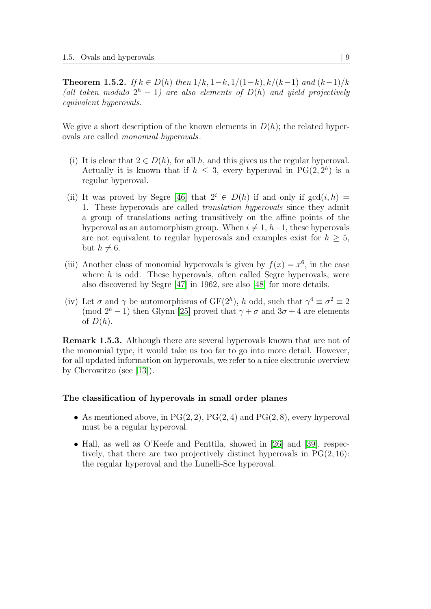**Theorem 1.5.2.** If  $k \in D(h)$  then  $1/k$ ,  $1-k$ ,  $1/(1-k)$ ,  $k/(k-1)$  and  $(k-1)/k$ (all taken modulo  $2<sup>h</sup> - 1$ ) are also elements of  $D(h)$  and yield projectively equivalent hyperovals.

We give a short description of the known elements in  $D(h)$ ; the related hyperovals are called monomial hyperovals.

- (i) It is clear that  $2 \in D(h)$ , for all h, and this gives us the regular hyperoval. Actually it is known that if  $h \leq 3$ , every hyperoval in PG(2, 2<sup>h</sup>) is a regular hyperoval.
- (ii) It was proved by Segre [\[46\]](#page-141-4) that  $2^i \in D(h)$  if and only if  $gcd(i, h) =$ 1. These hyperovals are called translation hyperovals since they admit a group of translations acting transitively on the affine points of the hyperoval as an automorphism group. When  $i \neq 1$ ,  $h-1$ , these hyperovals are not equivalent to regular hyperovals and examples exist for  $h \geq 5$ , but  $h \neq 6$ .
- (iii) Another class of monomial hyperovals is given by  $f(x) = x^6$ , in the case where  $h$  is odd. These hyperovals, often called Segre hyperovals, were also discovered by Segre [\[47\]](#page-141-5) in 1962, see also [\[48\]](#page-142-3) for more details.
- (iv) Let  $\sigma$  and  $\gamma$  be automorphisms of GF(2<sup>h</sup>), h odd, such that  $\gamma^4 \equiv \sigma^2 \equiv 2$ (mod  $2<sup>h</sup> - 1$ ) then Glynn [\[25\]](#page-140-0) proved that  $\gamma + \sigma$  and  $3\sigma + 4$  are elements of  $D(h)$ .

Remark 1.5.3. Although there are several hyperovals known that are not of the monomial type, it would take us too far to go into more detail. However, for all updated information on hyperovals, we refer to a nice electronic overview by Cherowitzo (see [\[13\]](#page-139-2)).

#### The classification of hyperovals in small order planes

- As mentioned above, in  $PG(2, 2)$ ,  $PG(2, 4)$  and  $PG(2, 8)$ , every hyperoval must be a regular hyperoval.
- Hall, as well as O'Keefe and Penttila, showed in [\[26\]](#page-140-2) and [\[39\]](#page-141-6), respectively, that there are two projectively distinct hyperovals in  $PG(2, 16)$ : the regular hyperoval and the Lunelli-Sce hyperoval.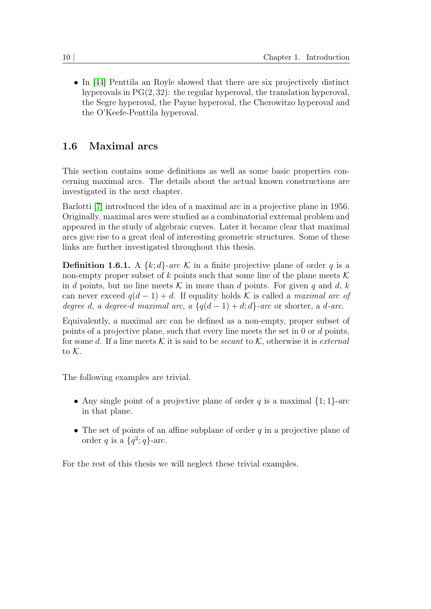• In [\[44\]](#page-141-7) Penttila an Royle showed that there are six projectively distinct hyperovals in  $PG(2, 32)$ : the regular hyperoval, the translation hyperoval, the Segre hyperoval, the Payne hyperoval, the Cherowitzo hyperoval and the O'Keefe-Penttila hyperoval.

#### <span id="page-19-0"></span>1.6 Maximal arcs

This section contains some definitions as well as some basic properties concerning maximal arcs. The details about the actual known constructions are investigated in the next chapter.

Barlotti [\[7\]](#page-138-0) introduced the idea of a maximal arc in a projective plane in 1956. Originally, maximal arcs were studied as a combinatorial extremal problem and appeared in the study of algebraic curves. Later it became clear that maximal arcs give rise to a great deal of interesting geometric structures. Some of these links are further investigated throughout this thesis.

**Definition 1.6.1.** A  $\{k; d\}$ -arc K in a finite projective plane of order q is a non-empty proper subset of k points such that some line of the plane meets  $\mathcal K$ in d points, but no line meets K in more than d points. For given q and d, k can never exceed  $q(d-1) + d$ . If equality holds K is called a *maximal arc of* degree d, a degree-d maximal arc, a  $\{q(d-1)+d; d\}$ -arc or shorter, a d-arc.

Equivalently, a maximal arc can be defined as a non-empty, proper subset of points of a projective plane, such that every line meets the set in 0 or d points, for some d. If a line meets K it is said to be *secant* to K, otherwise it is *external* to  $K$ .

The following examples are trivial.

- Any single point of a projective plane of order q is a maximal  $\{1, 1\}$ -arc in that plane.
- The set of points of an affine subplane of order  $q$  in a projective plane of order q is a  $\{q^2; q\}$ -arc.

For the rest of this thesis we will neglect these trivial examples.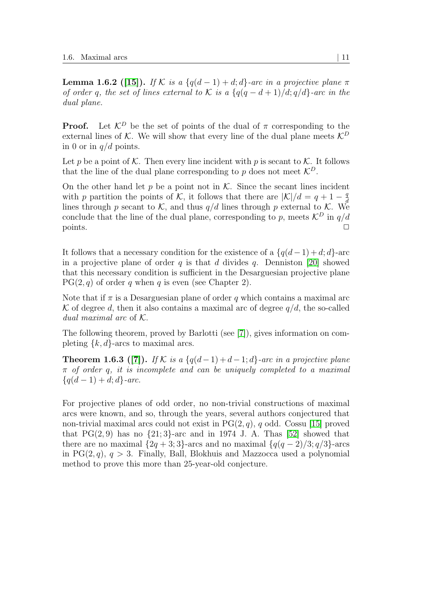**Lemma 1.6.2** ([\[15\]](#page-139-3)). If K is a  $\{q(d-1)+d; d\}$ -arc in a projective plane  $\pi$ of order q, the set of lines external to K is a  $\{q(q-d+1)/d; q/d\}$ -arc in the dual plane.

**Proof.** Let  $\mathcal{K}^D$  be the set of points of the dual of  $\pi$  corresponding to the external lines of K. We will show that every line of the dual plane meets  $\mathcal{K}^D$ in 0 or in  $q/d$  points.

Let p be a point of K. Then every line incident with p is secant to K. It follows that the line of the dual plane corresponding to p does not meet  $\mathcal{K}^D$ .

On the other hand let  $p$  be a point not in  $K$ . Since the secant lines incident with p partition the points of K, it follows that there are  $|\mathcal{K}|/d = q + 1 - \frac{q}{d}$ d lines through p secant to K, and thus  $q/d$  lines through p external to K. We conclude that the line of the dual plane, corresponding to p, meets  $\mathcal{K}^D$  in  $q/d$  $\Box$   $\Box$ 

It follows that a necessary condition for the existence of a  $\{q(d-1) +d; d\}$ -arc in a projective plane of order q is that d divides q. Denniston [\[20\]](#page-139-4) showed that this necessary condition is sufficient in the Desarguesian projective plane  $PG(2, q)$  of order q when q is even (see Chapter 2).

Note that if  $\pi$  is a Desarguesian plane of order q which contains a maximal arc K of degree d, then it also contains a maximal arc of degree  $q/d$ , the so-called dual maximal arc of K.

The following theorem, proved by Barlotti (see [\[7\]](#page-138-0)), gives information on completing  $\{k, d\}$ -arcs to maximal arcs.

**Theorem 1.6.3** ([\[7\]](#page-138-0)). If K is a  $\{q(d-1)+d-1; d\}$ -arc in a projective plane  $\pi$  of order q, it is incomplete and can be uniquely completed to a maximal  ${q(d-1) + d; d}$ -arc.

For projective planes of odd order, no non-trivial constructions of maximal arcs were known, and so, through the years, several authors conjectured that non-trivial maximal arcs could not exist in  $PG(2, q)$ , q odd. Cossu [\[15\]](#page-139-3) proved that  $PG(2, 9)$  has no  $\{21, 3\}$ -arc and in 1974 J. A. Thas [\[52\]](#page-142-4) showed that there are no maximal  $\{2q + 3; 3\}$ -arcs and no maximal  $\{q(q - 2)/3; q/3\}$ -arcs in  $PG(2,q)$ ,  $q > 3$ . Finally, Ball, Blokhuis and Mazzocca used a polynomial method to prove this more than 25-year-old conjecture.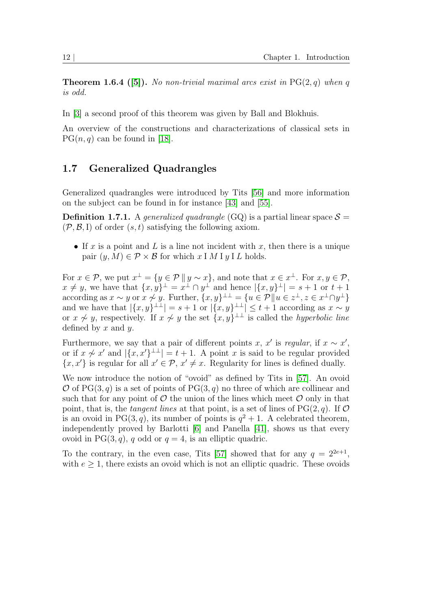**Theorem 1.6.4** ([\[5\]](#page-138-1)). No non-trivial maximal arcs exist in  $PG(2,q)$  when q is odd.

In [\[3\]](#page-138-2) a second proof of this theorem was given by Ball and Blokhuis.

An overview of the constructions and characterizations of classical sets in  $PG(n, q)$  can be found in [\[18\]](#page-139-5).

#### <span id="page-21-0"></span>1.7 Generalized Quadrangles

Generalized quadrangles were introduced by Tits [\[56\]](#page-142-5) and more information on the subject can be found in for instance [\[43\]](#page-141-8) and [\[55\]](#page-142-6).

**Definition 1.7.1.** A generalized quadrangle (GQ) is a partial linear space  $S =$  $(\mathcal{P}, \mathcal{B}, I)$  of order  $(s, t)$  satisfying the following axiom.

• If x is a point and L is a line not incident with x, then there is a unique pair  $(y, M) \in \mathcal{P} \times \mathcal{B}$  for which x I M I y I L holds.

For  $x \in \mathcal{P}$ , we put  $x^{\perp} = \{y \in \mathcal{P} \mid y \sim x\}$ , and note that  $x \in x^{\perp}$ . For  $x, y \in \mathcal{P}$ ,  $x \neq y$ , we have that  $\{x, y\}^{\perp} = x^{\perp} \cap y^{\perp}$  and hence  $|\{x, y\}^{\perp}| = s + 1$  or  $t + 1$ according as  $x \sim y$  or  $x \not\sim y$ . Further,  $\{x, y\}^{\perp \perp} = \{u \in \mathcal{P} \mid u \in z^{\perp}, z \in x^{\perp} \cap y^{\perp}\}\$ and we have that  $|\{x,y\}^{\perp\perp}| = s+1$  or  $|\{x,y\}^{\perp\perp}| \leq t+1$  according as  $x \sim y$ or  $x \not\sim y$ , respectively. If  $x \not\sim y$  the set  $\{x, y\}^{\perp\perp}$  is called the *hyperbolic line* defined by  $x$  and  $y$ .

Furthermore, we say that a pair of different points x, x' is regular, if  $x \sim x'$ , or if  $x \nsim x'$  and  $|\{x, x'\}^{\perp \perp}| = t + 1$ . A point x is said to be regular provided  $\{x, x'\}$  is regular for all  $x' \in \mathcal{P}$ ,  $x' \neq x$ . Regularity for lines is defined dually.

We now introduce the notion of "ovoid" as defined by Tits in [\[57\]](#page-142-7). An ovoid  $\mathcal{O}$  of PG(3, q) is a set of points of PG(3, q) no three of which are collinear and such that for any point of  $\mathcal O$  the union of the lines which meet  $\mathcal O$  only in that point, that is, the *tangent lines* at that point, is a set of lines of  $PG(2, q)$ . If  $O$ is an ovoid in PG $(3, q)$ , its number of points is  $q^2 + 1$ . A celebrated theorem, independently proved by Barlotti [\[6\]](#page-138-3) and Panella [\[41\]](#page-141-9), shows us that every ovoid in PG(3, q), q odd or  $q = 4$ , is an elliptic quadric.

To the contrary, in the even case, Tits [\[57\]](#page-142-7) showed that for any  $q = 2^{2e+1}$ , with  $e \geq 1$ , there exists an ovoid which is not an elliptic quadric. These ovoids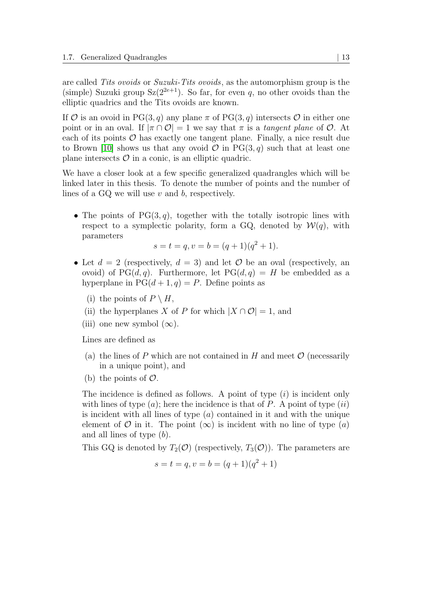are called Tits ovoids or Suzuki-Tits ovoids, as the automorphism group is the (simple) Suzuki group  $Sz(2^{2e+1})$ . So far, for even q, no other ovoids than the elliptic quadrics and the Tits ovoids are known.

If  $\mathcal O$  is an ovoid in PG(3, q) any plane  $\pi$  of PG(3, q) intersects  $\mathcal O$  in either one point or in an oval. If  $|\pi \cap \mathcal{O}| = 1$  we say that  $\pi$  is a tangent plane of  $\mathcal{O}$ . At each of its points  $\mathcal O$  has exactly one tangent plane. Finally, a nice result due to Brown [\[10\]](#page-138-4) shows us that any ovoid  $\mathcal O$  in PG(3, q) such that at least one plane intersects  $\mathcal O$  in a conic, is an elliptic quadric.

We have a closer look at a few specific generalized quadrangles which will be linked later in this thesis. To denote the number of points and the number of lines of a GQ we will use  $v$  and  $b$ , respectively.

• The points of  $PG(3, q)$ , together with the totally isotropic lines with respect to a symplectic polarity, form a GQ, denoted by  $W(q)$ , with parameters

$$
s = t = q, v = b = (q + 1)(q2 + 1).
$$

- Let  $d = 2$  (respectively,  $d = 3$ ) and let  $\mathcal O$  be an oval (respectively, an ovoid) of PG(d, q). Furthermore, let PG(d, q) = H be embedded as a hyperplane in  $PG(d+1, q) = P$ . Define points as
	- (i) the points of  $P \setminus H$ ,
	- (ii) the hyperplanes X of P for which  $|X \cap \mathcal{O}| = 1$ , and
	- (iii) one new symbol  $(\infty)$ .

Lines are defined as

- (a) the lines of P which are not contained in H and meet  $\mathcal O$  (necessarily in a unique point), and
- (b) the points of  $\mathcal{O}$ .

The incidence is defined as follows. A point of type  $(i)$  is incident only with lines of type  $(a)$ ; here the incidence is that of P. A point of type  $(ii)$ is incident with all lines of type  $(a)$  contained in it and with the unique element of  $\mathcal O$  in it. The point  $(\infty)$  is incident with no line of type  $(a)$ and all lines of type (b).

This GQ is denoted by  $T_2(\mathcal{O})$  (respectively,  $T_3(\mathcal{O})$ ). The parameters are

$$
s = t = q, v = b = (q + 1)(q^{2} + 1)
$$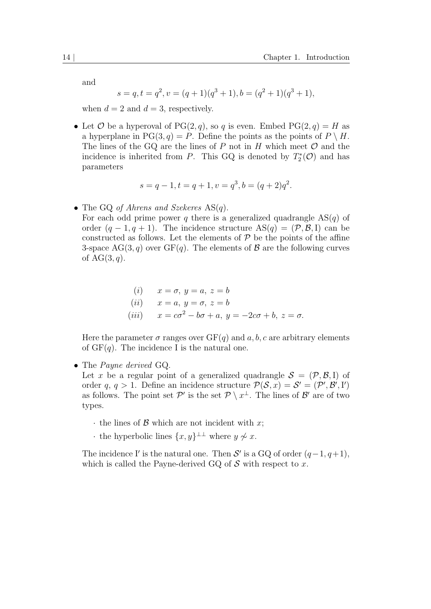and

$$
s = q, t = q2, v = (q + 1)(q3 + 1), b = (q2 + 1)(q3 + 1),
$$

when  $d = 2$  and  $d = 3$ , respectively.

• Let  $\mathcal O$  be a hyperoval of PG(2, q), so q is even. Embed PG(2, q) = H as a hyperplane in  $PG(3, q) = P$ . Define the points as the points of  $P \setminus H$ . The lines of the GQ are the lines of P not in H which meet  $\mathcal O$  and the incidence is inherited from P. This GQ is denoted by  $T_2^*(\mathcal{O})$  and has parameters

$$
s = q - 1, t = q + 1, v = q3, b = (q + 2)q2.
$$

• The GQ of Ahrens and Szekeres  $AS(q)$ .

For each odd prime power q there is a generalized quadrangle  $AS(q)$  of order  $(q-1, q+1)$ . The incidence structure  $AS(q) = (P, \mathcal{B}, I)$  can be constructed as follows. Let the elements of  $P$  be the points of the affine 3-space  $AG(3, q)$  over  $GF(q)$ . The elements of  $\beta$  are the following curves of  $AG(3, q)$ .

> (i)  $x = \sigma, y = a, z = b$ (ii)  $x = a, y = \sigma, z = b$ (iii)  $x = c\sigma^2 - b\sigma + a, y = -2c\sigma + b, z = \sigma.$

Here the parameter  $\sigma$  ranges over  $GF(q)$  and a, b, c are arbitrary elements of  $GF(q)$ . The incidence I is the natural one.

• The *Payne* derived GQ.

Let x be a regular point of a generalized quadrangle  $\mathcal{S} = (\mathcal{P}, \mathcal{B}, I)$  of order q, q > 1. Define an incidence structure  $\mathcal{P}(\mathcal{S},x) = \mathcal{S}' = (\mathcal{P}',\mathcal{B}',I')$ as follows. The point set  $\mathcal{P}'$  is the set  $\mathcal{P} \setminus x^{\perp}$ . The lines of  $\mathcal{B}'$  are of two types.

- $\cdot$  the lines of  $\beta$  which are not incident with x;
- $\cdot$  the hyperbolic lines  $\{x, y\}^{\perp \perp}$  where  $y \nsim x$ .

The incidence I' is the natural one. Then  $\mathcal{S}'$  is a GQ of order  $(q-1, q+1)$ , which is called the Payne-derived GQ of  $S$  with respect to x.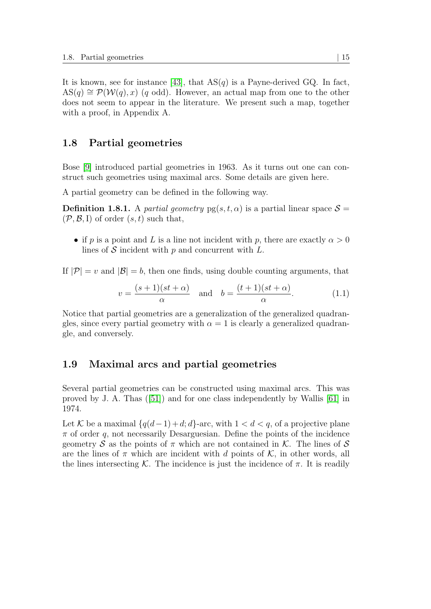It is known, see for instance [\[43\]](#page-141-8), that  $AS(q)$  is a Payne-derived GQ. In fact,  $AS(q) \cong \mathcal{P}(\mathcal{W}(q), x)$  (q odd). However, an actual map from one to the other does not seem to appear in the literature. We present such a map, together with a proof, in Appendix A.

#### <span id="page-24-0"></span>1.8 Partial geometries

Bose [\[9\]](#page-138-5) introduced partial geometries in 1963. As it turns out one can construct such geometries using maximal arcs. Some details are given here.

A partial geometry can be defined in the following way.

**Definition 1.8.1.** A partial geometry  $pg(s, t, \alpha)$  is a partial linear space  $S =$  $(\mathcal{P}, \mathcal{B}, I)$  of order  $(s, t)$  such that,

• if p is a point and L is a line not incident with p, there are exactly  $\alpha > 0$ lines of  $S$  incident with  $p$  and concurrent with  $L$ .

If  $|\mathcal{P}| = v$  and  $|\mathcal{B}| = b$ , then one finds, using double counting arguments, that

$$
v = \frac{(s+1)(st+\alpha)}{\alpha} \quad \text{and} \quad b = \frac{(t+1)(st+\alpha)}{\alpha}.
$$
 (1.1)

Notice that partial geometries are a generalization of the generalized quadrangles, since every partial geometry with  $\alpha = 1$  is clearly a generalized quadrangle, and conversely.

#### <span id="page-24-1"></span>1.9 Maximal arcs and partial geometries

Several partial geometries can be constructed using maximal arcs. This was proved by J. A. Thas([\[51\]](#page-142-8)) and for one class independently by Wallis [\[61\]](#page-143-0) in 1974.

Let K be a maximal  $\{q(d-1)+d; d\}$ -arc, with  $1 < d < q$ , of a projective plane  $\pi$  of order q, not necessarily Desarguesian. Define the points of the incidence geometry S as the points of  $\pi$  which are not contained in K. The lines of S are the lines of  $\pi$  which are incident with d points of  $\mathcal{K}$ , in other words, all the lines intersecting K. The incidence is just the incidence of  $\pi$ . It is readily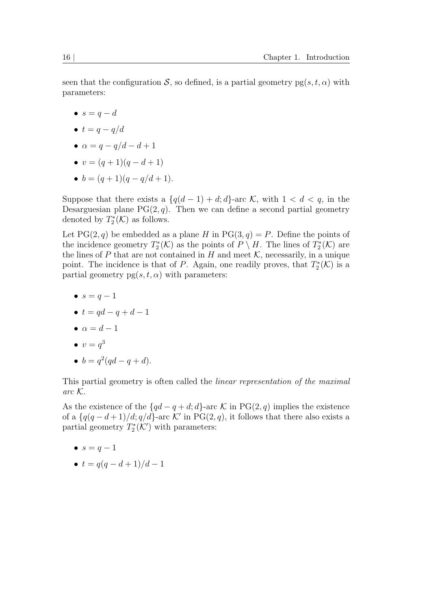seen that the configuration S, so defined, is a partial geometry  $pg(s, t, \alpha)$  with parameters:

- $s = q d$
- $t = q q/d$
- $\alpha = q q/d d + 1$
- $v = (q + 1)(q d + 1)$
- $b = (q+1)(q-q/d+1).$

Suppose that there exists a  $\{q(d-1) + d; d\}$ -arc K, with  $1 < d < q$ , in the Desarguesian plane  $PG(2, q)$ . Then we can define a second partial geometry denoted by  $T_2^*(\mathcal{K})$  as follows.

Let PG(2, q) be embedded as a plane H in PG(3, q) = P. Define the points of the incidence geometry  $T_2^*(\mathcal{K})$  as the points of  $P \setminus H$ . The lines of  $T_2^*(\mathcal{K})$  are the lines of P that are not contained in H and meet  $\mathcal{K}$ , necessarily, in a unique point. The incidence is that of P. Again, one readily proves, that  $T_2^*(\mathcal{K})$  is a partial geometry  $pg(s, t, \alpha)$  with parameters:

- $s = q 1$
- $t = qd q + d 1$

$$
\bullet\ \alpha=d-1
$$

- $\bullet \;\; v = q^3$
- $b = q^2(qd q + d)$ .

This partial geometry is often called the linear representation of the maximal arc K.

As the existence of the  $\{qd - q + d; d\}$ -arc K in PG(2, q) implies the existence of a  $\{q(q-d+1)/d; q/d\}$ -arc K' in PG(2, q), it follows that there also exists a partial geometry  $T_2^*(\mathcal{K}')$  with parameters:

- $s = q 1$
- $t = q(q d + 1)/d 1$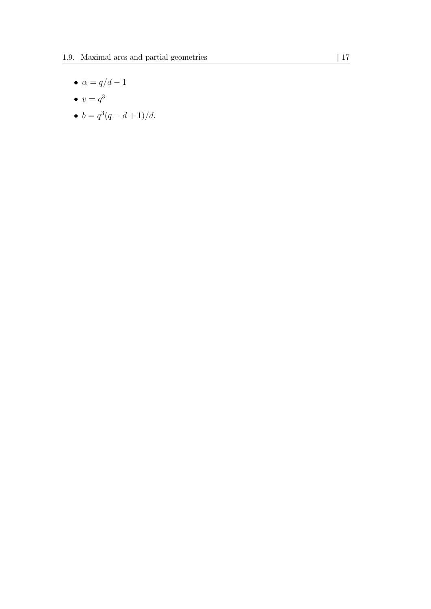- $\alpha = q/d 1$
- $v = q^3$
- $b = q^3(q d + 1)/d$ .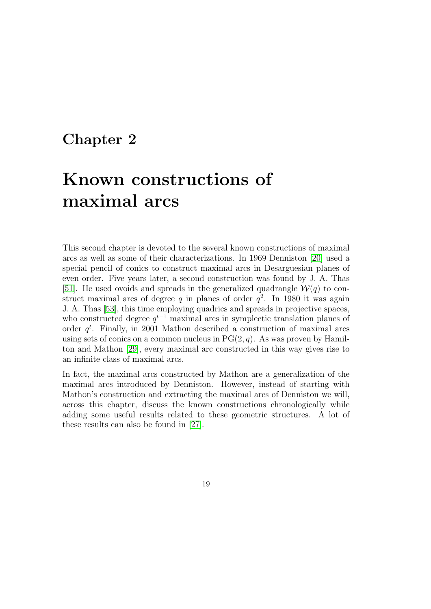### <span id="page-28-0"></span>Chapter 2

# Known constructions of maximal arcs

This second chapter is devoted to the several known constructions of maximal arcs as well as some of their characterizations. In 1969 Denniston [\[20\]](#page-139-4) used a special pencil of conics to construct maximal arcs in Desarguesian planes of even order. Five years later, a second construction was found by J. A. Thas [\[51\]](#page-142-8). He used ovoids and spreads in the generalized quadrangle  $\mathcal{W}(q)$  to construct maximal arcs of degree q in planes of order  $q^2$ . In 1980 it was again J. A. Thas [\[53\]](#page-142-9), this time employing quadrics and spreads in projective spaces, who constructed degree  $q^{t-1}$  maximal arcs in symplectic translation planes of order  $q<sup>t</sup>$ . Finally, in 2001 Mathon described a construction of maximal arcs using sets of conics on a common nucleus in  $PG(2, q)$ . As was proven by Hamilton and Mathon [\[29\]](#page-140-3), every maximal arc constructed in this way gives rise to an infinite class of maximal arcs.

In fact, the maximal arcs constructed by Mathon are a generalization of the maximal arcs introduced by Denniston. However, instead of starting with Mathon's construction and extracting the maximal arcs of Denniston we will, across this chapter, discuss the known constructions chronologically while adding some useful results related to these geometric structures. A lot of these results can also be found in [\[27\]](#page-140-4).

19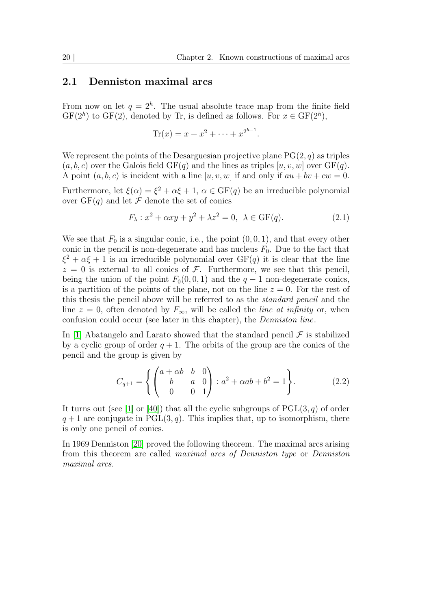#### <span id="page-29-0"></span>2.1 Denniston maximal arcs

From now on let  $q = 2<sup>h</sup>$ . The usual absolute trace map from the finite field  $GF(2<sup>h</sup>)$  to  $GF(2)$ , denoted by Tr, is defined as follows. For  $x \in GF(2<sup>h</sup>)$ ,

$$
\text{Tr}(x) = x + x^2 + \dots + x^{2^{h-1}}.
$$

We represent the points of the Desarguesian projective plane  $PG(2, q)$  as triples  $(a, b, c)$  over the Galois field  $GF(q)$  and the lines as triples  $[u, v, w]$  over  $GF(q)$ . A point  $(a, b, c)$  is incident with a line  $[u, v, w]$  if and only if  $au + bv + cw = 0$ .

Furthermore, let  $\xi(\alpha) = \xi^2 + \alpha \xi + 1$ ,  $\alpha \in \text{GF}(q)$  be an irreducible polynomial over  $GF(q)$  and let F denote the set of conics

$$
F_{\lambda}: x^2 + \alpha xy + y^2 + \lambda z^2 = 0, \ \lambda \in \text{GF}(q). \tag{2.1}
$$

We see that  $F_0$  is a singular conic, i.e., the point  $(0, 0, 1)$ , and that every other conic in the pencil is non-degenerate and has nucleus  $F_0$ . Due to the fact that  $\xi^2 + \alpha \xi + 1$  is an irreducible polynomial over  $GF(q)$  it is clear that the line  $z = 0$  is external to all conics of  $\mathcal F$ . Furthermore, we see that this pencil, being the union of the point  $F_0(0, 0, 1)$  and the  $q - 1$  non-degenerate conics, is a partition of the points of the plane, not on the line  $z = 0$ . For the rest of this thesis the pencil above will be referred to as the standard pencil and the line  $z = 0$ , often denoted by  $F_{\infty}$ , will be called the *line at infinity* or, when confusion could occur (see later in this chapter), the Denniston line.

In [\[1\]](#page-138-6) Abatangelo and Larato showed that the standard pencil  $\mathcal F$  is stabilized by a cyclic group of order  $q + 1$ . The orbits of the group are the conics of the pencil and the group is given by

$$
C_{q+1} = \left\{ \begin{pmatrix} a + \alpha b & b & 0 \\ b & a & 0 \\ 0 & 0 & 1 \end{pmatrix} : a^2 + \alpha ab + b^2 = 1 \right\}.
$$
 (2.2)

It turns out (see [\[1\]](#page-138-6) or [\[40\]](#page-141-10)) that all the cyclic subgroups of  $PGL(3, q)$  of order  $q + 1$  are conjugate in PGL(3, q). This implies that, up to isomorphism, there is only one pencil of conics.

In 1969 Denniston [\[20\]](#page-139-4) proved the following theorem. The maximal arcs arising from this theorem are called maximal arcs of Denniston type or Denniston maximal arcs.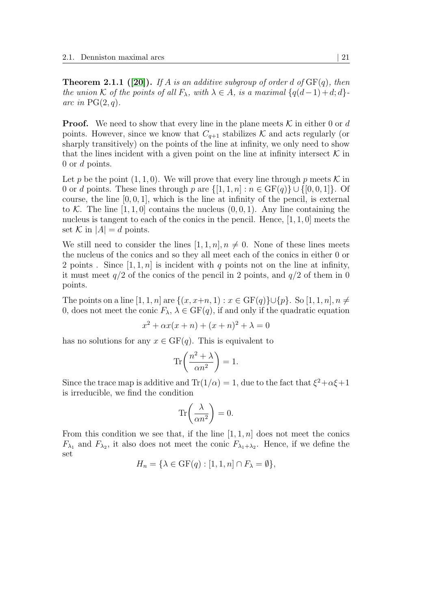**Theorem 2.1.1** ([\[20\]](#page-139-4)). If A is an additive subgroup of order d of  $GF(q)$ , then the union K of the points of all  $F_\lambda$ , with  $\lambda \in A$ , is a maximal  $\{q(d-1)+d; d\}$ . arc in  $PG(2,q)$ .

**Proof.** We need to show that every line in the plane meets  $\mathcal K$  in either 0 or d points. However, since we know that  $C_{q+1}$  stabilizes K and acts regularly (or sharply transitively) on the points of the line at infinity, we only need to show that the lines incident with a given point on the line at infinity intersect  $\mathcal K$  in 0 or d points.

Let p be the point  $(1, 1, 0)$ . We will prove that every line through p meets K in 0 or d points. These lines through p are  $\{[1,1,n] : n \in \text{GF}(q)\} \cup \{[0,0,1]\}$ . Of course, the line  $[0, 0, 1]$ , which is the line at infinity of the pencil, is external to K. The line  $[1, 1, 0]$  contains the nucleus  $(0, 0, 1)$ . Any line containing the nucleus is tangent to each of the conics in the pencil. Hence,  $[1, 1, 0]$  meets the set K in  $|A| = d$  points.

We still need to consider the lines  $[1, 1, n]$ ,  $n \neq 0$ . None of these lines meets the nucleus of the conics and so they all meet each of the conics in either 0 or 2 points. Since  $[1, 1, n]$  is incident with q points not on the line at infinity, it must meet  $q/2$  of the conics of the pencil in 2 points, and  $q/2$  of them in 0 points.

The points on a line  $[1, 1, n]$  are  $\{(x, x+n, 1) : x \in \text{GF}(q)\} \cup \{p\}$ . So  $[1, 1, n]$ ,  $n \neq$ 0, does not meet the conic  $F_{\lambda}$ ,  $\lambda \in \mathrm{GF}(q)$ , if and only if the quadratic equation

$$
x^{2} + \alpha x(x+n) + (x+n)^{2} + \lambda = 0
$$

has no solutions for any  $x \in \text{GF}(q)$ . This is equivalent to

$$
\text{Tr}\left(\frac{n^2+\lambda}{\alpha n^2}\right) = 1.
$$

Since the trace map is additive and  $Tr(1/\alpha) = 1$ , due to the fact that  $\xi^2 + \alpha \xi + 1$ is irreducible, we find the condition

$$
\text{Tr}\left(\frac{\lambda}{\alpha n^2}\right) = 0.
$$

From this condition we see that, if the line  $[1, 1, n]$  does not meet the conics  $F_{\lambda_1}$  and  $F_{\lambda_2}$ , it also does not meet the conic  $F_{\lambda_1+\lambda_2}$ . Hence, if we define the set

$$
H_n = \{ \lambda \in \mathrm{GF}(q) : [1, 1, n] \cap F_{\lambda} = \emptyset \},
$$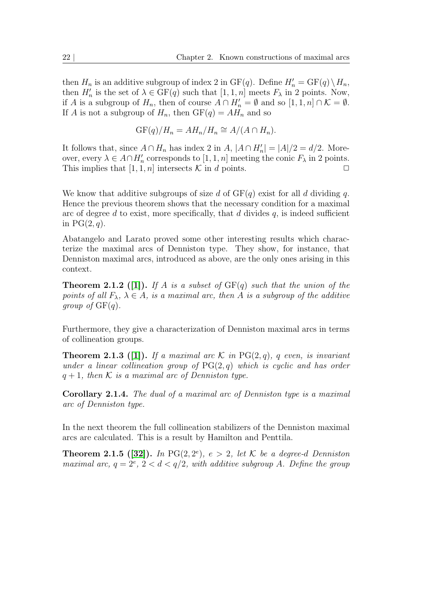then  $H_n$  is an additive subgroup of index 2 in GF(q). Define  $H'_n = \text{GF}(q) \setminus H_n$ , then  $H'_n$  is the set of  $\lambda \in \mathrm{GF}(q)$  such that  $[1, 1, n]$  meets  $F_\lambda$  in 2 points. Now, if A is a subgroup of  $H_n$ , then of course  $A \cap H'_n = \emptyset$  and so  $[1, 1, n] \cap \mathcal{K} = \emptyset$ . If A is not a subgroup of  $H_n$ , then  $GF(q) = AH_n$  and so

$$
GF(q)/H_n = AH_n/H_n \cong A/(A \cap H_n).
$$

It follows that, since  $A \cap H_n$  has index 2 in  $A$ ,  $|A \cap H_n'| = |A|/2 = d/2$ . Moreover, every  $\lambda \in A \cap H'_n$  corresponds to  $[1, 1, n]$  meeting the conic  $F_\lambda$  in 2 points. This implies that  $[1, 1, n]$  intersects K in d points.

We know that additive subgroups of size d of  $GF(q)$  exist for all d dividing q. Hence the previous theorem shows that the necessary condition for a maximal arc of degree  $d$  to exist, more specifically, that  $d$  divides  $q$ , is indeed sufficient in  $PG(2,q)$ .

Abatangelo and Larato proved some other interesting results which characterize the maximal arcs of Denniston type. They show, for instance, that Denniston maximal arcs, introduced as above, are the only ones arising in this context.

**Theorem 2.1.2** ([\[1\]](#page-138-6)). If A is a subset of  $GF(q)$  such that the union of the points of all  $F_{\lambda}$ ,  $\lambda \in A$ , is a maximal arc, then A is a subgroup of the additive *group of*  $GF(q)$ .

Furthermore, they give a characterization of Denniston maximal arcs in terms of collineation groups.

**Theorem 2.1.3** ([\[1\]](#page-138-6)). If a maximal arc K in PG(2, q), q even, is invariant under a linear collineation group of  $PG(2,q)$  which is cyclic and has order  $q + 1$ , then K is a maximal arc of Denniston type.

Corollary 2.1.4. The dual of a maximal arc of Denniston type is a maximal arc of Denniston type.

In the next theorem the full collineation stabilizers of the Denniston maximal arcs are calculated. This is a result by Hamilton and Penttila.

**Theorem 2.1.5** ([\[32\]](#page-140-5)). In PG(2, 2<sup>e</sup>),  $e > 2$ , let K be a degree-d Denniston maximal arc,  $q = 2^e$ ,  $2 < d < q/2$ , with additive subgroup A. Define the group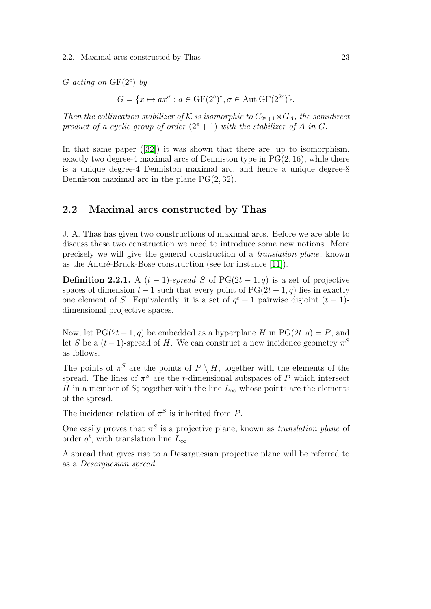$G$  acting on  $GF(2<sup>e</sup>)$  by

 $G = \{x \mapsto ax^{\sigma} : a \in \mathrm{GF}(2^e)^*, \sigma \in \mathrm{Aut }\mathrm{GF}(2^{2e})\}.$ 

Then the collineation stabilizer of K is isomorphic to  $C_{2^{e}+1} \rtimes G_A$ , the semidirect product of a cyclic group of order  $(2^{e} + 1)$  with the stabilizer of A in G.

In that same paper([\[32\]](#page-140-5)) it was shown that there are, up to isomorphism, exactly two degree-4 maximal arcs of Denniston type in  $PG(2, 16)$ , while there is a unique degree-4 Denniston maximal arc, and hence a unique degree-8 Denniston maximal arc in the plane PG(2, 32).

#### <span id="page-32-0"></span>2.2 Maximal arcs constructed by Thas

J. A. Thas has given two constructions of maximal arcs. Before we are able to discuss these two construction we need to introduce some new notions. More precisely we will give the general construction of a translation plane, known as the André-Bruck-Bose construction (see for instance [\[11\]](#page-139-6)).

**Definition 2.2.1.** A  $(t-1)$ -spread S of PG( $2t-1, q$ ) is a set of projective spaces of dimension  $t-1$  such that every point of PG $(2t-1, q)$  lies in exactly one element of S. Equivalently, it is a set of  $q^t + 1$  pairwise disjoint  $(t - 1)$ dimensional projective spaces.

Now, let  $PG(2t-1, q)$  be embedded as a hyperplane H in  $PG(2t, q) = P$ , and let S be a  $(t-1)$ -spread of H. We can construct a new incidence geometry  $\pi^S$ as follows.

The points of  $\pi^S$  are the points of  $P \setminus H$ , together with the elements of the spread. The lines of  $\pi^S$  are the t-dimensional subspaces of P which intersect H in a member of S; together with the line  $L_{\infty}$  whose points are the elements of the spread.

The incidence relation of  $\pi^S$  is inherited from P.

One easily proves that  $\pi^S$  is a projective plane, known as *translation plane* of order  $q^t$ , with translation line  $L_{\infty}$ .

A spread that gives rise to a Desarguesian projective plane will be referred to as a Desarguesian spread.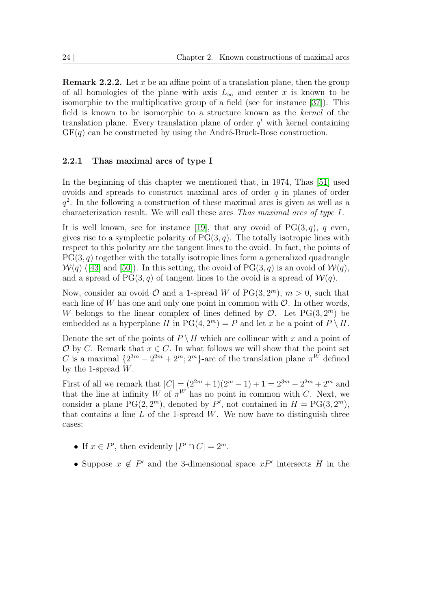**Remark 2.2.2.** Let x be an affine point of a translation plane, then the group of all homologies of the plane with axis  $L_{\infty}$  and center x is known to be isomorphic to the multiplicative group of a field (see for instance [\[37\]](#page-141-11)). This field is known to be isomorphic to a structure known as the kernel of the translation plane. Every translation plane of order  $q<sup>t</sup>$  with kernel containing  $GF(q)$  can be constructed by using the André-Bruck-Bose construction.

#### <span id="page-33-0"></span>2.2.1 Thas maximal arcs of type I

In the beginning of this chapter we mentioned that, in 1974, Thas [\[51\]](#page-142-8) used ovoids and spreads to construct maximal arcs of order  $q$  in planes of order  $q<sup>2</sup>$ . In the following a construction of these maximal arcs is given as well as a characterization result. We will call these arcs Thas maximal arcs of type I.

It is well known, see for instance [\[19\]](#page-139-7), that any ovoid of  $PG(3, q)$ , q even, gives rise to a symplectic polarity of  $PG(3, q)$ . The totally isotropic lines with respect to this polarity are the tangent lines to the ovoid. In fact, the points of  $PG(3, q)$  together with the totally isotropic lines form a generalized quadrangle  $\mathcal{W}(q)$ ([\[43\]](#page-141-8) and [\[50\]](#page-142-10)). In this setting, the ovoid of PG(3, q) is an ovoid of  $\mathcal{W}(q)$ , and a spread of  $PG(3, q)$  of tangent lines to the ovoid is a spread of  $W(q)$ .

Now, consider an ovoid  $\mathcal O$  and a 1-spread W of  $PG(3, 2^m)$ ,  $m > 0$ , such that each line of W has one and only one point in common with  $\mathcal O$ . In other words, W belongs to the linear complex of lines defined by  $\mathcal{O}$ . Let PG $(3, 2<sup>m</sup>)$  be embedded as a hyperplane H in  $PG(4, 2<sup>m</sup>) = P$  and let x be a point of  $P \setminus H$ .

Denote the set of the points of  $P \setminus H$  which are collinear with x and a point of O by C. Remark that  $x \in C$ . In what follows we will show that the point set C is a maximal  $\{2^{3m} - 2^{2m} + 2^m; 2^m\}$ -arc of the translation plane  $\pi^W$  defined by the 1-spread W.

First of all we remark that  $|C| = (2^{2m} + 1)(2^m - 1) + 1 = 2^{3m} - 2^{2m} + 2^m$  and that the line at infinity W of  $\pi^{W}$  has no point in common with C. Next, we consider a plane  $PG(2, 2<sup>m</sup>)$ , denoted by P', not contained in  $H = PG(3, 2<sup>m</sup>)$ , that contains a line  $L$  of the 1-spread  $W$ . We now have to distinguish three cases:

- If  $x \in P'$ , then evidently  $|P' \cap C| = 2^m$ .
- Suppose  $x \notin P'$  and the 3-dimensional space  $xP'$  intersects H in the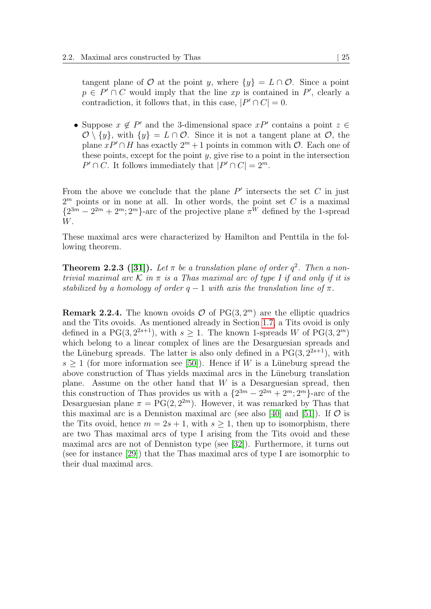tangent plane of  $\mathcal O$  at the point y, where  $\{y\} = L \cap \mathcal O$ . Since a point  $p \in P' \cap C$  would imply that the line xp is contained in P', clearly a contradiction, it follows that, in this case,  $|P' \cap C| = 0$ .

• Suppose  $x \notin P'$  and the 3-dimensional space  $xP'$  contains a point  $z \in$  $\mathcal{O}\setminus\{y\}$ , with  $\{y\}=L\cap\mathcal{O}$ . Since it is not a tangent plane at  $\mathcal{O}$ , the plane  $xP' \cap H$  has exactly  $2^m + 1$  points in common with  $\mathcal{O}$ . Each one of these points, except for the point  $y$ , give rise to a point in the intersection  $P' \cap C$ . It follows immediately that  $|P' \cap C| = 2^m$ .

From the above we conclude that the plane  $P'$  intersects the set  $C$  in just  $2<sup>m</sup>$  points or in none at all. In other words, the point set C is a maximal  ${2^{3m} - 2^{2m} + 2^m; 2^m}$ -arc of the projective plane  $\pi^W$  defined by the 1-spread W.

These maximal arcs were characterized by Hamilton and Penttila in the following theorem.

**Theorem 2.2.3** ([\[31\]](#page-140-6)). Let  $\pi$  be a translation plane of order  $q^2$ . Then a nontrivial maximal arc  $K$  in  $\pi$  is a Thas maximal arc of type I if and only if it is stabilized by a homology of order  $q-1$  with axis the translation line of  $\pi$ .

**Remark 2.2.4.** The known ovoids  $\mathcal{O}$  of PG(3, 2<sup>m</sup>) are the elliptic quadrics and the Tits ovoids. As mentioned already in Section [1.7,](#page-21-0) a Tits ovoid is only defined in a  $PG(3, 2^{2s+1})$ , with  $s \geq 1$ . The known 1-spreads W of  $PG(3, 2<sup>m</sup>)$ which belong to a linear complex of lines are the Desarguesian spreads and the Lüneburg spreads. The latter is also only defined in a  $PG(3, 2^{2s+1})$ , with  $s \geq 1$  (for more information see [\[50\]](#page-142-10)). Hence if W is a Lüneburg spread the above construction of Thas yields maximal arcs in the Lüneburg translation plane. Assume on the other hand that  $W$  is a Desarguesian spread, then this construction of Thas provides us with a  $\{2^{3m} - 2^{2m} + 2^m; 2^m\}$ -arc of the Desarguesian plane  $\pi = PG(2, 2^{2m})$ . However, it was remarked by Thas that this maximal arc is a Denniston maximal arc (see also [\[40\]](#page-141-10) and [\[51\]](#page-142-8)). If  $\mathcal O$  is the Tits ovoid, hence  $m = 2s + 1$ , with  $s > 1$ , then up to isomorphism, there are two Thas maximal arcs of type I arising from the Tits ovoid and these maximal arcs are not of Denniston type (see [\[32\]](#page-140-5)). Furthermore, it turns out (see for instance [\[29\]](#page-140-3)) that the Thas maximal arcs of type I are isomorphic to their dual maximal arcs.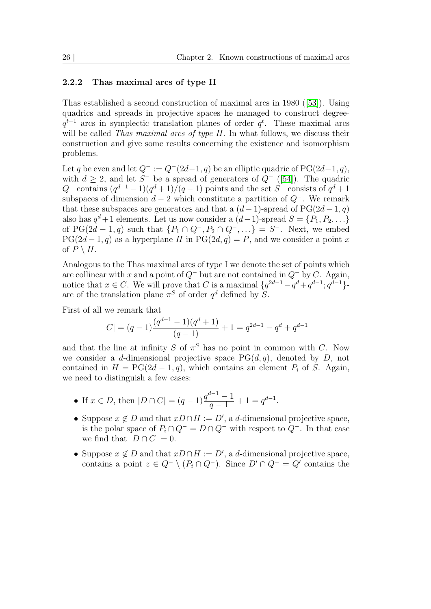#### <span id="page-35-0"></span>2.2.2 Thas maximal arcs of type II

Thas established a second construction of maximal arcs in 1980([\[53\]](#page-142-9)). Using quadrics and spreads in projective spaces he managed to construct degree $q^{t-1}$  arcs in symplectic translation planes of order  $q^t$ . These maximal arcs will be called *Thas maximal arcs of type II*. In what follows, we discuss their construction and give some results concerning the existence and isomorphism problems.

Let q be even and let  $Q^- := Q^-(2d-1, q)$  be an elliptic quadric of PG(2d-1, q), with  $d \geq 2$ , and let S<sup>-</sup> be a spread of generators of  $Q^-$  ([\[54\]](#page-142-11)). The quadric  $Q^-$  contains  $(q^{d-1}-1)(q^d+1)/(q-1)$  points and the set  $S^-$  consists of  $q^d+1$ subspaces of dimension  $d-2$  which constitute a partition of  $Q^-$ . We remark that these subspaces are generators and that a  $(d-1)$ -spread of PG(2d – 1, q) also has  $q^d + 1$  elements. Let us now consider a  $(d-1)$ -spread  $S = \{P_1, P_2, \ldots\}$ of  $PG(2d-1, q)$  such that  $\{P_1 \cap Q^-, P_2 \cap Q^-, ...\} = S^-$ . Next, we embed  $PG(2d-1, q)$  as a hyperplane H in  $PG(2d, q) = P$ , and we consider a point x of  $P \setminus H$ .

Analogous to the Thas maximal arcs of type I we denote the set of points which are collinear with x and a point of  $Q^-$  but are not contained in  $Q^-$  by C. Again, notice that  $x \in C$ . We will prove that C is a maximal  $\{q^{2d-1}-q^d+q^{d-1}; q^{d-1}\}$ arc of the translation plane  $\pi^S$  of order  $q^d$  defined by S.

First of all we remark that

$$
|C|=(q-1)\frac{(q^{d-1}-1)(q^d+1)}{(q-1)}+1=q^{2d-1}-q^d+q^{d-1}
$$

and that the line at infinity S of  $\pi^S$  has no point in common with C. Now we consider a d-dimensional projective space  $PG(d, q)$ , denoted by D, not contained in  $H = PG(2d - 1, q)$ , which contains an element  $P_i$  of S. Again, we need to distinguish a few cases:

- If  $x \in D$ , then  $|D \cap C| = (q-1)\frac{q^{d-1}-1}{q-1}$  $\frac{-1}{q-1}+1=q^{d-1}.$
- Suppose  $x \notin D$  and that  $xD \cap H := D'$ , a d-dimensional projective space, is the polar space of  $P_i \cap Q^- = D \cap Q^-$  with respect to  $Q^-$ . In that case we find that  $|D \cap C| = 0$ .
- Suppose  $x \notin D$  and that  $xD \cap H := D'$ , a d-dimensional projective space, contains a point  $z \in Q^{-} \setminus (P_i \cap Q^{-})$ . Since  $D' \cap Q^{-} = Q'$  contains the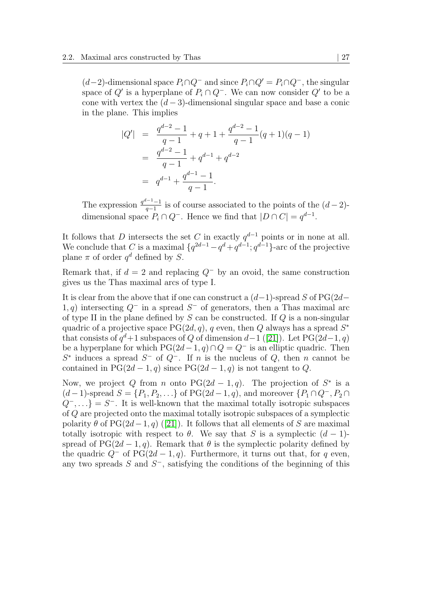$(d-2)$ -dimensional space  $P_i \cap Q^-$  and since  $P_i \cap Q' = P_i \cap Q^-$ , the singular space of  $Q'$  is a hyperplane of  $P_i \cap Q^-$ . We can now consider  $Q'$  to be a cone with vertex the  $(d-3)$ -dimensional singular space and base a conic in the plane. This implies

$$
|Q'| = \frac{q^{d-2} - 1}{q - 1} + q + 1 + \frac{q^{d-2} - 1}{q - 1}(q + 1)(q - 1)
$$
  
= 
$$
\frac{q^{d-2} - 1}{q - 1} + q^{d-1} + q^{d-2}
$$
  
= 
$$
q^{d-1} + \frac{q^{d-1} - 1}{q - 1}.
$$

The expression  $\frac{q^{d-1}-1}{q-1}$  $\frac{q-1}{q-1}$  is of course associated to the points of the  $(d-2)$ dimensional space  $P_i \cap Q^-$ . Hence we find that  $|D \cap C| = q^{d-1}$ .

It follows that D intersects the set C in exactly  $q^{d-1}$  points or in none at all. We conclude that C is a maximal  $\{q^{2d-1} - q^d + q^{d-1}; q^{d-1}\}\text{-arc of the projective}\$ plane  $\pi$  of order  $q^d$  defined by S.

Remark that, if  $d = 2$  and replacing  $Q^-$  by an ovoid, the same construction gives us the Thas maximal arcs of type I.

It is clear from the above that if one can construct a  $(d-1)$ -spread S of PG(2d−  $1, q$ ) intersecting  $Q^-$  in a spread  $S^-$  of generators, then a Thas maximal arc of type II in the plane defined by  $S$  can be constructed. If  $Q$  is a non-singular quadric of a projective space  $PG(2d, q)$ , q even, then Q always has a spread  $S^*$ thatconsists of  $q^d+1$  subspaces of Q of dimension  $d-1$  ([\[21\]](#page-139-0)). Let PG(2d-1,q) be a hyperplane for which  $PG(2d-1, q) \cap Q = Q^-$  is an elliptic quadric. Then  $S^*$  induces a spread  $S^-$  of  $Q^-$ . If n is the nucleus of  $Q$ , then n cannot be contained in PG(2d – 1, q) since PG(2d – 1, q) is not tangent to Q.

Now, we project Q from *n* onto  $PG(2d-1, q)$ . The projection of  $S^*$  is a  $(d-1)$ -spread  $S = \{P_1, P_2, \ldots\}$  of PG $(2d-1, q)$ , and moreover  $\{P_1 \cap Q^-, P_2 \cap Q^- \}$  $Q^-$ ,...} =  $S^-$ . It is well-known that the maximal totally isotropic subspaces of Q are projected onto the maximal totally isotropic subspaces of a symplectic polarity $\theta$  of PG(2d - 1, q) ([\[21\]](#page-139-0)). It follows that all elements of S are maximal totally isotropic with respect to  $\theta$ . We say that S is a symplectic  $(d-1)$ spread of PG(2d – 1, q). Remark that  $\theta$  is the symplectic polarity defined by the quadric  $Q^-$  of PG(2d – 1, q). Furthermore, it turns out that, for q even, any two spreads  $S$  and  $S^-$ , satisfying the conditions of the beginning of this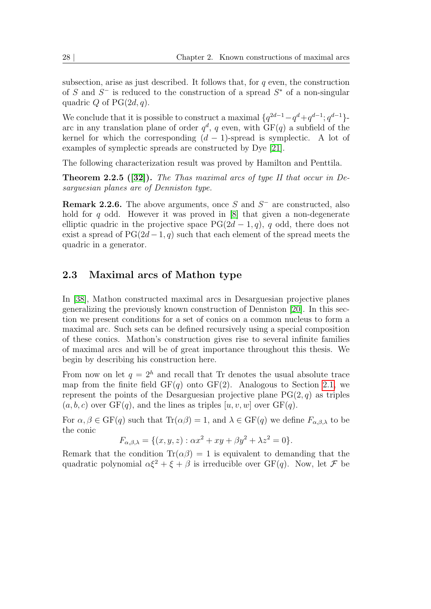subsection, arise as just described. It follows that, for  $q$  even, the construction of S and  $S^-$  is reduced to the construction of a spread  $S^*$  of a non-singular quadric  $Q$  of  $PG(2d, q)$ .

We conclude that it is possible to construct a maximal  $\{q^{2d-1}-q^d+q^{d-1};q^{d-1}\}$ arc in any translation plane of order  $q^d$ , q even, with  $GF(q)$  a subfield of the kernel for which the corresponding  $(d-1)$ -spread is symplectic. A lot of examples of symplectic spreads are constructed by Dye [\[21\]](#page-139-0).

The following characterization result was proved by Hamilton and Penttila.

Theorem 2.2.5 ([\[32\]](#page-140-0)). The Thas maximal arcs of type II that occur in Desarguesian planes are of Denniston type.

**Remark 2.2.6.** The above arguments, once S and  $S^-$  are constructed, also hold for q odd. However it was proved in  $[8]$  that given a non-degenerate elliptic quadric in the projective space  $PG(2d-1, q)$ , q odd, there does not exist a spread of  $PG(2d-1, q)$  such that each element of the spread meets the quadric in a generator.

### <span id="page-37-0"></span>2.3 Maximal arcs of Mathon type

In [\[38\]](#page-141-0), Mathon constructed maximal arcs in Desarguesian projective planes generalizing the previously known construction of Denniston [\[20\]](#page-139-1). In this section we present conditions for a set of conics on a common nucleus to form a maximal arc. Such sets can be defined recursively using a special composition of these conics. Mathon's construction gives rise to several infinite families of maximal arcs and will be of great importance throughout this thesis. We begin by describing his construction here.

From now on let  $q = 2<sup>h</sup>$  and recall that Tr denotes the usual absolute trace map from the finite field  $GF(q)$  onto  $GF(2)$ . Analogous to Section [2.1,](#page-29-0) we represent the points of the Desarguesian projective plane  $PG(2, q)$  as triples  $(a, b, c)$  over  $GF(q)$ , and the lines as triples  $[u, v, w]$  over  $GF(q)$ .

For  $\alpha, \beta \in \text{GF}(q)$  such that  $\text{Tr}(\alpha \beta) = 1$ , and  $\lambda \in \text{GF}(q)$  we define  $F_{\alpha,\beta,\lambda}$  to be the conic

$$
F_{\alpha,\beta,\lambda} = \{(x, y, z) : \alpha x^2 + xy + \beta y^2 + \lambda z^2 = 0\}.
$$

Remark that the condition  $\text{Tr}(\alpha \beta) = 1$  is equivalent to demanding that the quadratic polynomial  $\alpha \xi^2 + \xi + \beta$  is irreducible over  $GF(q)$ . Now, let  $\mathcal F$  be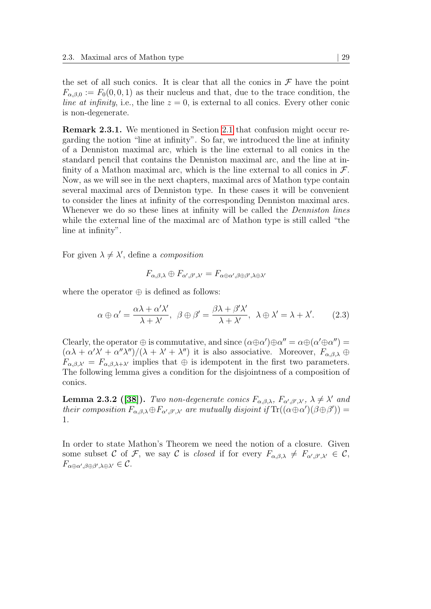the set of all such conics. It is clear that all the conics in  $\mathcal F$  have the point  $F_{\alpha,\beta,0} := F_0(0,0,1)$  as their nucleus and that, due to the trace condition, the line at infinity, i.e., the line  $z = 0$ , is external to all conics. Every other conic is non-degenerate.

Remark 2.3.1. We mentioned in Section [2.1](#page-29-0) that confusion might occur regarding the notion "line at infinity". So far, we introduced the line at infinity of a Denniston maximal arc, which is the line external to all conics in the standard pencil that contains the Denniston maximal arc, and the line at infinity of a Mathon maximal arc, which is the line external to all conics in  $\mathcal{F}$ . Now, as we will see in the next chapters, maximal arcs of Mathon type contain several maximal arcs of Denniston type. In these cases it will be convenient to consider the lines at infinity of the corresponding Denniston maximal arcs. Whenever we do so these lines at infinity will be called the *Denniston lines* while the external line of the maximal arc of Mathon type is still called "the line at infinity".

For given  $\lambda \neq \lambda'$ , define a *composition* 

<span id="page-38-0"></span>
$$
F_{\alpha,\beta,\lambda}\oplus F_{\alpha',\beta',\lambda'}=F_{\alpha\oplus\alpha',\beta\oplus\beta',\lambda\oplus\lambda'}
$$

where the operator  $\oplus$  is defined as follows:

$$
\alpha \oplus \alpha' = \frac{\alpha \lambda + \alpha' \lambda'}{\lambda + \lambda'}, \ \beta \oplus \beta' = \frac{\beta \lambda + \beta' \lambda'}{\lambda + \lambda'}, \ \lambda \oplus \lambda' = \lambda + \lambda'. \tag{2.3}
$$

Clearly, the operator  $\oplus$  is commutative, and since  $(\alpha \oplus \alpha') \oplus \alpha'' = \alpha \oplus (\alpha' \oplus \alpha'') =$  $(\alpha\lambda + \alpha'\lambda' + \alpha''\lambda'')/(\lambda + \lambda' + \lambda'')$  it is also associative. Moreover,  $F_{\alpha,\beta,\lambda} \oplus$  $F_{\alpha,\beta,\lambda'}=F_{\alpha,\beta,\lambda+\lambda'}$  implies that  $\oplus$  is idempotent in the first two parameters. The following lemma gives a condition for the disjointness of a composition of conics.

<span id="page-38-2"></span>**Lemma 2.3.2 ([\[38\]](#page-141-0)).** Two non-degenerate conics  $F_{\alpha,\beta,\lambda}$ ,  $F_{\alpha',\beta',\lambda'}$ ,  $\lambda \neq \lambda'$  and their composition  $F_{\alpha,\beta,\lambda} \oplus F_{\alpha',\beta',\lambda'}$  are mutually disjoint if  $\text{Tr}((\alpha \oplus \alpha')(\beta \oplus \beta')) =$ 1.

<span id="page-38-1"></span>In order to state Mathon's Theorem we need the notion of a closure. Given some subset C of F, we say C is closed if for every  $F_{\alpha,\beta,\lambda} \neq F_{\alpha',\beta',\lambda'} \in C$ ,  $F_{\alpha \oplus \alpha', \beta \oplus \beta', \lambda \oplus \lambda'} \in \mathcal{C}.$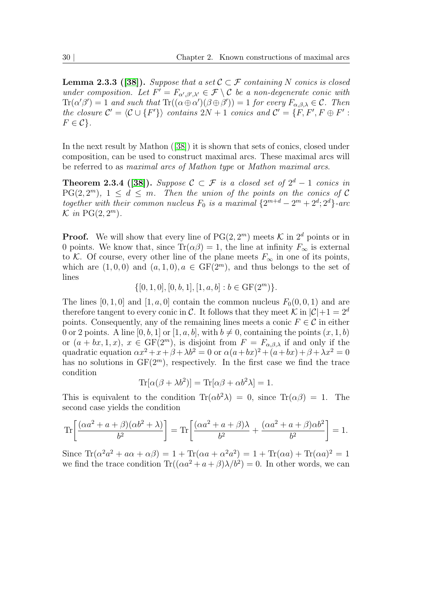**Lemma 2.3.3 ([\[38\]](#page-141-0)).** Suppose that a set  $\mathcal{C} \subset \mathcal{F}$  containing N conics is closed under composition. Let  $F' = F_{\alpha',\beta',\lambda'} \in \mathcal{F} \setminus \mathcal{C}$  be a non-degenerate conic with  $\text{Tr}(\alpha'\beta') = 1$  and such that  $\text{Tr}((\alpha \oplus \alpha')(\beta \oplus \beta')) = 1$  for every  $F_{\alpha,\beta,\lambda} \in \mathcal{C}$ . Then the closure  $\mathcal{C}' = \langle \mathcal{C} \cup \{F'\} \rangle$  contains  $2N + 1$  conics and  $\mathcal{C}' = \{F, F', F \oplus F' :$  $F \in \mathcal{C}$ .

In the next result by Mathon([\[38\]](#page-141-0)) it is shown that sets of conics, closed under composition, can be used to construct maximal arcs. These maximal arcs will be referred to as maximal arcs of Mathon type or Mathon maximal arcs.

<span id="page-39-0"></span>**Theorem 2.3.4** ([\[38\]](#page-141-0)). Suppose  $C \subset \mathcal{F}$  is a closed set of  $2^d - 1$  conics in  $PG(2, 2<sup>m</sup>), 1 \leq d \leq m$ . Then the union of the points on the conics of C together with their common nucleus  $F_0$  is a maximal  $\{2^{m+d}-2^m+2^d;2^d\}$ -arc  $\mathcal{K}$  in PG(2, 2<sup>m</sup>).

**Proof.** We will show that every line of  $PG(2, 2<sup>m</sup>)$  meets K in  $2<sup>d</sup>$  points or in 0 points. We know that, since  $\text{Tr}(\alpha \beta) = 1$ , the line at infinity  $F_{\infty}$  is external to K. Of course, every other line of the plane meets  $F_{\infty}$  in one of its points, which are  $(1, 0, 0)$  and  $(a, 1, 0), a \in GF(2<sup>m</sup>)$ , and thus belongs to the set of lines

 $\{[0, 1, 0], [0, b, 1], [1, a, b] : b \in \mathrm{GF}(2^m)\}.$ 

The lines [0, 1, 0] and [1, a, 0] contain the common nucleus  $F_0(0, 0, 1)$  and are therefore tangent to every conic in C. It follows that they meet K in  $|\mathcal{C}|+1=2^d$ points. Consequently, any of the remaining lines meets a conic  $F \in \mathcal{C}$  in either 0 or 2 points. A line [0, b, 1] or [1, a, b], with  $b \neq 0$ , containing the points  $(x, 1, b)$ or  $(a + bx, 1, x), x \in GF(2^m)$ , is disjoint from  $F = F_{\alpha,\beta,\lambda}$  if and only if the quadratic equation  $\alpha x^2 + x + \beta + \lambda b^2 = 0$  or  $\alpha(a+bx)^2 + (a+bx) + \beta + \lambda x^2 = 0$ has no solutions in  $GF(2^m)$ , respectively. In the first case we find the trace condition

$$
\text{Tr}[\alpha(\beta + \lambda b^2)] = \text{Tr}[\alpha\beta + \alpha b^2 \lambda] = 1.
$$

This is equivalent to the condition  $\text{Tr}(\alpha b^2 \lambda) = 0$ , since  $\text{Tr}(\alpha \beta) = 1$ . The second case yields the condition

$$
\operatorname{Tr}\left[\frac{(\alpha a^2 + a + \beta)(\alpha b^2 + \lambda)}{b^2}\right] = \operatorname{Tr}\left[\frac{(\alpha a^2 + a + \beta)\lambda}{b^2} + \frac{(\alpha a^2 + a + \beta)\alpha b^2}{b^2}\right] = 1.
$$

Since  $\text{Tr}(\alpha^2 a^2 + a\alpha + \alpha\beta) = 1 + \text{Tr}(\alpha a + \alpha^2 a^2) = 1 + \text{Tr}(\alpha a) + \text{Tr}(\alpha a)^2 = 1$ we find the trace condition  $\text{Tr}((\alpha a^2 + a + \beta)\lambda/b^2) = 0$ . In other words, we can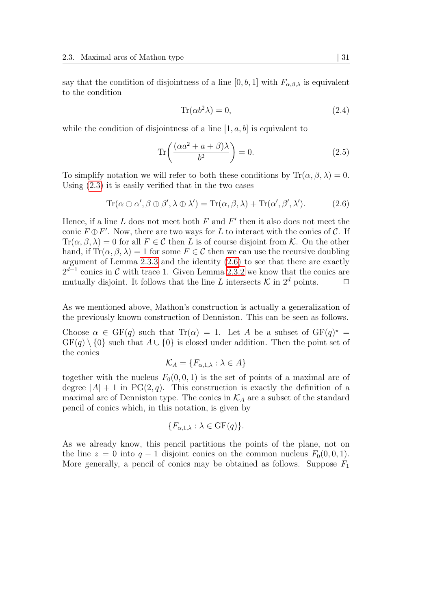say that the condition of disjointness of a line [0, b, 1] with  $F_{\alpha,\beta,\lambda}$  is equivalent to the condition

<span id="page-40-0"></span>
$$
\text{Tr}(\alpha b^2 \lambda) = 0,\tag{2.4}
$$

while the condition of disjointness of a line  $[1, a, b]$  is equivalent to

$$
\operatorname{Tr}\left(\frac{(\alpha a^2 + a + \beta)\lambda}{b^2}\right) = 0.\tag{2.5}
$$

To simplify notation we will refer to both these conditions by  $\text{Tr}(\alpha, \beta, \lambda) = 0$ . Using [\(2.3\)](#page-38-0) it is easily verified that in the two cases

$$
\text{Tr}(\alpha \oplus \alpha', \beta \oplus \beta', \lambda \oplus \lambda') = \text{Tr}(\alpha, \beta, \lambda) + \text{Tr}(\alpha', \beta', \lambda'). \tag{2.6}
$$

Hence, if a line  $L$  does not meet both  $F$  and  $F'$  then it also does not meet the conic  $F \oplus F'$ . Now, there are two ways for L to interact with the conics of C. If  $\text{Tr}(\alpha, \beta, \lambda) = 0$  for all  $F \in \mathcal{C}$  then L is of course disjoint from K. On the other hand, if  $\text{Tr}(\alpha, \beta, \lambda) = 1$  for some  $F \in \mathcal{C}$  then we can use the recursive doubling argument of Lemma [2.3.3](#page-38-1) and the identity [\(2.6\)](#page-40-0) to see that there are exactly  $2^{d-1}$  conics in C with trace 1. Given Lemma [2.3.2](#page-38-2) we know that the conics are mutually disjoint. It follows that the line L intersects  $\mathcal K$  in  $2^d$  points.  $\Box$ 

As we mentioned above, Mathon's construction is actually a generalization of the previously known construction of Denniston. This can be seen as follows.

Choose  $\alpha \in \mathrm{GF}(q)$  such that  $\mathrm{Tr}(\alpha) = 1$ . Let A be a subset of  $\mathrm{GF}(q)^* =$  $GF(q) \setminus \{0\}$  such that  $A \cup \{0\}$  is closed under addition. Then the point set of the conics

$$
\mathcal{K}_A = \{ F_{\alpha,1,\lambda} : \lambda \in A \}
$$

together with the nucleus  $F_0(0, 0, 1)$  is the set of points of a maximal arc of degree  $|A| + 1$  in PG(2, q). This construction is exactly the definition of a maximal arc of Denniston type. The conics in  $\mathcal{K}_A$  are a subset of the standard pencil of conics which, in this notation, is given by

$$
\{F_{\alpha,1,\lambda} : \lambda \in \mathrm{GF}(q)\}.
$$

As we already know, this pencil partitions the points of the plane, not on the line  $z = 0$  into  $q - 1$  disjoint conics on the common nucleus  $F_0(0, 0, 1)$ . More generally, a pencil of conics may be obtained as follows. Suppose  $F_1$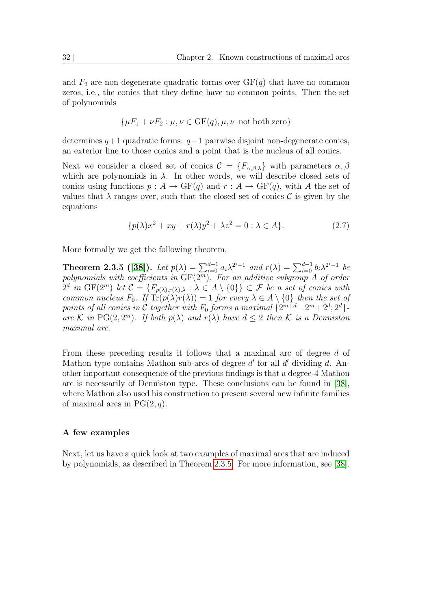and  $F_2$  are non-degenerate quadratic forms over  $GF(q)$  that have no common zeros, i.e., the conics that they define have no common points. Then the set of polynomials

$$
\{\mu F_1 + \nu F_2 : \mu, \nu \in \text{GF}(q), \mu, \nu \text{ not both zero}\}\
$$

determines q+1 quadratic forms: q−1 pairwise disjoint non-degenerate conics, an exterior line to those conics and a point that is the nucleus of all conics.

Next we consider a closed set of conics  $\mathcal{C} = \{F_{\alpha,\beta,\lambda}\}\$  with parameters  $\alpha,\beta$ which are polynomials in  $\lambda$ . In other words, we will describe closed sets of conics using functions  $p : A \to GF(q)$  and  $r : A \to GF(q)$ , with A the set of values that  $\lambda$  ranges over, such that the closed set of conics  $\mathcal C$  is given by the equations

$$
\{p(\lambda)x^2 + xy + r(\lambda)y^2 + \lambda z^2 = 0 : \lambda \in A\}.
$$
\n(2.7)

<span id="page-41-0"></span>More formally we get the following theorem.

**Theorem 2.3.5** ([\[38\]](#page-141-0)). Let  $p(\lambda) = \sum_{i=0}^{d-1} a_i \lambda^{2^i-1}$  and  $r(\lambda) = \sum_{i=0}^{d-1} b_i \lambda^{2^i-1}$  be polynomials with coefficients in  $GF(2^m)$ . For an additive subgroup A of order  $2^d$  in  $\mathrm{GF}(2^m)$  let  $\mathcal{C} = \{F_{p(\lambda),r(\lambda),\lambda} : \lambda \in A \setminus \{0\}\} \subset \mathcal{F}$  be a set of conics with common nucleus  $F_0$ . If  $\text{Tr}(p(\lambda)r(\lambda)) = 1$  for every  $\lambda \in A \setminus \{0\}$  then the set of points of all conics in  $\mathcal C$  together with  $F_0$  forms a maximal  $\{2^{m+d}-2^m+2^d;2^d\}$ . arc K in PG(2, 2<sup>m</sup>). If both  $p(\lambda)$  and  $r(\lambda)$  have  $d \leq 2$  then K is a Denniston maximal arc.

From these preceding results it follows that a maximal arc of degree d of Mathon type contains Mathon sub-arcs of degree  $d'$  for all  $d'$  dividing  $d$ . Another important consequence of the previous findings is that a degree-4 Mathon arc is necessarily of Denniston type. These conclusions can be found in [\[38\]](#page-141-0), where Mathon also used his construction to present several new infinite families of maximal arcs in  $PG(2, q)$ .

#### A few examples

Next, let us have a quick look at two examples of maximal arcs that are induced by polynomials, as described in Theorem [2.3.5.](#page-41-0) For more information, see [\[38\]](#page-141-0).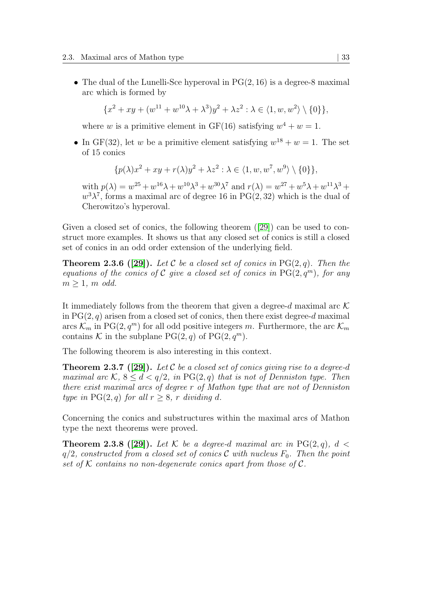• The dual of the Lunelli-Sce hyperoval in  $PG(2, 16)$  is a degree-8 maximal arc which is formed by

$$
\{x^{2} + xy + (w^{11} + w^{10}\lambda + \lambda^{3})y^{2} + \lambda z^{2} : \lambda \in \langle 1, w, w^{2} \rangle \setminus \{0\} \},\
$$

where w is a primitive element in GF(16) satisfying  $w^4 + w = 1$ .

• In GF(32), let w be a primitive element satisfying  $w^{18} + w = 1$ . The set of 15 conics

$$
\{p(\lambda)x^2 + xy + r(\lambda)y^2 + \lambda z^2 : \lambda \in \langle 1, w, w^7, w^9 \rangle \setminus \{0\} \},\
$$

with  $p(\lambda) = w^{25} + w^{16}\lambda + w^{10}\lambda^3 + w^{30}\lambda^7$  and  $r(\lambda) = w^{27} + w^{5}\lambda + w^{11}\lambda^3 + w^{11}\lambda^5$  $w^3\lambda^7$ , forms a maximal arc of degree 16 in PG(2, 32) which is the dual of Cherowitzo's hyperoval.

Givena closed set of conics, the following theorem ([\[29\]](#page-140-1)) can be used to construct more examples. It shows us that any closed set of conics is still a closed set of conics in an odd order extension of the underlying field.

**Theorem 2.3.6** ([\[29\]](#page-140-1)). Let C be a closed set of conics in  $PG(2,q)$ . Then the equations of the conics of C give a closed set of conics in  $PG(2, q<sup>m</sup>)$ , for any  $m \geq 1$ , m odd.

It immediately follows from the theorem that given a degree-d maximal arc  $\mathcal K$ in  $PG(2, q)$  arisen from a closed set of conics, then there exist degree-d maximal arcs  $\mathcal{K}_m$  in PG(2,  $q^m$ ) for all odd positive integers m. Furthermore, the arc  $\mathcal{K}_m$ contains K in the subplane  $PG(2, q)$  of  $PG(2, q<sup>m</sup>)$ .

The following theorem is also interesting in this context.

**Theorem 2.3.7** ([\[29\]](#page-140-1)). Let  $C$  be a closed set of conics giving rise to a degree-d maximal arc  $K, 8 \leq d < q/2$ , in PG(2, q) that is not of Denniston type. Then there exist maximal arcs of degree r of Mathon type that are not of Denniston type in  $PG(2,q)$  for all  $r \geq 8$ , r dividing d.

Concerning the conics and substructures within the maximal arcs of Mathon type the next theorems were proved.

<span id="page-42-0"></span>**Theorem 2.3.8** ([\[29\]](#page-140-1)). Let K be a degree-d maximal arc in  $PG(2,q)$ ,  $d <$  $q/2$ , constructed from a closed set of conics C with nucleus  $F_0$ . Then the point set of K contains no non-degenerate conics apart from those of  $\mathcal{C}$ .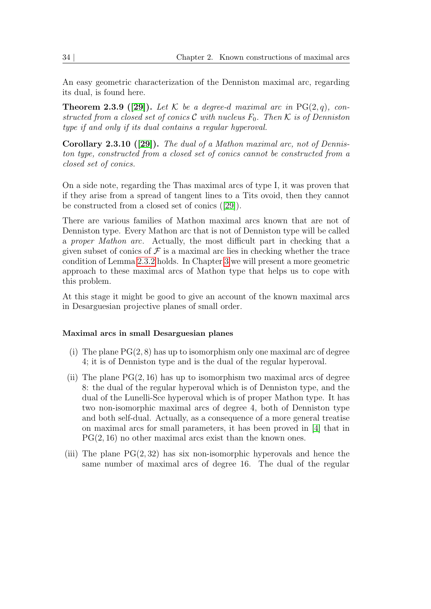An easy geometric characterization of the Denniston maximal arc, regarding its dual, is found here.

**Theorem 2.3.9 ([\[29\]](#page-140-1)).** Let K be a degree-d maximal arc in  $PG(2, q)$ , constructed from a closed set of conics  $\mathcal C$  with nucleus  $F_0$ . Then  $\mathcal K$  is of Denniston type if and only if its dual contains a regular hyperoval.

<span id="page-43-0"></span>Corollary 2.3.10 ([\[29\]](#page-140-1)). The dual of a Mathon maximal arc, not of Denniston type, constructed from a closed set of conics cannot be constructed from a closed set of conics.

On a side note, regarding the Thas maximal arcs of type I, it was proven that if they arise from a spread of tangent lines to a Tits ovoid, then they cannot be constructed from a closed set of conics([\[29\]](#page-140-1)).

There are various families of Mathon maximal arcs known that are not of Denniston type. Every Mathon arc that is not of Denniston type will be called a proper Mathon arc. Actually, the most difficult part in checking that a given subset of conics of  $\mathcal F$  is a maximal arc lies in checking whether the trace condition of Lemma [2.3.2](#page-38-2) holds. In Chapter [3](#page-46-0) we will present a more geometric approach to these maximal arcs of Mathon type that helps us to cope with this problem.

At this stage it might be good to give an account of the known maximal arcs in Desarguesian projective planes of small order.

#### Maximal arcs in small Desarguesian planes

- (i) The plane  $PG(2, 8)$  has up to isomorphism only one maximal arc of degree 4; it is of Denniston type and is the dual of the regular hyperoval.
- (ii) The plane  $PG(2, 16)$  has up to isomorphism two maximal arcs of degree 8: the dual of the regular hyperoval which is of Denniston type, and the dual of the Lunelli-Sce hyperoval which is of proper Mathon type. It has two non-isomorphic maximal arcs of degree 4, both of Denniston type and both self-dual. Actually, as a consequence of a more general treatise on maximal arcs for small parameters, it has been proved in [\[4\]](#page-138-1) that in  $PG(2, 16)$  no other maximal arcs exist than the known ones.
- (iii) The plane  $PG(2, 32)$  has six non-isomorphic hyperovals and hence the same number of maximal arcs of degree 16. The dual of the regular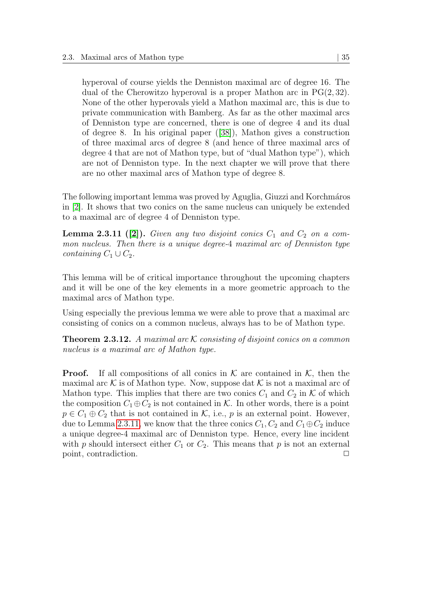hyperoval of course yields the Denniston maximal arc of degree 16. The dual of the Cherowitzo hyperoval is a proper Mathon arc in PG(2, 32). None of the other hyperovals yield a Mathon maximal arc, this is due to private communication with Bamberg. As far as the other maximal arcs of Denniston type are concerned, there is one of degree 4 and its dual of degree 8. In his original paper([\[38\]](#page-141-0)), Mathon gives a construction of three maximal arcs of degree 8 (and hence of three maximal arcs of degree 4 that are not of Mathon type, but of "dual Mathon type"), which are not of Denniston type. In the next chapter we will prove that there are no other maximal arcs of Mathon type of degree 8.

The following important lemma was proved by Aguglia, Giuzzi and Korchmáros in [\[2\]](#page-138-2). It shows that two conics on the same nucleus can uniquely be extended to a maximal arc of degree 4 of Denniston type.

<span id="page-44-0"></span>**Lemma 2.3.11 ([\[2\]](#page-138-2)).** Given any two disjoint conics  $C_1$  and  $C_2$  on a common nucleus. Then there is a unique degree-4 maximal arc of Denniston type containing  $C_1 \cup C_2$ .

This lemma will be of critical importance throughout the upcoming chapters and it will be one of the key elements in a more geometric approach to the maximal arcs of Mathon type.

Using especially the previous lemma we were able to prove that a maximal arc consisting of conics on a common nucleus, always has to be of Mathon type.

**Theorem 2.3.12.** A maximal arc  $K$  consisting of disjoint conics on a common nucleus is a maximal arc of Mathon type.

**Proof.** If all compositions of all conics in  $\mathcal K$  are contained in  $\mathcal K$ , then the maximal arc K is of Mathon type. Now, suppose dat K is not a maximal arc of Mathon type. This implies that there are two conics  $C_1$  and  $C_2$  in K of which the composition  $C_1 \oplus C_2$  is not contained in K. In other words, there is a point  $p \in C_1 \oplus C_2$  that is not contained in K, i.e., p is an external point. However, due to Lemma [2.3.11,](#page-44-0) we know that the three conics  $C_1, C_2$  and  $C_1 \oplus C_2$  induce a unique degree-4 maximal arc of Denniston type. Hence, every line incident with p should intersect either  $C_1$  or  $C_2$ . This means that p is not an external point, contradiction.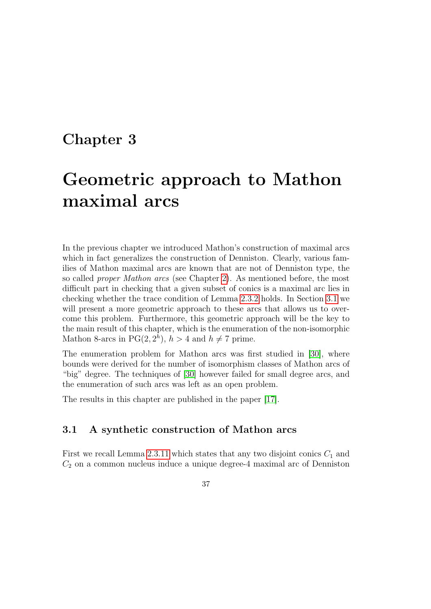# <span id="page-46-0"></span>Chapter 3

# Geometric approach to Mathon maximal arcs

In the previous chapter we introduced Mathon's construction of maximal arcs which in fact generalizes the construction of Denniston. Clearly, various families of Mathon maximal arcs are known that are not of Denniston type, the so called proper Mathon arcs (see Chapter [2\)](#page-28-0). As mentioned before, the most difficult part in checking that a given subset of conics is a maximal arc lies in checking whether the trace condition of Lemma [2.3.2](#page-38-2) holds. In Section [3.1](#page-46-1) we will present a more geometric approach to these arcs that allows us to overcome this problem. Furthermore, this geometric approach will be the key to the main result of this chapter, which is the enumeration of the non-isomorphic Mathon 8-arcs in PG $(2, 2<sup>h</sup>)$ ,  $h > 4$  and  $h \neq 7$  prime.

The enumeration problem for Mathon arcs was first studied in [\[30\]](#page-140-2), where bounds were derived for the number of isomorphism classes of Mathon arcs of "big" degree. The techniques of [\[30\]](#page-140-2) however failed for small degree arcs, and the enumeration of such arcs was left as an open problem.

The results in this chapter are published in the paper [\[17\]](#page-139-2).

# <span id="page-46-1"></span>3.1 A synthetic construction of Mathon arcs

First we recall Lemma [2.3.11](#page-44-0) which states that any two disjoint conics  $C_1$  and  $C_2$  on a common nucleus induce a unique degree-4 maximal arc of Denniston

#### 37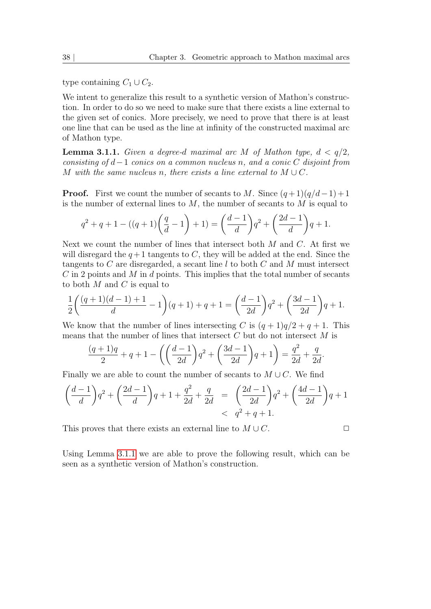type containing  $C_1 \cup C_2$ .

We intent to generalize this result to a synthetic version of Mathon's construction. In order to do so we need to make sure that there exists a line external to the given set of conics. More precisely, we need to prove that there is at least one line that can be used as the line at infinity of the constructed maximal arc of Mathon type.

<span id="page-47-0"></span>**Lemma 3.1.1.** Given a degree-d maximal arc M of Mathon type,  $d < q/2$ , consisting of  $d-1$  conics on a common nucleus n, and a conic C disjoint from M with the same nucleus n, there exists a line external to  $M \cup C$ .

**Proof.** First we count the number of secants to M. Since  $(q+1)(q/d-1)+1$ is the number of external lines to  $M$ , the number of secants to  $M$  is equal to

$$
q^{2} + q + 1 - ((q + 1)\left(\frac{q}{d} - 1\right) + 1) = \left(\frac{d - 1}{d}\right)q^{2} + \left(\frac{2d - 1}{d}\right)q + 1.
$$

Next we count the number of lines that intersect both  $M$  and  $C$ . At first we will disregard the  $q+1$  tangents to C, they will be added at the end. Since the tangents to  $C$  are disregarded, a secant line  $l$  to both  $C$  and  $M$  must intersect  $C$  in 2 points and  $M$  in  $d$  points. This implies that the total number of secants to both  $M$  and  $C$  is equal to

$$
\frac{1}{2}\left(\frac{(q+1)(d-1)+1}{d}-1\right)(q+1)+q+1=\left(\frac{d-1}{2d}\right)q^2+\left(\frac{3d-1}{2d}\right)q+1.
$$

We know that the number of lines intersecting C is  $(q+1)q/2 + q + 1$ . This means that the number of lines that intersect  $C$  but do not intersect  $M$  is

$$
\frac{(q+1)q}{2} + q + 1 - \left( \left( \frac{d-1}{2d} \right) q^2 + \left( \frac{3d-1}{2d} \right) q + 1 \right) = \frac{q^2}{2d} + \frac{q}{2d}
$$

.

Finally we are able to count the number of secants to  $M \cup C$ . We find

$$
\left(\frac{d-1}{d}\right)q^2 + \left(\frac{2d-1}{d}\right)q + 1 + \frac{q^2}{2d} + \frac{q}{2d} = \left(\frac{2d-1}{2d}\right)q^2 + \left(\frac{4d-1}{2d}\right)q + 1
$$
  
<  $q^2 + q + 1$ .

This proves that there exists an external line to  $M \cup C$ .  $\Box$ 

<span id="page-47-1"></span>Using Lemma [3.1.1](#page-47-0) we are able to prove the following result, which can be seen as a synthetic version of Mathon's construction.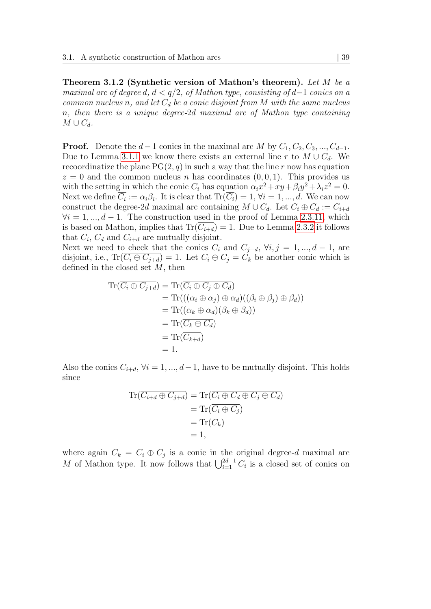Theorem 3.1.2 (Synthetic version of Mathon's theorem). Let M be a maximal arc of degree d,  $d < q/2$ , of Mathon type, consisting of d–1 conics on a common nucleus n, and let  $C_d$  be a conic disjoint from M with the same nucleus  $n$ , then there is a unique degree-2d maximal arc of Mathon type containing  $M \cup C_d$ .

**Proof.** Denote the  $d-1$  conics in the maximal arc M by  $C_1, C_2, C_3, ..., C_{d-1}$ . Due to Lemma [3.1.1](#page-47-0) we know there exists an external line r to  $M \cup C_d$ . We recoordinatize the plane  $PG(2, q)$  in such a way that the line r now has equation  $z = 0$  and the common nucleus n has coordinates  $(0, 0, 1)$ . This provides us with the setting in which the conic  $C_i$  has equation  $\alpha_i x^2 + xy + \beta_i y^2 + \lambda_i z^2 = 0$ . Next we define  $C_i := \alpha_i \beta_i$ . It is clear that  $\text{Tr}(C_i) = 1, \forall i = 1, ..., d$ . We can now construct the degree-2d maximal arc containing  $M \cup C_d$ . Let  $C_i \oplus C_d := C_{i+d}$  $\forall i = 1, ..., d - 1$ . The construction used in the proof of Lemma [2.3.11,](#page-44-0) which is based on Mathon, implies that  $\text{Tr}(\overline{C_{i+d}}) = 1$ . Due to Lemma [2.3.2](#page-38-2) it follows that  $C_i$ ,  $C_d$  and  $C_{i+d}$  are mutually disjoint.

Next we need to check that the conics  $C_i$  and  $C_{j+d}$ ,  $\forall i, j = 1, ..., d - 1$ , are disjoint, i.e.,  $\text{Tr}(C_i \oplus C_{j+d}) = 1$ . Let  $C_i \oplus C_j = C_k$  be another conic which is defined in the closed set  $M$ , then

$$
\begin{aligned} \operatorname{Tr}(\overline{C_i \oplus C_{j+d}}) &= \operatorname{Tr}(\overline{C_i \oplus C_j \oplus C_d}) \\ &= \operatorname{Tr}(((\alpha_i \oplus \alpha_j) \oplus \alpha_d)((\beta_i \oplus \beta_j) \oplus \beta_d)) \\ &= \operatorname{Tr}((\alpha_k \oplus \alpha_d)(\beta_k \oplus \beta_d)) \\ &= \operatorname{Tr}(\overline{C_k \oplus C_d}) \\ &= \operatorname{Tr}(\overline{C_{k+d}}) \\ &= 1. \end{aligned}
$$

Also the conics  $C_{i+d}$ ,  $\forall i = 1, ..., d-1$ , have to be mutually disjoint. This holds since

$$
\operatorname{Tr}(\overline{C_{i+d} \oplus C_{j+d}}) = \operatorname{Tr}(\overline{C_i \oplus C_d \oplus C_j \oplus C_d})
$$
  
= 
$$
\operatorname{Tr}(\overline{C_i \oplus C_j})
$$
  
= 
$$
\operatorname{Tr}(\overline{C_k})
$$
  
= 1,

where again  $C_k = C_i \oplus C_j$  is a conic in the original degree-d maximal arc M of Mathon type. It now follows that  $\bigcup_{i=1}^{2d-1} C_i$  is a closed set of conics on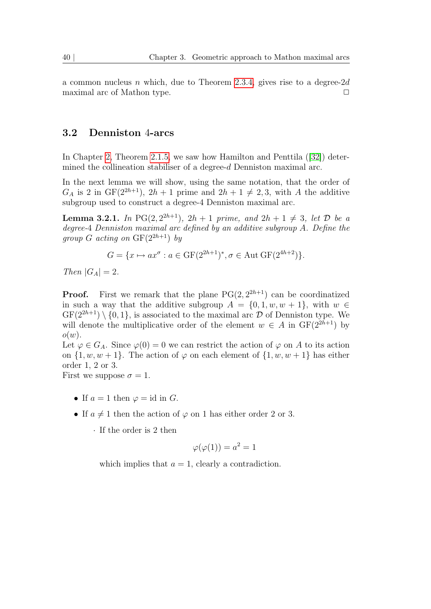a common nucleus n which, due to Theorem [2.3.4,](#page-39-0) gives rise to a degree- $2d$ maximal arc of Mathon type.  $\Box$ 

#### 3.2 Denniston 4-arcs

In Chapter [2,](#page-28-0) Theorem [2.1.5,](#page-31-0) we saw how Hamilton and Penttila([\[32\]](#page-140-0)) determined the collineation stabiliser of a degree-d Denniston maximal arc.

In the next lemma we will show, using the same notation, that the order of  $G_A$  is 2 in GF( $2^{2h+1}$ ),  $2h+1$  prime and  $2h+1 \neq 2, 3$ , with A the additive subgroup used to construct a degree-4 Denniston maximal arc.

<span id="page-49-0"></span>**Lemma 3.2.1.** In PG(2,  $2^{2h+1}$ ),  $2h + 1$  prime, and  $2h + 1 \neq 3$ , let  $D$  be a degree-4 Denniston maximal arc defined by an additive subgroup A. Define the group G acting on  $GF(2^{2h+1})$  by

$$
G = \{ x \mapsto ax^{\sigma} : a \in \text{GF}(2^{2h+1})^*, \sigma \in \text{Aut }\text{GF}(2^{4h+2}) \}.
$$

Then  $|G_A|=2$ .

**Proof.** First we remark that the plane  $PG(2, 2^{2h+1})$  can be coordinatized in such a way that the additive subgroup  $A = \{0, 1, w, w + 1\}$ , with  $w \in$  $GF(2^{2h+1}) \setminus \{0,1\}$ , is associated to the maximal arc  $D$  of Denniston type. We will denote the multiplicative order of the element  $w \in A$  in  $GF(2^{2h+1})$  by  $o(w)$ .

Let  $\varphi \in G_A$ . Since  $\varphi(0) = 0$  we can restrict the action of  $\varphi$  on A to its action on  $\{1, w, w+1\}$ . The action of  $\varphi$  on each element of  $\{1, w, w+1\}$  has either order 1, 2 or 3.

First we suppose  $\sigma = 1$ .

- If  $a = 1$  then  $\varphi = id$  in G.
- If  $a \neq 1$  then the action of  $\varphi$  on 1 has either order 2 or 3.
	- · If the order is 2 then

$$
\varphi(\varphi(1)) = a^2 = 1
$$

which implies that  $a = 1$ , clearly a contradiction.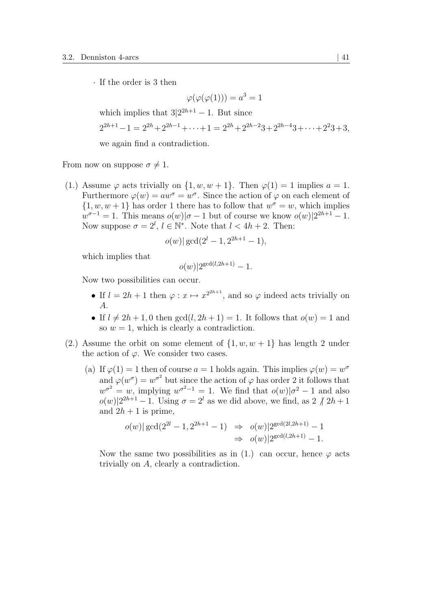· If the order is 3 then

 $\varphi(\varphi(\varphi(1))) = a^3 = 1$ which implies that  $3|2^{2h+1} - 1$ . But since  $2^{2h+1}-1 = 2^{2h}+2^{2h-1}+\cdots+1 = 2^{2h}+2^{2h-2}3+2^{2h-4}3+\cdots+2^23+3,$ we again find a contradiction.

From now on suppose  $\sigma \neq 1$ .

(1.) Assume  $\varphi$  acts trivially on  $\{1, w, w + 1\}$ . Then  $\varphi(1) = 1$  implies  $a = 1$ . Furthermore  $\varphi(w) = aw^{\sigma} = w^{\sigma}$ . Since the action of  $\varphi$  on each element of  $\{1, w, w+1\}$  has order 1 there has to follow that  $w^{\sigma} = w$ , which implies  $w^{\sigma-1} = 1$ . This means  $o(w)|\sigma - 1$  but of course we know  $o(w)|2^{2h+1} - 1$ . Now suppose  $\sigma = 2^l, l \in \mathbb{N}^*$ . Note that  $l < 4h + 2$ . Then:

$$
o(w)| \gcd(2^l - 1, 2^{2h+1} - 1),
$$

which implies that

$$
o(w)|2^{\gcd(l,2h+1)}-1.
$$

Now two possibilities can occur.

- If  $l = 2h + 1$  then  $\varphi : x \mapsto x^{2^{2h+1}}$ , and so  $\varphi$  indeed acts trivially on A.
- If  $l \neq 2h + 1, 0$  then  $gcd(l, 2h + 1) = 1$ . It follows that  $o(w) = 1$  and so  $w = 1$ , which is clearly a contradiction.
- (2.) Assume the orbit on some element of  $\{1, w, w + 1\}$  has length 2 under the action of  $\varphi$ . We consider two cases.
	- (a) If  $\varphi(1) = 1$  then of course  $a = 1$  holds again. This implies  $\varphi(w) = w^{\sigma}$ and  $\varphi(w^{\sigma}) = w^{\sigma^2}$  but since the action of  $\varphi$  has order 2 it follows that  $w^{\sigma^2} = w$ , implying  $w^{\sigma^2 - 1} = 1$ . We find that  $o(w)|\sigma^2 - 1$  and also  $o(w)|2^{2h+1}-1$ . Using  $\sigma=2^l$  as we did above, we find, as  $2 \nmid 2h+1$ and  $2h + 1$  is prime,

$$
o(w)| \gcd(2^{2l} - 1, 2^{2h+1} - 1) \Rightarrow o(w)| 2^{\gcd(2l, 2h+1)} - 1
$$
  

$$
\Rightarrow o(w)| 2^{\gcd(l, 2h+1)} - 1.
$$

Now the same two possibilities as in (1.) can occur, hence  $\varphi$  acts trivially on A, clearly a contradiction.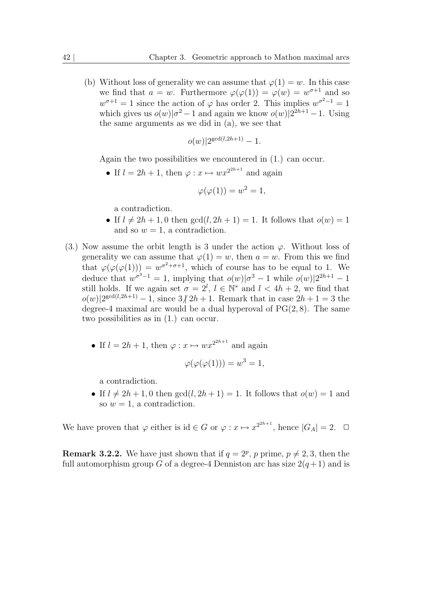(b) Without loss of generality we can assume that  $\varphi(1) = w$ . In this case we find that  $a = w$ . Furthermore  $\varphi(\varphi(1)) = \varphi(w) = w^{\sigma+1}$  and so  $w^{\sigma+1} = 1$  since the action of  $\varphi$  has order 2. This implies  $w^{\sigma^2-1} = 1$ which gives us  $o(w)|\sigma^2 - 1$  and again we know  $o(w)|2^{2h+1} - 1$ . Using the same arguments as we did in (a), we see that

$$
o(w)|2^{\gcd(l,2h+1)}-1.
$$

Again the two possibilities we encountered in (1.) can occur.

• If  $l = 2h + 1$ , then  $\varphi : x \mapsto wx^{2^{2h+1}}$  and again

$$
\varphi(\varphi(1)) = w^2 = 1,
$$

a contradiction.

- If  $l \neq 2h + 1, 0$  then  $gcd(l, 2h + 1) = 1$ . It follows that  $o(w) = 1$ and so  $w = 1$ , a contradiction.
- (3.) Now assume the orbit length is 3 under the action  $\varphi$ . Without loss of generality we can assume that  $\varphi(1) = w$ , then  $a = w$ . From this we find that  $\varphi(\varphi(\varphi(1))) = w^{\sigma^2+\sigma+1}$ , which of course has to be equal to 1. We deduce that  $w^{\sigma^3-1} = 1$ , implying that  $o(w)|\sigma^3 - 1$  while  $o(w)|2^{2h+1} - 1$ still holds. If we again set  $\sigma = 2^l$ ,  $l \in \mathbb{N}^*$  and  $l \lt 4h + 2$ , we find that  $o(w)|2^{\gcd(l,2h+1)}-1$ , since  $3/2h+1$ . Remark that in case  $2h+1=3$  the degree-4 maximal arc would be a dual hyperoval of  $PG(2, 8)$ . The same two possibilities as in (1.) can occur.
	- If  $l = 2h + 1$ , then  $\varphi : x \mapsto wx^{2^{2h+1}}$  and again

$$
\varphi(\varphi(\varphi(1))) = w^3 = 1,
$$

a contradiction.

• If  $l \neq 2h + 1, 0$  then  $gcd(l, 2h + 1) = 1$ . It follows that  $o(w) = 1$  and so  $w = 1$ , a contradiction.

We have proven that  $\varphi$  either is id  $\in G$  or  $\varphi: x \mapsto x^{2^{2h+1}}$ , hence  $|G_A| = 2$ .  $\Box$ 

<span id="page-51-0"></span>**Remark 3.2.2.** We have just shown that if  $q = 2^p$ , p prime,  $p \neq 2, 3$ , then the full automorphism group G of a degree-4 Denniston arc has size  $2(q+1)$  and is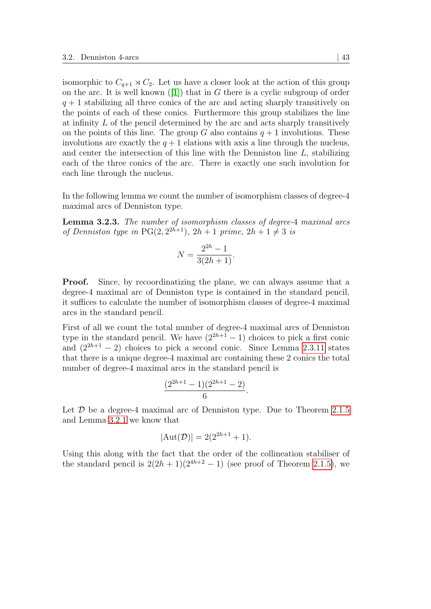isomorphic to  $C_{q+1} \rtimes C_2$ . Let us have a closer look at the action of this group onthe arc. It is well known  $([1])$  $([1])$  $([1])$  that in G there is a cyclic subgroup of order  $q + 1$  stabilizing all three conics of the arc and acting sharply transitively on the points of each of these conics. Furthermore this group stabilizes the line at infinity L of the pencil determined by the arc and acts sharply transitively on the points of this line. The group G also contains  $q + 1$  involutions. These involutions are exactly the  $q + 1$  elations with axis a line through the nucleus, and center the intersection of this line with the Denniston line  $L$ , stabilizing each of the three conics of the arc. There is exactly one such involution for each line through the nucleus.

In the following lemma we count the number of isomorphism classes of degree-4 maximal arcs of Denniston type.

<span id="page-52-0"></span>Lemma 3.2.3. The number of isomorphism classes of degree-4 maximal arcs of Denniston type in  $PG(2, 2^{2h+1}), 2h+1$  prime,  $2h+1 \neq 3$  is

$$
N = \frac{2^{2h} - 1}{3(2h + 1)}.
$$

**Proof.** Since, by recoordinatizing the plane, we can always assume that a degree-4 maximal arc of Denniston type is contained in the standard pencil, it suffices to calculate the number of isomorphism classes of degree-4 maximal arcs in the standard pencil.

First of all we count the total number of degree-4 maximal arcs of Denniston type in the standard pencil. We have  $(2^{2h+1} - 1)$  choices to pick a first conic and  $(2^{2h+1} - 2)$  choices to pick a second conic. Since Lemma [2.3.11](#page-44-0) states that there is a unique degree-4 maximal arc containing these 2 conics the total number of degree-4 maximal arcs in the standard pencil is

$$
\frac{(2^{2h+1}-1)(2^{2h+1}-2)}{6}
$$

.

Let  $D$  be a degree-4 maximal arc of Denniston type. Due to Theorem [2.1.5](#page-31-0) and Lemma [3.2.1](#page-49-0) we know that

$$
|\text{Aut}(\mathcal{D})| = 2(2^{2h+1} + 1).
$$

Using this along with the fact that the order of the collineation stabiliser of the standard pencil is  $2(2h+1)(2^{4h+2}-1)$  (see proof of Theorem [2.1.5\)](#page-31-0), we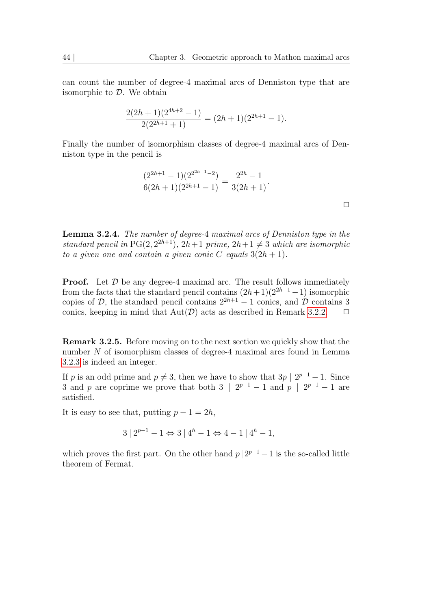can count the number of degree-4 maximal arcs of Denniston type that are isomorphic to  $D$ . We obtain

$$
\frac{2(2h+1)(2^{4h+2}-1)}{2(2^{2h+1}+1)} = (2h+1)(2^{2h+1}-1).
$$

Finally the number of isomorphism classes of degree-4 maximal arcs of Denniston type in the pencil is

$$
\frac{(2^{2h+1}-1)(2^{2^{2h+1}-2})}{6(2h+1)(2^{2h+1}-1)} = \frac{2^{2h}-1}{3(2h+1)}.
$$

<span id="page-53-0"></span>Lemma 3.2.4. The number of degree-4 maximal arcs of Denniston type in the standard pencil in  $PG(2, 2^{2h+1}), 2h+1$  prime,  $2h+1 \neq 3$  which are isomorphic to a given one and contain a given conic C equals  $3(2h+1)$ .

**Proof.** Let  $D$  be any degree-4 maximal arc. The result follows immediately from the facts that the standard pencil contains  $(2h+1)(2^{2h+1}-1)$  isomorphic copies of D, the standard pencil contains  $2^{2h+1} - 1$  conics, and D contains 3 conics, keeping in mind that  $Aut(\mathcal{D})$  acts as described in Remark [3.2.2.](#page-51-0)  $\Box$ 

Remark 3.2.5. Before moving on to the next section we quickly show that the number N of isomorphism classes of degree-4 maximal arcs found in Lemma [3.2.3](#page-52-0) is indeed an integer.

If p is an odd prime and  $p \neq 3$ , then we have to show that  $3p | 2^{p-1} - 1$ . Since 3 and p are coprime we prove that both 3 |  $2^{p-1} - 1$  and  $p \mid 2^{p-1} - 1$  are satisfied.

It is easy to see that, putting  $p - 1 = 2h$ ,

$$
3 | 2^{p-1} - 1 \Leftrightarrow 3 | 4^h - 1 \Leftrightarrow 4 - 1 | 4^h - 1,
$$

which proves the first part. On the other hand  $p \mid 2^{p-1}-1$  is the so-called little theorem of Fermat.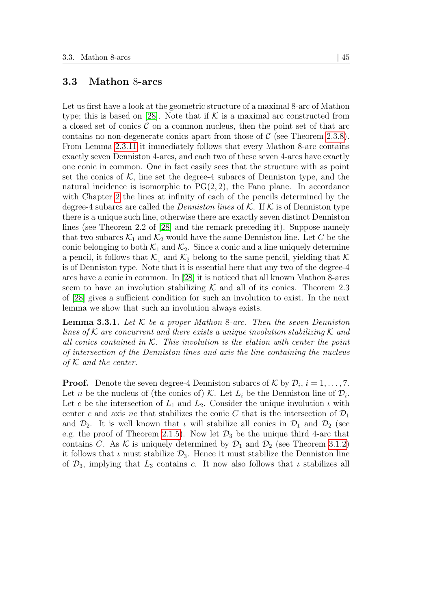#### 3.3 Mathon 8-arcs

Let us first have a look at the geometric structure of a maximal 8-arc of Mathon type; this is based on [\[28\]](#page-140-3). Note that if  $K$  is a maximal arc constructed from a closed set of conics  $\mathcal C$  on a common nucleus, then the point set of that arc contains no non-degenerate conics apart from those of  $\mathcal C$  (see Theorem [2.3.8\)](#page-42-0). From Lemma [2.3.11](#page-44-0) it immediately follows that every Mathon 8-arc contains exactly seven Denniston 4-arcs, and each two of these seven 4-arcs have exactly one conic in common. One in fact easily sees that the structure with as point set the conics of  $K$ , line set the degree-4 subarcs of Denniston type, and the natural incidence is isomorphic to  $PG(2, 2)$ , the Fano plane. In accordance with Chapter [2](#page-28-0) the lines at infinity of each of the pencils determined by the degree-4 subarcs are called the *Denniston lines* of K. If K is of Denniston type there is a unique such line, otherwise there are exactly seven distinct Denniston lines (see Theorem 2.2 of [\[28\]](#page-140-3) and the remark preceding it). Suppose namely that two subarcs  $\mathcal{K}_1$  and  $\mathcal{K}_2$  would have the same Denniston line. Let C be the conic belonging to both  $\mathcal{K}_1$  and  $\mathcal{K}_2$ . Since a conic and a line uniquely determine a pencil, it follows that  $\mathcal{K}_1$  and  $\mathcal{K}_2$  belong to the same pencil, yielding that  $\mathcal K$ is of Denniston type. Note that it is essential here that any two of the degree-4 arcs have a conic in common. In [\[28\]](#page-140-3) it is noticed that all known Mathon 8-arcs seem to have an involution stabilizing  $K$  and all of its conics. Theorem 2.3 of [\[28\]](#page-140-3) gives a sufficient condition for such an involution to exist. In the next lemma we show that such an involution always exists.

<span id="page-54-0"></span>**Lemma 3.3.1.** Let  $K$  be a proper Mathon 8-arc. Then the seven Denniston lines of K are concurrent and there exists a unique involution stabilizing K and all conics contained in  $K$ . This involution is the elation with center the point of intersection of the Denniston lines and axis the line containing the nucleus of  $K$  and the center.

**Proof.** Denote the seven degree-4 Denniston subarcs of K by  $\mathcal{D}_i$ ,  $i = 1, \ldots, 7$ . Let *n* be the nucleus of (the conics of) K. Let  $L_i$  be the Denniston line of  $\mathcal{D}_i$ . Let c be the intersection of  $L_1$  and  $L_2$ . Consider the unique involution  $\iota$  with center c and axis nc that stabilizes the conic C that is the intersection of  $\mathcal{D}_1$ and  $\mathcal{D}_2$ . It is well known that  $\iota$  will stabilize all conics in  $\mathcal{D}_1$  and  $\mathcal{D}_2$  (see e.g. the proof of Theorem [2.1.5\)](#page-31-0). Now let  $\mathcal{D}_3$  be the unique third 4-arc that contains C. As K is uniquely determined by  $\mathcal{D}_1$  and  $\mathcal{D}_2$  (see Theorem [3.1.2\)](#page-47-1) it follows that  $\iota$  must stabilize  $\mathcal{D}_3$ . Hence it must stabilize the Denniston line of  $\mathcal{D}_3$ , implying that  $L_3$  contains c. It now also follows that  $\iota$  stabilizes all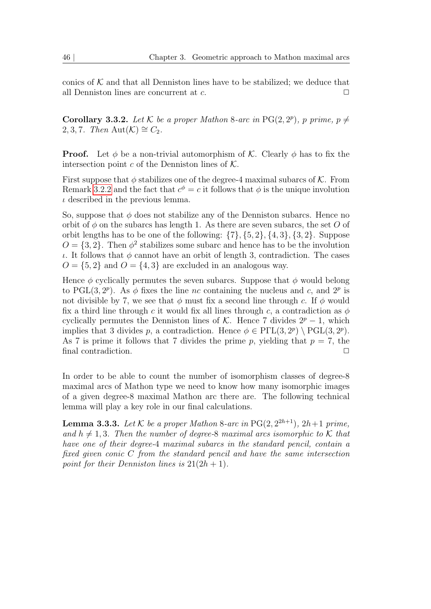conics of  $K$  and that all Denniston lines have to be stabilized; we deduce that all Denniston lines are concurrent at  $c$ .  $\Box$ 

<span id="page-55-1"></span>**Corollary 3.3.2.** Let K be a proper Mathon 8-arc in PG(2, 2<sup>p</sup>), p prime,  $p \neq$ 2, 3, 7. Then Aut $(\mathcal{K}) \cong C_2$ .

**Proof.** Let  $\phi$  be a non-trivial automorphism of K. Clearly  $\phi$  has to fix the intersection point c of the Denniston lines of  $K$ .

First suppose that  $\phi$  stabilizes one of the degree-4 maximal subarcs of K. From Remark [3.2.2](#page-51-0) and the fact that  $c^{\phi} = c$  it follows that  $\phi$  is the unique involution  $\iota$  described in the previous lemma.

So, suppose that  $\phi$  does not stabilize any of the Denniston subarcs. Hence no orbit of  $\phi$  on the subarcs has length 1. As there are seven subarcs, the set O of orbit lengths has to be one of the following:  $\{7\}, \{5, 2\}, \{4, 3\}, \{3, 2\}.$  Suppose  $O = \{3, 2\}$ . Then  $\phi^2$  stabilizes some subarc and hence has to be the involution  $\iota$ . It follows that  $\phi$  cannot have an orbit of length 3, contradiction. The cases  $O = \{5, 2\}$  and  $O = \{4, 3\}$  are excluded in an analogous way.

Hence  $\phi$  cyclically permutes the seven subarcs. Suppose that  $\phi$  would belong to PGL(3,  $2^p$ ). As  $\phi$  fixes the line nc containing the nucleus and c, and  $2^p$  is not divisible by 7, we see that  $\phi$  must fix a second line through c. If  $\phi$  would fix a third line through c it would fix all lines through c, a contradiction as  $\phi$ cyclically permutes the Denniston lines of K. Hence 7 divides  $2^p - 1$ , which implies that 3 divides p, a contradiction. Hence  $\phi \in \text{P}\Gamma\text{L}(3, 2^p) \setminus \text{PGL}(3, 2^p)$ . As 7 is prime it follows that 7 divides the prime p, yielding that  $p = 7$ , the final contradiction.  $\Box$ 

In order to be able to count the number of isomorphism classes of degree-8 maximal arcs of Mathon type we need to know how many isomorphic images of a given degree-8 maximal Mathon arc there are. The following technical lemma will play a key role in our final calculations.

<span id="page-55-0"></span>**Lemma 3.3.3.** Let K be a proper Mathon 8-arc in  $PG(2, 2^{2h+1}), 2h+1$  prime, and  $h \neq 1, 3$ . Then the number of degree-8 maximal arcs isomorphic to K that have one of their degree-4 maximal subarcs in the standard pencil, contain a fixed given conic C from the standard pencil and have the same intersection point for their Denniston lines is  $21(2h+1)$ .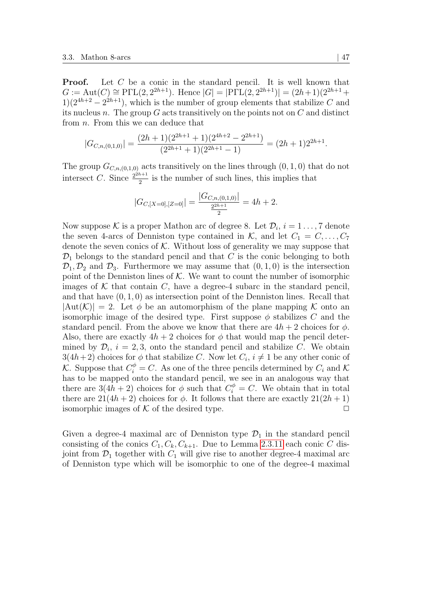**Proof.** Let C be a conic in the standard pencil. It is well known that  $G := \text{Aut}(C) \cong \text{P}\Gamma L(2, 2^{2h+1})$ . Hence  $|G| = |\text{P}\Gamma L(2, 2^{2h+1})| = (2h+1)(2^{2h+1} +$  $1(2^{4h+2} - 2^{2h+1})$ , which is the number of group elements that stabilize C and its nucleus n. The group  $G$  acts transitively on the points not on  $C$  and distinct from  $n$ . From this we can deduce that

$$
|G_{C,n,(0,1,0)}| = \frac{(2h+1)(2^{2h+1}+1)(2^{4h+2}-2^{2h+1})}{(2^{2h+1}+1)(2^{2h+1}-1)} = (2h+1)2^{2h+1}.
$$

The group  $G_{C,n,(0,1,0)}$  acts transitively on the lines through  $(0,1,0)$  that do not intersect C. Since  $\frac{2^{2h+1}}{2}$  $\frac{n+1}{2}$  is the number of such lines, this implies that

$$
|G_{C,[X=0],[Z=0]}| = \frac{|G_{C,n,(0,1,0)}|}{\frac{2^{2h+1}}{2}} = 4h + 2.
$$

Now suppose K is a proper Mathon arc of degree 8. Let  $\mathcal{D}_i$ ,  $i = 1 \dots, 7$  denote the seven 4-arcs of Denniston type contained in K, and let  $C_1 = C, \ldots, C_7$ denote the seven conics of  $K$ . Without loss of generality we may suppose that  $\mathcal{D}_1$  belongs to the standard pencil and that C is the conic belonging to both  $\mathcal{D}_1, \mathcal{D}_2$  and  $\mathcal{D}_3$ . Furthermore we may assume that  $(0, 1, 0)$  is the intersection point of the Denniston lines of  $K$ . We want to count the number of isomorphic images of  $K$  that contain C, have a degree-4 subarc in the standard pencil, and that have  $(0, 1, 0)$  as intersection point of the Denniston lines. Recall that  $|\text{Aut}(\mathcal{K})|=2$ . Let  $\phi$  be an automorphism of the plane mapping K onto an isomorphic image of the desired type. First suppose  $\phi$  stabilizes C and the standard pencil. From the above we know that there are  $4h + 2$  choices for  $\phi$ . Also, there are exactly  $4h + 2$  choices for  $\phi$  that would map the pencil determined by  $\mathcal{D}_i$ ,  $i = 2, 3$ , onto the standard pencil and stabilize C. We obtain  $3(4h+2)$  choices for  $\phi$  that stabilize C. Now let  $C_i$ ,  $i \neq 1$  be any other conic of K. Suppose that  $C_i^{\phi} = C$ . As one of the three pencils determined by  $C_i$  and K has to be mapped onto the standard pencil, we see in an analogous way that there are  $3(4h+2)$  choices for  $\phi$  such that  $C_i^{\phi} = C$ . We obtain that in total there are  $21(4h+2)$  choices for  $\phi$ . It follows that there are exactly  $21(2h+1)$ isomorphic images of  $K$  of the desired type.  $\Box$ 

Given a degree-4 maximal arc of Denniston type  $\mathcal{D}_1$  in the standard pencil consisting of the conics  $C_1, C_k, C_{k+1}$ . Due to Lemma [2.3.11](#page-44-0) each conic C disjoint from  $\mathcal{D}_1$  together with  $C_1$  will give rise to another degree-4 maximal arc of Denniston type which will be isomorphic to one of the degree-4 maximal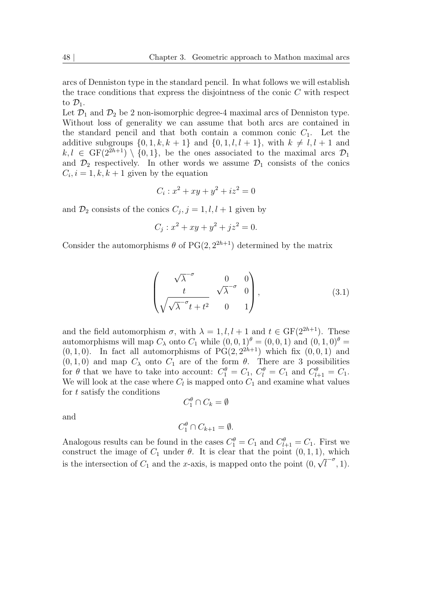arcs of Denniston type in the standard pencil. In what follows we will establish the trace conditions that express the disjointness of the conic  $C$  with respect to  $\mathcal{D}_1$ .

Let  $\mathcal{D}_1$  and  $\mathcal{D}_2$  be 2 non-isomorphic degree-4 maximal arcs of Denniston type. Without loss of generality we can assume that both arcs are contained in the standard pencil and that both contain a common conic  $C_1$ . Let the additive subgroups  $\{0, 1, k, k+1\}$  and  $\{0, 1, l, l+1\}$ , with  $k \neq l, l+1$  and  $k, l \in \text{GF}(2^{2h+1}) \setminus \{0, 1\},$  be the ones associated to the maximal arcs  $\mathcal{D}_1$ and  $\mathcal{D}_2$  respectively. In other words we assume  $\mathcal{D}_1$  consists of the conics  $C_i, i = 1, k, k + 1$  given by the equation

$$
C_i: x^2 + xy + y^2 + iz^2 = 0
$$

and  $\mathcal{D}_2$  consists of the conics  $C_j$ ,  $j = 1, l, l + 1$  given by

$$
C_j : x^2 + xy + y^2 + jz^2 = 0.
$$

Consider the automorphisms  $\theta$  of PG(2,  $2^{2h+1}$ ) determined by the matrix

<span id="page-57-0"></span>
$$
\begin{pmatrix}\n\sqrt{\lambda}^{-\sigma} & 0 & 0 \\
\frac{t}{\sqrt{\lambda}^{-\sigma}t + t^2} & \sqrt{\lambda}^{-\sigma} & 0 \\
\sqrt{\sqrt{\lambda}^{-\sigma}t + t^2} & 0 & 1\n\end{pmatrix},
$$
\n(3.1)

and the field automorphism  $\sigma$ , with  $\lambda = 1, l, l + 1$  and  $t \in GF(2^{2h+1})$ . These automorphisms will map  $C_{\lambda}$  onto  $C_1$  while  $(0,0,1)^{\theta} = (0,0,1)$  and  $(0,1,0)^{\theta} =$  $(0, 1, 0)$ . In fact all automorphisms of PG $(2, 2^{2h+1})$  which fix  $(0, 0, 1)$  and  $(0, 1, 0)$  and map  $C_{\lambda}$  onto  $C_1$  are of the form  $\theta$ . There are 3 possibilities for  $\theta$  that we have to take into account:  $C_1^{\theta} = C_1$ ,  $C_l^{\theta} = C_1$  and  $C_{l+1}^{\theta} = C_1$ . We will look at the case where  $C_l$  is mapped onto  $C_1$  and examine what values for  $t$  satisfy the conditions  $C_1^{\theta} \cap C_k = \emptyset$ 

and

$$
C_1^{\theta} \cap C_{k+1} = \emptyset.
$$

Analogous results can be found in the cases  $C_1^{\theta} = C_1$  and  $C_{l+1}^{\theta} = C_1$ . First we construct the image of  $C_1$  under  $\theta$ . It is clear that the point  $(0, 1, 1)$ , which is the intersection of  $C_1$  and the x-axis, is mapped onto the point  $(0, \sqrt{t}^{-\sigma}, 1)$ .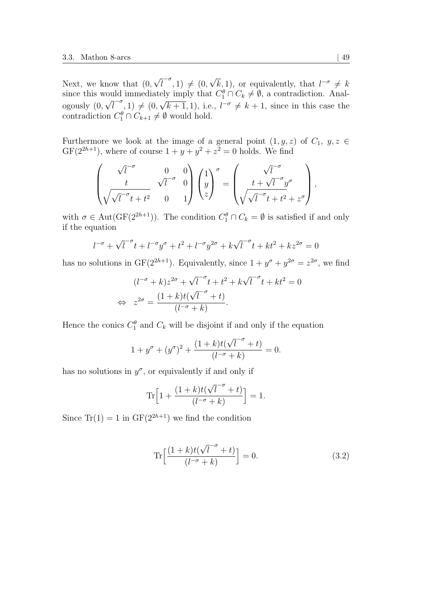Next, we know that (0, √  $\overline{l}^{-\sigma}, 1) \neq (0,$ √  $\overline{k}$ , 1), or equivalently, that  $l^{-\sigma} \neq k$ since this would immediately imply that  $C_1^{\theta} \cap C_k \neq \emptyset$ , a contradiction. Analogously (0, √  $\overline{l}^{-\sigma}, 1) \neq (0,$ √  $\overline{k+1}$ , 1), i.e.,  $l^{-\sigma} \neq k+1$ , since in this case the contradiction  $C_1^{\theta} \cap C_{k+1} \neq \emptyset$  would hold.

Furthermore we look at the image of a general point  $(1, y, z)$  of  $C_1$ ,  $y, z \in$  $GF(2^{2h+1})$ , where of course  $1 + y + y^2 + z^2 = 0$  holds. We find

$$
\begin{pmatrix}\n\sqrt{l}^{-\sigma} & 0 & 0 \\
t & \sqrt{l}^{-\sigma} & 0 \\
\sqrt{\sqrt{l}^{-\sigma}t + t^2} & 0 & 1\n\end{pmatrix}\n\begin{pmatrix}\n1 \\
y \\
z\n\end{pmatrix}^{\sigma} = \begin{pmatrix}\n\sqrt{l}^{-\sigma} \\
t + \sqrt{l}^{-\sigma}y^{\sigma} \\
\sqrt{\sqrt{l}^{-\sigma}t + t^2 + z^{\sigma}}\n\end{pmatrix},
$$

with  $\sigma \in \text{Aut}(\text{GF}(2^{2h+1}))$ . The condition  $C_1^{\theta} \cap C_k = \emptyset$  is satisfied if and only if the equation

$$
l^{-\sigma} + \sqrt{l}^{-\sigma} t + l^{-\sigma} y^{\sigma} + t^2 + l^{-\sigma} y^{2\sigma} + k \sqrt{l}^{-\sigma} t + kt^2 + kz^{2\sigma} = 0
$$

has no solutions in GF( $2^{2h+1}$ ). Equivalently, since  $1 + y^{\sigma} + y^{2\sigma} = z^{2\sigma}$ , we find

$$
(l^{-\sigma} + k)z^{2\sigma} + \sqrt{l}^{-\sigma}t + t^2 + k\sqrt{l}^{-\sigma}t + kt^2 = 0
$$
  
\n
$$
\Leftrightarrow z^{2\sigma} = \frac{(1+k)t(\sqrt{l}^{-\sigma} + t)}{(l^{-\sigma} + k)}.
$$

Hence the conics  $C_1^{\theta}$  and  $C_k$  will be disjoint if and only if the equation

$$
1 + y^{\sigma} + (y^{\sigma})^2 + \frac{(1+k)t(\sqrt{l}^{-\sigma} + t)}{(l^{-\sigma} + k)} = 0.
$$

has no solutions in  $y^{\sigma}$ , or equivalently if and only if

$$
\operatorname{Tr}\left[1+\frac{(1+k)t(\sqrt{l}^{-\sigma}+t)}{(l^{-\sigma}+k)}\right]=1.
$$

Since  $Tr(1) = 1$  in  $GF(2^{2h+1})$  we find the condition

<span id="page-58-0"></span>
$$
\operatorname{Tr}\left[\frac{(1+k)t(\sqrt{l}^{-\sigma}+t)}{(l^{-\sigma}+k)}\right] = 0.
$$
\n(3.2)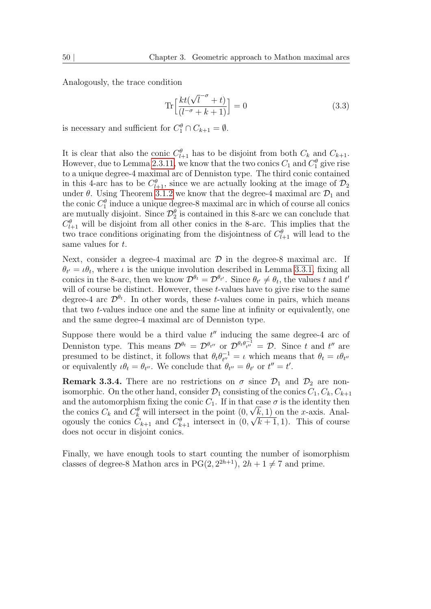Analogously, the trace condition

<span id="page-59-0"></span>
$$
\operatorname{Tr}\left[\frac{kt(\sqrt{l}^{-\sigma} + t)}{(l^{-\sigma} + k + 1)}\right] = 0\tag{3.3}
$$

is necessary and sufficient for  $C_1^{\theta} \cap C_{k+1} = \emptyset$ .

It is clear that also the conic  $C_{l+1}^{\theta}$  has to be disjoint from both  $C_k$  and  $C_{k+1}$ . However, due to Lemma [2.3.11,](#page-44-0) we know that the two conics  $C_1$  and  $C_1^{\theta}$  give rise to a unique degree-4 maximal arc of Denniston type. The third conic contained in this 4-arc has to be  $C_{l+1}^{\theta}$ , since we are actually looking at the image of  $\mathcal{D}_2$ under  $\theta$ . Using Theorem [3.1.2](#page-47-1) we know that the degree-4 maximal arc  $\mathcal{D}_1$  and the conic  $C_1^{\theta}$  induce a unique degree-8 maximal arc in which of course all conics are mutually disjoint. Since  $\mathcal{D}_2^{\theta}$  is contained in this 8-arc we can conclude that  $C_{l+1}^{\theta}$  will be disjoint from all other conics in the 8-arc. This implies that the two trace conditions originating from the disjointness of  $C_{l+1}^{\theta}$  will lead to the same values for t.

Next, consider a degree-4 maximal arc  $\mathcal D$  in the degree-8 maximal arc. If  $\theta_{t'} = \iota \theta_t$ , where  $\iota$  is the unique involution described in Lemma [3.3.1,](#page-54-0) fixing all conics in the 8-arc, then we know  $\mathcal{D}^{\theta_t} = \mathcal{D}^{\theta_{t'}}$ . Since  $\theta_{t'} \neq \theta_t$ , the values t and t' will of course be distinct. However, these t-values have to give rise to the same degree-4 arc  $\mathcal{D}^{\theta_t}$ . In other words, these t-values come in pairs, which means that two t-values induce one and the same line at infinity or equivalently, one and the same degree-4 maximal arc of Denniston type.

Suppose there would be a third value  $t''$  inducing the same degree-4 arc of Denniston type. This means  $\mathcal{D}^{\theta_t} = \mathcal{D}^{\theta_{t''}}$  or  $\mathcal{D}^{\theta_t \theta_{t''}^{-1}} = \mathcal{D}$ . Since t and t'' are presumed to be distinct, it follows that  $\theta_t \theta_{t''}^{-1}$  $t_{t''}^{-1} = \iota$  which means that  $\theta_t = \iota \theta_{t''}$ or equivalently  $\iota \theta_t = \theta_{t''}$ . We conclude that  $\theta_{t''} = \theta_{t'}$  or  $t'' = t'$ .

<span id="page-59-2"></span>**Remark 3.3.4.** There are no restrictions on  $\sigma$  since  $\mathcal{D}_1$  and  $\mathcal{D}_2$  are nonisomorphic. On the other hand, consider  $\mathcal{D}_1$  consisting of the conics  $C_1, C_k, C_{k+1}$ and the automorphism fixing the conic  $C_1$ . If in that case  $\sigma$  is the identity then the conics  $C_k$  and  $C_k^{\theta}$  will intersect in the point  $(0, \sqrt{k}, 1)$  on the x-axis. Analogously the conics  $C_{k+1}$  and  $C_{k+1}^{\theta}$  intersect in  $(0, \sqrt{k+1}, 1)$ . This of course does not occur in disjoint conics.

<span id="page-59-1"></span>Finally, we have enough tools to start counting the number of isomorphism classes of degree-8 Mathon arcs in  $PG(2, 2^{2h+1}), 2h+1 \neq 7$  and prime.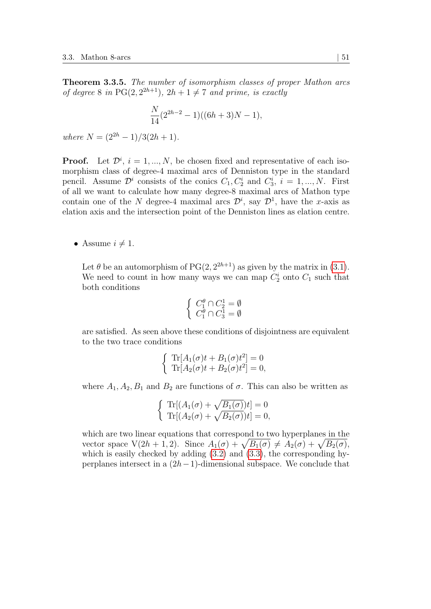Theorem 3.3.5. The number of isomorphism classes of proper Mathon arcs of degree 8 in PG(2,  $2^{2h+1}$ ),  $2h + 1 \neq 7$  and prime, is exactly

$$
\frac{N}{14}(2^{2h-2}-1)((6h+3)N-1),
$$

where  $N = (2^{2h} - 1)/3(2h + 1)$ .

**Proof.** Let  $\mathcal{D}^i$ ,  $i = 1, ..., N$ , be chosen fixed and representative of each isomorphism class of degree-4 maximal arcs of Denniston type in the standard pencil. Assume  $\mathcal{D}^i$  consists of the conics  $C_1, C_2^i$  and  $C_3^i$ ,  $i = 1, ..., N$ . First of all we want to calculate how many degree-8 maximal arcs of Mathon type contain one of the N degree-4 maximal arcs  $\mathcal{D}^i$ , say  $\mathcal{D}^1$ , have the x-axis as elation axis and the intersection point of the Denniston lines as elation centre.

• Assume  $i \neq 1$ .

Let  $\theta$  be an automorphism of PG $(2, 2^{2h+1})$  as given by the matrix in [\(3.1\)](#page-57-0). We need to count in how many ways we can map  $C_2^i$  onto  $C_1$  such that both conditions

$$
\begin{cases} C_1^{\theta} \cap C_2^1 = \emptyset \\ C_1^{\theta} \cap C_3^1 = \emptyset \end{cases}
$$

are satisfied. As seen above these conditions of disjointness are equivalent to the two trace conditions

$$
\begin{cases} \operatorname{Tr}[A_1(\sigma)t + B_1(\sigma)t^2] = 0\\ \operatorname{Tr}[A_2(\sigma)t + B_2(\sigma)t^2] = 0, \end{cases}
$$

where  $A_1, A_2, B_1$  and  $B_2$  are functions of  $\sigma$ . This can also be written as

$$
\begin{cases} \operatorname{Tr}[(A_1(\sigma) + \sqrt{B_1(\sigma)})t] = 0 \\ \operatorname{Tr}[(A_2(\sigma) + \sqrt{B_2(\sigma)})t] = 0, \end{cases}
$$

which are two linear equations that correspond to two hyperplanes in the vector space  $V(2h + 1, 2)$ . Since  $A_1(\sigma) + \sqrt{B_1(\sigma)} \neq A_2(\sigma) + \sqrt{B_2(\sigma)}$ , which is easily checked by adding  $(3.2)$  and  $(3.3)$ , the corresponding hyperplanes intersect in a  $(2h-1)$ -dimensional subspace. We conclude that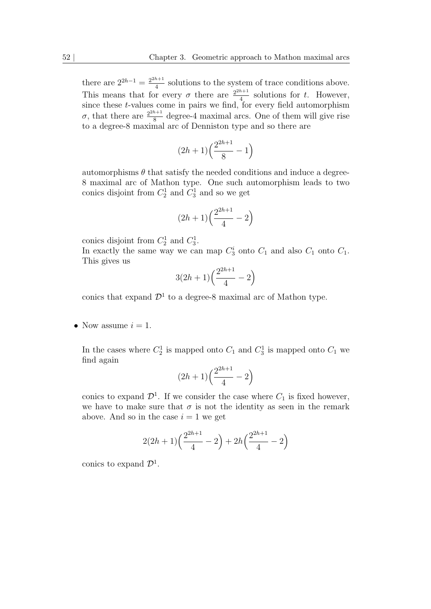there are  $2^{2h-1} = \frac{2^{2h+1}}{4}$  $\frac{d+1}{4}$  solutions to the system of trace conditions above. This means that for every  $\sigma$  there are  $\frac{2^{2h+1}}{4}$  $\frac{d+1}{4}$  solutions for t. However, since these *t*-values come in pairs we find, for every field automorphism  $\sigma$ , that there are  $\frac{2^{2h+1}}{8}$  $\frac{1}{8}$  degree-4 maximal arcs. One of them will give rise to a degree-8 maximal arc of Denniston type and so there are

$$
(2h+1)\Big(\frac{2^{2h+1}}{8}-1\Big)
$$

automorphisms  $\theta$  that satisfy the needed conditions and induce a degree-8 maximal arc of Mathon type. One such automorphism leads to two conics disjoint from  $C_2^1$  and  $C_3^1$  and so we get

$$
(2h+1)\Big(\frac{2^{2h+1}}{4}-2\Big)
$$

conics disjoint from  $C_2^1$  and  $C_3^1$ .

In exactly the same way we can map  $C_3^i$  onto  $C_1$  and also  $C_1$  onto  $C_1$ . This gives us

$$
3(2h+1)\left(\frac{2^{2h+1}}{4}-2\right)
$$

conics that expand  $\mathcal{D}^1$  to a degree-8 maximal arc of Mathon type.

• Now assume  $i = 1$ .

In the cases where  $C_2^1$  is mapped onto  $C_1$  and  $C_3^1$  is mapped onto  $C_1$  we find again

$$
(2h+1)\left(\frac{2^{2h+1}}{4}-2\right)
$$

conics to expand  $\mathcal{D}^1$ . If we consider the case where  $C_1$  is fixed however, we have to make sure that  $\sigma$  is not the identity as seen in the remark above. And so in the case  $i = 1$  we get

$$
2(2h+1)\left(\frac{2^{2h+1}}{4}-2\right)+2h\left(\frac{2^{2h+1}}{4}-2\right)
$$

conics to expand  $\mathcal{D}^1$ .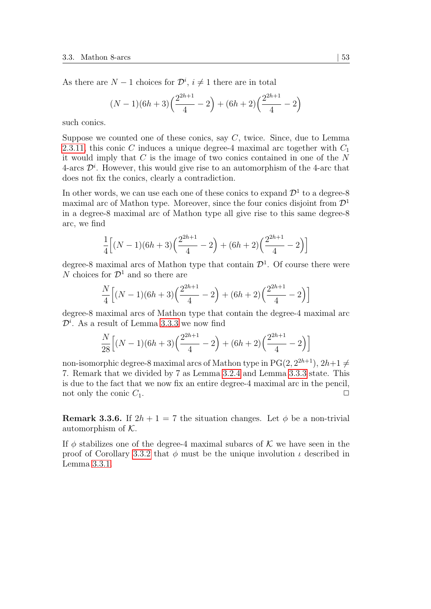As there are  $N-1$  choices for  $\mathcal{D}^i$ ,  $i \neq 1$  there are in total

$$
(N-1)(6h+3)\left(\frac{2^{2h+1}}{4}-2\right)+(6h+2)\left(\frac{2^{2h+1}}{4}-2\right)
$$

such conics.

Suppose we counted one of these conics, say  $C$ , twice. Since, due to Lemma [2.3.11,](#page-44-0) this conic C induces a unique degree-4 maximal arc together with  $C_1$ it would imply that  $C$  is the image of two conics contained in one of the  $N$ 4-arcs  $\mathcal{D}^i$ . However, this would give rise to an automorphism of the 4-arc that does not fix the conics, clearly a contradiction.

In other words, we can use each one of these conics to expand  $\mathcal{D}^1$  to a degree-8 maximal arc of Mathon type. Moreover, since the four conics disjoint from  $\mathcal{D}^1$ in a degree-8 maximal arc of Mathon type all give rise to this same degree-8 arc, we find

$$
\frac{1}{4} \Big[ (N-1)(6h+3) \Big( \frac{2^{2h+1}}{4} - 2 \Big) + (6h+2) \Big( \frac{2^{2h+1}}{4} - 2 \Big) \Big]
$$

degree-8 maximal arcs of Mathon type that contain  $\mathcal{D}^1$ . Of course there were N choices for  $\mathcal{D}^1$  and so there are

$$
\frac{N}{4}\left[ (N-1)(6h+3)\left(\frac{2^{2h+1}}{4}-2\right)+(6h+2)\left(\frac{2^{2h+1}}{4}-2\right)\right]
$$

degree-8 maximal arcs of Mathon type that contain the degree-4 maximal arc  $\mathcal{D}^i$ . As a result of Lemma [3.3.3](#page-55-0) we now find

$$
\frac{N}{28} \Big[ (N-1)(6h+3) \Big( \frac{2^{2h+1}}{4} - 2 \Big) + (6h+2) \Big( \frac{2^{2h+1}}{4} - 2 \Big) \Big]
$$

non-isomorphic degree-8 maximal arcs of Mathon type in  $PG(2, 2^{2h+1}), 2h+1 \neq$ 7. Remark that we divided by 7 as Lemma [3.2.4](#page-53-0) and Lemma [3.3.3](#page-55-0) state. This is due to the fact that we now fix an entire degree-4 maximal arc in the pencil, not only the conic  $C_1$ .

**Remark 3.3.6.** If  $2h + 1 = 7$  the situation changes. Let  $\phi$  be a non-trivial automorphism of  $K$ .

If  $\phi$  stabilizes one of the degree-4 maximal subarcs of K we have seen in the proof of Corollary [3.3.2](#page-55-1) that  $\phi$  must be the unique involution  $\iota$  described in Lemma [3.3.1.](#page-54-0)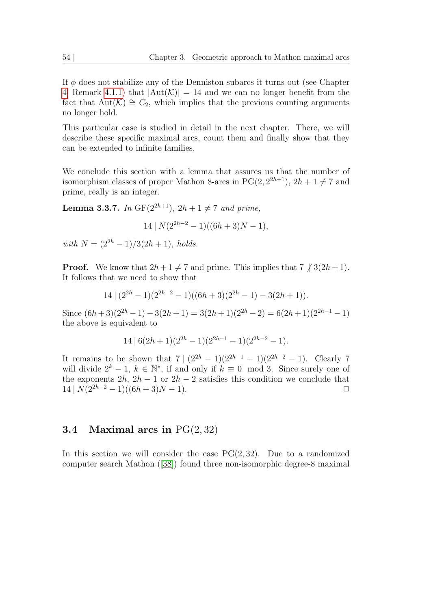If  $\phi$  does not stabilize any of the Denniston subarcs it turns out (see Chapter [4,](#page-72-0) Remark [4.1.1\)](#page-73-0) that  $|Aut(\mathcal{K})| = 14$  and we can no longer benefit from the fact that Aut( $\mathcal{K}$ ) ≅  $C_2$ , which implies that the previous counting arguments no longer hold.

This particular case is studied in detail in the next chapter. There, we will describe these specific maximal arcs, count them and finally show that they can be extended to infinite families.

We conclude this section with a lemma that assures us that the number of isomorphism classes of proper Mathon 8-arcs in  $PG(2, 2^{2h+1}), 2h+1 \neq 7$  and prime, really is an integer.

**Lemma 3.3.7.** In GF( $2^{2h+1}$ ),  $2h + 1 \neq 7$  and prime,

$$
14 | N(2^{2h-2} - 1)((6h+3)N - 1),
$$

with  $N = (2^{2h} - 1)/3(2h + 1)$ , holds.

**Proof.** We know that  $2h + 1 \neq 7$  and prime. This implies that  $7 \nmid 3(2h + 1)$ . It follows that we need to show that

$$
14 | (2^{2h} - 1)(2^{2h-2} - 1)((6h+3)(2^{2h} - 1) - 3(2h+1)).
$$

Since  $(6h+3)(2^{2h}-1) - 3(2h+1) = 3(2h+1)(2^{2h}-2) = 6(2h+1)(2^{2h-1}-1)$ the above is equivalent to

$$
14 | 6(2h+1)(2^{2h}-1)(2^{2h-1}-1)(2^{2h-2}-1).
$$

It remains to be shown that  $7 | (2^{2h} - 1)(2^{2h-1} - 1)(2^{2h-2} - 1)$ . Clearly 7 will divide  $2^k - 1$ ,  $k \in \mathbb{N}^*$ , if and only if  $k \equiv 0 \mod 3$ . Since surely one of the exponents  $2h$ ,  $2h - 1$  or  $2h - 2$  satisfies this condition we conclude that  $14 | N(2^{2h-2} - 1)((6h + 3)N - 1).$   $\Box$ 

## 3.4 Maximal arcs in PG(2, 32)

In this section we will consider the case  $PG(2, 32)$ . Due to a randomized computer search Mathon([\[38\]](#page-141-0)) found three non-isomorphic degree-8 maximal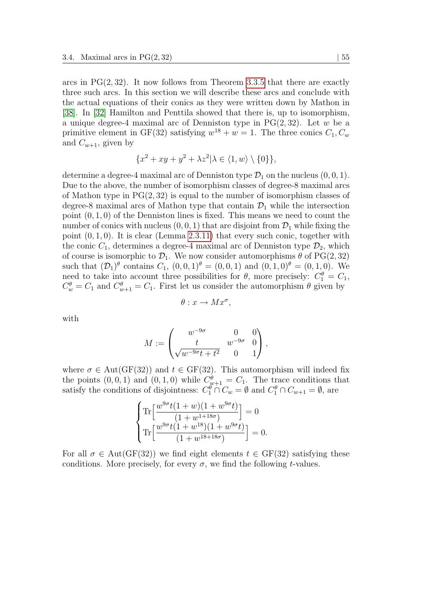arcs in  $PG(2, 32)$ . It now follows from Theorem [3.3.5](#page-59-1) that there are exactly three such arcs. In this section we will describe these arcs and conclude with the actual equations of their conics as they were written down by Mathon in [\[38\]](#page-141-0). In [\[32\]](#page-140-0) Hamilton and Penttila showed that there is, up to isomorphism, a unique degree-4 maximal arc of Denniston type in  $PG(2, 32)$ . Let w be a primitive element in GF(32) satisfying  $w^{18} + w = 1$ . The three conics  $C_1, C_w$ and  $C_{w+1}$ , given by

$$
\{x^2 + xy + y^2 + \lambda z^2 | \lambda \in \langle 1, w \rangle \setminus \{0\} \},\
$$

determine a degree-4 maximal arc of Denniston type  $\mathcal{D}_1$  on the nucleus  $(0, 0, 1)$ . Due to the above, the number of isomorphism classes of degree-8 maximal arcs of Mathon type in  $PG(2, 32)$  is equal to the number of isomorphism classes of degree-8 maximal arcs of Mathon type that contain  $\mathcal{D}_1$  while the intersection point  $(0, 1, 0)$  of the Denniston lines is fixed. This means we need to count the number of conics with nucleus  $(0, 0, 1)$  that are disjoint from  $\mathcal{D}_1$  while fixing the point  $(0, 1, 0)$ . It is clear (Lemma [2.3.11\)](#page-44-0) that every such conic, together with the conic  $C_1$ , determines a degree-4 maximal arc of Denniston type  $\mathcal{D}_2$ , which of course is isomorphic to  $\mathcal{D}_1$ . We now consider automorphisms  $\theta$  of PG(2, 32) such that  $(D_1)^{\theta}$  contains  $C_1$ ,  $(0,0,1)^{\theta} = (0,0,1)$  and  $(0,1,0)^{\theta} = (0,1,0)$ . We need to take into account three possibilities for  $\theta$ , more precisely:  $C_1^{\theta} = C_1$ ,  $C_w^{\theta} = C_1$  and  $C_{w+1}^{\theta} = C_1$ . First let us consider the automorphism  $\theta$  given by

$$
\theta: x \to Mx^{\sigma},
$$

with

$$
M := \begin{pmatrix} w^{-9\sigma} & 0 & 0 \\ t & w^{-9\sigma} & 0 \\ \sqrt{w^{-9\sigma}t + t^2} & 0 & 1 \end{pmatrix},
$$

where  $\sigma \in Aut(GF(32))$  and  $t \in GF(32)$ . This automorphism will indeed fix the points  $(0,0,1)$  and  $(0,1,0)$  while  $C_{w+1}^{\theta} = C_1$ . The trace conditions that satisfy the conditions of disjointness:  $C_1^{\theta} \cap C_w = \emptyset$  and  $C_1^{\theta} \cap C_{w+1} = \emptyset$ , are

$$
\begin{cases}\n\operatorname{Tr}\left[\frac{w^{9\sigma}t(1+w)(1+w^{9\sigma}t)}{(1+w^{1+18\sigma})}\right] = 0\\
\operatorname{Tr}\left[\frac{w^{9\sigma}t(1+w^{18})(1+w^{9\sigma}t)}{(1+w^{18+18\sigma})}\right] = 0.\n\end{cases}
$$

For all  $\sigma \in \text{Aut}(GF(32))$  we find eight elements  $t \in GF(32)$  satisfying these conditions. More precisely, for every  $\sigma$ , we find the following t-values.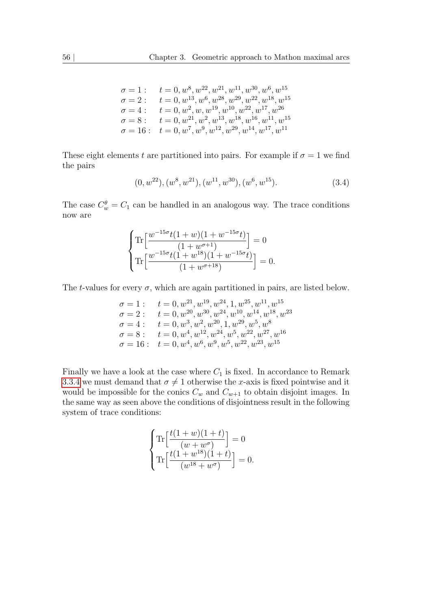$\sigma = 1:$   $t = 0, w^8, w^{22}, w^{21}, w^{11}, w^{30}, w^6, w^{15}$  $\sigma = 2:$   $t = 0, w^{13}, w^6, w^{28}, w^{29}, w^{22}, w^{18}, w^{15}$  $\sigma = 4:$   $t = 0, w^2, w, w^{19}, w^{10}, w^{22}, w^{17}, w^{26}$  $\sigma = 8:$   $t = 0, w^{21}, w^2, w^{13}, w^{18}, w^{16}, w^{11}, w^{15}$  $\sigma = 16:$   $t = 0, w^7, w^9, w^{12}, w^{29}, w^{14}, w^{17}, w^{11}$ 

These eight elements t are partitioned into pairs. For example if  $\sigma = 1$  we find the pairs

<span id="page-65-0"></span>
$$
(0, w^{22}), (w^{8}, w^{21}), (w^{11}, w^{30}), (w^{6}, w^{15}).
$$
\n
$$
(3.4)
$$

The case  $C_w^{\theta} = C_1$  can be handled in an analogous way. The trace conditions now are

$$
\begin{cases}\n\operatorname{Tr}\left[\frac{w^{-15\sigma}t(1+w)(1+w^{-15\sigma}t)}{(1+w^{\sigma+1})}\right] = 0\\
\operatorname{Tr}\left[\frac{w^{-15\sigma}t(1+w^{18})(1+w^{-15\sigma}t)}{(1+w^{\sigma+18})}\right] = 0.\n\end{cases}
$$

The t-values for every  $\sigma$ , which are again partitioned in pairs, are listed below.

$$
\sigma = 1: \t t = 0, w^{21}, w^{19}, w^{24}, 1, w^{25}, w^{11}, w^{15}\n\sigma = 2: \t t = 0, w^{20}, w^{30}, w^{24}, w^{10}, w^{14}, w^{18}, w^{23}\n\sigma = 4: \t t = 0, w^3, w^2, w^{20}, 1, w^{29}, w^5, w^8\n\sigma = 8: \t t = 0, w^4, w^{12}, w^{24}, w^5, w^{22}, w^{27}, w^{16}\n\sigma = 16: \t t = 0, w^4, w^6, w^9, w^5, w^{22}, w^{23}, w^{15}
$$

Finally we have a look at the case where  $C_1$  is fixed. In accordance to Remark [3.3.4](#page-59-2) we must demand that  $\sigma \neq 1$  otherwise the x-axis is fixed pointwise and it would be impossible for the conics  $C_w$  and  $C_{w+1}$  to obtain disjoint images. In the same way as seen above the conditions of disjointness result in the following system of trace conditions:

$$
\begin{cases}\n\operatorname{Tr}\left[\frac{t(1+w)(1+t)}{(w+w^{\sigma})}\right] = 0\\ \operatorname{Tr}\left[\frac{t(1+w^{18})(1+t)}{(w^{18}+w^{\sigma})}\right] = 0.\n\end{cases}
$$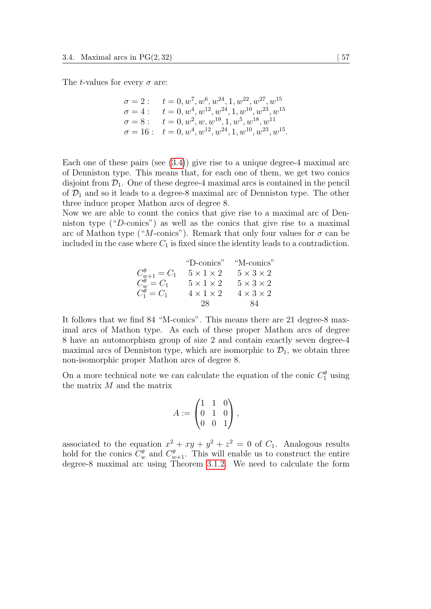The *t*-values for every  $\sigma$  are:

$$
\sigma = 2: \t t = 0, w^7, w^6, w^{24}, 1, w^{22}, w^{27}, w^{15}\n\sigma = 4: \t t = 0, w^4, w^{12}, w^{24}, 1, w^{10}, w^{23}, w^{15}\n\sigma = 8: \t t = 0, w^2, w, w^{19}, 1, w^5, w^{18}, w^{11}\n\sigma = 16: \t t = 0, w^4, w^{12}, w^{24}, 1, w^{10}, w^{23}, w^{15}.
$$

Each one of these pairs (see  $(3.4)$ ) give rise to a unique degree-4 maximal arc of Denniston type. This means that, for each one of them, we get two conics disjoint from  $\mathcal{D}_1$ . One of these degree-4 maximal arcs is contained in the pencil of  $\mathcal{D}_1$  and so it leads to a degree-8 maximal arc of Denniston type. The other three induce proper Mathon arcs of degree 8.

Now we are able to count the conics that give rise to a maximal arc of Denniston type ("D-conics") as well as the conics that give rise to a maximal arc of Mathon type ("M-conics"). Remark that only four values for  $\sigma$  can be included in the case where  $C_1$  is fixed since the identity leads to a contradiction.

$$
C_{w+1}^{\theta} = C_1 \qquad 5 \times 1 \times 2 \qquad 5 \times 3 \times 2
$$
  
\n
$$
C_w^{\theta} = C_1 \qquad 5 \times 1 \times 2 \qquad 5 \times 3 \times 2
$$
  
\n
$$
C_1^{\theta} = C_1 \qquad 4 \times 1 \times 2 \qquad 4 \times 3 \times 2
$$
  
\n
$$
28 \qquad 84
$$

It follows that we find 84 "M-conics". This means there are 21 degree-8 maximal arcs of Mathon type. As each of these proper Mathon arcs of degree 8 have an automorphism group of size 2 and contain exactly seven degree-4 maximal arcs of Denniston type, which are isomorphic to  $\mathcal{D}_1$ , we obtain three non-isomorphic proper Mathon arcs of degree 8.

On a more technical note we can calculate the equation of the conic  $C_1^{\theta}$  using the matrix M and the matrix

$$
A := \begin{pmatrix} 1 & 1 & 0 \\ 0 & 1 & 0 \\ 0 & 0 & 1 \end{pmatrix},
$$

associated to the equation  $x^2 + xy + y^2 + z^2 = 0$  of  $C_1$ . Analogous results hold for the conics  $C_w^{\theta}$  and  $C_{w+1}^{\theta}$ . This will enable us to construct the entire degree-8 maximal arc using Theorem [3.1.2.](#page-47-1) We need to calculate the form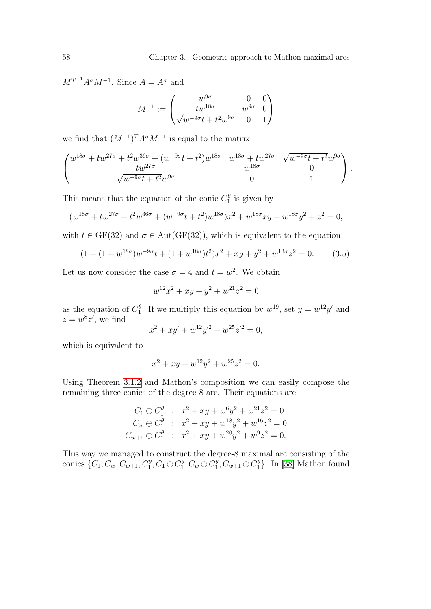$M^{T^{-1}}A^{\sigma}M^{-1}$ . Since  $A = A^{\sigma}$  and

$$
M^{-1} := \begin{pmatrix} w^{9\sigma} & 0 & 0\\ tw^{18\sigma} & w^{9\sigma} & 0\\ \sqrt{w^{-9\sigma}t + t^2}w^{9\sigma} & 0 & 1 \end{pmatrix}
$$

we find that  $(M^{-1})^T A^{\sigma} M^{-1}$  is equal to the matrix

$$
\begin{pmatrix} w^{18\sigma} + tw^{27\sigma} + t^2 w^{36\sigma} + (w^{-9\sigma}t + t^2) w^{18\sigma} & w^{18\sigma} + tw^{27\sigma} & \sqrt{w^{-9\sigma}t + t^2} w^{9\sigma} \\ tw^{27\sigma} & w^{18\sigma} & 0 \\ \sqrt{w^{-9\sigma}t + t^2} w^{9\sigma} & 0 & 1 \end{pmatrix}.
$$

This means that the equation of the conic  $C_1^{\theta}$  is given by

$$
(w^{18\sigma} + tw^{27\sigma} + t^2w^{36\sigma} + (w^{-9\sigma}t + t^2)w^{18\sigma})x^2 + w^{18\sigma}xy + w^{18\sigma}y^2 + z^2 = 0,
$$

with  $t \in \text{GF}(32)$  and  $\sigma \in \text{Aut}(\text{GF}(32))$ , which is equivalent to the equation

$$
(1 + (1 + w^{18\sigma})w^{-9\sigma}t + (1 + w^{18\sigma})t^2)x^2 + xy + y^2 + w^{13\sigma}z^2 = 0.
$$
 (3.5)

Let us now consider the case  $\sigma = 4$  and  $t = w^2$ . We obtain

<span id="page-67-0"></span>
$$
w^{12}x^2 + xy + y^2 + w^{21}z^2 = 0
$$

as the equation of  $C_1^{\theta}$ . If we multiply this equation by  $w^{19}$ , set  $y = w^{12}y'$  and  $z = w^8 z'$ , we find

$$
x^2 + xy' + w^{12}y'^2 + w^{25}z'^2 = 0,
$$

which is equivalent to

$$
x^2 + xy + w^{12}y^2 + w^{25}z^2 = 0.
$$

Using Theorem [3.1.2](#page-47-1) and Mathon's composition we can easily compose the remaining three conics of the degree-8 arc. Their equations are

$$
C_1 \oplus C_1^{\theta} : x^2 + xy + w^6 y^2 + w^{21} z^2 = 0
$$
  
\n
$$
C_w \oplus C_1^{\theta} : x^2 + xy + w^{18} y^2 + w^{16} z^2 = 0
$$
  
\n
$$
C_{w+1} \oplus C_1^{\theta} : x^2 + xy + w^{20} y^2 + w^9 z^2 = 0.
$$

This way we managed to construct the degree-8 maximal arc consisting of the conics  $\{C_1, C_w, C_{w+1}, C_1^{\theta}, C_1 \oplus C_1^{\theta}, C_w \oplus C_1^{\theta}, C_{w+1} \oplus C_1^{\theta}\}$ . In [\[38\]](#page-141-0) Mathon found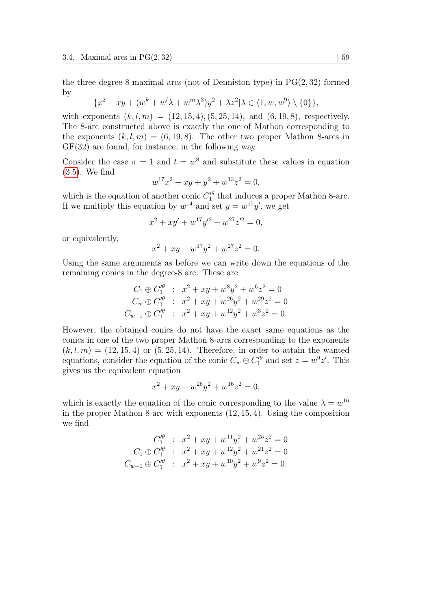the three degree-8 maximal arcs (not of Denniston type) in PG(2, 32) formed by

$$
\{x^2 + xy + (w^k + w^l \lambda + w^m \lambda^3) y^2 + \lambda z^2 | \lambda \in \langle 1, w, w^9 \rangle \setminus \{0\} \},\
$$

with exponents  $(k, l, m) = (12, 15, 4), (5, 25, 14),$  and  $(6, 19, 8)$ , respectively. The 8-arc constructed above is exactly the one of Mathon corresponding to the exponents  $(k, l, m) = (6, 19, 8)$ . The other two proper Mathon 8-arcs in GF(32) are found, for instance, in the following way.

Consider the case  $\sigma = 1$  and  $t = w^8$  and substitute these values in equation [\(3.5\)](#page-67-0). We find

$$
w^{17}x^2 + xy + y^2 + w^{13}z^2 = 0,
$$

which is the equation of another conic  $C_1^{\prime\theta}$  that induces a proper Mathon 8-arc. If we multiply this equation by  $w^{14}$  and set  $y = w^{17}y'$ , we get

$$
x^2 + xy' + w^{17}y'^2 + w^{27}z'^2 = 0,
$$

or equivalently,

$$
x^2 + xy + w^{17}y^2 + w^{27}z^2 = 0.
$$

Using the same arguments as before we can write down the equations of the remaining conics in the degree-8 arc. These are

$$
C_1 \oplus C_1^{\prime \theta} : x^2 + xy + w^8 y^2 + w^6 z^2 = 0
$$
  
\n
$$
C_w \oplus C_1^{\prime \theta} : x^2 + xy + w^{26} y^2 + w^{29} z^2 = 0
$$
  
\n
$$
C_{w+1} \oplus C_1^{\prime \theta} : x^2 + xy + w^{12} y^2 + w^3 z^2 = 0.
$$

However, the obtained conics do not have the exact same equations as the conics in one of the two proper Mathon 8-arcs corresponding to the exponents  $(k, l, m) = (12, 15, 4)$  or  $(5, 25, 14)$ . Therefore, in order to attain the wanted equations, consider the equation of the conic  $C_w \oplus C_1^{\prime\theta}$  and set  $z = w^9 z'$ . This gives us the equivalent equation

$$
x^2 + xy + w^{26}y^2 + w^{16}z^2 = 0,
$$

which is exactly the equation of the conic corresponding to the value  $\lambda = w^{16}$ in the proper Mathon 8-arc with exponents (12, 15, 4). Using the composition we find

$$
C_1^{\prime \theta} : x^2 + xy + w^{11}y^2 + w^{25}z^2 = 0
$$
  
\n
$$
C_1 \oplus C_1^{\prime \theta} : x^2 + xy + w^{12}y^2 + w^{21}z^2 = 0
$$
  
\n
$$
C_{w+1} \oplus C_1^{\prime \theta} : x^2 + xy + w^{10}y^2 + w^9z^2 = 0.
$$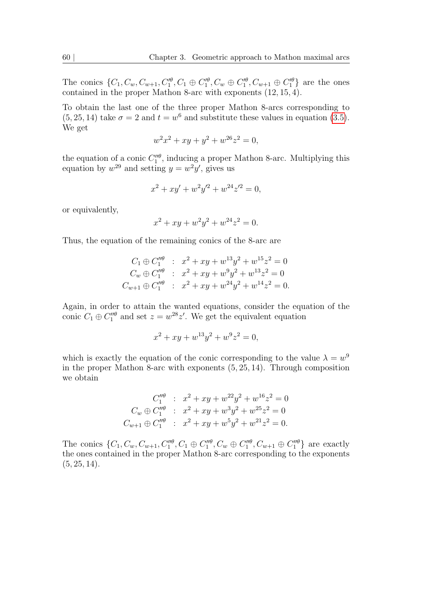The conics  $\{C_1, C_w, C_{w+1}, C_1^{\prime\theta}, C_1 \oplus C_1^{\prime\theta}, C_w \oplus C_1^{\prime\theta}, C_{w+1} \oplus C_1^{\prime\theta}\}\$ are the ones contained in the proper Mathon 8-arc with exponents (12, 15, 4).

To obtain the last one of the three proper Mathon 8-arcs corresponding to  $(5, 25, 14)$  take  $\sigma = 2$  and  $t = w^6$  and substitute these values in equation [\(3.5\)](#page-67-0). We get

$$
w^2x^2 + xy + y^2 + w^{26}z^2 = 0,
$$

the equation of a conic  $C_1^{\prime\prime\theta}$ , inducing a proper Mathon 8-arc. Multiplying this equation by  $w^{29}$  and setting  $y = w^2y'$ , gives us

$$
x^2 + xy' + w^2y'^2 + w^{24}z'^2 = 0,
$$

or equivalently,

$$
x^2 + xy + w^2y^2 + w^{24}z^2 = 0.
$$

Thus, the equation of the remaining conics of the 8-arc are

$$
C_1 \oplus C_1''^{\theta} : x^2 + xy + w^{13}y^2 + w^{15}z^2 = 0
$$
  
\n
$$
C_w \oplus C_1''^{\theta} : x^2 + xy + w^9y^2 + w^{13}z^2 = 0
$$
  
\n
$$
C_{w+1} \oplus C_1''^{\theta} : x^2 + xy + w^{24}y^2 + w^{14}z^2 = 0.
$$

Again, in order to attain the wanted equations, consider the equation of the conic  $C_1 \oplus C_1''^{\theta}$  and set  $z = w^{28}z'$ . We get the equivalent equation

$$
x^2 + xy + w^{13}y^2 + w^9z^2 = 0,
$$

which is exactly the equation of the conic corresponding to the value  $\lambda = w^9$ in the proper Mathon 8-arc with exponents (5, 25, 14). Through composition we obtain

$$
C_1''^{\theta} : x^2 + xy + w^{22}y^2 + w^{16}z^2 = 0
$$
  
\n
$$
C_w \oplus C_1''^{\theta} : x^2 + xy + w^3y^2 + w^{25}z^2 = 0
$$
  
\n
$$
C_{w+1} \oplus C_1''^{\theta} : x^2 + xy + w^5y^2 + w^{21}z^2 = 0.
$$

The conics  $\{C_1, C_w, C_{w+1}, C_1''^{\theta}, C_1 \oplus C_1''^{\theta}, C_w \oplus C_1''^{\theta}, C_{w+1} \oplus C_1''^{\theta}\}\$  are exactly the ones contained in the proper Mathon 8-arc corresponding to the exponents  $(5, 25, 14)$ .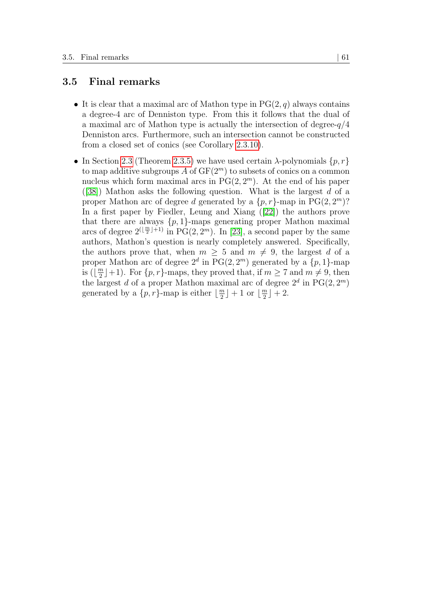#### 3.5 Final remarks

- It is clear that a maximal arc of Mathon type in  $PG(2, q)$  always contains a degree-4 arc of Denniston type. From this it follows that the dual of a maximal arc of Mathon type is actually the intersection of degree- $q/4$ Denniston arcs. Furthermore, such an intersection cannot be constructed from a closed set of conics (see Corollary [2.3.10\)](#page-43-0).
- In Section [2.3](#page-37-0) (Theorem [2.3.5\)](#page-41-0) we have used certain  $\lambda$ -polynomials  $\{p, r\}$ to map additive subgroups A of  $GF(2<sup>m</sup>)$  to subsets of conics on a common nucleus which form maximal arcs in  $PG(2, 2<sup>m</sup>)$ . At the end of his paper  $(38)$ ) Mathon asks the following question. What is the largest d of a proper Mathon arc of degree d generated by a  $\{p, r\}$ -map in PG $(2, 2<sup>m</sup>)$ ? In a first paper by Fiedler, Leung and Xiang([\[22\]](#page-139-3)) the authors prove that there are always  $\{p, 1\}$ -maps generating proper Mathon maximal arcs of degree  $2^{(\lfloor \frac{m}{2} \rfloor + 1)}$  in PG(2, 2<sup>m</sup>). In [\[23\]](#page-140-4), a second paper by the same authors, Mathon's question is nearly completely answered. Specifically, the authors prove that, when  $m \geq 5$  and  $m \neq 9$ , the largest d of a proper Mathon arc of degree  $2^d$  in PG $(2, 2^m)$  generated by a  $\{p, 1\}$ -map is  $(\frac{m}{2})$  $\frac{m}{2}$  | +1). For  $\{p, r\}$ -maps, they proved that, if  $m \geq 7$  and  $m \neq 9$ , then the largest d of a proper Mathon maximal arc of degree  $2^d$  in  $PG(2, 2^m)$ generated by a  $\{p,r\}$ -map is either  $\lfloor \frac{m}{2} \rfloor$  $\frac{m}{2}$  + 1 or  $\frac{m}{2}$  $\frac{m}{2}$  | + 2.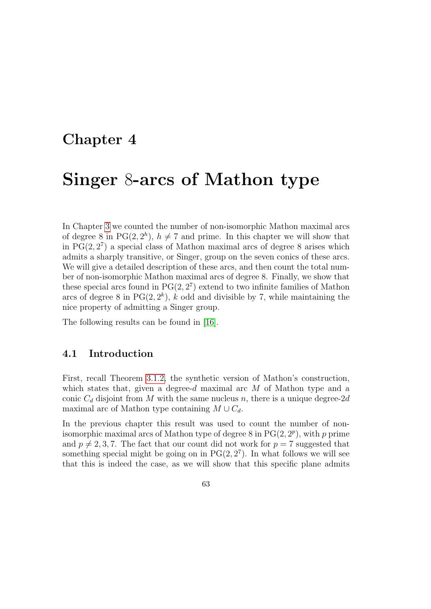# Chapter 4

# Singer 8-arcs of Mathon type

In Chapter [3](#page-46-0) we counted the number of non-isomorphic Mathon maximal arcs of degree 8 in  $PG(2, 2<sup>h</sup>)$ ,  $h \neq 7$  and prime. In this chapter we will show that in  $PG(2, 2<sup>7</sup>)$  a special class of Mathon maximal arcs of degree 8 arises which admits a sharply transitive, or Singer, group on the seven conics of these arcs. We will give a detailed description of these arcs, and then count the total number of non-isomorphic Mathon maximal arcs of degree 8. Finally, we show that these special arcs found in  $PG(2, 2^7)$  extend to two infinite families of Mathon arcs of degree 8 in  $PG(2, 2^k)$ , k odd and divisible by 7, while maintaining the nice property of admitting a Singer group.

The following results can be found in [\[16\]](#page-139-0).

## 4.1 Introduction

First, recall Theorem [3.1.2,](#page-47-0) the synthetic version of Mathon's construction, which states that, given a degree-d maximal arc M of Mathon type and a conic  $C_d$  disjoint from M with the same nucleus n, there is a unique degree-2d maximal arc of Mathon type containing  $M \cup C_d$ .

In the previous chapter this result was used to count the number of nonisomorphic maximal arcs of Mathon type of degree 8 in  $PG(2, 2^p)$ , with p prime and  $p \neq 2, 3, 7$ . The fact that our count did not work for  $p = 7$  suggested that something special might be going on in  $PG(2, 2<sup>7</sup>)$ . In what follows we will see that this is indeed the case, as we will show that this specific plane admits

63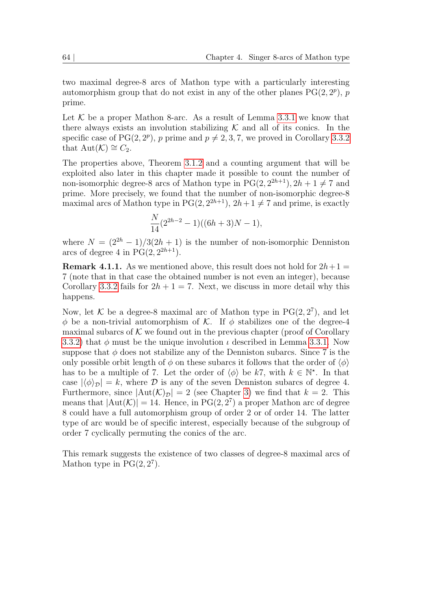two maximal degree-8 arcs of Mathon type with a particularly interesting automorphism group that do not exist in any of the other planes  $PG(2, 2^p)$ , p prime.

Let  $K$  be a proper Mathon 8-arc. As a result of Lemma [3.3.1](#page-54-0) we know that there always exists an involution stabilizing  $K$  and all of its conics. In the specific case of PG(2,  $2^p$ ), p prime and  $p \neq 2, 3, 7$ , we proved in Corollary [3.3.2](#page-55-0) that Aut $(\mathcal{K}) \cong C_2$ .

The properties above, Theorem [3.1.2](#page-47-0) and a counting argument that will be exploited also later in this chapter made it possible to count the number of non-isomorphic degree-8 arcs of Mathon type in  $PG(2, 2^{2h+1}), 2h + 1 \neq 7$  and prime. More precisely, we found that the number of non-isomorphic degree-8 maximal arcs of Mathon type in  $PG(2, 2^{2h+1}), 2h+1 \neq 7$  and prime, is exactly

$$
\frac{N}{14}(2^{2h-2}-1)((6h+3)N-1),
$$

where  $N = (2^{2h} - 1)/3(2h + 1)$  is the number of non-isomorphic Denniston arcs of degree 4 in  $PG(2, 2^{2h+1})$ .

<span id="page-73-0"></span>**Remark 4.1.1.** As we mentioned above, this result does not hold for  $2h+1 =$ 7 (note that in that case the obtained number is not even an integer), because Corollary [3.3.2](#page-55-0) fails for  $2h + 1 = 7$ . Next, we discuss in more detail why this happens.

Now, let K be a degree-8 maximal arc of Mathon type in  $PG(2, 2<sup>7</sup>)$ , and let φ be a non-trivial automorphism of K. If φ stabilizes one of the degree-4 maximal subarcs of  $K$  we found out in the previous chapter (proof of Corollary [3.3.2\)](#page-55-0) that  $\phi$  must be the unique involution  $\iota$  described in Lemma [3.3.1.](#page-54-0) Now suppose that  $\phi$  does not stabilize any of the Denniston subarcs. Since 7 is the only possible orbit length of  $\phi$  on these subarcs it follows that the order of  $\langle \phi \rangle$ has to be a multiple of 7. Let the order of  $\langle \phi \rangle$  be k7, with  $k \in \mathbb{N}^*$ . In that case  $|\langle \phi \rangle_{\mathcal{D}}| = k$ , where  $\mathcal D$  is any of the seven Denniston subarcs of degree 4. Furthermore, since  $|\text{Aut}(\mathcal{K})_{\mathcal{D}}| = 2$  (see Chapter [3\)](#page-46-0) we find that  $k = 2$ . This means that  $|\text{Aut}(\mathcal{K})| = 14$ . Hence, in PG(2, 2<sup>7</sup>) a proper Mathon arc of degree 8 could have a full automorphism group of order 2 or of order 14. The latter type of arc would be of specific interest, especially because of the subgroup of order 7 cyclically permuting the conics of the arc.

This remark suggests the existence of two classes of degree-8 maximal arcs of Mathon type in  $PG(2, 2<sup>7</sup>)$ .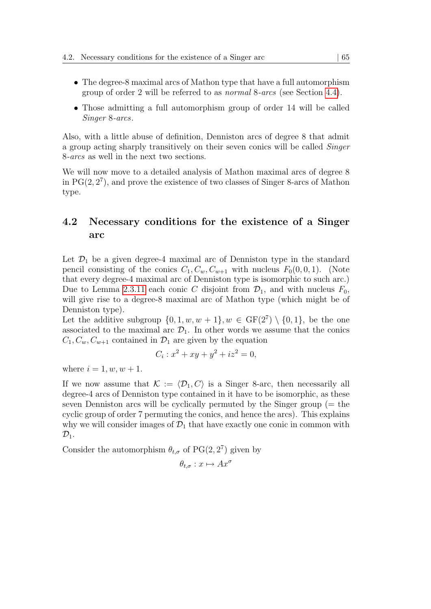- The degree-8 maximal arcs of Mathon type that have a full automorphism group of order 2 will be referred to as normal 8-arcs (see Section [4.4\)](#page-90-0).
- Those admitting a full automorphism group of order 14 will be called Singer 8-arcs.

Also, with a little abuse of definition, Denniston arcs of degree 8 that admit a group acting sharply transitively on their seven conics will be called Singer 8-arcs as well in the next two sections.

We will now move to a detailed analysis of Mathon maximal arcs of degree 8 in PG(2, 2 7 ), and prove the existence of two classes of Singer 8-arcs of Mathon type.

# <span id="page-74-0"></span>4.2 Necessary conditions for the existence of a Singer arc

Let  $\mathcal{D}_1$  be a given degree-4 maximal arc of Denniston type in the standard pencil consisting of the conics  $C_1, C_w, C_{w+1}$  with nucleus  $F_0(0, 0, 1)$ . (Note that every degree-4 maximal arc of Denniston type is isomorphic to such arc.) Due to Lemma [2.3.11](#page-44-0) each conic C disjoint from  $\mathcal{D}_1$ , and with nucleus  $F_0$ , will give rise to a degree-8 maximal arc of Mathon type (which might be of Denniston type).

Let the additive subgroup  $\{0, 1, w, w + 1\}, w \in \text{GF}(2^7) \setminus \{0, 1\},$  be the one associated to the maximal arc  $\mathcal{D}_1$ . In other words we assume that the conics  $C_1, C_w, C_{w+1}$  contained in  $\mathcal{D}_1$  are given by the equation

$$
C_i : x^2 + xy + y^2 + iz^2 = 0,
$$

where  $i = 1, w, w + 1$ .

If we now assume that  $\mathcal{K} := \langle \mathcal{D}_1, C \rangle$  is a Singer 8-arc, then necessarily all degree-4 arcs of Denniston type contained in it have to be isomorphic, as these seven Denniston arcs will be cyclically permuted by the Singer group  $(=$  the cyclic group of order 7 permuting the conics, and hence the arcs). This explains why we will consider images of  $\mathcal{D}_1$  that have exactly one conic in common with  $\mathcal{D}_1$ .

Consider the automorphism  $\theta_{t,\sigma}$  of PG(2, 2<sup>7</sup>) given by

$$
\theta_{t,\sigma}: x \mapsto Ax^{\sigma}
$$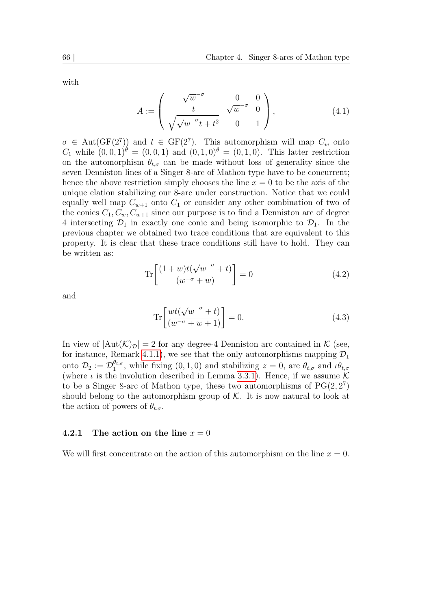with

<span id="page-75-0"></span>
$$
A := \begin{pmatrix} \sqrt{w}^{-\sigma} & 0 & 0 \\ t & \sqrt{w}^{-\sigma} & 0 \\ \sqrt{\sqrt{w}^{-\sigma}t + t^2} & 0 & 1 \end{pmatrix},
$$
 (4.1)

 $\sigma \in \text{Aut}(\text{GF}(2^7))$  and  $t \in \text{GF}(2^7)$ . This automorphism will map  $C_w$  onto  $C_1$  while  $(0, 0, 1)^{\hat{\theta}} = (0, 0, 1)$  and  $(0, 1, 0)^{\theta} = (0, 1, 0)$ . This latter restriction on the automorphism  $\theta_{t,\sigma}$  can be made without loss of generality since the seven Denniston lines of a Singer 8-arc of Mathon type have to be concurrent; hence the above restriction simply chooses the line  $x = 0$  to be the axis of the unique elation stabilizing our 8-arc under construction. Notice that we could equally well map  $C_{w+1}$  onto  $C_1$  or consider any other combination of two of the conics  $C_1, C_w, C_{w+1}$  since our purpose is to find a Denniston arc of degree 4 intersecting  $\mathcal{D}_1$  in exactly one conic and being isomorphic to  $\mathcal{D}_1$ . In the previous chapter we obtained two trace conditions that are equivalent to this property. It is clear that these trace conditions still have to hold. They can be written as:

<span id="page-75-1"></span>
$$
\operatorname{Tr}\left[\frac{(1+w)t(\sqrt{w}^{-\sigma}+t)}{(w^{-\sigma}+w)}\right] = 0\tag{4.2}
$$

and

<span id="page-75-2"></span>
$$
\operatorname{Tr}\left[\frac{wt(\sqrt{w}^{-\sigma} + t)}{(w^{-\sigma} + w + 1)}\right] = 0.
$$
\n(4.3)

In view of  $|\text{Aut}(\mathcal{K})_{\mathcal{D}}| = 2$  for any degree-4 Denniston arc contained in K (see, for instance, Remark [4.1.1\)](#page-73-0), we see that the only automorphisms mapping  $\mathcal{D}_1$ onto  $\mathcal{D}_2 := \mathcal{D}_1^{\theta_{t,\sigma}}$  $\int_1^{\theta t,\sigma}$ , while fixing  $(0,1,0)$  and stabilizing  $z=0$ , are  $\theta_{t,\sigma}$  and  $\iota\theta_{t,\sigma}$ (where  $\iota$  is the involution described in Lemma [3.3.1\)](#page-54-0). Hence, if we assume  $\mathcal K$ to be a Singer 8-arc of Mathon type, these two automorphisms of  $PG(2, 2^7)$ should belong to the automorphism group of  $K$ . It is now natural to look at the action of powers of  $\theta_{t,\sigma}$ .

#### 4.2.1 The action on the line  $x = 0$

We will first concentrate on the action of this automorphism on the line  $x = 0$ .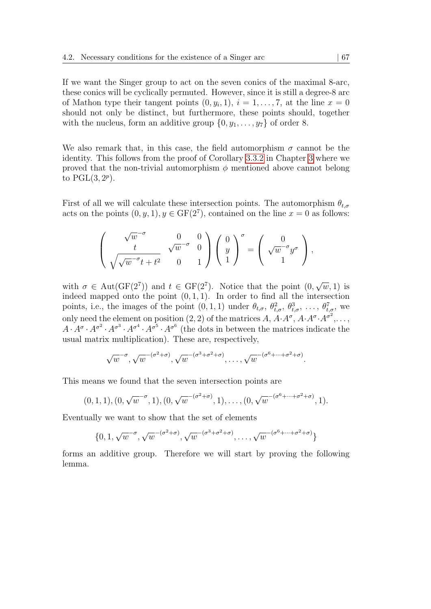If we want the Singer group to act on the seven conics of the maximal 8-arc, these conics will be cyclically permuted. However, since it is still a degree-8 arc of Mathon type their tangent points  $(0, y_i, 1), i = 1, \ldots, 7$ , at the line  $x = 0$ should not only be distinct, but furthermore, these points should, together with the nucleus, form an additive group  $\{0, y_1, \ldots, y_7\}$  of order 8.

We also remark that, in this case, the field automorphism  $\sigma$  cannot be the identity. This follows from the proof of Corollary [3.3.2](#page-55-0) in Chapter [3](#page-46-0) where we proved that the non-trivial automorphism  $\phi$  mentioned above cannot belong to  $PGL(3, 2^p)$ .

First of all we will calculate these intersection points. The automorphism  $\theta_{t,\sigma}$ acts on the points  $(0, y, 1), y \in \text{GF}(2^7)$ , contained on the line  $x = 0$  as follows:

$$
\left(\begin{array}{cc} \sqrt{w}^{-\sigma} & 0 & 0\\ t & \sqrt{w}^{-\sigma} & 0\\ \sqrt{\sqrt{w}^{-\sigma}t+t^2} & 0 & 1 \end{array}\right)\left(\begin{array}{c} 0\\ y\\ 1 \end{array}\right)^\sigma=\left(\begin{array}{c} 0\\ \sqrt{w}^{-\sigma}y^\sigma\\ 1 \end{array}\right),
$$

with  $\sigma \in Aut(GF(2^7))$  and  $t \in GF(2^7)$ . Notice that the point  $(0,$ √  $\overline{w}$ , 1) is indeed mapped onto the point  $(0, 1, 1)$ . In order to find all the intersection points, i.e., the images of the point  $(0, 1, 1)$  under  $\theta_{t,\sigma}$ ,  $\theta_{t,\sigma}^2$ ,  $\theta_{t,\sigma}^3$ , ...,  $\theta_{t,\sigma}^7$ , we only need the element on position (2, 2) of the matrices  $A, A \cdot A^{\sigma}, A \cdot A^{\sigma^2}, \ldots$  $A\cdot A^{\sigma} \cdot A^{\sigma^2} \cdot A^{\sigma^3} \cdot A^{\sigma^4} \cdot A^{\sigma^6}$  (the dots in between the matrices indicate the usual matrix multiplication). These are, respectively,

$$
\sqrt{w}^{-\sigma}, \sqrt{w}^{-(\sigma^2+\sigma)}, \sqrt{w}^{-(\sigma^3+\sigma^2+\sigma)}, \dots, \sqrt{w}^{-(\sigma^6+\cdots+\sigma^2+\sigma)}.
$$

This means we found that the seven intersection points are

$$
(0,1,1), (0,\sqrt{w}^{-\sigma},1), (0,\sqrt{w}^{-(\sigma^2+\sigma)},1), \ldots, (0,\sqrt{w}^{-(\sigma^6+\cdots+\sigma^2+\sigma)},1).
$$

Eventually we want to show that the set of elements

$$
\{0, 1, \sqrt{w}^{-\sigma}, \sqrt{w}^{-(\sigma^2+\sigma)}, \sqrt{w}^{-(\sigma^3+\sigma^2+\sigma)}, \dots, \sqrt{w}^{-(\sigma^6+\cdots+\sigma^2+\sigma)}\}
$$

<span id="page-76-0"></span>forms an additive group. Therefore we will start by proving the following lemma.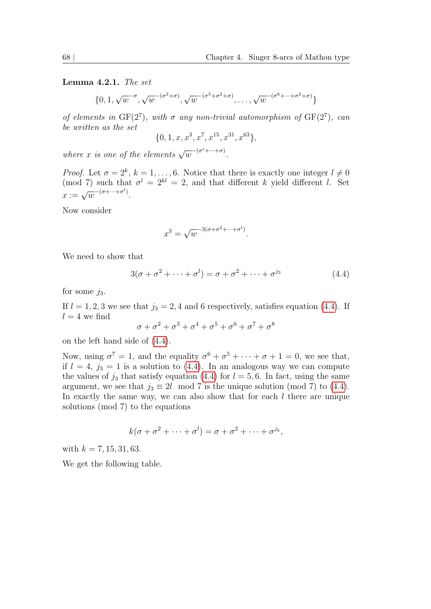Lemma 4.2.1. The set

$$
\{0, 1, \sqrt{w}^{-\sigma}, \sqrt{w}^{-(\sigma^2+\sigma)}, \sqrt{w}^{-(\sigma^3+\sigma^2+\sigma)}, \dots, \sqrt{w}^{-(\sigma^6+\cdots+\sigma^2+\sigma)}\}
$$

of elements in  $GF(2^7)$ , with  $\sigma$  any non-trivial automorphism of  $GF(2^7)$ , can be written as the set

$$
\{0, 1, x, x^3, x^7, x^{15}, x^{31}, x^{63}\},\
$$

where x is one of the elements  $\sqrt{w}^{-(\sigma^i+\cdots+\sigma)}$ .

*Proof.* Let  $\sigma = 2^k$ ,  $k = 1, \ldots, 6$ . Notice that there is exactly one integer  $l \neq 0$ (mod 7) such that  $\sigma^l = 2^{kl} = 2$ , and that different k yield different l. Set  $x := \sqrt{w}^{-(\sigma + \cdots + \sigma^l)}.$ 

Now consider

<span id="page-77-0"></span>
$$
x^3 = \sqrt{w}^{-3(\sigma + \sigma^2 + \dots + \sigma^l)}.
$$

We need to show that

$$
3(\sigma + \sigma^2 + \dots + \sigma^l) = \sigma + \sigma^2 + \dots + \sigma^{j_3}
$$
 (4.4)

for some  $i_3$ .

If  $l = 1, 2, 3$  we see that  $j_3 = 2, 4$  and 6 respectively, satisfies equation [\(4.4\)](#page-77-0). If  $l = 4$  we find

$$
\sigma+\sigma^2+\sigma^3+\sigma^4+\sigma^5+\sigma^6+\sigma^7+\sigma^8
$$

on the left hand side of [\(4.4\)](#page-77-0).

Now, using  $\sigma^7 = 1$ , and the equality  $\sigma^6 + \sigma^5 + \cdots + \sigma + 1 = 0$ , we see that, if  $l = 4$ ,  $j_3 = 1$  is a solution to [\(4.4\)](#page-77-0). In an analogous way we can compute the values of  $j_3$  that satisfy equation [\(4.4\)](#page-77-0) for  $l = 5, 6$ . In fact, using the same argument, we see that  $j_3 \equiv 2l \mod 7$  is the unique solution (mod 7) to [\(4.4\)](#page-77-0). In exactly the same way, we can also show that for each  $l$  there are unique solutions (mod 7) to the equations

$$
k(\sigma + \sigma^2 + \dots + \sigma^l) = \sigma + \sigma^2 + \dots + \sigma^{j_k},
$$

with  $k = 7, 15, 31, 63$ .

We get the following table.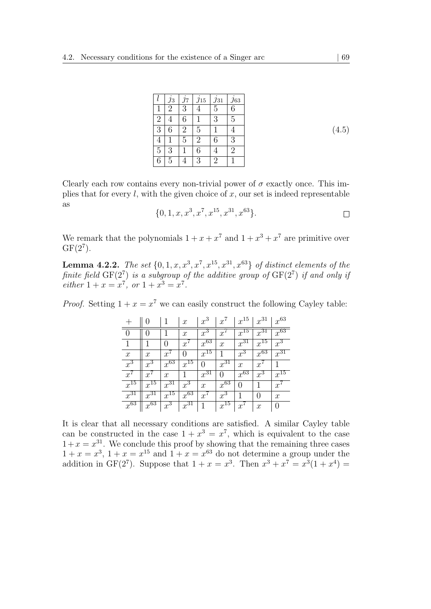|                | $j_3$          | $\jmath$ 7     | $\jmath_{15}$ | $j_{31}$       | $J_{63}$       |
|----------------|----------------|----------------|---------------|----------------|----------------|
| 1              | $\overline{2}$ | 3              | 4             | 5              | 6              |
| $\overline{2}$ |                | 6              |               | 3              | 5              |
| $\overline{3}$ | 6              | $\overline{2}$ | 5             |                |                |
| 4              |                | 5              | 2             | 6              | 3              |
| $\overline{5}$ | 3              |                | 6             | 4              | $\overline{2}$ |
| 6              | 5              |                | 3             | $\overline{2}$ |                |

(4.5)

Clearly each row contains every non-trivial power of  $\sigma$  exactly once. This implies that for every  $l$ , with the given choice of  $x$ , our set is indeed representable as

$$
\{0, 1, x, x^3, x^7, x^{15}, x^{31}, x^{63}\}.
$$

We remark that the polynomials  $1 + x + x^7$  and  $1 + x^3 + x^7$  are primitive over  $GF(2^7)$ .

<span id="page-78-0"></span>**Lemma 4.2.2.** The set  $\{0, 1, x, x^3, x^7, x^{15}, x^{31}, x^{63}\}$  of distinct elements of the finite field  $GF(2^7)$  is a subgroup of the additive group of  $GF(2^7)$  if and only if  $either 1 + x = x^7, or 1 + x^3 = x^7.$ 

*Proof.* Setting  $1 + x = x^7$  we can easily construct the following Cayley table:

| ╅                   |                  |                  | $\boldsymbol{x}$ | $x^3$         | $x^7$            | $x^{15}$      | $x^{31}$         | $x^{63}$         |
|---------------------|------------------|------------------|------------------|---------------|------------------|---------------|------------------|------------------|
| $\left( \right)$    |                  |                  | $\boldsymbol{x}$ | $x^3$         | $x^{\prime}$     | $x^{15}$      | $x^{31}$         | $x^{63}$         |
| 1                   |                  |                  | $\mathcal{X}$    | $x^{63}$      | $\boldsymbol{x}$ | $x^{31}$      | $x^{15}$         | $x^3$            |
| $\boldsymbol{x}$    | $\boldsymbol{x}$ | $x^{\prime}$     | 0                | $x^{15}$      |                  | $x^3$         | $x^{63}$         | $x^{31}$         |
| $x^3$               | $x^3$            | $x^{63}$         | $x^{15}$         | 0             | $x^{31}$         | $\mathcal{X}$ | $x^{\prime}$     |                  |
| $x^{\prime}$        | $x^{\prime}$     | $\boldsymbol{x}$ |                  | $x^{31}$      |                  | $x^{63}$      | $x^3$            | $x^{15}$         |
| $x^{\overline{15}}$ | $x^{15}$         | $x^{31}$         | $x^3$            | $\mathcal{X}$ | $x^{63}$         | $\mathcal{O}$ |                  | $x^{\prime}$     |
| $x^{31}$            | $x^{31}$         | $x^{15}$         | $x^{63}$         | $x^{\prime}$  | $x^3$            |               | $\mathcal{O}$    | $\boldsymbol{x}$ |
| $x^{63}$            | $x^{63}$         | $x^3$            | $x^{31}$         |               | $x^{15}$         | $x^{\prime}$  | $\boldsymbol{x}$ |                  |

It is clear that all necessary conditions are satisfied. A similar Cayley table can be constructed in the case  $1 + x^3 = x^7$ , which is equivalent to the case  $1+x=x^{31}$ . We conclude this proof by showing that the remaining three cases  $1+x=x^3$ ,  $1+x=x^{15}$  and  $1+x=x^{63}$  do not determine a group under the addition in GF(2<sup>7</sup>). Suppose that  $1 + x = x^3$ . Then  $x^3 + x^7 = x^3(1 + x^4) =$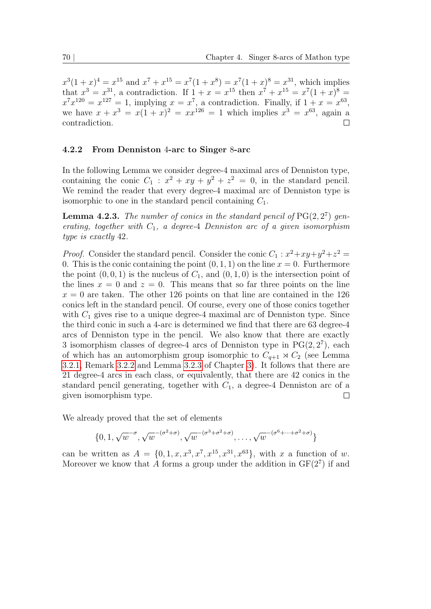$x^3(1+x)^4 = x^{15}$  and  $x^7 + x^{15} = x^7(1+x^8) = x^7(1+x)^8 = x^{31}$ , which implies that  $x^3 = x^{31}$ , a contradiction. If  $1 + x = x^{15}$  then  $x^7 + x^{15} = x^7(1+x)^8 =$  $x^7x^{120} = x^{127} = 1$ , implying  $x = x^7$ , a contradiction. Finally, if  $1 + x = x^{63}$ , we have  $x + x^3 = x(1 + x)^2 = xx^{126} = 1$  which implies  $x^3 = x^{63}$ , again a contradiction.  $\Box$ 

#### 4.2.2 From Denniston 4-arc to Singer 8-arc

In the following Lemma we consider degree-4 maximal arcs of Denniston type, containing the conic  $C_1$ :  $x^2 + xy + y^2 + z^2 = 0$ , in the standard pencil. We remind the reader that every degree-4 maximal arc of Denniston type is isomorphic to one in the standard pencil containing  $C_1$ .

<span id="page-79-0"></span>**Lemma 4.2.3.** The number of conics in the standard pencil of  $PG(2, 2^7)$  generating, together with  $C_1$ , a degree-4 Denniston arc of a given isomorphism type is exactly 42.

*Proof.* Consider the standard pencil. Consider the conic  $C_1$ :  $x^2 + xy + y^2 + z^2 =$ 0. This is the conic containing the point  $(0, 1, 1)$  on the line  $x = 0$ . Furthermore the point  $(0, 0, 1)$  is the nucleus of  $C_1$ , and  $(0, 1, 0)$  is the intersection point of the lines  $x = 0$  and  $z = 0$ . This means that so far three points on the line  $x = 0$  are taken. The other 126 points on that line are contained in the 126 conics left in the standard pencil. Of course, every one of those conics together with  $C_1$  gives rise to a unique degree-4 maximal arc of Denniston type. Since the third conic in such a 4-arc is determined we find that there are 63 degree-4 arcs of Denniston type in the pencil. We also know that there are exactly 3 isomorphism classes of degree-4 arcs of Denniston type in  $PG(2, 2<sup>7</sup>)$ , each of which has an automorphism group isomorphic to  $C_{q+1} \rtimes C_2$  (see Lemma [3.2.1,](#page-49-0) Remark [3.2.2](#page-51-0) and Lemma [3.2.3](#page-52-0) of Chapter [3\)](#page-46-0). It follows that there are 21 degree-4 arcs in each class, or equivalently, that there are 42 conics in the standard pencil generating, together with  $C_1$ , a degree-4 Denniston arc of a given isomorphism type.  $\Box$ 

We already proved that the set of elements

$$
\{0, 1, \sqrt{w}^{-\sigma}, \sqrt{w}^{-(\sigma^2+\sigma)}, \sqrt{w}^{-(\sigma^3+\sigma^2+\sigma)}, \dots, \sqrt{w}^{-(\sigma^6+\cdots+\sigma^2+\sigma)}\}
$$

can be written as  $A = \{0, 1, x, x^3, x^7, x^{15}, x^{31}, x^{63}\},\$  with x a function of w. Moreover we know that A forms a group under the addition in  $GF(2^7)$  if and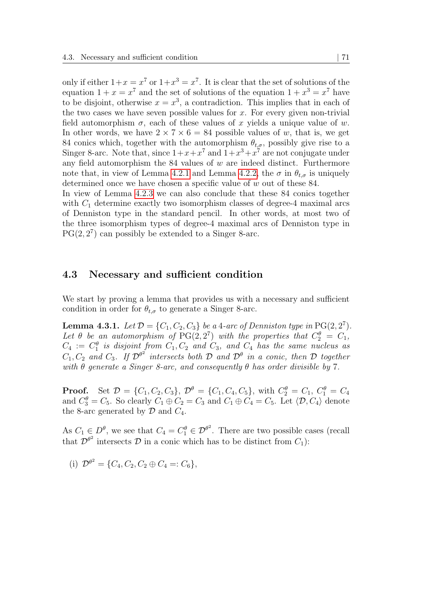only if either  $1+x = x^7$  or  $1+x^3 = x^7$ . It is clear that the set of solutions of the equation  $1 + x = x^7$  and the set of solutions of the equation  $1 + x^3 = x^7$  have to be disjoint, otherwise  $x = x^3$ , a contradiction. This implies that in each of the two cases we have seven possible values for  $x$ . For every given non-trivial field automorphism  $\sigma$ , each of these values of x yields a unique value of w. In other words, we have  $2 \times 7 \times 6 = 84$  possible values of w, that is, we get 84 conics which, together with the automorphism  $\theta_{t,\sigma}$ , possibly give rise to a Singer 8-arc. Note that, since  $1 + x + x^7$  and  $1 + x^3 + x^7$  are not conjugate under any field automorphism the 84 values of  $w$  are indeed distinct. Furthermore note that, in view of Lemma [4.2.1](#page-76-0) and Lemma [4.2.2,](#page-78-0) the  $\sigma$  in  $\theta_{t,\sigma}$  is uniquely determined once we have chosen a specific value of w out of these 84.

In view of Lemma [4.2.3](#page-79-0) we can also conclude that these 84 conics together with  $C_1$  determine exactly two isomorphism classes of degree-4 maximal arcs of Denniston type in the standard pencil. In other words, at most two of the three isomorphism types of degree-4 maximal arcs of Denniston type in  $PG(2, 2<sup>7</sup>)$  can possibly be extended to a Singer 8-arc.

#### 4.3 Necessary and sufficient condition

We start by proving a lemma that provides us with a necessary and sufficient condition in order for  $\theta_{t,\sigma}$  to generate a Singer 8-arc.

<span id="page-80-0"></span>**Lemma 4.3.1.** Let  $\mathcal{D} = \{C_1, C_2, C_3\}$  be a 4-arc of Denniston type in PG(2, 2<sup>7</sup>). Let  $\theta$  be an automorphism of PG(2,2<sup>7</sup>) with the properties that  $C_2^{\theta} = C_1$ ,  $C_4 := C_1^{\theta}$  is disjoint from  $C_1, C_2$  and  $C_3$ , and  $C_4$  has the same nucleus as  $C_1, C_2$  and  $C_3$ . If  $\mathcal{D}^{\theta^2}$  intersects both  $\mathcal D$  and  $\mathcal{D}^{\theta}$  in a conic, then  $\mathcal D$  together with  $\theta$  generate a Singer 8-arc, and consequently  $\theta$  has order divisible by 7.

**Proof.** Set  $\mathcal{D} = \{C_1, C_2, C_3\}, \mathcal{D}^{\theta} = \{C_1, C_4, C_5\},\$  with  $C_2^{\theta} = C_1, C_1^{\theta} = C_4$ and  $C_3^{\theta} = C_5$ . So clearly  $C_1 \oplus C_2 = C_3$  and  $C_1 \oplus C_4 = C_5$ . Let  $\langle \mathcal{D}, C_4 \rangle$  denote the 8-arc generated by  $\mathcal D$  and  $C_4$ .

As  $C_1 \in D^{\theta}$ , we see that  $C_4 = C_1^{\theta} \in \mathcal{D}^{\theta^2}$ . There are two possible cases (recall that  $\mathcal{D}^{\theta^2}$  intersects  $\mathcal D$  in a conic which has to be distinct from  $C_1$ ):

(i)  $\mathcal{D}^{\theta^2} = \{C_4, C_2, C_2 \oplus C_4 =: C_6\},\$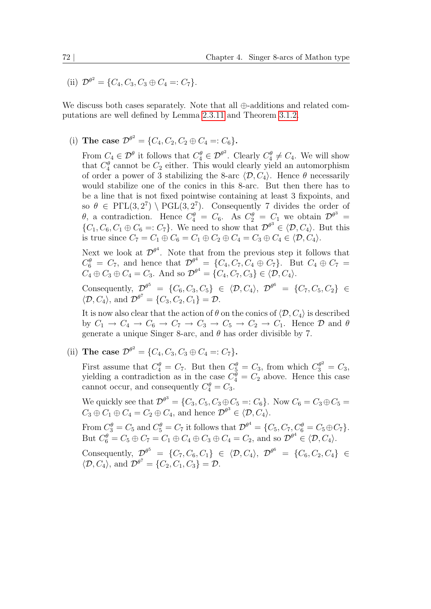(ii)  $\mathcal{D}^{\theta^2} = \{C_4, C_3, C_3 \oplus C_4 =: C_7\}.$ 

We discuss both cases separately. Note that all  $\oplus$ -additions and related computations are well defined by Lemma [2.3.11](#page-44-0) and Theorem [3.1.2.](#page-47-0)

(i) The case  $\mathcal{D}^{\theta^2} = \{C_4, C_2, C_2 \oplus C_4 =: C_6\}.$ 

From  $C_4 \in \mathcal{D}^{\theta}$  it follows that  $C_4^{\theta} \in \mathcal{D}^{\theta^2}$ . Clearly  $C_4^{\theta} \neq C_4$ . We will show that  $C_4^{\theta}$  cannot be  $C_2$  either. This would clearly yield an automorphism of order a power of 3 stabilizing the 8-arc  $\langle \mathcal{D}, C_4 \rangle$ . Hence  $\theta$  necessarily would stabilize one of the conics in this 8-arc. But then there has to be a line that is not fixed pointwise containing at least 3 fixpoints, and so  $\theta \in \text{P}\Gamma(3, 2^7) \setminus \text{PGL}(3, 2^7)$ . Consequently 7 divides the order of θ, a contradiction. Hence  $C_4^{\theta} = C_6$ . As  $C_2^{\theta} = C_1$  we obtain  $\mathcal{D}^{\theta^3} = C_2$  $\{C_1, C_6, C_1 \oplus C_6 =: C_7\}$ . We need to show that  $\mathcal{D}^{\theta^3} \in \langle \mathcal{D}, C_4 \rangle$ . But this is true since  $C_7 = C_1 \oplus C_6 = C_1 \oplus C_2 \oplus C_4 = C_3 \oplus C_4 \in \langle \mathcal{D}, C_4 \rangle$ .

Next we look at  $\mathcal{D}^{\theta^4}$ . Note that from the previous step it follows that  $C_6^{\theta} = C_7$ , and hence that  $\mathcal{D}^{\theta^4} = \{C_4, C_7, C_4 \oplus C_7\}$ . But  $C_4 \oplus C_7 =$  $C_4 \oplus C_3 \oplus C_4 = C_3$ . And so  $\mathcal{D}^{\theta^4} = \{C_4, C_7, C_3\} \in \langle \mathcal{D}, C_4 \rangle$ .

Consequently,  $\mathcal{D}^{\theta^5} = \{C_6, C_3, C_5\} \in \langle \mathcal{D}, C_4 \rangle$ ,  $\mathcal{D}^{\theta^6} = \{C_7, C_5, C_2\} \in$  $\langle \mathcal{D}, C_4 \rangle$ , and  $\mathcal{D}^{\theta^7} = \{C_3, C_2, C_1\} = \mathcal{D}$ .

It is now also clear that the action of  $\theta$  on the conics of  $\langle \mathcal{D}, C_4 \rangle$  is described by  $C_1 \rightarrow C_4 \rightarrow C_6 \rightarrow C_7 \rightarrow C_3 \rightarrow C_5 \rightarrow C_2 \rightarrow C_1$ . Hence  $\mathcal{D}$  and  $\theta$ generate a unique Singer 8-arc, and  $\theta$  has order divisible by 7.

(ii) The case  $\mathcal{D}^{\theta^2} = \{C_4, C_3, C_3 \oplus C_4 =: C_7\}.$ 

First assume that  $C_4^{\theta} = C_7$ . But then  $C_5^{\theta} = C_3$ , from which  $C_3^{\theta^2} = C_3$ , yielding a contradiction as in the case  $C_4^{\hat{\theta}} = C_2$  above. Hence this case cannot occur, and consequently  $C_4^{\theta} = C_3$ .

We quickly see that  $\mathcal{D}^{\theta^3} = \{C_3, C_5, C_3 \oplus C_5 =: C_6\}$ . Now  $C_6 = C_3 \oplus C_5 =$  $C_3 \oplus C_1 \oplus C_4 = C_2 \oplus C_4$ , and hence  $\mathcal{D}^{\theta^3} \in \langle \mathcal{D}, C_4 \rangle$ .

From  $C_3^{\theta} = C_5$  and  $C_5^{\theta} = C_7$  it follows that  $\mathcal{D}^{\theta^4} = \{C_5, C_7, C_6^{\theta} = C_5 \oplus C_7\}.$ But  $C_6^{\theta} = C_5 \oplus C_7 = C_1 \oplus C_4 \oplus C_3 \oplus C_4 = C_2$ , and so  $\mathcal{D}^{\theta^4} \in \langle \mathcal{D}, C_4 \rangle$ .

Consequently,  $\mathcal{D}^{\theta^5} = \{C_7, C_6, C_1\} \in \langle \mathcal{D}, C_4 \rangle$ ,  $\mathcal{D}^{\theta^6} = \{C_6, C_2, C_4\} \in$  $\langle \mathcal{D}, C_4 \rangle$ , and  $\mathcal{D}^{\theta^7} = \{C_2, C_1, C_3\} = \mathcal{D}$ .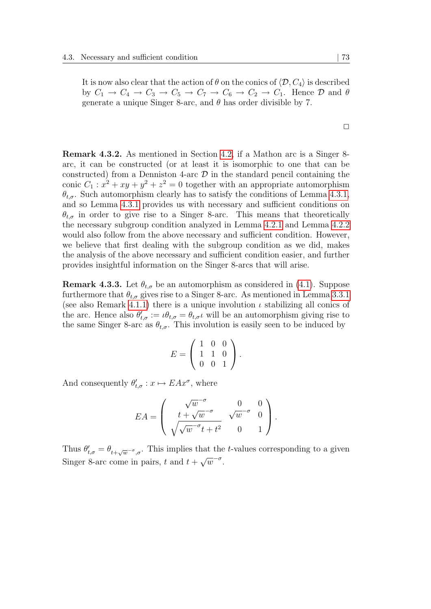It is now also clear that the action of  $\theta$  on the conics of  $\langle \mathcal{D}, C_4 \rangle$  is described by  $C_1 \rightarrow C_4 \rightarrow C_3 \rightarrow C_5 \rightarrow C_7 \rightarrow C_6 \rightarrow C_2 \rightarrow C_1$ . Hence  $\mathcal{D}$  and  $\theta$ generate a unique Singer 8-arc, and  $\theta$  has order divisible by 7.

Remark 4.3.2. As mentioned in Section [4.2,](#page-74-0) if a Mathon arc is a Singer 8 arc, it can be constructed (or at least it is isomorphic to one that can be constructed) from a Denniston 4-arc  $\mathcal D$  in the standard pencil containing the conic  $C_1$ :  $x^2 + xy + y^2 + z^2 = 0$  together with an appropriate automorphism  $\theta_{t,\sigma}$ . Such automorphism clearly has to satisfy the conditions of Lemma [4.3.1,](#page-80-0) and so Lemma [4.3.1](#page-80-0) provides us with necessary and sufficient conditions on  $\theta_{t,\sigma}$  in order to give rise to a Singer 8-arc. This means that theoretically the necessary subgroup condition analyzed in Lemma [4.2.1](#page-76-0) and Lemma [4.2.2](#page-78-0) would also follow from the above necessary and sufficient condition. However, we believe that first dealing with the subgroup condition as we did, makes the analysis of the above necessary and sufficient condition easier, and further provides insightful information on the Singer 8-arcs that will arise.

<span id="page-82-0"></span>**Remark 4.3.3.** Let  $\theta_{t,\sigma}$  be an automorphism as considered in [\(4.1\)](#page-75-0). Suppose furthermore that  $\theta_{t,\sigma}$  gives rise to a Singer 8-arc. As mentioned in Lemma [3.3.1](#page-54-0) (see also Remark [4.1.1\)](#page-73-0) there is a unique involution  $\iota$  stabilizing all conics of the arc. Hence also  $\theta'_{t,\sigma} := \iota \theta_{t,\sigma} = \theta_{t,\sigma} \iota$  will be an automorphism giving rise to the same Singer 8-arc as  $\theta_{t,\sigma}$ . This involution is easily seen to be induced by

$$
E = \left(\begin{array}{rrr} 1 & 0 & 0 \\ 1 & 1 & 0 \\ 0 & 0 & 1 \end{array}\right).
$$

And consequently  $\theta'_{t,\sigma}: x \mapsto EAx^{\sigma}$ , where

$$
EA = \begin{pmatrix} \sqrt{w}^{-\sigma} & 0 & 0 \\ t + \sqrt{w}^{-\sigma} & \sqrt{w}^{-\sigma} & 0 \\ \sqrt{\sqrt{w}^{-\sigma}}t + t^2 & 0 & 1 \end{pmatrix}.
$$

<span id="page-82-1"></span>Thus  $\theta'_{t,\sigma} = \theta_{t+\sqrt{w}}\{\sigma,\sigma}$ . This implies that the t-values corresponding to a given Singer 8-arc come in pairs, t and  $t + \sqrt{w}^{-\sigma}$ . √

 $\Box$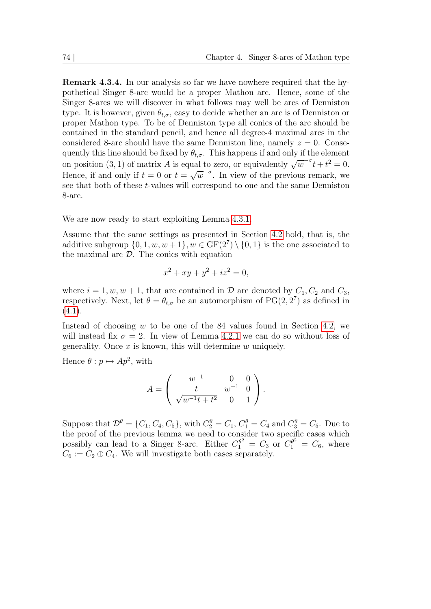Remark 4.3.4. In our analysis so far we have nowhere required that the hypothetical Singer 8-arc would be a proper Mathon arc. Hence, some of the Singer 8-arcs we will discover in what follows may well be arcs of Denniston type. It is however, given  $\theta_{t,\sigma}$ , easy to decide whether an arc is of Denniston or proper Mathon type. To be of Denniston type all conics of the arc should be contained in the standard pencil, and hence all degree-4 maximal arcs in the considered 8-arc should have the same Denniston line, namely  $z = 0$ . Consequently this line should be fixed by  $\theta_{t,\sigma}$ . This happens if and only if the element on position (3, 1) of matrix A is equal to zero, or equivalently  $\sqrt{w}^{-\sigma}t + t^2 = 0$ . Hence, if and only if  $t = 0$  or  $t =$ √  $\overline{w}^{-\sigma}$ . In view of the previous remark, we see that both of these t-values will correspond to one and the same Denniston 8-arc.

We are now ready to start exploiting Lemma  $4.3.1$ .

Assume that the same settings as presented in Section [4.2](#page-74-0) hold, that is, the additive subgroup  $\{0, 1, w, w + 1\}$ ,  $w \in \text{GF}(2^7) \setminus \{0, 1\}$  is the one associated to the maximal arc  $D$ . The conics with equation

$$
x^2 + xy + y^2 + iz^2 = 0,
$$

where  $i = 1, w, w + 1$ , that are contained in  $\mathcal{D}$  are denoted by  $C_1, C_2$  and  $C_3$ , respectively. Next, let  $\theta = \theta_{t,\sigma}$  be an automorphism of PG(2, 2<sup>7</sup>) as defined in  $(4.1).$  $(4.1).$ 

Instead of choosing  $w$  to be one of the 84 values found in Section [4.2,](#page-74-0) we will instead fix  $\sigma = 2$ . In view of Lemma [4.2.1](#page-76-0) we can do so without loss of generality. Once  $x$  is known, this will determine  $w$  uniquely.

Hence  $\theta : p \mapsto Ap^2$ , with

$$
A = \begin{pmatrix} w^{-1} & 0 & 0 \\ t & w^{-1} & 0 \\ \sqrt{w^{-1}t + t^2} & 0 & 1 \end{pmatrix}.
$$

Suppose that  $\mathcal{D}^{\theta} = \{C_1, C_4, C_5\}$ , with  $C_2^{\theta} = C_1$ ,  $C_1^{\theta} = C_4$  and  $C_3^{\theta} = C_5$ . Due to the proof of the previous lemma we need to consider two specific cases which possibly can lead to a Singer 8-arc. Either  $C_1^{\theta^2} = C_3$  or  $C_1^{\theta^2} = C_6$ , where  $C_6:=C_2\oplus C_4.$  We will investigate both cases separately.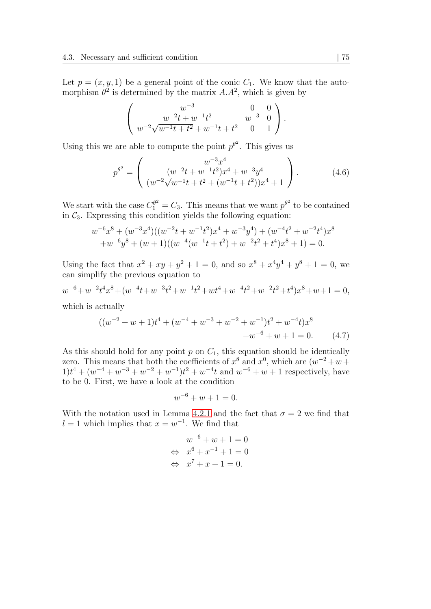Let  $p = (x, y, 1)$  be a general point of the conic  $C_1$ . We know that the automorphism  $\theta^2$  is determined by the matrix  $A.A^2$ , which is given by

<span id="page-84-1"></span>
$$
\begin{pmatrix} w^{-3} & 0 & 0 \ w^{-2}t + w^{-1}t^2 & w^{-3} & 0 \ w^{-2}\sqrt{w^{-1}t + t^2} + w^{-1}t + t^2 & 0 & 1 \end{pmatrix}.
$$

Using this we are able to compute the point  $p^{\theta^2}$ . This gives us

$$
p^{\theta^2} = \begin{pmatrix} w^{-3}x^4 \\ (w^{-2}t + w^{-1}t^2)x^4 + w^{-3}y^4 \\ (w^{-2}\sqrt{w^{-1}t + t^2} + (w^{-1}t + t^2))x^4 + 1 \end{pmatrix}.
$$
 (4.6)

We start with the case  $C_1^{\theta^2} = C_3$ . This means that we want  $p^{\theta^2}$  to be contained in  $C_3$ . Expressing this condition yields the following equation:

$$
w^{-6}x^8 + (w^{-3}x^4)((w^{-2}t + w^{-1}t^2)x^4 + w^{-3}y^4) + (w^{-4}t^2 + w^{-2}t^4)x^8
$$
  
+
$$
w^{-6}y^8 + (w+1)((w^{-4}(w^{-1}t + t^2) + w^{-2}t^2 + t^4)x^8 + 1) = 0.
$$

Using the fact that  $x^2 + xy + y^2 + 1 = 0$ , and so  $x^8 + x^4y^4 + y^8 + 1 = 0$ , we can simplify the previous equation to

$$
w^{-6} + w^{-2}t^4x^8 + (w^{-4}t + w^{-3}t^2 + w^{-1}t^2 + wt^4 + w^{-4}t^2 + w^{-2}t^2 + t^4)x^8 + w + 1 = 0,
$$

which is actually

$$
((w^{-2} + w + 1)t^{4} + (w^{-4} + w^{-3} + w^{-2} + w^{-1})t^{2} + w^{-4}t)x^{8}
$$
  
+w^{-6} + w + 1 = 0. (4.7)

As this should hold for any point  $p$  on  $C_1$ , this equation should be identically zero. This means that both the coefficients of  $x^8$  and  $x^0$ , which are  $(w^{-2} + w +$  $1)t^{4} + (w^{-4} + w^{-3} + w^{-2} + w^{-1})t^{2} + w^{-4}t$  and  $w^{-6} + w + 1$  respectively, have to be 0. First, we have a look at the condition

<span id="page-84-0"></span>
$$
w^{-6} + w + 1 = 0.
$$

With the notation used in Lemma [4.2.1](#page-76-0) and the fact that  $\sigma = 2$  we find that  $l = 1$  which implies that  $x = w^{-1}$ . We find that

$$
w^{-6} + w + 1 = 0
$$
  
\n
$$
\Leftrightarrow x^{6} + x^{-1} + 1 = 0
$$
  
\n
$$
\Leftrightarrow x^{7} + x + 1 = 0.
$$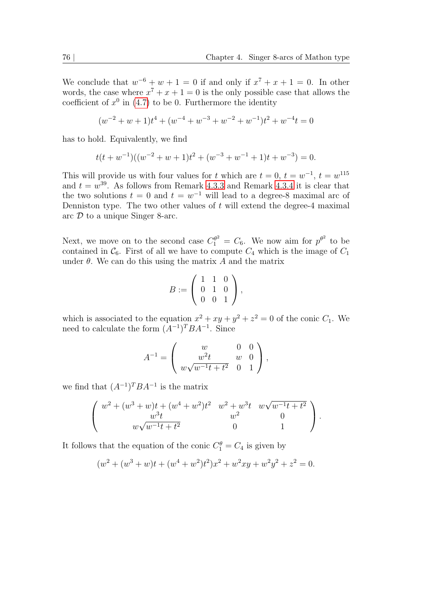We conclude that  $w^{-6} + w + 1 = 0$  if and only if  $x^{7} + x + 1 = 0$ . In other words, the case where  $x^7 + x + 1 = 0$  is the only possible case that allows the coefficient of  $x^0$  in [\(4.7\)](#page-84-0) to be 0. Furthermore the identity

$$
(w^{-2} + w + 1)t^{4} + (w^{-4} + w^{-3} + w^{-2} + w^{-1})t^{2} + w^{-4}t = 0
$$

has to hold. Equivalently, we find

$$
t(t + w^{-1})((w^{-2} + w + 1)t^{2} + (w^{-3} + w^{-1} + 1)t + w^{-3}) = 0.
$$

This will provide us with four values for t which are  $t = 0, t = w^{-1}, t = w^{115}$ and  $t = w^{39}$ . As follows from Remark [4.3.3](#page-82-0) and Remark [4.3.4](#page-82-1) it is clear that the two solutions  $t = 0$  and  $t = w^{-1}$  will lead to a degree-8 maximal arc of Denniston type. The two other values of  $t$  will extend the degree-4 maximal arc D to a unique Singer 8-arc.

Next, we move on to the second case  $C_1^{\theta^2} = C_6$ . We now aim for  $p^{\theta^2}$  to be contained in  $\mathcal{C}_6$ . First of all we have to compute  $C_4$  which is the image of  $C_1$ under  $\theta$ . We can do this using the matrix A and the matrix

$$
B := \left(\begin{array}{rrr} 1 & 1 & 0 \\ 0 & 1 & 0 \\ 0 & 0 & 1 \end{array}\right),
$$

which is associated to the equation  $x^2 + xy + y^2 + z^2 = 0$  of the conic  $C_1$ . We need to calculate the form  $(A^{-1})^TBA^{-1}$ . Since

$$
A^{-1} = \begin{pmatrix} w & 0 & 0 \\ w^2t & w & 0 \\ w\sqrt{w^{-1}t + t^2} & 0 & 1 \end{pmatrix},
$$

we find that  $(A^{-1})^TBA^{-1}$  is the matrix

$$
\begin{pmatrix} w^2 + (w^3 + w)t + (w^4 + w^2)t^2 & w^2 + w^3t & w\sqrt{w^{-1}t + t^2} \\ w^3t & w^2 & 0 \\ w\sqrt{w^{-1}t + t^2} & 0 & 1 \end{pmatrix}.
$$

It follows that the equation of the conic  $C_1^{\theta} = C_4$  is given by

$$
(w2 + (w3 + w)t + (w4 + w2)t2)x2 + w2xy + w2y2 + z2 = 0.
$$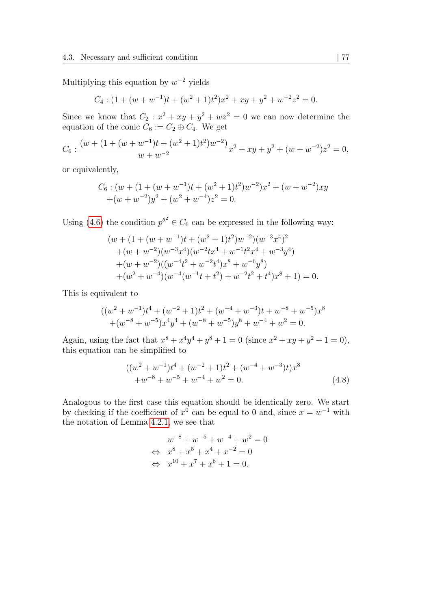Multiplying this equation by  $w^{-2}$  yields

$$
C_4: (1 + (w + w^{-1})t + (w^2 + 1)t^2)x^2 + xy + y^2 + w^{-2}z^2 = 0.
$$

Since we know that  $C_2$ :  $x^2 + xy + y^2 + wz^2 = 0$  we can now determine the equation of the conic  $C_6 := C_2 \oplus C_4$ . We get

$$
C_6: \frac{(w + (1 + (w + w^{-1})t + (w^2 + 1)t^2)w^{-2})}{w + w^{-2}}x^2 + xy + y^2 + (w + w^{-2})z^2 = 0,
$$

or equivalently,

$$
C_6: (w + (1 + (w + w^{-1})t + (w^2 + 1)t^2)w^{-2})x^2 + (w + w^{-2})xy
$$
  
+ $(w + w^{-2})y^2 + (w^2 + w^{-4})z^2 = 0.$ 

Using [\(4.6\)](#page-84-1) the condition  $p^{\theta^2} \in C_6$  can be expressed in the following way:

$$
(w + (1 + (w + w^{-1})t + (w^{2} + 1)t^{2})w^{-2})(w^{-3}x^{4})^{2}
$$
  
+
$$
(w + w^{-2})(w^{-3}x^{4})(w^{-2}tx^{4} + w^{-1}t^{2}x^{4} + w^{-3}y^{4})
$$
  
+
$$
(w + w^{-2})((w^{-4}t^{2} + w^{-2}t^{4})x^{8} + w^{-6}y^{8})
$$
  
+
$$
(w^{2} + w^{-4})(w^{-4}(w^{-1}t + t^{2}) + w^{-2}t^{2} + t^{4})x^{8} + 1) = 0.
$$

This is equivalent to

$$
((w2 + w-1)t4 + (w-2 + 1)t2 + (w-4 + w-3)t + w-8 + w-5)x8
$$
  
+ (w<sup>-8</sup> + w<sup>-5</sup>)x<sup>4</sup>y<sup>4</sup> + (w<sup>-8</sup> + w<sup>-5</sup>)y<sup>8</sup> + w<sup>-4</sup> + w<sup>2</sup> = 0.

Again, using the fact that  $x^8 + x^4y^4 + y^8 + 1 = 0$  (since  $x^2 + xy + y^2 + 1 = 0$ ), this equation can be simplified to

<span id="page-86-0"></span>
$$
((w2 + w-1)t4 + (w-2 + 1)t2 + (w-4 + w-3)t)x8
$$
  
+w<sup>-8</sup> + w<sup>-5</sup> + w<sup>-4</sup> + w<sup>2</sup> = 0. (4.8)

Analogous to the first case this equation should be identically zero. We start by checking if the coefficient of  $x^0$  can be equal to 0 and, since  $x = w^{-1}$  with the notation of Lemma [4.2.1,](#page-76-0) we see that

$$
w^{-8} + w^{-5} + w^{-4} + w^2 = 0
$$
  
\n
$$
\Leftrightarrow x^8 + x^5 + x^4 + x^{-2} = 0
$$
  
\n
$$
\Leftrightarrow x^{10} + x^7 + x^6 + 1 = 0.
$$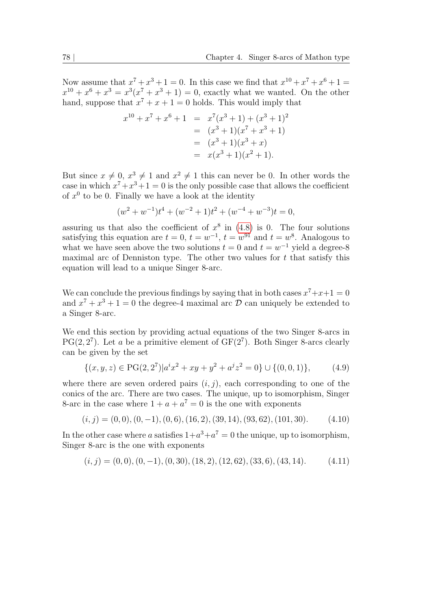Now assume that  $x^7 + x^3 + 1 = 0$ . In this case we find that  $x^{10} + x^7 + x^6 + 1 =$  $x^{10} + x^6 + x^3 = x^3(x^7 + x^3 + 1) = 0$ , exactly what we wanted. On the other hand, suppose that  $x^7 + x + 1 = 0$  holds. This would imply that

$$
x^{10} + x^7 + x^6 + 1 = x^7(x^3 + 1) + (x^3 + 1)^2
$$
  
=  $(x^3 + 1)(x^7 + x^3 + 1)$   
=  $(x^3 + 1)(x^3 + x)$   
=  $x(x^3 + 1)(x^2 + 1)$ .

But since  $x \neq 0$ ,  $x^3 \neq 1$  and  $x^2 \neq 1$  this can never be 0. In other words the case in which  $x^7 + x^3 + 1 = 0$  is the only possible case that allows the coefficient of  $x^0$  to be 0. Finally we have a look at the identity

$$
(w2 + w-1)t4 + (w-2 + 1)t2 + (w-4 + w-3)t = 0,
$$

assuring us that also the coefficient of  $x^8$  in [\(4.8\)](#page-86-0) is 0. The four solutions satisfying this equation are  $t = 0$ ,  $t = w^{-1}$ ,  $t = w^{91}$  and  $t = w^8$ . Analogous to what we have seen above the two solutions  $t = 0$  and  $t = w^{-1}$  yield a degree-8 maximal arc of Denniston type. The other two values for  $t$  that satisfy this equation will lead to a unique Singer 8-arc.

We can conclude the previous findings by saying that in both cases  $x^7 + x + 1 = 0$ and  $x^7 + x^3 + 1 = 0$  the degree-4 maximal arc  $\mathcal{D}$  can uniquely be extended to a Singer 8-arc.

We end this section by providing actual equations of the two Singer 8-arcs in  $PG(2, 2<sup>7</sup>)$ . Let a be a primitive element of  $GF(2<sup>7</sup>)$ . Both Singer 8-arcs clearly can be given by the set

<span id="page-87-0"></span>
$$
\{(x, y, z) \in \text{PG}(2, 2^7) | a^i x^2 + xy + y^2 + a^j z^2 = 0 \} \cup \{(0, 0, 1)\},\tag{4.9}
$$

where there are seven ordered pairs  $(i, j)$ , each corresponding to one of the conics of the arc. There are two cases. The unique, up to isomorphism, Singer 8-arc in the case where  $1 + a + a^7 = 0$  is the one with exponents

<span id="page-87-1"></span>
$$
(i, j) = (0, 0), (0, -1), (0, 6), (16, 2), (39, 14), (93, 62), (101, 30). \tag{4.10}
$$

In the other case where a satisfies  $1+a^3+a^7=0$  the unique, up to isomorphism, Singer 8-arc is the one with exponents

<span id="page-87-2"></span>
$$
(i, j) = (0, 0), (0, -1), (0, 30), (18, 2), (12, 62), (33, 6), (43, 14). \tag{4.11}
$$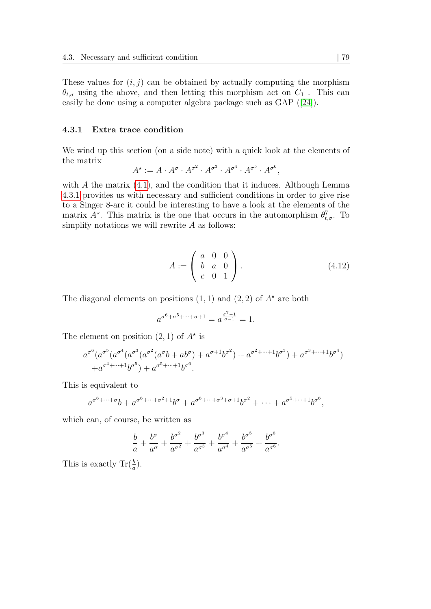These values for  $(i, j)$  can be obtained by actually computing the morphism  $\theta_{t,\sigma}$  using the above, and then letting this morphism act on  $C_1$ . This can easily be done using a computer algebra package such as GAP([\[24\]](#page-140-0)).

#### 4.3.1 Extra trace condition

We wind up this section (on a side note) with a quick look at the elements of the matrix

$$
A^{\star} := A \cdot A^{\sigma} \cdot A^{\sigma^2} \cdot A^{\sigma^3} \cdot A^{\sigma^4} \cdot A^{\sigma^5} \cdot A^{\sigma^6},
$$

with  $A$  the matrix  $(4.1)$ , and the condition that it induces. Although Lemma [4.3.1](#page-80-0) provides us with necessary and sufficient conditions in order to give rise to a Singer 8-arc it could be interesting to have a look at the elements of the matrix  $A^*$ . This matrix is the one that occurs in the automorphism  $\theta_{t,\sigma}^7$ . To simplify notations we will rewrite  $A$  as follows:

$$
A := \left(\begin{array}{ccc} a & 0 & 0 \\ b & a & 0 \\ c & 0 & 1 \end{array}\right). \tag{4.12}
$$

The diagonal elements on positions  $(1, 1)$  and  $(2, 2)$  of  $A^*$  are both

$$
a^{\sigma^6 + \sigma^5 + \dots + \sigma + 1} = a^{\frac{\sigma^7 - 1}{\sigma - 1}} = 1.
$$

The element on position  $(2,1)$  of  $A^*$  is

$$
a^{\sigma^6}(a^{\sigma^5}(a^{\sigma^4}(a^{\sigma^3}(a^{\sigma^2}(a^{\sigma}b + ab^{\sigma}) + a^{\sigma+1}b^{\sigma^2}) + a^{\sigma^2 + \dots + 1}b^{\sigma^3}) + a^{\sigma^3 + \dots + 1}b^{\sigma^4})
$$
  
+ a^{\sigma^4 + \dots + 1}b^{\sigma^5}) + a^{\sigma^5 + \dots + 1}b^{\sigma^6}.

This is equivalent to

$$
a^{\sigma^6 + \dots + \sigma}b + a^{\sigma^6 + \dots + \sigma^2 + 1}b^{\sigma} + a^{\sigma^6 + \dots + \sigma^3 + \sigma + 1}b^{\sigma^2} + \dots + a^{\sigma^5 + \dots + 1}b^{\sigma^6},
$$

which can, of course, be written as

$$
\frac{b}{a} + \frac{b^{\sigma}}{a^{\sigma}} + \frac{b^{\sigma^2}}{a^{\sigma^2}} + \frac{b^{\sigma^3}}{a^{\sigma^3}} + \frac{b^{\sigma^4}}{a^{\sigma^4}} + \frac{b^{\sigma^5}}{a^{\sigma^5}} + \frac{b^{\sigma^6}}{a^{\sigma^6}}.
$$

This is exactly  $\text{Tr}(\frac{b}{a})$ .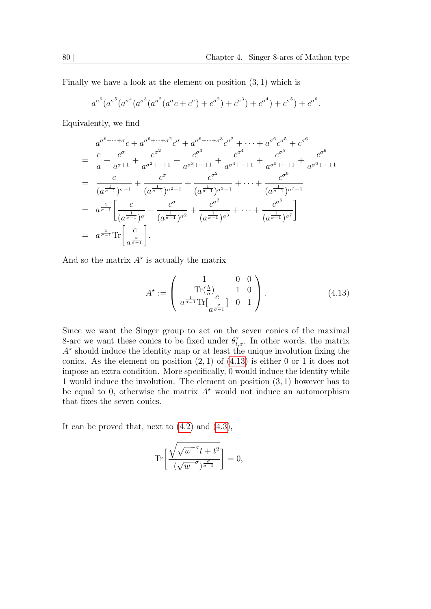Finally we have a look at the element on position  $(3, 1)$  which is

$$
a^{\sigma^6}(a^{\sigma^5}(a^{\sigma^4}(a^{\sigma^3}(a^{\sigma^2}(a^{\sigma}c + c^{\sigma}) + c^{\sigma^2}) + c^{\sigma^3}) + c^{\sigma^4}) + c^{\sigma^5}) + c^{\sigma^6}.
$$

Equivalently, we find

$$
a^{\sigma^6 + \dots + \sigma}c + a^{\sigma^6 + \dots + \sigma^2}c^{\sigma} + a^{\sigma^6 + \dots + \sigma^3}c^{\sigma^2} + \dots + a^{\sigma^6}c^{\sigma^5} + c^{\sigma^6}
$$
\n
$$
= \frac{c}{a} + \frac{c^{\sigma}}{a^{\sigma+1}} + \frac{c^{\sigma^2}}{a^{\sigma^2 + \dots + 1}} + \frac{c^{\sigma^3}}{a^{\sigma^3 + \dots + 1}} + \frac{c^{\sigma^4}}{a^{\sigma^4 + \dots + 1}} + \frac{c^{\sigma^5}}{a^{\sigma^5 + \dots + 1}} + \frac{c^{\sigma^6}}{a^{\sigma^6 + \dots + 1}}
$$
\n
$$
= \frac{c}{(a^{\frac{1}{\sigma-1}})^{\sigma-1}} + \frac{c^{\sigma}}{(a^{\frac{1}{\sigma-1}})^{\sigma^2-1}} + \frac{c^{\sigma^2}}{(a^{\frac{1}{\sigma-1}})^{\sigma^3-1}} + \dots + \frac{c^{\sigma^6}}{(a^{\frac{1}{\sigma-1}})^{\sigma^7-1}}
$$
\n
$$
= a^{\frac{1}{\sigma-1}} \left[ \frac{c}{(a^{\frac{1}{\sigma-1}})^{\sigma}} + \frac{c^{\sigma}}{(a^{\frac{1}{\sigma-1}})^{\sigma^2}} + \frac{c^{\sigma^2}}{(a^{\frac{1}{\sigma-1}})^{\sigma^3}} + \dots + \frac{c^{\sigma^6}}{(a^{\frac{1}{\sigma-1}})^{\sigma^7}} \right]
$$
\n
$$
= a^{\frac{1}{\sigma-1}} \text{Tr} \left[ \frac{c}{a^{\frac{\sigma}{\sigma-1}}} \right].
$$

And so the matrix  $A^*$  is actually the matrix

<span id="page-89-0"></span>
$$
A^{\star} := \begin{pmatrix} 1 & 0 & 0 \\ \text{Tr}(\frac{b}{a}) & 1 & 0 \\ a^{\frac{1}{\sigma-1}} \text{Tr}[\frac{c}{a^{\frac{\sigma}{\sigma-1}}}] & 0 & 1 \end{pmatrix} . \tag{4.13}
$$

Since we want the Singer group to act on the seven conics of the maximal 8-arc we want these conics to be fixed under  $\theta_{t,\sigma}^7$ . In other words, the matrix  $A^*$  should induce the identity map or at least the unique involution fixing the conics. As the element on position  $(2, 1)$  of  $(4.13)$  is either 0 or 1 it does not impose an extra condition. More specifically, 0 would induce the identity while 1 would induce the involution. The element on position (3, 1) however has to be equal to 0, otherwise the matrix  $A^*$  would not induce an automorphism that fixes the seven conics.

It can be proved that, next to [\(4.2\)](#page-75-1) and [\(4.3\)](#page-75-2),

$$
\text{Tr}\bigg[\frac{\sqrt{\sqrt{w}^{-\sigma}}t+t^2}{(\sqrt{w}^{-\sigma})^{\frac{\sigma}{\sigma-1}}}\bigg]=0,
$$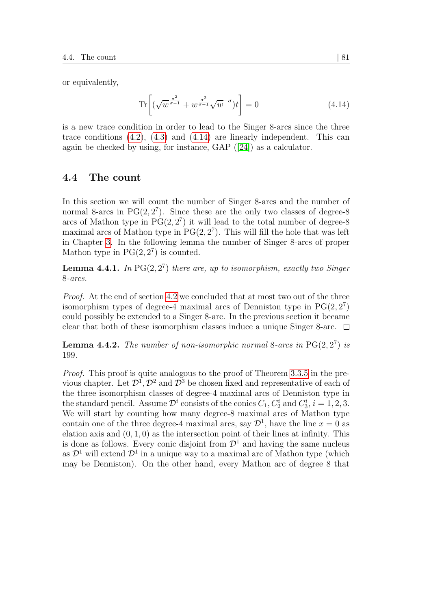or equivalently,

<span id="page-90-1"></span>
$$
\operatorname{Tr}\left[ \left( \sqrt{w}^{\frac{\sigma^2}{\sigma - 1}} + w^{\frac{\sigma^2}{\sigma - 1}} \sqrt{w}^{-\sigma} \right) t \right] = 0 \tag{4.14}
$$

is a new trace condition in order to lead to the Singer 8-arcs since the three trace conditions  $(4.2)$ ,  $(4.3)$  and  $(4.14)$  are linearly independent. This can again be checked by using, for instance, GAP([\[24\]](#page-140-0)) as a calculator.

#### <span id="page-90-0"></span>4.4 The count

In this section we will count the number of Singer 8-arcs and the number of normal 8-arcs in  $PG(2, 2^7)$ . Since these are the only two classes of degree-8 arcs of Mathon type in  $PG(2, 2^7)$  it will lead to the total number of degree-8 maximal arcs of Mathon type in  $PG(2, 2^7)$ . This will fill the hole that was left in Chapter [3.](#page-46-0) In the following lemma the number of Singer 8-arcs of proper Mathon type in  $PG(2, 2<sup>7</sup>)$  is counted.

<span id="page-90-2"></span>**Lemma 4.4.1.** In PG $(2, 2^7)$  there are, up to isomorphism, exactly two Singer 8-arcs.

Proof. At the end of section [4.2](#page-74-0) we concluded that at most two out of the three isomorphism types of degree-4 maximal arcs of Denniston type in  $PG(2, 2<sup>7</sup>)$ could possibly be extended to a Singer 8-arc. In the previous section it became clear that both of these isomorphism classes induce a unique Singer 8-arc.  $\Box$ 

**Lemma 4.4.2.** The number of non-isomorphic normal 8-arcs in  $PG(2, 2^7)$  is 199.

Proof. This proof is quite analogous to the proof of Theorem [3.3.5](#page-59-0) in the previous chapter. Let  $\mathcal{D}^1, \mathcal{D}^2$  and  $\mathcal{D}^3$  be chosen fixed and representative of each of the three isomorphism classes of degree-4 maximal arcs of Denniston type in the standard pencil. Assume  $\mathcal{D}^i$  consists of the conics  $C_1, C_2^i$  and  $C_3^i$ ,  $i = 1, 2, 3$ . We will start by counting how many degree-8 maximal arcs of Mathon type contain one of the three degree-4 maximal arcs, say  $\mathcal{D}^1$ , have the line  $x=0$  as elation axis and  $(0, 1, 0)$  as the intersection point of their lines at infinity. This is done as follows. Every conic disjoint from  $\mathcal{D}^1$  and having the same nucleus as  $\mathcal{D}^1$  will extend  $\mathcal{D}^1$  in a unique way to a maximal arc of Mathon type (which may be Denniston). On the other hand, every Mathon arc of degree 8 that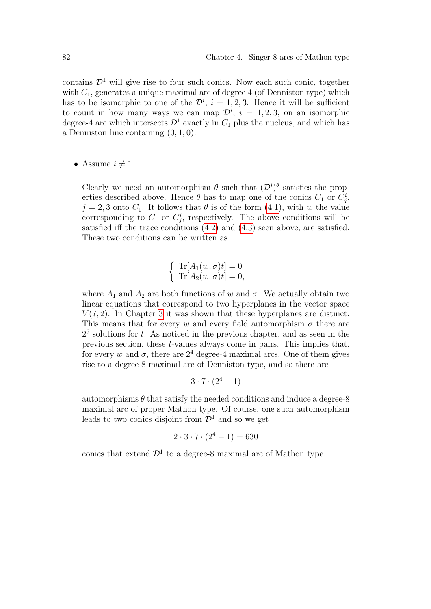contains  $\mathcal{D}^1$  will give rise to four such conics. Now each such conic, together with  $C_1$ , generates a unique maximal arc of degree 4 (of Denniston type) which has to be isomorphic to one of the  $\mathcal{D}^i$ ,  $i = 1, 2, 3$ . Hence it will be sufficient to count in how many ways we can map  $\mathcal{D}^i$ ,  $i = 1, 2, 3$ , on an isomorphic degree-4 arc which intersects  $\mathcal{D}^1$  exactly in  $C_1$  plus the nucleus, and which has a Denniston line containing (0, 1, 0).

• Assume  $i \neq 1$ .

Clearly we need an automorphism  $\theta$  such that  $(\mathcal{D}^i)^{\theta}$  satisfies the properties described above. Hence  $\theta$  has to map one of the conics  $C_1$  or  $C_j^i$ ,  $j = 2, 3$  onto  $C_1$ . It follows that  $\theta$  is of the form [\(4.1\)](#page-75-0), with w the value corresponding to  $C_1$  or  $C_j^i$ , respectively. The above conditions will be satisfied iff the trace conditions [\(4.2\)](#page-75-1) and [\(4.3\)](#page-75-2) seen above, are satisfied. These two conditions can be written as

$$
\begin{cases} \text{Tr}[A_1(w, \sigma)t] = 0\\ \text{Tr}[A_2(w, \sigma)t] = 0, \end{cases}
$$

where  $A_1$  and  $A_2$  are both functions of w and  $\sigma$ . We actually obtain two linear equations that correspond to two hyperplanes in the vector space  $V(7, 2)$ . In Chapter [3](#page-46-0) it was shown that these hyperplanes are distinct. This means that for every w and every field automorphism  $\sigma$  there are  $2<sup>5</sup>$  solutions for t. As noticed in the previous chapter, and as seen in the previous section, these t-values always come in pairs. This implies that, for every w and  $\sigma$ , there are  $2^4$  degree-4 maximal arcs. One of them gives rise to a degree-8 maximal arc of Denniston type, and so there are

$$
3\cdot 7\cdot (2^4-1)
$$

automorphisms  $\theta$  that satisfy the needed conditions and induce a degree-8 maximal arc of proper Mathon type. Of course, one such automorphism leads to two conics disjoint from  $\mathcal{D}^1$  and so we get

$$
2 \cdot 3 \cdot 7 \cdot (2^4 - 1) = 630
$$

conics that extend  $\mathcal{D}^1$  to a degree-8 maximal arc of Mathon type.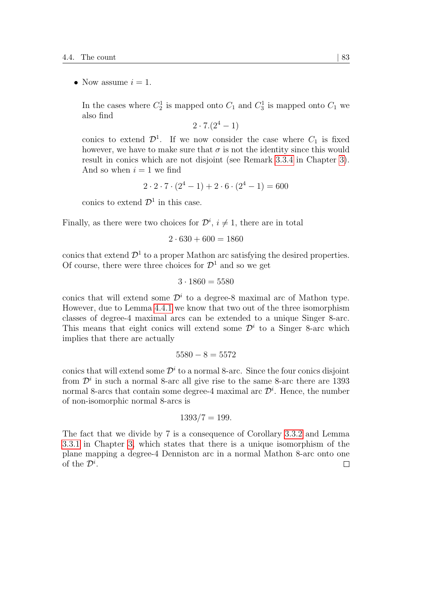• Now assume  $i = 1$ .

In the cases where  $C_2^1$  is mapped onto  $C_1$  and  $C_3^1$  is mapped onto  $C_1$  we also find

$$
2\cdot 7.(2^4-1)
$$

conics to extend  $\mathcal{D}^1$ . If we now consider the case where  $C_1$  is fixed however, we have to make sure that  $\sigma$  is not the identity since this would result in conics which are not disjoint (see Remark [3.3.4](#page-59-1) in Chapter [3\)](#page-46-0). And so when  $i = 1$  we find

$$
2 \cdot 2 \cdot 7 \cdot (2^4 - 1) + 2 \cdot 6 \cdot (2^4 - 1) = 600
$$

conics to extend  $\mathcal{D}^1$  in this case.

Finally, as there were two choices for  $\mathcal{D}^i$ ,  $i \neq 1$ , there are in total

$$
2 \cdot 630 + 600 = 1860
$$

conics that extend  $\mathcal{D}^1$  to a proper Mathon arc satisfying the desired properties. Of course, there were three choices for  $\mathcal{D}^1$  and so we get

$$
3 \cdot 1860 = 5580
$$

conics that will extend some  $\mathcal{D}^i$  to a degree-8 maximal arc of Mathon type. However, due to Lemma [4.4.1](#page-90-2) we know that two out of the three isomorphism classes of degree-4 maximal arcs can be extended to a unique Singer 8-arc. This means that eight conics will extend some  $\mathcal{D}^i$  to a Singer 8-arc which implies that there are actually

$$
5580 - 8 = 5572
$$

conics that will extend some  $\mathcal{D}^i$  to a normal 8-arc. Since the four conics disjoint from  $\mathcal{D}^i$  in such a normal 8-arc all give rise to the same 8-arc there are 1393 normal 8-arcs that contain some degree-4 maximal arc  $\mathcal{D}^i$ . Hence, the number of non-isomorphic normal 8-arcs is

$$
1393/7 = 199.
$$

The fact that we divide by 7 is a consequence of Corollary [3.3.2](#page-55-0) and Lemma [3.3.1](#page-54-0) in Chapter [3,](#page-46-0) which states that there is a unique isomorphism of the plane mapping a degree-4 Denniston arc in a normal Mathon 8-arc onto one of the  $\mathcal{D}^i$ .  $\overline{\phantom{a}}$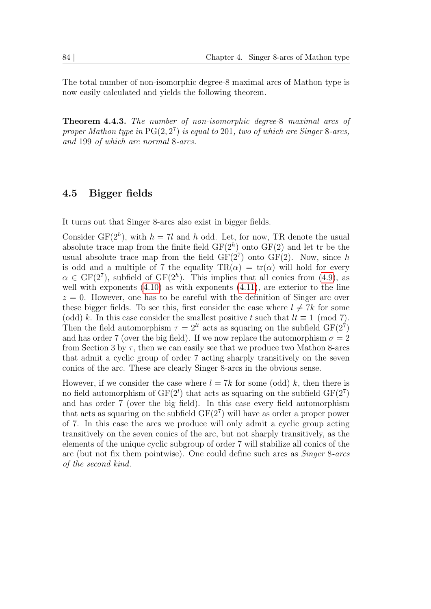The total number of non-isomorphic degree-8 maximal arcs of Mathon type is now easily calculated and yields the following theorem.

Theorem 4.4.3. The number of non-isomorphic degree-8 maximal arcs of proper Mathon type in  $PG(2, 2^7)$  is equal to 201, two of which are Singer 8-arcs, and 199 of which are normal 8-arcs.

#### 4.5 Bigger fields

It turns out that Singer 8-arcs also exist in bigger fields.

Consider GF( $2<sup>h</sup>$ ), with  $h = 7l$  and h odd. Let, for now, TR denote the usual absolute trace map from the finite field  $GF(2<sup>h</sup>)$  onto  $GF(2)$  and let tr be the usual absolute trace map from the field  $GF(2^7)$  onto  $GF(2)$ . Now, since h is odd and a multiple of 7 the equality  $TR(\alpha) = \text{tr}(\alpha)$  will hold for every  $\alpha \in \text{GF}(2^7)$ , subfield of  $\text{GF}(2^h)$ . This implies that all conics from [\(4.9\)](#page-87-0), as well with exponents  $(4.10)$  as with exponents  $(4.11)$ , are exterior to the line  $z = 0$ . However, one has to be careful with the definition of Singer arc over these bigger fields. To see this, first consider the case where  $l \neq 7k$  for some (odd) k. In this case consider the smallest positive t such that  $lt \equiv 1 \pmod{7}$ . Then the field automorphism  $\tau = 2^{lt}$  acts as squaring on the subfield  $GF(2^7)$ and has order 7 (over the big field). If we now replace the automorphism  $\sigma = 2$ from Section 3 by  $\tau$ , then we can easily see that we produce two Mathon 8-arcs that admit a cyclic group of order 7 acting sharply transitively on the seven conics of the arc. These are clearly Singer 8-arcs in the obvious sense.

However, if we consider the case where  $l = 7k$  for some (odd) k, then there is no field automorphism of  $GF(2^l)$  that acts as squaring on the subfield  $GF(2^7)$ and has order 7 (over the big field). In this case every field automorphism that acts as squaring on the subfield  $GF(2<sup>7</sup>)$  will have as order a proper power of 7. In this case the arcs we produce will only admit a cyclic group acting transitively on the seven conics of the arc, but not sharply transitively, as the elements of the unique cyclic subgroup of order 7 will stabilize all conics of the arc (but not fix them pointwise). One could define such arcs as Singer 8-arcs of the second kind.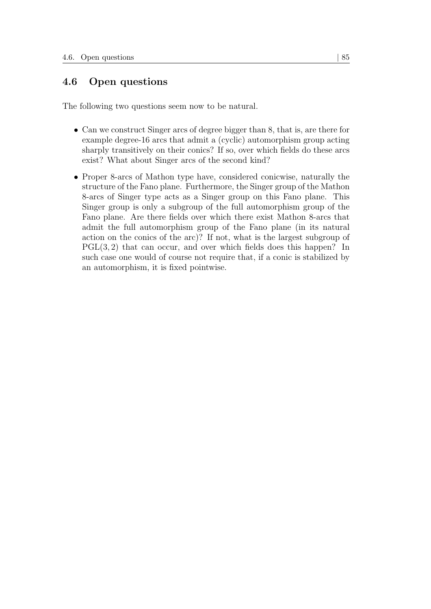## 4.6 Open questions

The following two questions seem now to be natural.

- Can we construct Singer arcs of degree bigger than 8, that is, are there for example degree-16 arcs that admit a (cyclic) automorphism group acting sharply transitively on their conics? If so, over which fields do these arcs exist? What about Singer arcs of the second kind?
- Proper 8-arcs of Mathon type have, considered conicwise, naturally the structure of the Fano plane. Furthermore, the Singer group of the Mathon 8-arcs of Singer type acts as a Singer group on this Fano plane. This Singer group is only a subgroup of the full automorphism group of the Fano plane. Are there fields over which there exist Mathon 8-arcs that admit the full automorphism group of the Fano plane (in its natural action on the conics of the arc)? If not, what is the largest subgroup of PGL(3, 2) that can occur, and over which fields does this happen? In such case one would of course not require that, if a conic is stabilized by an automorphism, it is fixed pointwise.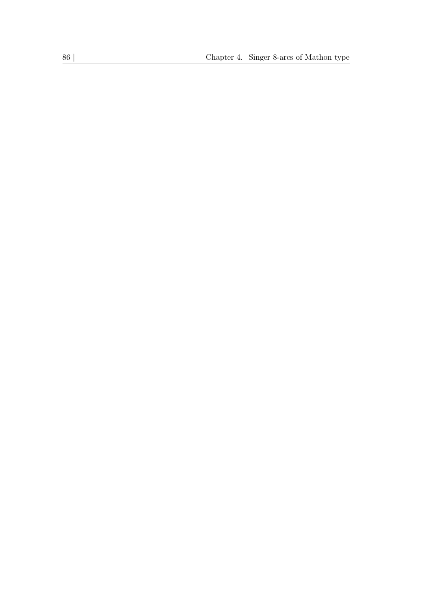| Chapter 4. Singer 8-arcs of Mathon type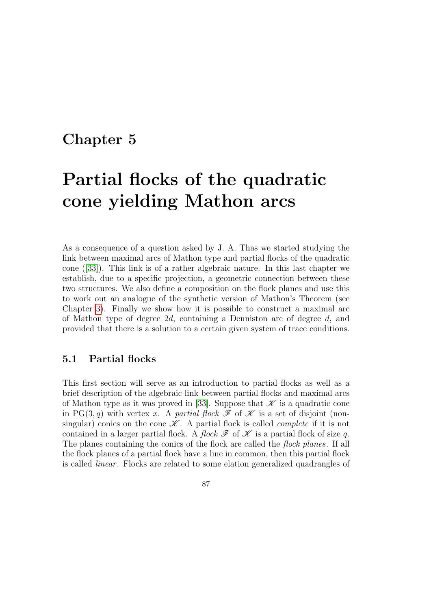# Chapter 5

# Partial flocks of the quadratic cone yielding Mathon arcs

As a consequence of a question asked by J. A. Thas we started studying the link between maximal arcs of Mathon type and partial flocks of the quadratic cone([\[33\]](#page-140-1)). This link is of a rather algebraic nature. In this last chapter we establish, due to a specific projection, a geometric connection between these two structures. We also define a composition on the flock planes and use this to work out an analogue of the synthetic version of Mathon's Theorem (see Chapter [3\)](#page-46-0). Finally we show how it is possible to construct a maximal arc of Mathon type of degree 2d, containing a Denniston arc of degree d, and provided that there is a solution to a certain given system of trace conditions.

## 5.1 Partial flocks

This first section will serve as an introduction to partial flocks as well as a brief description of the algebraic link between partial flocks and maximal arcs of Mathon type as it was proved in [\[33\]](#page-140-1). Suppose that  $\mathscr K$  is a quadratic cone in PG(3,q) with vertex x. A partial flock  $\mathscr F$  of  $\mathscr K$  is a set of disjoint (nonsingular) conics on the cone  $\mathscr K$ . A partial flock is called *complete* if it is not contained in a larger partial flock. A flock  $\mathscr F$  of  $\mathscr K$  is a partial flock of size q. The planes containing the conics of the flock are called the *flock planes*. If all the flock planes of a partial flock have a line in common, then this partial flock is called *linear*. Flocks are related to some elation generalized quadrangles of

87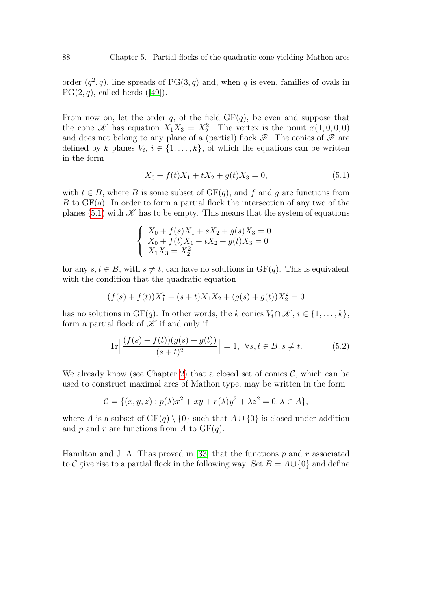order  $(q^2, q)$ , line spreads of PG $(3, q)$  and, when q is even, families of ovals in  $PG(2, q)$  $PG(2, q)$  $PG(2, q)$ , called herds ([\[49\]](#page-142-0)).

From now on, let the order q, of the field  $GF(q)$ , be even and suppose that the cone X has equation  $X_1 X_3 = X_2^2$ . The vertex is the point  $x(1,0,0,0)$ and does not belong to any plane of a (partial) flock  $\mathscr{F}$ . The conics of  $\mathscr{F}$  are defined by k planes  $V_i, i \in \{1, ..., k\}$ , of which the equations can be written in the form

<span id="page-97-0"></span>
$$
X_0 + f(t)X_1 + tX_2 + g(t)X_3 = 0,
$$
\n(5.1)

with  $t \in B$ , where B is some subset of  $GF(q)$ , and f and g are functions from B to  $GF(q)$ . In order to form a partial flock the intersection of any two of the planes  $(5.1)$  with  $\mathscr K$  has to be empty. This means that the system of equations

$$
\begin{cases}\nX_0 + f(s)X_1 + sX_2 + g(s)X_3 = 0 \\
X_0 + f(t)X_1 + tX_2 + g(t)X_3 = 0 \\
X_1X_3 = X_2^2\n\end{cases}
$$

for any  $s, t \in B$ , with  $s \neq t$ , can have no solutions in  $GF(q)$ . This is equivalent with the condition that the quadratic equation

$$
(f(s) + f(t))X_1^2 + (s+t)X_1X_2 + (g(s) + g(t))X_2^2 = 0
$$

has no solutions in  $GF(q)$ . In other words, the k conics  $V_i \cap \mathscr{K}, i \in \{1, ..., k\},$ form a partial flock of  $K$  if and only if

$$
\text{Tr}\Big[\frac{(f(s) + f(t))(g(s) + g(t))}{(s+t)^2}\Big] = 1, \ \forall s, t \in B, s \neq t. \tag{5.2}
$$

We already know (see Chapter [2\)](#page-28-0) that a closed set of conics  $\mathcal{C}$ , which can be used to construct maximal arcs of Mathon type, may be written in the form

$$
\mathcal{C} = \{ (x, y, z) : p(\lambda)x^2 + xy + r(\lambda)y^2 + \lambda z^2 = 0, \lambda \in A \},\
$$

where A is a subset of  $GF(q) \setminus \{0\}$  such that  $A \cup \{0\}$  is closed under addition and p and r are functions from A to  $GF(q)$ .

Hamilton and J. A. Thas proved in [\[33\]](#page-140-1) that the functions  $p$  and  $r$  associated to C give rise to a partial flock in the following way. Set  $B = A \cup \{0\}$  and define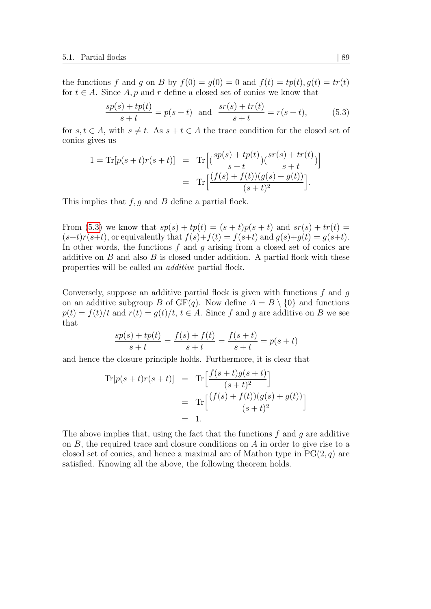the functions f and g on B by  $f(0) = g(0) = 0$  and  $f(t) = tp(t), g(t) = tr(t)$ for  $t \in A$ . Since  $A, p$  and r define a closed set of conics we know that

<span id="page-98-0"></span>
$$
\frac{sp(s) + tp(t)}{s + t} = p(s + t) \text{ and } \frac{sr(s) + tr(t)}{s + t} = r(s + t),
$$
 (5.3)

for  $s, t \in A$ , with  $s \neq t$ . As  $s + t \in A$  the trace condition for the closed set of conics gives us

$$
1 = \text{Tr}[p(s+t)r(s+t)] = \text{Tr}\Big[\Big(\frac{sp(s) + tp(t)}{s+t}\Big)\Big(\frac{sr(s) + tr(t)}{s+t}\Big)\Big] = \text{Tr}\Big[\frac{(f(s) + f(t))(g(s) + g(t))}{(s+t)^2}\Big].
$$

This implies that  $f, g$  and  $B$  define a partial flock.

From [\(5.3\)](#page-98-0) we know that  $sp(s) + tp(t) = (s + t)p(s + t)$  and  $sr(s) + tr(t) =$  $(s+t)r(s+t)$ , or equivalently that  $f(s)+f(t) = f(s+t)$  and  $g(s)+g(t) = g(s+t)$ . In other words, the functions  $f$  and  $g$  arising from a closed set of conics are additive on  $B$  and also  $B$  is closed under addition. A partial flock with these properties will be called an *additive* partial flock.

Conversely, suppose an additive partial flock is given with functions  $f$  and  $g$ on an additive subgroup B of  $GF(q)$ . Now define  $A = B \setminus \{0\}$  and functions  $p(t) = f(t)/t$  and  $r(t) = q(t)/t$ ,  $t \in A$ . Since f and q are additive on B we see that

$$
\frac{sp(s) + tp(t)}{s + t} = \frac{f(s) + f(t)}{s + t} = \frac{f(s + t)}{s + t} = p(s + t)
$$

and hence the closure principle holds. Furthermore, it is clear that

$$
\begin{aligned} \text{Tr}[p(s+t)r(s+t)] &= \text{Tr}\Big[\frac{f(s+t)g(s+t)}{(s+t)^2}\Big] \\ &= \text{Tr}\Big[\frac{(f(s)+f(t))(g(s)+g(t))}{(s+t)^2}\Big] \\ &= 1. \end{aligned}
$$

The above implies that, using the fact that the functions  $f$  and  $q$  are additive on B, the required trace and closure conditions on A in order to give rise to a closed set of conics, and hence a maximal arc of Mathon type in  $PG(2, q)$  are satisfied. Knowing all the above, the following theorem holds.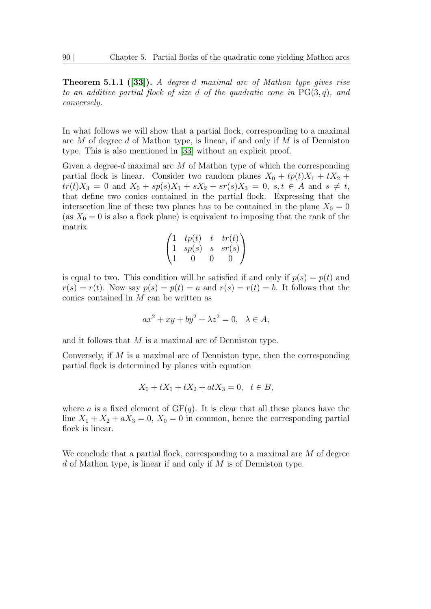Theorem 5.1.1 ([\[33\]](#page-140-1)). A degree-d maximal arc of Mathon type gives rise to an additive partial flock of size d of the quadratic cone in  $PG(3, q)$ , and conversely.

In what follows we will show that a partial flock, corresponding to a maximal arc  $M$  of degree  $d$  of Mathon type, is linear, if and only if  $M$  is of Denniston type. This is also mentioned in [\[33\]](#page-140-1) without an explicit proof.

Given a degree-d maximal arc  $M$  of Mathon type of which the corresponding partial flock is linear. Consider two random planes  $X_0 + tp(t)X_1 + tX_2 +$  $tr(t)X_3 = 0$  and  $X_0 + sp(s)X_1 + sX_2 + sr(s)X_3 = 0$ ,  $s, t \in A$  and  $s \neq t$ , that define two conics contained in the partial flock. Expressing that the intersection line of these two planes has to be contained in the plane  $X_0 = 0$ (as  $X_0 = 0$  is also a flock plane) is equivalent to imposing that the rank of the matrix

$$
\begin{pmatrix}\n1 & tp(t) & t & tr(t) \\
1 & sp(s) & s & sr(s) \\
1 & 0 & 0 & 0\n\end{pmatrix}
$$

is equal to two. This condition will be satisfied if and only if  $p(s) = p(t)$  and  $r(s) = r(t)$ . Now say  $p(s) = p(t) = a$  and  $r(s) = r(t) = b$ . It follows that the conics contained in M can be written as

$$
ax^2 + xy + by^2 + \lambda z^2 = 0, \quad \lambda \in A,
$$

and it follows that M is a maximal arc of Denniston type.

Conversely, if M is a maximal arc of Denniston type, then the corresponding partial flock is determined by planes with equation

$$
X_0 + tX_1 + tX_2 + atX_3 = 0, \quad t \in B,
$$

where a is a fixed element of  $GF(q)$ . It is clear that all these planes have the line  $X_1 + X_2 + aX_3 = 0$ ,  $X_0 = 0$  in common, hence the corresponding partial flock is linear.

We conclude that a partial flock, corresponding to a maximal arc  $M$  of degree d of Mathon type, is linear if and only if  $M$  is of Denniston type.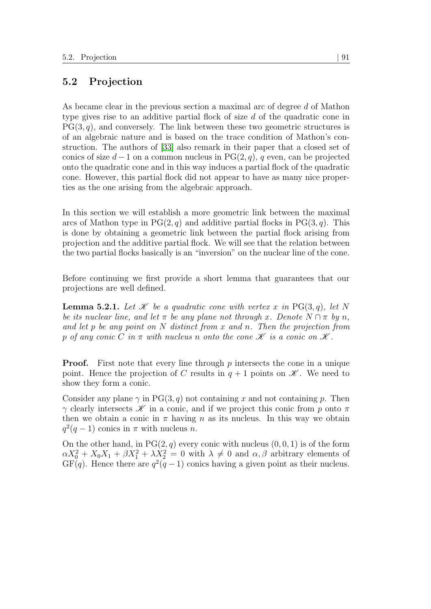## 5.2 Projection

As became clear in the previous section a maximal arc of degree d of Mathon type gives rise to an additive partial flock of size d of the quadratic cone in  $PG(3, q)$ , and conversely. The link between these two geometric structures is of an algebraic nature and is based on the trace condition of Mathon's construction. The authors of [\[33\]](#page-140-1) also remark in their paper that a closed set of conics of size  $d-1$  on a common nucleus in PG(2, q), q even, can be projected onto the quadratic cone and in this way induces a partial flock of the quadratic cone. However, this partial flock did not appear to have as many nice properties as the one arising from the algebraic approach.

In this section we will establish a more geometric link between the maximal arcs of Mathon type in  $PG(2, q)$  and additive partial flocks in  $PG(3, q)$ . This is done by obtaining a geometric link between the partial flock arising from projection and the additive partial flock. We will see that the relation between the two partial flocks basically is an "inversion" on the nuclear line of the cone.

Before continuing we first provide a short lemma that guarantees that our projections are well defined.

**Lemma 5.2.1.** Let  $\mathcal{K}$  be a quadratic cone with vertex x in PG(3, q), let N be its nuclear line, and let  $\pi$  be any plane not through x. Denote  $N \cap \pi$  by n, and let p be any point on N distinct from x and n. Then the projection from p of any conic C in  $\pi$  with nucleus n onto the cone  $\mathscr K$  is a conic on  $\mathscr K$ .

**Proof.** First note that every line through  $p$  intersects the cone in a unique point. Hence the projection of C results in  $q + 1$  points on  $\mathscr K$ . We need to show they form a conic.

Consider any plane  $\gamma$  in PG(3, q) not containing x and not containing p. Then  $γ$  clearly intersects  $\mathscr K$  in a conic, and if we project this conic from p onto π then we obtain a conic in  $\pi$  having n as its nucleus. In this way we obtain  $q^2(q-1)$  conics in  $\pi$  with nucleus n.

On the other hand, in  $PG(2, q)$  every conic with nucleus  $(0, 0, 1)$  is of the form  $\alpha X_0^2 + X_0 X_1 + \beta X_1^2 + \lambda X_2^2 = 0$  with  $\lambda \neq 0$  and  $\alpha, \beta$  arbitrary elements of  $GF(q)$ . Hence there are  $q^2(q-1)$  conics having a given point as their nucleus.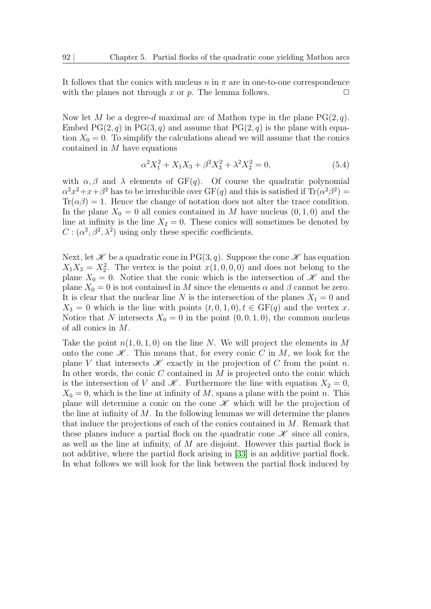It follows that the conics with nucleus  $n \text{ in } \pi$  are in one-to-one correspondence with the planes not through x or p. The lemma follows.  $\Box$ 

Now let M be a degree-d maximal arc of Mathon type in the plane  $PG(2, q)$ . Embed  $PG(2, q)$  in  $PG(3, q)$  and assume that  $PG(2, q)$  is the plane with equation  $X_0 = 0$ . To simplify the calculations ahead we will assume that the conics contained in M have equations

$$
\alpha^2 X_1^2 + X_1 X_3 + \beta^2 X_3^2 + \lambda^2 X_2^2 = 0,\tag{5.4}
$$

with  $\alpha, \beta$  and  $\lambda$  elements of GF(q). Of course the quadratic polynomial  $\alpha^2 x^2 + x + \beta^2$  has to be irreducible over  $GF(q)$  and this is satisfied if  $Tr(\alpha^2 \beta^2)$  =  $Tr(\alpha\beta) = 1$ . Hence the change of notation does not alter the trace condition. In the plane  $X_0 = 0$  all conics contained in M have nucleus  $(0, 1, 0)$  and the line at infinity is the line  $X_2 = 0$ . These conics will sometimes be denoted by  $C:(\alpha^2,\beta^2,\lambda^2)$  using only these specific coefficients.

Next, let X be a quadratic cone in PG(3, q). Suppose the cone X has equation  $X_1X_3 = X_2^2$ . The vertex is the point  $x(1,0,0,0)$  and does not belong to the plane  $X_0 = 0$ . Notice that the conic which is the intersection of  $\mathscr K$  and the plane  $X_0 = 0$  is not contained in M since the elements  $\alpha$  and  $\beta$  cannot be zero. It is clear that the nuclear line N is the intersection of the planes  $X_1 = 0$  and  $X_3 = 0$  which is the line with points  $(t, 0, 1, 0), t \in \text{GF}(q)$  and the vertex x. Notice that N intersects  $X_0 = 0$  in the point  $(0, 0, 1, 0)$ , the common nucleus of all conics in M.

Take the point  $n(1, 0, 1, 0)$  on the line N. We will project the elements in M onto the cone  $\mathscr K$ . This means that, for every conic C in M, we look for the plane V that intersects  $\mathscr K$  exactly in the projection of C from the point n. In other words, the conic  $C$  contained in  $M$  is projected onto the conic which is the intersection of V and  $\mathscr K$ . Furthermore the line with equation  $X_2 = 0$ ,  $X_0 = 0$ , which is the line at infinity of M, spans a plane with the point n. This plane will determine a conic on the cone  $\mathscr K$  which will be the projection of the line at infinity of  $M$ . In the following lemmas we will determine the planes that induce the projections of each of the conics contained in  $M$ . Remark that these planes induce a partial flock on the quadratic cone  $\mathscr K$  since all conics, as well as the line at infinity, of M are disjoint. However this partial flock is not additive, where the partial flock arising in [\[33\]](#page-140-1) is an additive partial flock. In what follows we will look for the link between the partial flock induced by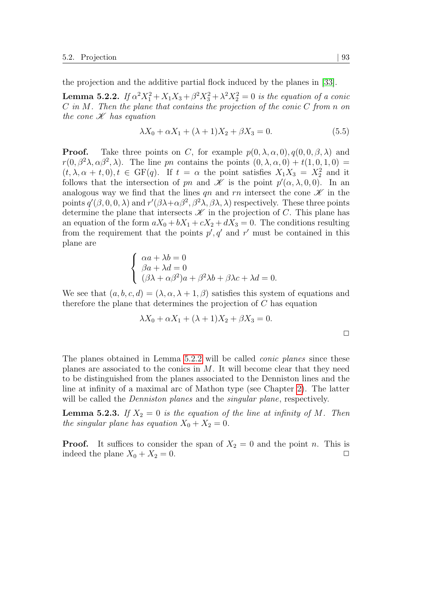the projection and the additive partial flock induced by the planes in [\[33\]](#page-140-1).

<span id="page-102-0"></span>**Lemma 5.2.2.** If  $\alpha^2 X_1^2 + X_1 X_3 + \beta^2 X_3^2 + \lambda^2 X_2^2 = 0$  is the equation of a conic C in M. Then the plane that contains the projection of the conic C from n on the cone  $\mathscr K$  has equation

<span id="page-102-2"></span>
$$
\lambda X_0 + \alpha X_1 + (\lambda + 1)X_2 + \beta X_3 = 0. \tag{5.5}
$$

**Proof.** Take three points on C, for example  $p(0, \lambda, \alpha, 0), q(0, 0, \beta, \lambda)$  and  $r(0, \beta^2 \lambda, \alpha \beta^2, \lambda)$ . The line pn contains the points  $(0, \lambda, \alpha, 0) + t(1, 0, 1, 0) =$  $(t, \lambda, \alpha + t, 0), t \in GF(q)$ . If  $t = \alpha$  the point satisfies  $X_1 X_3 = X_2^2$  and it follows that the intersection of pn and  $\mathscr K$  is the point  $p'(\alpha,\lambda,0,0)$ . In an analogous way we find that the lines qn and rn intersect the cone  $\mathscr K$  in the points  $q'(\beta, 0, 0, \lambda)$  and  $r'(\beta\lambda+\alpha\beta^2, \beta^2\lambda, \beta\lambda, \lambda)$  respectively. These three points determine the plane that intersects  $\mathscr K$  in the projection of C. This plane has an equation of the form  $aX_0 + bX_1 + cX_2 + dX_3 = 0$ . The conditions resulting from the requirement that the points  $p', q'$  and r' must be contained in this plane are

$$
\begin{cases}\n\alpha a + \lambda b = 0 \\
\beta a + \lambda d = 0 \\
(\beta \lambda + \alpha \beta^2)a + \beta^2 \lambda b + \beta \lambda c + \lambda d = 0.\n\end{cases}
$$

We see that  $(a, b, c, d) = (\lambda, \alpha, \lambda + 1, \beta)$  satisfies this system of equations and therefore the plane that determines the projection of C has equation

$$
\lambda X_0 + \alpha X_1 + (\lambda + 1)X_2 + \beta X_3 = 0.
$$

The planes obtained in Lemma [5.2.2](#page-102-0) will be called *conic planes* since these planes are associated to the conics in  $M$ . It will become clear that they need to be distinguished from the planes associated to the Denniston lines and the line at infinity of a maximal arc of Mathon type (see Chapter [2\)](#page-28-0). The latter will be called the *Denniston planes* and the *singular plane*, respectively.

<span id="page-102-1"></span>**Lemma 5.2.3.** If  $X_2 = 0$  is the equation of the line at infinity of M. Then the singular plane has equation  $X_0 + X_2 = 0$ .

**Proof.** It suffices to consider the span of  $X_2 = 0$  and the point n. This is indeed the plane  $X_0 + X_2 = 0$ .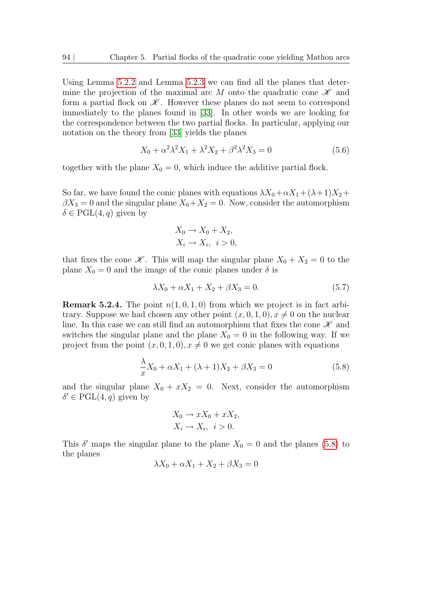Using Lemma [5.2.2](#page-102-0) and Lemma [5.2.3](#page-102-1) we can find all the planes that determine the projection of the maximal arc M onto the quadratic cone  $\mathscr K$  and form a partial flock on  $\mathscr K$ . However these planes do not seem to correspond immediately to the planes found in [\[33\]](#page-140-1). In other words we are looking for the correspondence between the two partial flocks. In particular, applying our notation on the theory from [\[33\]](#page-140-1) yields the planes

$$
X_0 + \alpha^2 \lambda^2 X_1 + \lambda^2 X_2 + \beta^2 \lambda^2 X_3 = 0 \tag{5.6}
$$

together with the plane  $X_0 = 0$ , which induce the additive partial flock.

So far, we have found the conic planes with equations  $\lambda X_0 + \alpha X_1 + (\lambda + 1)X_2 +$  $\beta X_3 = 0$  and the singular plane  $X_0 + X_2 = 0$ . Now, consider the automorphism  $\delta \in \text{PGL}(4,q)$  given by

<span id="page-103-2"></span><span id="page-103-1"></span>
$$
X_0 \to X_0 + X_2,
$$
  

$$
X_i \to X_i, \ i > 0,
$$

that fixes the cone  $\mathscr K$ . This will map the singular plane  $X_0 + X_2 = 0$  to the plane  $X_0 = 0$  and the image of the conic planes under  $\delta$  is

$$
\lambda X_0 + \alpha X_1 + X_2 + \beta X_3 = 0. \tag{5.7}
$$

**Remark 5.2.4.** The point  $n(1, 0, 1, 0)$  from which we project is in fact arbitrary. Suppose we had chosen any other point  $(x, 0, 1, 0), x \neq 0$  on the nuclear line. In this case we can still find an automorphism that fixes the cone  $\mathscr K$  and switches the singular plane and the plane  $X_0 = 0$  in the following way. If we project from the point  $(x, 0, 1, 0), x \neq 0$  we get conic planes with equations

$$
\frac{\lambda}{x}X_0 + \alpha X_1 + (\lambda + 1)X_2 + \beta X_3 = 0
$$
\n(5.8)

and the singular plane  $X_0 + xX_2 = 0$ . Next, consider the automorphism  $\delta' \in \mathrm{PGL}(4,q)$  given by

<span id="page-103-0"></span>
$$
X_0 \to xX_0 + xX_2,
$$
  

$$
X_i \to X_i, \ i > 0.
$$

This  $\delta'$  maps the singular plane to the plane  $X_0 = 0$  and the planes [\(5.8\)](#page-103-0) to the planes

$$
\lambda X_0 + \alpha X_1 + X_2 + \beta X_3 = 0
$$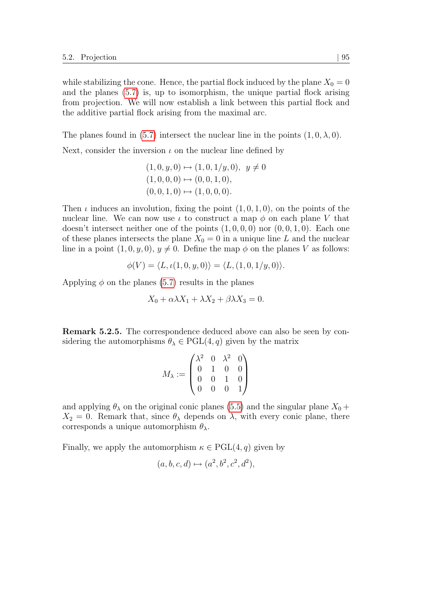while stabilizing the cone. Hence, the partial flock induced by the plane  $X_0 = 0$ and the planes [\(5.7\)](#page-103-1) is, up to isomorphism, the unique partial flock arising from projection. We will now establish a link between this partial flock and the additive partial flock arising from the maximal arc.

The planes found in [\(5.7\)](#page-103-1) intersect the nuclear line in the points  $(1,0,\lambda,0)$ .

Next, consider the inversion  $\iota$  on the nuclear line defined by

$$
(1,0, y, 0) \mapsto (1, 0, 1/y, 0), y \neq 0
$$
  

$$
(1, 0, 0, 0) \mapsto (0, 0, 1, 0),
$$
  

$$
(0, 0, 1, 0) \mapsto (1, 0, 0, 0).
$$

Then  $\iota$  induces an involution, fixing the point  $(1, 0, 1, 0)$ , on the points of the nuclear line. We can now use  $\iota$  to construct a map  $\phi$  on each plane V that doesn't intersect neither one of the points  $(1, 0, 0, 0)$  nor  $(0, 0, 1, 0)$ . Each one of these planes intersects the plane  $X_0 = 0$  in a unique line L and the nuclear line in a point  $(1, 0, y, 0), y \neq 0$ . Define the map  $\phi$  on the planes V as follows:

$$
\phi(V) = \langle L, \iota(1,0,y,0) \rangle = \langle L, (1,0,1/y,0) \rangle.
$$

Applying  $\phi$  on the planes [\(5.7\)](#page-103-1) results in the planes

$$
X_0 + \alpha \lambda X_1 + \lambda X_2 + \beta \lambda X_3 = 0.
$$

Remark 5.2.5. The correspondence deduced above can also be seen by considering the automorphisms  $\theta_{\lambda} \in \text{PGL}(4, q)$  given by the matrix

$$
M_{\lambda} := \begin{pmatrix} \lambda^2 & 0 & \lambda^2 & 0 \\ 0 & 1 & 0 & 0 \\ 0 & 0 & 1 & 0 \\ 0 & 0 & 0 & 1 \end{pmatrix}
$$

and applying  $\theta_{\lambda}$  on the original conic planes [\(5.5\)](#page-102-2) and the singular plane  $X_0 +$  $X_2 = 0$ . Remark that, since  $\theta_{\lambda}$  depends on  $\lambda$ , with every conic plane, there corresponds a unique automorphism  $\theta_{\lambda}$ .

Finally, we apply the automorphism  $\kappa \in \text{PGL}(4,q)$  given by

$$
(a, b, c, d) \mapsto (a^2, b^2, c^2, d^2),
$$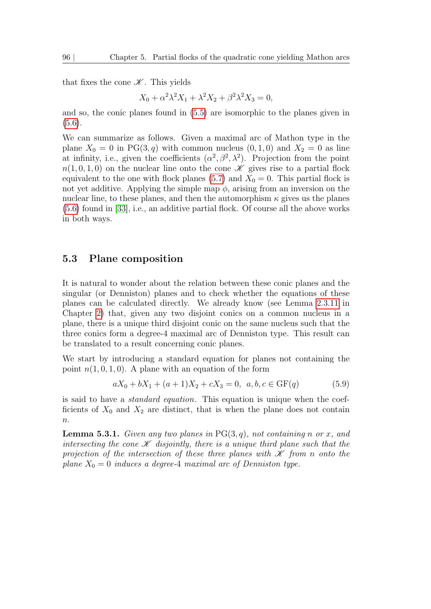that fixes the cone  $\mathscr K$ . This yields

$$
X_0 + \alpha^2 \lambda^2 X_1 + \lambda^2 X_2 + \beta^2 \lambda^2 X_3 = 0,
$$

and so, the conic planes found in [\(5.5\)](#page-102-2) are isomorphic to the planes given in [\(5.6\)](#page-103-2).

We can summarize as follows. Given a maximal arc of Mathon type in the plane  $X_0 = 0$  in PG(3, q) with common nucleus  $(0, 1, 0)$  and  $X_2 = 0$  as line at infinity, i.e., given the coefficients  $(\alpha^2, \beta^2, \lambda^2)$ . Projection from the point  $n(1, 0, 1, 0)$  on the nuclear line onto the cone  $\mathscr K$  gives rise to a partial flock equivalent to the one with flock planes [\(5.7\)](#page-103-1) and  $X_0 = 0$ . This partial flock is not yet additive. Applying the simple map  $\phi$ , arising from an inversion on the nuclear line, to these planes, and then the automorphism  $\kappa$  gives us the planes [\(5.6\)](#page-103-2) found in [\[33\]](#page-140-1), i.e., an additive partial flock. Of course all the above works in both ways.

#### 5.3 Plane composition

It is natural to wonder about the relation between these conic planes and the singular (or Denniston) planes and to check whether the equations of these planes can be calculated directly. We already know (see Lemma [2.3.11](#page-44-0) in Chapter [2\)](#page-28-0) that, given any two disjoint conics on a common nucleus in a plane, there is a unique third disjoint conic on the same nucleus such that the three conics form a degree-4 maximal arc of Denniston type. This result can be translated to a result concerning conic planes.

We start by introducing a standard equation for planes not containing the point  $n(1, 0, 1, 0)$ . A plane with an equation of the form

$$
aX_0 + bX_1 + (a+1)X_2 + cX_3 = 0, \ a, b, c \in GF(q)
$$
\n
$$
(5.9)
$$

is said to have a standard equation. This equation is unique when the coefficients of  $X_0$  and  $X_2$  are distinct, that is when the plane does not contain  $n$ .

<span id="page-105-0"></span>**Lemma 5.3.1.** Given any two planes in  $PG(3,q)$ , not containing n or x, and intersecting the cone  $\mathscr K$  disjointly, there is a unique third plane such that the projection of the intersection of these three planes with  $\mathscr K$  from n onto the plane  $X_0 = 0$  induces a degree-4 maximal arc of Denniston type.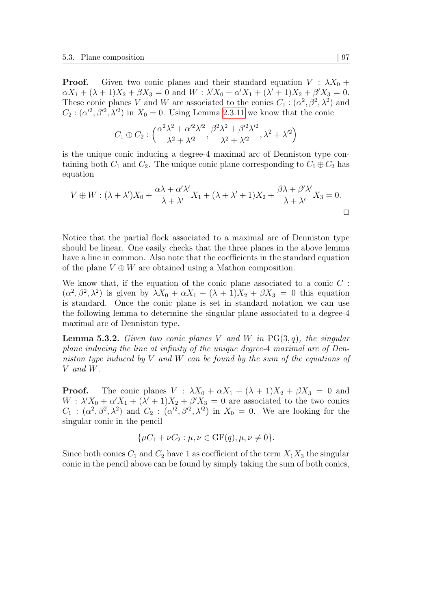**Proof.** Given two conic planes and their standard equation  $V : \lambda X_0 +$  $\alpha X_1 + (\lambda + 1)X_2 + \beta X_3 = 0$  and  $W : \lambda' X_0 + \alpha' X_1 + (\lambda' + 1)X_2 + \beta' X_3 = 0$ . These conic planes V and W are associated to the conics  $C_1 : (\alpha^2, \beta^2, \lambda^2)$  and  $C_2: (\alpha^2, \beta^2, \lambda^2)$  in  $X_0 = 0$ . Using Lemma [2.3.11](#page-44-0) we know that the conic

$$
C_1 \oplus C_2 : \left(\frac{\alpha^2 \lambda^2 + \alpha'^2 \lambda'^2}{\lambda^2 + \lambda'^2}, \frac{\beta^2 \lambda^2 + \beta'^2 \lambda'^2}{\lambda^2 + \lambda'^2}, \lambda^2 + \lambda'^2\right)
$$

is the unique conic inducing a degree-4 maximal arc of Denniston type containing both  $C_1$  and  $C_2$ . The unique conic plane corresponding to  $C_1 \oplus C_2$  has equation

$$
V \oplus W : (\lambda + \lambda')X_0 + \frac{\alpha \lambda + \alpha' \lambda'}{\lambda + \lambda'} X_1 + (\lambda + \lambda' + 1)X_2 + \frac{\beta \lambda + \beta' \lambda'}{\lambda + \lambda'} X_3 = 0.
$$

Notice that the partial flock associated to a maximal arc of Denniston type should be linear. One easily checks that the three planes in the above lemma have a line in common. Also note that the coefficients in the standard equation of the plane  $V \oplus W$  are obtained using a Mathon composition.

We know that, if the equation of the conic plane associated to a conic  $C$ :  $(\alpha^2, \beta^2, \lambda^2)$  is given by  $\lambda X_0 + \alpha X_1 + (\lambda + 1)X_2 + \beta X_3 = 0$  this equation is standard. Once the conic plane is set in standard notation we can use the following lemma to determine the singular plane associated to a degree-4 maximal arc of Denniston type.

<span id="page-106-0"></span>**Lemma 5.3.2.** Given two conic planes V and W in  $PG(3,q)$ , the singular plane inducing the line at infinity of the unique degree-4 maximal arc of Denniston type induced by V and W can be found by the sum of the equations of V and W.

**Proof.** The conic planes  $V : \lambda X_0 + \alpha X_1 + (\lambda + 1)X_2 + \beta X_3 = 0$  and  $W: \lambda'X_0 + \alpha'X_1 + (\lambda' + 1)X_2 + \beta'X_3 = 0$  are associated to the two conics  $C_1$ :  $(\alpha^2, \beta^2, \lambda^2)$  and  $C_2$ :  $(\alpha'^2, \beta'^2, \lambda'^2)$  in  $X_0 = 0$ . We are looking for the singular conic in the pencil

$$
\{\mu C_1 + \nu C_2 : \mu, \nu \in \text{GF}(q), \mu, \nu \neq 0\}.
$$

Since both conics  $C_1$  and  $C_2$  have 1 as coefficient of the term  $X_1X_3$  the singular conic in the pencil above can be found by simply taking the sum of both conics,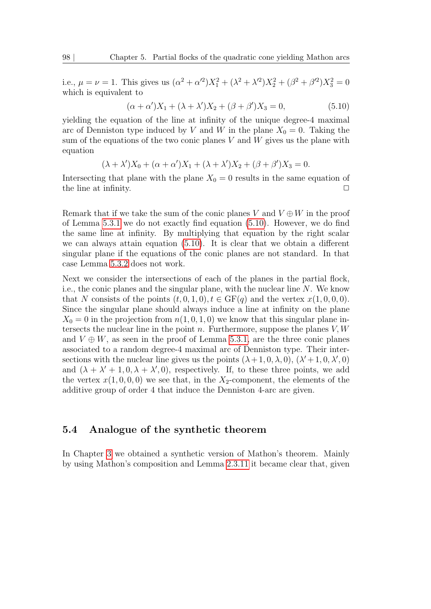i.e.,  $\mu = \nu = 1$ . This gives us  $(\alpha^2 + \alpha'^2)X_1^2 + (\lambda^2 + \lambda'^2)X_2^2 + (\beta^2 + \beta'^2)X_3^2 = 0$ which is equivalent to

<span id="page-107-0"></span>
$$
(\alpha + \alpha')X_1 + (\lambda + \lambda')X_2 + (\beta + \beta')X_3 = 0,
$$
\n(5.10)

yielding the equation of the line at infinity of the unique degree-4 maximal arc of Denniston type induced by V and W in the plane  $X_0 = 0$ . Taking the sum of the equations of the two conic planes  $V$  and  $W$  gives us the plane with equation

$$
(\lambda + \lambda')X_0 + (\alpha + \alpha')X_1 + (\lambda + \lambda')X_2 + (\beta + \beta')X_3 = 0.
$$

Intersecting that plane with the plane  $X_0 = 0$  results in the same equation of the line at infinity.  $\Box$ 

Remark that if we take the sum of the conic planes V and  $V \oplus W$  in the proof of Lemma [5.3.1](#page-105-0) we do not exactly find equation [\(5.10\)](#page-107-0). However, we do find the same line at infinity. By multiplying that equation by the right scalar we can always attain equation [\(5.10\)](#page-107-0). It is clear that we obtain a different singular plane if the equations of the conic planes are not standard. In that case Lemma [5.3.2](#page-106-0) does not work.

Next we consider the intersections of each of the planes in the partial flock, i.e., the conic planes and the singular plane, with the nuclear line N. We know that N consists of the points  $(t, 0, 1, 0), t \in \text{GF}(q)$  and the vertex  $x(1, 0, 0, 0)$ . Since the singular plane should always induce a line at infinity on the plane  $X_0 = 0$  in the projection from  $n(1, 0, 1, 0)$  we know that this singular plane intersects the nuclear line in the point n. Furthermore, suppose the planes  $V, W$ and  $V \oplus W$ , as seen in the proof of Lemma [5.3.1,](#page-105-0) are the three conic planes associated to a random degree-4 maximal arc of Denniston type. Their intersections with the nuclear line gives us the points  $(\lambda + 1, 0, \lambda, 0), (\lambda' + 1, 0, \lambda', 0)$ and  $(\lambda + \lambda' + 1, 0, \lambda + \lambda', 0)$ , respectively. If, to these three points, we add the vertex  $x(1, 0, 0, 0)$  we see that, in the  $X_2$ -component, the elements of the additive group of order 4 that induce the Denniston 4-arc are given.

#### 5.4 Analogue of the synthetic theorem

In Chapter [3](#page-46-0) we obtained a synthetic version of Mathon's theorem. Mainly by using Mathon's composition and Lemma [2.3.11](#page-44-0) it became clear that, given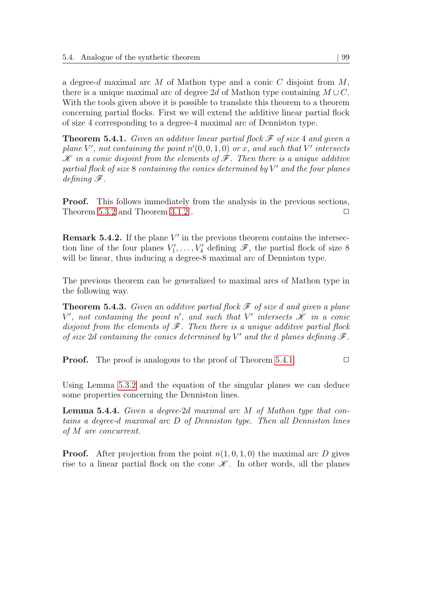a degree-d maximal arc M of Mathon type and a conic C disjoint from M, there is a unique maximal arc of degree 2d of Mathon type containing  $M\cup C$ . With the tools given above it is possible to translate this theorem to a theorem concerning partial flocks. First we will extend the additive linear partial flock of size 4 corresponding to a degree-4 maximal arc of Denniston type.

<span id="page-108-0"></span>**Theorem 5.4.1.** Given an additive linear partial flock  $\mathscr F$  of size 4 and given a plane V', not containing the point  $n'(0,0,1,0)$  or x, and such that V' intersects  $\mathscr K$  in a conic disjoint from the elements of  $\mathscr F$ . Then there is a unique additive partial flock of size  $8$  containing the conics determined by  $V'$  and the four planes defining  $\mathscr{F}$ .

**Proof.** This follows immediately from the analysis in the previous sections, Theorem [5.3.2](#page-106-0) and Theorem [3.1.2](#page-47-0).

<span id="page-108-2"></span>**Remark 5.4.2.** If the plane  $V'$  in the previous theorem contains the intersection line of the four planes  $V'_1, \ldots, V'_4$  defining  $\mathscr{F}$ , the partial flock of size 8 will be linear, thus inducing a degree-8 maximal arc of Denniston type.

The previous theorem can be generalized to maximal arcs of Mathon type in the following way.

<span id="page-108-1"></span>**Theorem 5.4.3.** Given an additive partial flock  $\mathcal F$  of size d and given a plane  $V'$ , not containing the point n', and such that  $V'$  intersects  $\mathscr K$  in a conic disjoint from the elements of  $\mathscr F$ . Then there is a unique additive partial flock of size 2d containing the conics determined by  $V'$  and the d planes defining  $\mathscr F$ .

**Proof.** The proof is analogous to the proof of Theorem [5.4.1.](#page-108-0)  $\Box$ 

Using Lemma [5.3.2](#page-106-0) and the equation of the singular planes we can deduce some properties concerning the Denniston lines.

<span id="page-108-3"></span>Lemma 5.4.4. Given a degree-2d maximal arc M of Mathon type that contains a degree-d maximal arc D of Denniston type. Then all Denniston lines of M are concurrent.

**Proof.** After projection from the point  $n(1, 0, 1, 0)$  the maximal arc D gives rise to a linear partial flock on the cone  $\mathscr K$ . In other words, all the planes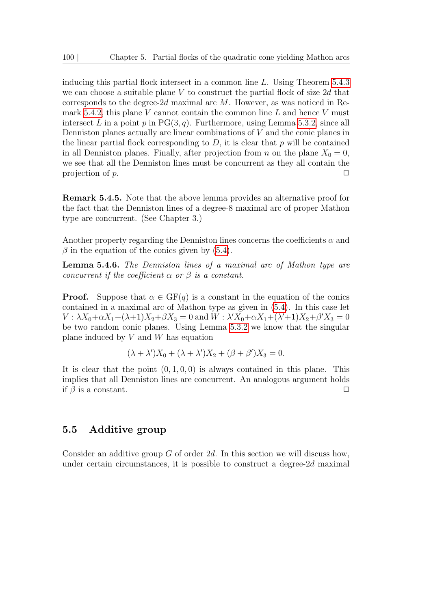inducing this partial flock intersect in a common line L. Using Theorem [5.4.3](#page-108-1) we can choose a suitable plane  $V$  to construct the partial flock of size 2d that corresponds to the degree-2d maximal arc M. However, as was noticed in Re-mark [5.4.2,](#page-108-2) this plane V cannot contain the common line L and hence V must intersect L in a point p in  $PG(3, q)$ . Furthermore, using Lemma [5.3.2,](#page-106-0) since all Denniston planes actually are linear combinations of V and the conic planes in the linear partial flock corresponding to  $D$ , it is clear that  $p$  will be contained in all Denniston planes. Finally, after projection from n on the plane  $X_0 = 0$ , we see that all the Denniston lines must be concurrent as they all contain the projection of p.  $\Box$ 

Remark 5.4.5. Note that the above lemma provides an alternative proof for the fact that the Denniston lines of a degree-8 maximal arc of proper Mathon type are concurrent. (See Chapter 3.)

Another property regarding the Denniston lines concerns the coefficients  $\alpha$  and  $\beta$  in the equation of the conics given by [\(5.4\)](#page-101-0).

<span id="page-109-0"></span>Lemma 5.4.6. The Denniston lines of a maximal arc of Mathon type are concurrent if the coefficient  $\alpha$  or  $\beta$  is a constant.

**Proof.** Suppose that  $\alpha \in \text{GF}(q)$  is a constant in the equation of the conics contained in a maximal arc of Mathon type as given in [\(5.4\)](#page-101-0). In this case let  $V : \lambda X_0 + \alpha X_1 + (\lambda + 1)X_2 + \beta X_3 = 0$  and  $W : \lambda' X_0 + \alpha X_1 + (\lambda' + 1)X_2 + \beta' X_3 = 0$ be two random conic planes. Using Lemma [5.3.2](#page-106-0) we know that the singular plane induced by  $V$  and  $W$  has equation

$$
(\lambda + \lambda')X_0 + (\lambda + \lambda')X_2 + (\beta + \beta')X_3 = 0.
$$

It is clear that the point  $(0, 1, 0, 0)$  is always contained in this plane. This implies that all Denniston lines are concurrent. An analogous argument holds if  $\beta$  is a constant.  $\Box$ 

#### <span id="page-109-1"></span>5.5 Additive group

Consider an additive group G of order  $2d$ . In this section we will discuss how, under certain circumstances, it is possible to construct a degree- $2d$  maximal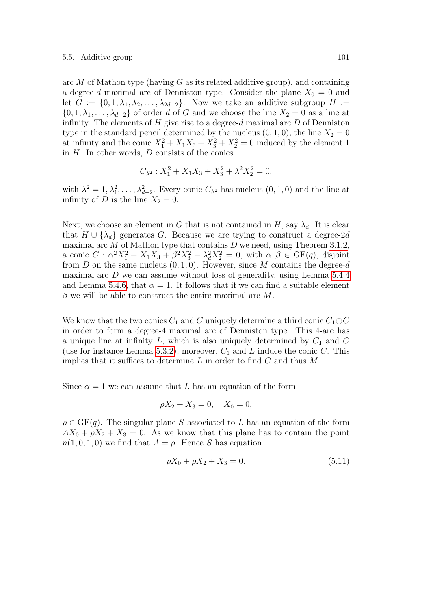arc  $M$  of Mathon type (having  $G$  as its related additive group), and containing a degree-d maximal arc of Denniston type. Consider the plane  $X_0 = 0$  and let  $G := \{0, 1, \lambda_1, \lambda_2, \ldots, \lambda_{2d-2}\}.$  Now we take an additive subgroup  $H :=$  $\{0, 1, \lambda_1, \ldots, \lambda_{d-2}\}\$  of order d of G and we choose the line  $X_2 = 0$  as a line at infinity. The elements of  $H$  give rise to a degree- $d$  maximal arc  $D$  of Denniston type in the standard pencil determined by the nucleus  $(0, 1, 0)$ , the line  $X_2 = 0$ at infinity and the conic  $X_1^2 + X_1X_3 + X_3^2 + X_2^2 = 0$  induced by the element 1 in  $H$ . In other words,  $D$  consists of the conics

$$
C_{\lambda^2}: X_1^2 + X_1X_3 + X_3^2 + \lambda^2 X_2^2 = 0,
$$

with  $\lambda^2 = 1, \lambda_1^2, \ldots, \lambda_{d-2}^2$ . Every conic  $C_{\lambda^2}$  has nucleus  $(0, 1, 0)$  and the line at infinity of D is the line  $X_2 = 0$ .

Next, we choose an element in G that is not contained in H, say  $\lambda_d$ . It is clear that  $H \cup {\lambda_d}$  generates G. Because we are trying to construct a degree-2d maximal arc  $M$  of Mathon type that contains  $D$  we need, using Theorem [3.1.2,](#page-47-0) a conic  $C: \alpha^2 X_1^2 + X_1 X_3 + \beta^2 X_3^2 + \lambda_d^2 X_2^2 = 0$ , with  $\alpha, \beta \in \text{GF}(q)$ , disjoint from D on the same nucleus  $(0, 1, 0)$ . However, since M contains the degree-d maximal arc D we can assume without loss of generality, using Lemma [5.4.4](#page-108-3) and Lemma [5.4.6,](#page-109-0) that  $\alpha = 1$ . It follows that if we can find a suitable element  $\beta$  we will be able to construct the entire maximal arc M.

We know that the two conics  $C_1$  and C uniquely determine a third conic  $C_1 \oplus C$ in order to form a degree-4 maximal arc of Denniston type. This 4-arc has a unique line at infinity  $L$ , which is also uniquely determined by  $C_1$  and  $C$ (use for instance Lemma [5.3.2\)](#page-106-0), moreover,  $C_1$  and L induce the conic C. This implies that it suffices to determine L in order to find  $C$  and thus  $M$ .

Since  $\alpha = 1$  we can assume that L has an equation of the form

$$
\rho X_2 + X_3 = 0, \quad X_0 = 0,
$$

 $\rho \in \mathrm{GF}(q)$ . The singular plane S associated to L has an equation of the form  $AX_0 + \rho X_2 + X_3 = 0$ . As we know that this plane has to contain the point  $n(1, 0, 1, 0)$  we find that  $A = \rho$ . Hence S has equation

<span id="page-110-0"></span>
$$
\rho X_0 + \rho X_2 + X_3 = 0. \tag{5.11}
$$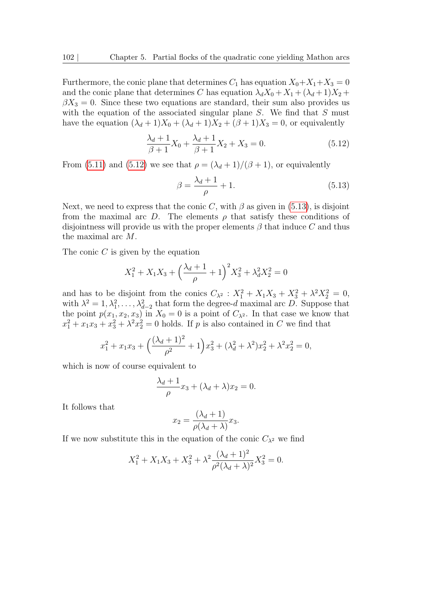Furthermore, the conic plane that determines  $C_1$  has equation  $X_0+X_1+X_3=0$ and the conic plane that determines C has equation  $\lambda_d X_0 + X_1 + (\lambda_d + 1)X_2 +$  $\beta X_3 = 0$ . Since these two equations are standard, their sum also provides us with the equation of the associated singular plane  $S$ . We find that  $S$  must have the equation  $(\lambda_d + 1)X_0 + (\lambda_d + 1)X_2 + (\beta + 1)X_3 = 0$ , or equivalently

$$
\frac{\lambda_d + 1}{\beta + 1} X_0 + \frac{\lambda_d + 1}{\beta + 1} X_2 + X_3 = 0.
$$
 (5.12)

From [\(5.11\)](#page-110-0) and [\(5.12\)](#page-111-0) we see that  $\rho = (\lambda_d + 1)/(\beta + 1)$ , or equivalently

<span id="page-111-1"></span><span id="page-111-0"></span>
$$
\beta = \frac{\lambda_d + 1}{\rho} + 1. \tag{5.13}
$$

Next, we need to express that the conic C, with  $\beta$  as given in [\(5.13\)](#page-111-1), is disjoint from the maximal arc D. The elements  $\rho$  that satisfy these conditions of disjointness will provide us with the proper elements  $\beta$  that induce C and thus the maximal arc M.

The conic  $C$  is given by the equation

$$
X_1^2 + X_1 X_3 + \left(\frac{\lambda_d + 1}{\rho} + 1\right)^2 X_3^2 + \lambda_d^2 X_2^2 = 0
$$

and has to be disjoint from the conics  $C_{\lambda^2}$  :  $X_1^2 + X_1X_3 + X_3^2 + \lambda^2 X_2^2 = 0$ , with  $\lambda^2 = 1, \lambda_1^2, \ldots, \lambda_{d-2}^2$  that form the degree-d maximal arc D. Suppose that the point  $p(x_1, x_2, x_3)$  in  $X_0 = 0$  is a point of  $C_{\lambda^2}$ . In that case we know that  $x_1^2 + x_1x_3 + x_3^2 + \lambda^2 x_2^2 = 0$  holds. If p is also contained in C we find that

$$
x_1^2 + x_1 x_3 + \left(\frac{(\lambda_d + 1)^2}{\rho^2} + 1\right) x_3^2 + (\lambda_d^2 + \lambda^2) x_2^2 + \lambda^2 x_2^2 = 0,
$$

which is now of course equivalent to

$$
\frac{\lambda_d + 1}{\rho} x_3 + (\lambda_d + \lambda) x_2 = 0.
$$

It follows that

$$
x_2 = \frac{(\lambda_d + 1)}{\rho(\lambda_d + \lambda)} x_3.
$$

If we now substitute this in the equation of the conic  $C_{\lambda^2}$  we find

$$
X_1^2 + X_1 X_3 + X_3^2 + \lambda^2 \frac{(\lambda_d + 1)^2}{\rho^2 (\lambda_d + \lambda)^2} X_3^2 = 0.
$$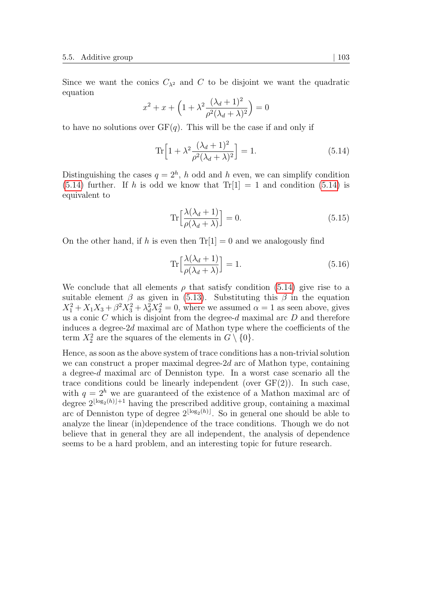Since we want the conics  $C_{\lambda^2}$  and C to be disjoint we want the quadratic equation

$$
x^{2} + x + \left(1 + \lambda^{2} \frac{(\lambda_{d} + 1)^{2}}{\rho^{2}(\lambda_{d} + \lambda)^{2}}\right) = 0
$$

to have no solutions over  $GF(q)$ . This will be the case if and only if

$$
\operatorname{Tr}\left[1+\lambda^2 \frac{(\lambda_d+1)^2}{\rho^2(\lambda_d+\lambda)^2}\right] = 1.
$$
\n(5.14)

Distinguishing the cases  $q = 2<sup>h</sup>$ , h odd and h even, we can simplify condition  $(5.14)$  further. If h is odd we know that  $Tr[1] = 1$  and condition  $(5.14)$  is equivalent to

<span id="page-112-0"></span>
$$
\operatorname{Tr}\left[\frac{\lambda(\lambda_d+1)}{\rho(\lambda_d+\lambda)}\right] = 0.\tag{5.15}
$$

On the other hand, if h is even then  $Tr[1] = 0$  and we analogously find

$$
\operatorname{Tr}\left[\frac{\lambda(\lambda_d+1)}{\rho(\lambda_d+\lambda)}\right] = 1.
$$
\n(5.16)

We conclude that all elements  $\rho$  that satisfy condition [\(5.14\)](#page-112-0) give rise to a suitable element  $\beta$  as given in [\(5.13\)](#page-111-1). Substituting this  $\beta$  in the equation  $X_1^2 + X_1X_3 + \beta^2 X_3^2 + \lambda_d^2 X_2^2 = 0$ , where we assumed  $\alpha = 1$  as seen above, gives us a conic  $C$  which is disjoint from the degree- $d$  maximal arc  $D$  and therefore induces a degree-2d maximal arc of Mathon type where the coefficients of the term  $X_2^2$  are the squares of the elements in  $G \setminus \{0\}.$ 

Hence, as soon as the above system of trace conditions has a non-trivial solution we can construct a proper maximal degree- $2d$  arc of Mathon type, containing a degree-d maximal arc of Denniston type. In a worst case scenario all the trace conditions could be linearly independent (over  $GF(2)$ ). In such case, with  $q = 2<sup>h</sup>$  we are guaranteed of the existence of a Mathon maximal arc of degree  $2^{\lfloor \log_2(h) \rfloor + 1}$  having the prescribed additive group, containing a maximal arc of Denniston type of degree  $2^{\lfloor \log_2(h) \rfloor}$ . So in general one should be able to analyze the linear (in)dependence of the trace conditions. Though we do not believe that in general they are all independent, the analysis of dependence seems to be a hard problem, and an interesting topic for future research.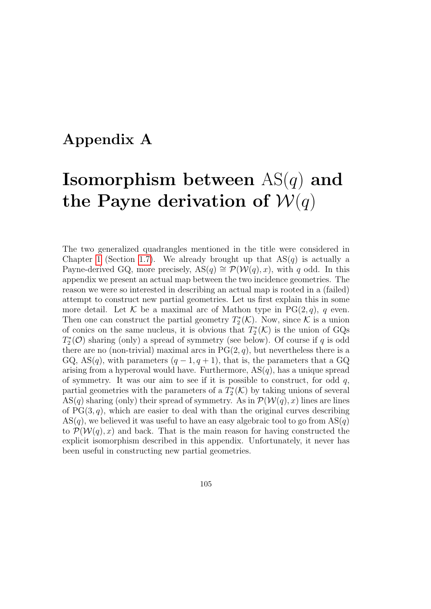## Appendix A

# **Isomorphism between**  $AS(q)$  and the Payne derivation of  $W(q)$

The two generalized quadrangles mentioned in the title were considered in Chapter [1](#page-10-0) (Section [1.7\)](#page-21-0). We already brought up that  $AS(q)$  is actually a Payne-derived GQ, more precisely,  $AS(q) \cong \mathcal{P}(\mathcal{W}(q), x)$ , with q odd. In this appendix we present an actual map between the two incidence geometries. The reason we were so interested in describing an actual map is rooted in a (failed) attempt to construct new partial geometries. Let us first explain this in some more detail. Let K be a maximal arc of Mathon type in  $PG(2,q)$ , q even. Then one can construct the partial geometry  $T_2^*(\mathcal{K})$ . Now, since  $\mathcal K$  is a union of conics on the same nucleus, it is obvious that  $T_2^*(\mathcal{K})$  is the union of GQs  $T_2^*(\mathcal{O})$  sharing (only) a spread of symmetry (see below). Of course if q is odd there are no (non-trivial) maximal arcs in  $PG(2, q)$ , but nevertheless there is a GQ, AS(q), with parameters  $(q-1, q+1)$ , that is, the parameters that a GQ arising from a hyperoval would have. Furthermore,  $AS(q)$ , has a unique spread of symmetry. It was our aim to see if it is possible to construct, for odd  $q$ , partial geometries with the parameters of a  $T_2^*(\mathcal{K})$  by taking unions of several  $AS(q)$  sharing (only) their spread of symmetry. As in  $\mathcal{P}(\mathcal{W}(q),x)$  lines are lines of  $PG(3, q)$ , which are easier to deal with than the original curves describing  $AS(q)$ , we believed it was useful to have an easy algebraic tool to go from  $AS(q)$ to  $\mathcal{P}(\mathcal{W}(q),x)$  and back. That is the main reason for having constructed the explicit isomorphism described in this appendix. Unfortunately, it never has been useful in constructing new partial geometries.

105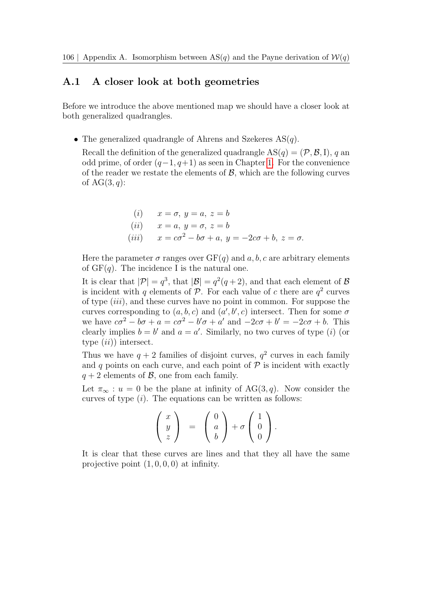#### A.1 A closer look at both geometries

Before we introduce the above mentioned map we should have a closer look at both generalized quadrangles.

• The generalized quadrangle of Ahrens and Szekeres  $AS(q)$ .

Recall the definition of the generalized quadrangle  $AS(q) = (\mathcal{P}, \mathcal{B}, I), q$  and odd prime, of order  $(q-1, q+1)$  as seen in Chapter [1.](#page-10-0) For the convenience of the reader we restate the elements of  $\mathcal{B}$ , which are the following curves of  $AG(3,q)$ :

(i) 
$$
x = \sigma
$$
,  $y = a$ ,  $z = b$   
\n(ii)  $x = a$ ,  $y = \sigma$ ,  $z = b$   
\n(iii)  $x = c\sigma^2 - b\sigma + a$ ,  $y = -2c\sigma + b$ ,  $z = \sigma$ .

Here the parameter  $\sigma$  ranges over  $GF(q)$  and a, b, c are arbitrary elements of  $GF(q)$ . The incidence I is the natural one.

It is clear that  $|\mathcal{P}| = q^3$ , that  $|\mathcal{B}| = q^2(q+2)$ , and that each element of  $\mathcal{B}$ is incident with q elements of  $P$ . For each value of c there are  $q^2$  curves of type  $(iii)$ , and these curves have no point in common. For suppose the curves corresponding to  $(a, b, c)$  and  $(a', b', c)$  intersect. Then for some  $\sigma$ we have  $c\sigma^2 - b\sigma + a = c\sigma^2 - b'\sigma + a'$  and  $-2c\sigma + b' = -2c\sigma + b$ . This clearly implies  $b = b'$  and  $a = a'$ . Similarly, no two curves of type (i) (or type  $(ii)$  intersect.

Thus we have  $q + 2$  families of disjoint curves,  $q^2$  curves in each family and q points on each curve, and each point of  $P$  is incident with exactly  $q + 2$  elements of  $\beta$ , one from each family.

Let  $\pi_{\infty}: u = 0$  be the plane at infinity of AG(3, q). Now consider the curves of type  $(i)$ . The equations can be written as follows:

$$
\begin{pmatrix} x \\ y \\ z \end{pmatrix} = \begin{pmatrix} 0 \\ a \\ b \end{pmatrix} + \sigma \begin{pmatrix} 1 \\ 0 \\ 0 \end{pmatrix}.
$$

It is clear that these curves are lines and that they all have the same projective point  $(1, 0, 0, 0)$  at infinity.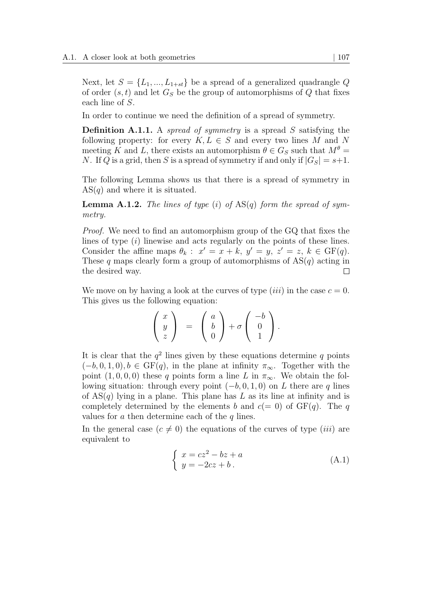<span id="page-116-1"></span>Next, let  $S = \{L_1, ..., L_{1+st}\}\$ be a spread of a generalized quadrangle Q of order  $(s, t)$  and let  $G<sub>S</sub>$  be the group of automorphisms of Q that fixes each line of S.

In order to continue we need the definition of a spread of symmetry.

**Definition A.1.1.** A *spread of symmetry* is a spread  $S$  satisfying the following property: for every  $K, L \in S$  and every two lines M and N meeting K and L, there exists an automorphism  $\theta \in G_S$  such that  $M^{\theta} =$ N. If Q is a grid, then S is a spread of symmetry if and only if  $|G_S| = s+1$ .

The following Lemma shows us that there is a spread of symmetry in  $AS(q)$  and where it is situated.

**Lemma A.1.2.** The lines of type (i) of  $AS(q)$  form the spread of symmetry.

Proof. We need to find an automorphism group of the GQ that fixes the lines of type  $(i)$  linewise and acts regularly on the points of these lines. Consider the affine maps  $\theta_k$ :  $x' = x + k$ ,  $y' = y$ ,  $z' = z$ ,  $k \in \text{GF}(q)$ . These q maps clearly form a group of automorphisms of  $AS(q)$  acting in the desired way.  $\Box$ 

We move on by having a look at the curves of type  $(iii)$  in the case  $c = 0$ . This gives us the following equation:

$$
\begin{pmatrix} x \\ y \\ z \end{pmatrix} = \begin{pmatrix} a \\ b \\ 0 \end{pmatrix} + \sigma \begin{pmatrix} -b \\ 0 \\ 1 \end{pmatrix}.
$$

It is clear that the  $q^2$  lines given by these equations determine q points  $(-b, 0, 1, 0), b \in GF(q)$ , in the plane at infinity  $\pi_{\infty}$ . Together with the point  $(1, 0, 0, 0)$  these q points form a line L in  $\pi_{\infty}$ . We obtain the following situation: through every point  $(-b, 0, 1, 0)$  on L there are q lines of  $AS(q)$  lying in a plane. This plane has L as its line at infinity and is completely determined by the elements b and  $c(= 0)$  of  $GF(q)$ . The q values for  $a$  then determine each of the  $q$  lines.

In the general case  $(c \neq 0)$  the equations of the curves of type *(iii)* are equivalent to

<span id="page-116-0"></span>
$$
\begin{cases}\nx = cz^2 - bz + a \\
y = -2cz + b.\n\end{cases}
$$
\n(A.1)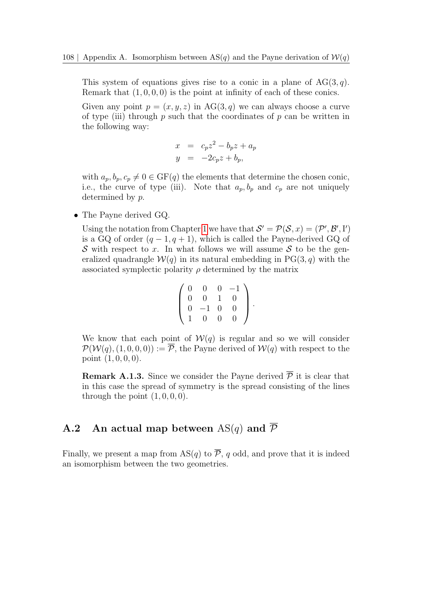This system of equations gives rise to a conic in a plane of  $AG(3, q)$ . Remark that  $(1, 0, 0, 0)$  is the point at infinity of each of these conics.

Given any point  $p = (x, y, z)$  in AG(3, q) we can always choose a curve of type (iii) through  $p$  such that the coordinates of  $p$  can be written in the following way:

$$
x = c_p z^2 - b_p z + a_p
$$
  

$$
y = -2c_p z + b_p,
$$

with  $a_p, b_p, c_p \neq 0 \in \text{GF}(q)$  the elements that determine the chosen conic, i.e., the curve of type (iii). Note that  $a_p, b_p$  and  $c_p$  are not uniquely determined by p.

• The Payne derived GQ.

Using the notation from Chapter [1](#page-10-0) we have that  $\mathcal{S}' = \mathcal{P}(\mathcal{S}, x) = (\mathcal{P}', \mathcal{B}', I')$ is a GQ of order  $(q - 1, q + 1)$ , which is called the Payne-derived GQ of S with respect to x. In what follows we will assume S to be the generalized quadrangle  $W(q)$  in its natural embedding in PG(3, q) with the associated symplectic polarity  $\rho$  determined by the matrix

$$
\left(\begin{array}{cccc} 0 & 0 & 0 & -1 \\ 0 & 0 & 1 & 0 \\ 0 & -1 & 0 & 0 \\ 1 & 0 & 0 & 0 \end{array}\right).
$$

We know that each point of  $W(q)$  is regular and so we will consider  $\mathcal{P}(\mathcal{W}(q), (1, 0, 0, 0)) := \overline{\mathcal{P}},$  the Payne derived of  $\mathcal{W}(q)$  with respect to the point  $(1, 0, 0, 0)$ .

**Remark A.1.3.** Since we consider the Payne derived  $\overline{P}$  it is clear that in this case the spread of symmetry is the spread consisting of the lines through the point  $(1, 0, 0, 0)$ .

### A.2 An actual map between  $AS(q)$  and  $\overline{P}$

Finally, we present a map from AS(q) to  $\overline{P}$ , q odd, and prove that it is indeed an isomorphism between the two geometries.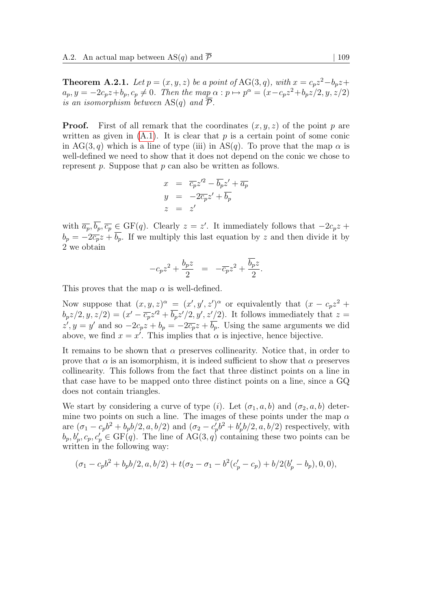**Theorem A.2.1.** Let  $p = (x, y, z)$  be a point of AG(3, q), with  $x = c_p z^2 - b_p z + c_p z$  $a_p, y = -2c_pz + b_p, c_p \neq 0$ . Then the map  $\alpha : p \mapsto p^{\alpha} = (x - c_pz^2 + b_pz/2, y, z/2)$ is an isomorphism between  $AS(q)$  and  $\overline{P}$ .

**Proof.** First of all remark that the coordinates  $(x, y, z)$  of the point p are written as given in  $(A.1)$ . It is clear that p is a certain point of some conic in AG(3, q) which is a line of type (iii) in AS(q). To prove that the map  $\alpha$  is well-defined we need to show that it does not depend on the conic we chose to represent p. Suppose that p can also be written as follows.

$$
x = \overline{c_p}z^2 - \overline{b_p}z' + \overline{a_p}
$$
  
\n
$$
y = -2\overline{c_p}z' + \overline{b_p}
$$
  
\n
$$
z = z'
$$

with  $\overline{a_p}, \overline{b_p}, \overline{c_p} \in \text{GF}(q)$ . Clearly  $z = z'$ . It immediately follows that  $-2c_p z + c_p z'$  $b_p = -2\overline{c_p}z + \overline{b_p}$ . If we multiply this last equation by z and then divide it by 2 we obtain

$$
-c_p z^2 + \frac{b_p z}{2} = -\overline{c_p} z^2 + \frac{\overline{b_p} z}{2}.
$$

This proves that the map  $\alpha$  is well-defined.

Now suppose that  $(x, y, z)^{\alpha} = (x', y', z')^{\alpha}$  or equivalently that  $(x - c_p z^2 +$  $b_p z/2, y, z/2 = (x' - \overline{c_p}z'^2 + \overline{b_p}z'/2, y', z'/2)$ . It follows immediately that  $z =$  $z', y = y'$  and so  $-2c_p z + b_p = -2\overline{c_p}z + \overline{b_p}$ . Using the same arguments we did above, we find  $x = x<sup>j</sup>$ . This implies that  $\alpha$  is injective, hence bijective.

It remains to be shown that  $\alpha$  preserves collinearity. Notice that, in order to prove that  $\alpha$  is an isomorphism, it is indeed sufficient to show that  $\alpha$  preserves collinearity. This follows from the fact that three distinct points on a line in that case have to be mapped onto three distinct points on a line, since a GQ does not contain triangles.

We start by considering a curve of type (i). Let  $(\sigma_1, a, b)$  and  $(\sigma_2, a, b)$  determine two points on such a line. The images of these points under the map  $\alpha$ are  $(\sigma_1 - c_p b^2 + b_p b/2, a, b/2)$  and  $(\sigma_2 - c'_p b^2 + b'_p b/2, a, b/2)$  respectively, with  $b_p, b'_p, c_p, c'_p \in \text{GF}(q)$ . The line of  $\text{AG}(3, q)$  containing these two points can be written in the following way:

$$
(\sigma_1 - c_p b^2 + b_p b/2, a, b/2) + t(\sigma_2 - \sigma_1 - b^2 (c'_p - c_p) + b/2(b'_p - b_p), 0, 0),
$$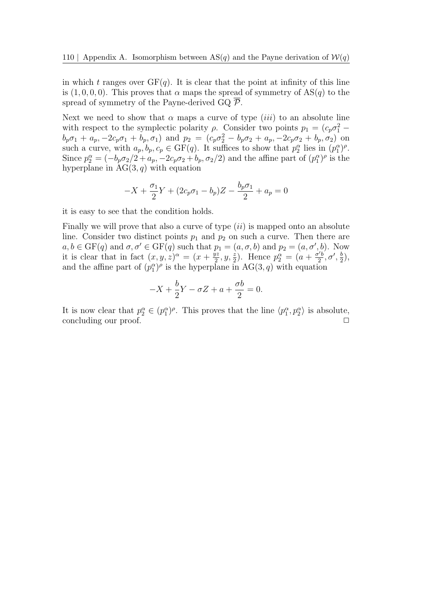in which t ranges over  $GF(q)$ . It is clear that the point at infinity of this line is  $(1, 0, 0, 0)$ . This proves that  $\alpha$  maps the spread of symmetry of AS(q) to the spread of symmetry of the Payne-derived GQ  $\overline{\mathcal{P}}$ .

Next we need to show that  $\alpha$  maps a curve of type *(iii)* to an absolute line with respect to the symplectic polarity  $\rho$ . Consider two points  $p_1 = (c_p \sigma_1^2$  $b_p \sigma_1 + a_p, -2c_p \sigma_1 + b_p, \sigma_1$  and  $p_2 = (c_p \sigma_2^2 - b_p \sigma_2 + a_p, -2c_p \sigma_2 + b_p, \sigma_2)$  on such a curve, with  $a_p, b_p, c_p \in \mathrm{GF}(q)$ . It suffices to show that  $p_2^{\alpha}$  lies in  $(p_1^{\alpha})^{\rho}$ . Since  $p_2^{\alpha} = (-b_p \sigma_2/2 + a_p, -2c_p \sigma_2 + b_p, \sigma_2/2)$  and the affine part of  $(p_1^{\alpha})^{\rho}$  is the hyperplane in  $AG(3, q)$  with equation

$$
-X + \frac{\sigma_1}{2}Y + (2c_p\sigma_1 - b_p)Z - \frac{b_p\sigma_1}{2} + a_p = 0
$$

it is easy to see that the condition holds.

Finally we will prove that also a curve of type  $(ii)$  is mapped onto an absolute line. Consider two distinct points  $p_1$  and  $p_2$  on such a curve. Then there are  $a, b \in \text{GF}(q)$  and  $\sigma, \sigma' \in \text{GF}(q)$  such that  $p_1 = (a, \sigma, b)$  and  $p_2 = (a, \sigma', b)$ . Now it is clear that in fact  $(x, y, z)^{\alpha} = (x + \frac{yz}{2})^{\alpha}$  $(\frac{yz}{2}, y, \frac{z}{2})$ . Hence  $p_2^{\alpha} = (a + \frac{\sigma' b}{2})$  $\frac{\sigma' b}{2}, \sigma', \frac{b}{2}$  $\frac{b}{2}$ , and the affine part of  $(p_1^{\alpha})^{\rho}$  is the hyperplane in AG(3, q) with equation

$$
-X + \frac{b}{2}Y - \sigma Z + a + \frac{\sigma b}{2} = 0.
$$

It is now clear that  $p_2^{\alpha} \in (p_1^{\alpha})^{\rho}$ . This proves that the line  $\langle p_1^{\alpha}, p_2^{\alpha} \rangle$  is absolute, concluding our proof.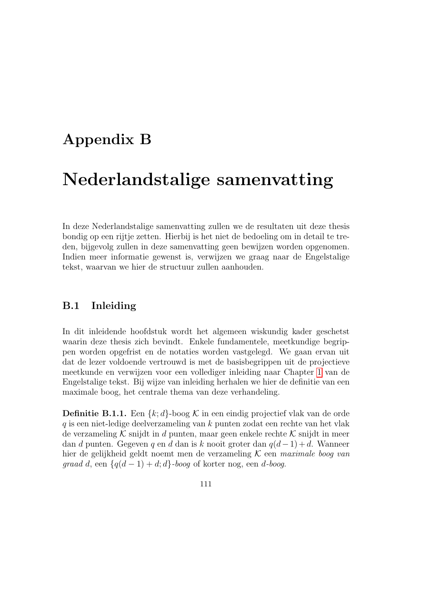## Appendix B

## Nederlandstalige samenvatting

In deze Nederlandstalige samenvatting zullen we de resultaten uit deze thesis bondig op een rijtje zetten. Hierbij is het niet de bedoeling om in detail te treden, bijgevolg zullen in deze samenvatting geen bewijzen worden opgenomen. Indien meer informatie gewenst is, verwijzen we graag naar de Engelstalige tekst, waarvan we hier de structuur zullen aanhouden.

### B.1 Inleiding

In dit inleidende hoofdstuk wordt het algemeen wiskundig kader geschetst waarin deze thesis zich bevindt. Enkele fundamentele, meetkundige begrippen worden opgefrist en de notaties worden vastgelegd. We gaan ervan uit dat de lezer voldoende vertrouwd is met de basisbegrippen uit de projectieve meetkunde en verwijzen voor een vollediger inleiding naar Chapter [1](#page-10-0) van de Engelstalige tekst. Bij wijze van inleiding herhalen we hier de definitie van een maximale boog, het centrale thema van deze verhandeling.

**Definitie B.1.1.** Een  $\{k; d\}$ -boog K in een eindig projectief vlak van de orde  $q$  is een niet-ledige deelverzameling van  $k$  punten zodat een rechte van het vlak de verzameling  $K$  snijdt in d punten, maar geen enkele rechte  $K$  snijdt in meer dan d punten. Gegeven q en d dan is k nooit groter dan  $q(d-1) + d$ . Wanneer hier de gelijkheid geldt noemt men de verzameling K een maximale boog van qraad d, een  $\{q(d-1)+d; d\}$ -boog of korter nog, een d-boog.

111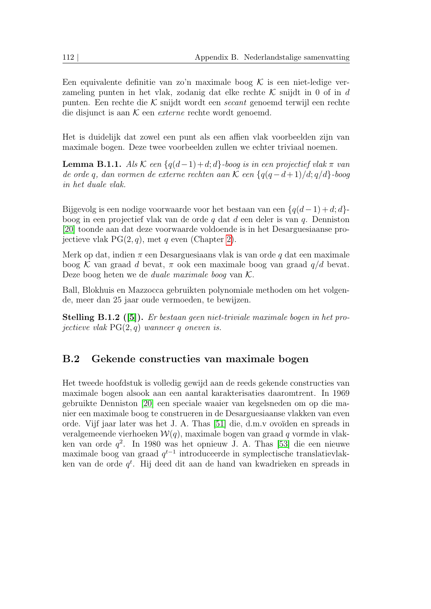<span id="page-121-1"></span>Een equivalente definitie van zo'n maximale boog  $\mathcal K$  is een niet-ledige verzameling punten in het vlak, zodanig dat elke rechte  $\mathcal K$  snijdt in 0 of in d punten. Een rechte die  $K$  snijdt wordt een *secant* genoemd terwijl een rechte die disjunct is aan  $K$  een *externe* rechte wordt genoemd.

Het is duidelijk dat zowel een punt als een affien vlak voorbeelden zijn van maximale bogen. Deze twee voorbeelden zullen we echter triviaal noemen.

**Lemma B.1.1.** Als K een  $\{q(d-1)+d; d\}$ -boog is in een projectief vlak  $\pi$  van de orde q, dan vormen de externe rechten aan K een  $\{q(q-d+1)/d; q/d\}$ -boog in het duale vlak.

Bijgevolg is een nodige voorwaarde voor het bestaan van een  $\{q(d-1)+d; d\}$ boog in een projectief vlak van de orde  $q$  dat  $d$  een deler is van  $q$ . Denniston [\[20\]](#page-139-0) toonde aan dat deze voorwaarde voldoende is in het Desarguesiaanse projectieve vlak  $PG(2, q)$ , met q even (Chapter [2\)](#page-28-0).

Merk op dat, indien  $\pi$  een Desarguesiaans vlak is van orde q dat een maximale boog K van graad d bevat,  $\pi$  ook een maximale boog van graad  $q/d$  bevat. Deze boog heten we de duale maximale boog van K.

Ball, Blokhuis en Mazzocca gebruikten polynomiale methoden om het volgende, meer dan 25 jaar oude vermoeden, te bewijzen.

Stelling B.1.2 ([\[5\]](#page-138-0)). Er bestaan geen niet-triviale maximale bogen in het projectieve vlak  $PG(2,q)$  wanneer q oneven is.

#### <span id="page-121-0"></span>B.2 Gekende constructies van maximale bogen

Het tweede hoofdstuk is volledig gewijd aan de reeds gekende constructies van maximale bogen alsook aan een aantal karakterisaties daaromtrent. In 1969 gebruikte Denniston [\[20\]](#page-139-0) een speciale waaier van kegelsneden om op die manier een maximale boog te construeren in de Desarguesiaanse vlakken van even orde. Vijf jaar later was het J. A. Thas [\[51\]](#page-142-0) die, d.m.v ovoïden en spreads in veralgemeende vierhoeken  $W(q)$ , maximale bogen van graad q vormde in vlakken van orde  $q^2$ . In 1980 was het opnieuw J. A. Thas [\[53\]](#page-142-1) die een nieuwe maximale boog van graad  $q^{t-1}$  introduceerde in symplectische translatievlakken van de orde  $q^t$ . Hij deed dit aan de hand van kwadrieken en spreads in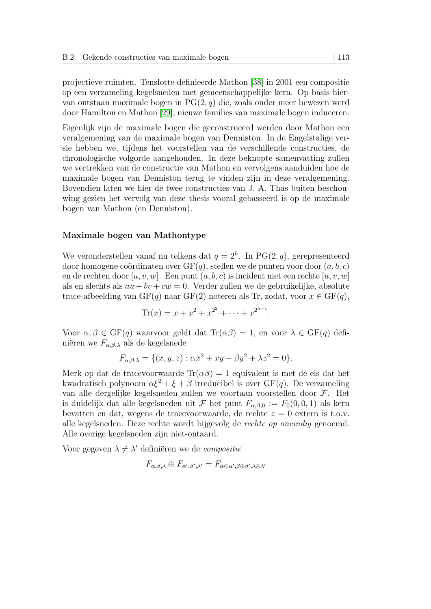<span id="page-122-0"></span>projectieve ruimten. Tenslotte definieerde Mathon [\[38\]](#page-141-0) in 2001 een compositie op een verzameling kegelsneden met gemeenschappelijke kern. Op basis hiervan ontstaan maximale bogen in PG(2, q) die, zoals onder meer bewezen werd door Hamilton en Mathon [\[29\]](#page-140-0), nieuwe families van maximale bogen induceren.

Eigenlijk zijn de maximale bogen die geconstrueerd werden door Mathon een veralgemening van de maximale bogen van Denniston. In de Engelstalige versie hebben we, tijdens het voorstellen van de verschillende constructies, de chronologische volgorde aangehouden. In deze beknopte samenvatting zullen we vertrekken van de constructie van Mathon en vervolgens aanduiden hoe de maximale bogen van Denniston terug te vinden zijn in deze veralgemening. Bovendien laten we hier de twee constructies van J. A. Thas buiten beschouwing gezien het vervolg van deze thesis vooral gebasseerd is op de maximale bogen van Mathon (en Denniston).

#### Maximale bogen van Mathontype

We veronderstellen vanaf nu telkens dat  $q = 2<sup>h</sup>$ . In PG(2, q), gerepresenteerd door homogene coördinaten over  $GF(q)$ , stellen we de punten voor door  $(a, b, c)$ en de rechten door [u, v, w]. Een punt  $(a, b, c)$  is incident met een rechte [u, v, w] als en slechts als  $au + bv + cw = 0$ . Verder zullen we de gebruikelijke, absolute trace-afbeelding van  $GF(q)$  naar  $GF(2)$  noteren als Tr, zodat, voor  $x \in GF(q)$ ,

$$
\operatorname{Tr}(x) = x + x^2 + x^{2^2} + \dots + x^{2^{h-1}}.
$$

Voor  $\alpha, \beta \in \mathrm{GF}(q)$  waarvoor geldt dat  $\mathrm{Tr}(\alpha \beta) = 1$ , en voor  $\lambda \in \mathrm{GF}(q)$  definiëren we  $F_{\alpha,\beta,\lambda}$  als de kegelsnede

$$
F_{\alpha,\beta,\lambda} = \{(x, y, z) : \alpha x^2 + xy + \beta y^2 + \lambda z^2 = 0\}.
$$

Merk op dat de tracevoorwaarde Tr $(\alpha\beta) = 1$  equivalent is met de eis dat het kwadratisch polynoom  $\alpha \xi^2 + \xi + \beta$  irreducibel is over  $GF(q)$ . De verzameling van alle dergelijke kegelsneden zullen we voortaan voorstellen door F. Het is duidelijk dat alle kegelsneden uit F het punt  $F_{\alpha,\beta,0} := F_0(0,0,1)$  als kern bevatten en dat, wegens de tracevoorwaarde, de rechte  $z = 0$  extern is t.o.v. alle kegelsneden. Deze rechte wordt bijgevolg de rechte op oneindig genoemd. Alle overige kegelsneden zijn niet-ontaard.

Voor gegeven  $\lambda \neq \lambda'$  definiëren we de *compositie* 

$$
F_{\alpha,\beta,\lambda} \oplus F_{\alpha',\beta',\lambda'} = F_{\alpha \oplus \alpha',\beta \oplus \beta',\lambda \oplus \lambda'}
$$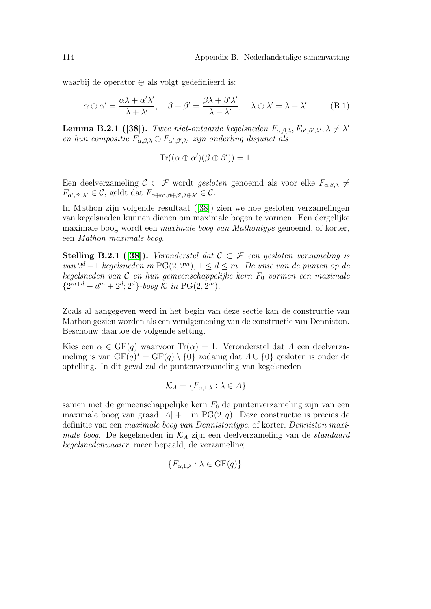<span id="page-123-1"></span>waarbij de operator  $\oplus$  als volgt gedefiniëerd is:

$$
\alpha \oplus \alpha' = \frac{\alpha \lambda + \alpha' \lambda'}{\lambda + \lambda'}, \quad \beta + \beta' = \frac{\beta \lambda + \beta' \lambda'}{\lambda + \lambda'}, \quad \lambda \oplus \lambda' = \lambda + \lambda'.
$$
 (B.1)

<span id="page-123-0"></span>**Lemma B.2.1** ([\[38\]](#page-141-0)). Twee niet-ontaarde kegelsneden  $F_{\alpha,\beta,\lambda}, F_{\alpha',\beta',\lambda'}, \lambda \neq \lambda'$ en hun compositie  $F_{\alpha,\beta,\lambda} \oplus F_{\alpha',\beta',\lambda'}$  zijn onderling disjunct als

$$
\text{Tr}((\alpha \oplus \alpha')(\beta \oplus \beta')) = 1.
$$

Een deelverzameling  $\mathcal{C} \subset \mathcal{F}$  wordt *gesloten* genoemd als voor elke  $F_{\alpha,\beta,\lambda} \neq$  $F_{\alpha',\beta',\lambda'} \in \mathcal{C}$ , geldt dat  $F_{\alpha \oplus \alpha',\beta \oplus \beta',\lambda \oplus \lambda'} \in \mathcal{C}$ .

In Mathon zijn volgende resultaat([\[38\]](#page-141-0)) zien we hoe gesloten verzamelingen van kegelsneden kunnen dienen om maximale bogen te vormen. Een dergelijke maximale boog wordt een maximale boog van Mathontype genoemd, of korter, een Mathon maximale boog.

**Stelling B.2.1** ([\[38\]](#page-141-0)). Veronderstel dat  $C \subset \mathcal{F}$  een gesloten verzameling is van  $2^d - 1$  kegelsneden in PG $(2, 2^m)$ ,  $1 \leq d \leq m$ . De unie van de punten op de kegelsneden van  $\mathcal C$  en hun gemeenschappelijke kern  $F_0$  vormen een maximale  $\{2^{m+d} - d^m + 2^d; 2^d\}$ -boog K in PG(2,2<sup>m</sup>).

Zoals al aangegeven werd in het begin van deze sectie kan de constructie van Mathon gezien worden als een veralgemening van de constructie van Denniston. Beschouw daartoe de volgende setting.

Kies een  $\alpha \in \text{GF}(q)$  waarvoor  $\text{Tr}(\alpha) = 1$ . Veronderstel dat A een deelverzameling is van  $GF(q)^* = GF(q) \setminus \{0\}$  zodanig dat  $A \cup \{0\}$  gesloten is onder de optelling. In dit geval zal de puntenverzameling van kegelsneden

$$
\mathcal{K}_A = \{F_{\alpha,1,\lambda} : \lambda \in A\}
$$

samen met de gemeenschappelijke kern  $F_0$  de puntenverzameling zijn van een maximale boog van graad  $|A| + 1$  in PG(2, q). Deze constructie is precies de definitie van een maximale boog van Dennistontype, of korter, Denniston maximale boog. De kegelsneden in  $\mathcal{K}_A$  zijn een deelverzameling van de standaard kegelsnedenwaaier, meer bepaald, de verzameling

$$
\{F_{\alpha,1,\lambda} : \lambda \in \mathrm{GF}(q)\}.
$$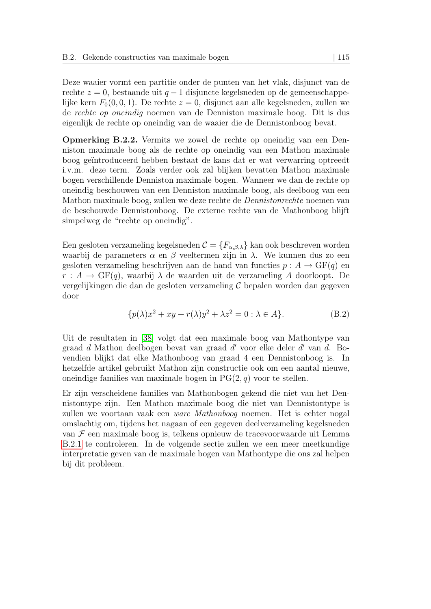<span id="page-124-0"></span>Deze waaier vormt een partitie onder de punten van het vlak, disjunct van de rechte  $z = 0$ , bestaande uit  $q - 1$  disjuncte kegelsneden op de gemeenschappelijke kern  $F_0(0, 0, 1)$ . De rechte  $z = 0$ , disjunct aan alle kegelsneden, zullen we de rechte op oneindig noemen van de Denniston maximale boog. Dit is dus eigenlijk de rechte op oneindig van de waaier die de Dennistonboog bevat.

Opmerking B.2.2. Vermits we zowel de rechte op oneindig van een Denniston maximale boog als de rechte op oneindig van een Mathon maximale boog ge¨ıntroduceerd hebben bestaat de kans dat er wat verwarring optreedt i.v.m. deze term. Zoals verder ook zal blijken bevatten Mathon maximale bogen verschillende Denniston maximale bogen. Wanneer we dan de rechte op oneindig beschouwen van een Denniston maximale boog, als deelboog van een Mathon maximale boog, zullen we deze rechte de Dennistonrechte noemen van de beschouwde Dennistonboog. De externe rechte van de Mathonboog blijft simpelweg de "rechte op oneindig".

Een gesloten verzameling kegelsneden  $\mathcal{C} = \{F_{\alpha,\beta,\lambda}\}\$ kan ook beschreven worden waarbij de parameters  $\alpha$  en  $\beta$  veeltermen zijn in  $\lambda$ . We kunnen dus zo een gesloten verzameling beschrijven aan de hand van functies  $p : A \to GF(q)$  en  $r : A \to GF(q)$ , waarbij  $\lambda$  de waarden uit de verzameling A doorloopt. De vergelijkingen die dan de gesloten verzameling C bepalen worden dan gegeven door

$$
\{p(\lambda)x^2 + xy + r(\lambda)y^2 + \lambda z^2 = 0 : \lambda \in A\}.
$$
 (B.2)

Uit de resultaten in [\[38\]](#page-141-0) volgt dat een maximale boog van Mathontype van graad  $d$  Mathon deelbogen bevat van graad  $d'$  voor elke deler  $d'$  van  $d$ . Bovendien blijkt dat elke Mathonboog van graad 4 een Dennistonboog is. In hetzelfde artikel gebruikt Mathon zijn constructie ook om een aantal nieuwe, oneindige families van maximale bogen in  $PG(2, q)$  voor te stellen.

Er zijn verscheidene families van Mathonbogen gekend die niet van het Dennistontype zijn. Een Mathon maximale boog die niet van Dennistontype is zullen we voortaan vaak een ware Mathonboog noemen. Het is echter nogal omslachtig om, tijdens het nagaan of een gegeven deelverzameling kegelsneden van F een maximale boog is, telkens opnieuw de tracevoorwaarde uit Lemma [B.2.1](#page-123-0) te controleren. In de volgende sectie zullen we een meer meetkundige interpretatie geven van de maximale bogen van Mathontype die ons zal helpen bij dit probleem.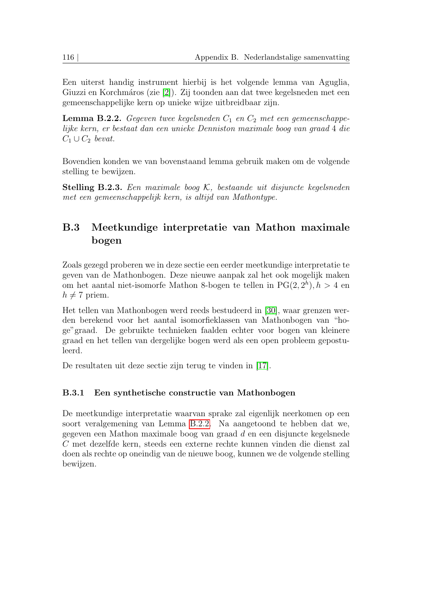<span id="page-125-1"></span>Een uiterst handig instrument hierbij is het volgende lemma van Aguglia, Giuzzi en Korchmáros (zie [\[2\]](#page-138-1)). Zij toonden aan dat twee kegelsneden met een gemeenschappelijke kern op unieke wijze uitbreidbaar zijn.

<span id="page-125-0"></span>**Lemma B.2.2.** Gegeven twee kegelsneden  $C_1$  en  $C_2$  met een gemeenschappelijke kern, er bestaat dan een unieke Denniston maximale boog van graad 4 die  $C_1 \cup C_2$  bevat.

Bovendien konden we van bovenstaand lemma gebruik maken om de volgende stelling te bewijzen.

Stelling B.2.3. Een maximale boog  $K$ , bestaande uit disjuncte kegelsneden met een gemeenschappelijk kern, is altijd van Mathontype.

## B.3 Meetkundige interpretatie van Mathon maximale bogen

Zoals gezegd proberen we in deze sectie een eerder meetkundige interpretatie te geven van de Mathonbogen. Deze nieuwe aanpak zal het ook mogelijk maken om het aantal niet-isomorfe Mathon 8-bogen te tellen in  $PG(2, 2<sup>h</sup>), h > 4$  en  $h \neq 7$  priem.

Het tellen van Mathonbogen werd reeds bestudeerd in [\[30\]](#page-140-1), waar grenzen werden berekend voor het aantal isomorfieklassen van Mathonbogen van "hoge"graad. De gebruikte technieken faalden echter voor bogen van kleinere graad en het tellen van dergelijke bogen werd als een open probleem gepostuleerd.

De resultaten uit deze sectie zijn terug te vinden in [\[17\]](#page-139-1).

#### B.3.1 Een synthetische constructie van Mathonbogen

De meetkundige interpretatie waarvan sprake zal eigenlijk neerkomen op een soort veralgemening van Lemma [B.2.2.](#page-125-0) Na aangetoond te hebben dat we, gegeven een Mathon maximale boog van graad d en een disjuncte kegelsnede C met dezelfde kern, steeds een externe rechte kunnen vinden die dienst zal doen als rechte op oneindig van de nieuwe boog, kunnen we de volgende stelling bewijzen.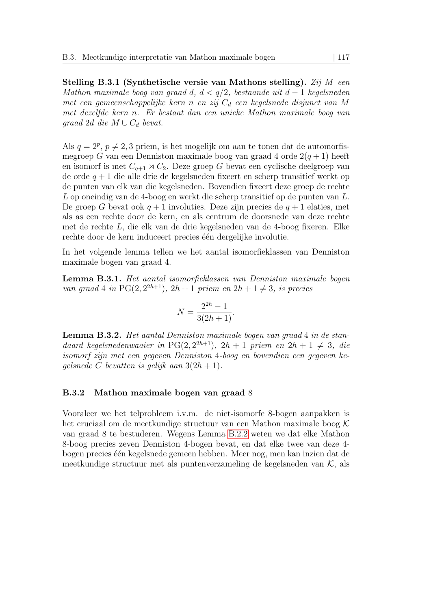Stelling B.3.1 (Synthetische versie van Mathons stelling). Zij M een Mathon maximale boog van graad d,  $d < q/2$ , bestaande uit  $d-1$  kegelsneden met een gemeenschappelijke kern n en zij  $C_d$  een kegelsnede disjunct van M met dezelfde kern n. Er bestaat dan een unieke Mathon maximale boog van qraad 2d die M ∪  $C_d$  bevat.

Als  $q = 2^p$ ,  $p \neq 2, 3$  priem, is het mogelijk om aan te tonen dat de automorfismegroep G van een Denniston maximale boog van graad 4 orde  $2(q+1)$  heeft en isomorf is met  $C_{q+1} \rtimes C_2$ . Deze groep G bevat een cyclische deelgroep van de orde  $q + 1$  die alle drie de kegelsneden fixeert en scherp transitief werkt op de punten van elk van die kegelsneden. Bovendien fixeert deze groep de rechte L op oneindig van de 4-boog en werkt die scherp transitief op de punten van L. De groep G bevat ook  $q + 1$  involuties. Deze zijn precies de  $q + 1$  elaties, met als as een rechte door de kern, en als centrum de doorsnede van deze rechte met de rechte L, die elk van de drie kegelsneden van de 4-boog fixeren. Elke rechte door de kern induceert precies één dergelijke involutie.

In het volgende lemma tellen we het aantal isomorfieklassen van Denniston maximale bogen van graad 4.

Lemma B.3.1. Het aantal isomorfieklassen van Denniston maximale bogen van graad 4 in  $PG(2, 2^{2h+1}), 2h+1$  priem en  $2h+1 \neq 3$ , is precies

$$
N = \frac{2^{2h} - 1}{3(2h + 1)}.
$$

Lemma B.3.2. Het aantal Denniston maximale bogen van graad 4 in de standaard kegelsnedenwaaier in PG(2,  $2^{2h+1}$ ),  $2h + 1$  priem en  $2h + 1 \neq 3$ , die isomorf zijn met een gegeven Denniston 4-boog en bovendien een gegeven kegelsnede C bevatten is gelijk aan  $3(2h+1)$ .

#### B.3.2 Mathon maximale bogen van graad 8

Vooraleer we het telprobleem i.v.m. de niet-isomorfe 8-bogen aanpakken is het cruciaal om de meetkundige structuur van een Mathon maximale boog K van graad 8 te bestuderen. Wegens Lemma [B.2.2](#page-125-0) weten we dat elke Mathon 8-boog precies zeven Denniston 4-bogen bevat, en dat elke twee van deze 4 bogen precies ´e´en kegelsnede gemeen hebben. Meer nog, men kan inzien dat de meetkundige structuur met als puntenverzameling de kegelsneden van  $K$ , als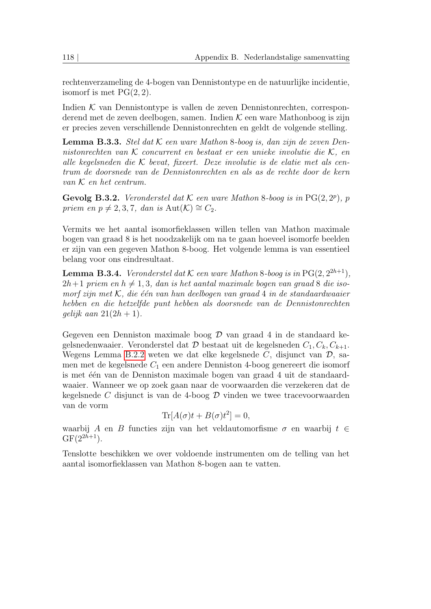rechtenverzameling de 4-bogen van Dennistontype en de natuurlijke incidentie, isomorf is met  $PG(2, 2)$ .

Indien  $K$  van Dennistontype is vallen de zeven Dennistonrechten, corresponderend met de zeven deelbogen, samen. Indien  $K$  een ware Mathonboog is zijn er precies zeven verschillende Dennistonrechten en geldt de volgende stelling.

**Lemma B.3.3.** Stel dat  $K$  een ware Mathon 8-boog is, dan zijn de zeven Dennistonrechten van K concurrent en bestaat er een unieke involutie die K, en alle kegelsneden die  $K$  bevat, fixeert. Deze involutie is de elatie met als centrum de doorsnede van de Dennistonrechten en als as de rechte door de kern van K en het centrum.

<span id="page-127-1"></span>Gevolg B.3.2. Veronderstel dat  $K$  een ware Mathon 8-boog is in PG(2, 2<sup>p</sup>), p priem en  $p \neq 2, 3, 7$ , dan is Aut $(\mathcal{K}) \cong C_2$ .

Vermits we het aantal isomorfieklassen willen tellen van Mathon maximale bogen van graad 8 is het noodzakelijk om na te gaan hoeveel isomorfe beelden er zijn van een gegeven Mathon 8-boog. Het volgende lemma is van essentieel belang voor ons eindresultaat.

**Lemma B.3.4.** Veronderstel dat K een ware Mathon 8-boog is in  $PG(2, 2^{2h+1})$ ,  $2h+1$  priem en  $h \neq 1, 3$ , dan is het aantal maximale bogen van graad 8 die isomorf zijn met  $K$ , die één van hun deelbogen van graad 4 in de standaardwaaier hebben en die hetzelfde punt hebben als doorsnede van de Dennistonrechten qelijk aan  $21(2h+1)$ .

Gegeven een Denniston maximale boog  $\mathcal D$  van graad 4 in de standaard kegelsnedenwaaier. Veronderstel dat  $\mathcal D$  bestaat uit de kegelsneden  $C_1, C_k, C_{k+1}$ . Wegens Lemma [B.2.2](#page-125-0) weten we dat elke kegelsnede C, disjunct van  $\mathcal{D}$ , samen met de kegelsnede  $C_1$  een andere Denniston 4-boog genereert die isomorf is met één van de Denniston maximale bogen van graad 4 uit de standaardwaaier. Wanneer we op zoek gaan naar de voorwaarden die verzekeren dat de kegelsnede C disjunct is van de 4-boog D vinden we twee tracevoorwaarden van de vorm

$$
\text{Tr}[A(\sigma)t + B(\sigma)t^2] = 0,
$$

waarbij A en B functies zijn van het veldautomorfisme  $\sigma$  en waarbij  $t \in$  $GF(2^{2h+1})$ .

<span id="page-127-0"></span>Tenslotte beschikken we over voldoende instrumenten om de telling van het aantal isomorfieklassen van Mathon 8-bogen aan te vatten.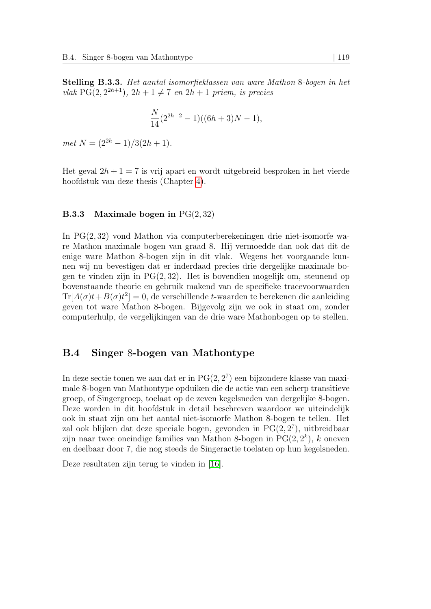<span id="page-128-0"></span>Stelling B.3.3. Het aantal isomorfieklassen van ware Mathon 8-bogen in het vlak  $PG(2, 2^{2h+1}), 2h+1 \neq 7$  en  $2h+1$  priem, is precies

$$
\frac{N}{14}(2^{2h-2}-1)((6h+3)N-1),
$$

met  $N = (2^{2h} - 1)/3(2h + 1)$ .

Het geval  $2h + 1 = 7$  is vrij apart en wordt uitgebreid besproken in het vierde hoofdstuk van deze thesis (Chapter [4\)](#page-72-0).

#### B.3.3 Maximale bogen in PG(2, 32)

In PG(2, 32) vond Mathon via computerberekeningen drie niet-isomorfe ware Mathon maximale bogen van graad 8. Hij vermoedde dan ook dat dit de enige ware Mathon 8-bogen zijn in dit vlak. Wegens het voorgaande kunnen wij nu bevestigen dat er inderdaad precies drie dergelijke maximale bogen te vinden zijn in PG(2, 32). Het is bovendien mogelijk om, steunend op bovenstaande theorie en gebruik makend van de specifieke tracevoorwaarden  $Tr[A(\sigma)t+B(\sigma)t^2]=0$ , de verschillende t-waarden te berekenen die aanleiding geven tot ware Mathon 8-bogen. Bijgevolg zijn we ook in staat om, zonder computerhulp, de vergelijkingen van de drie ware Mathonbogen op te stellen.

#### B.4 Singer 8-bogen van Mathontype

In deze sectie tonen we aan dat er in  $PG(2, 2^7)$  een bijzondere klasse van maximale 8-bogen van Mathontype opduiken die de actie van een scherp transitieve groep, of Singergroep, toelaat op de zeven kegelsneden van dergelijke 8-bogen. Deze worden in dit hoofdstuk in detail beschreven waardoor we uiteindelijk ook in staat zijn om het aantal niet-isomorfe Mathon 8-bogen te tellen. Het zal ook blijken dat deze speciale bogen, gevonden in  $PG(2, 2<sup>7</sup>)$ , uitbreidbaar zijn naar twee oneindige families van Mathon 8-bogen in  $PG(2, 2<sup>k</sup>)$ , k oneven en deelbaar door 7, die nog steeds de Singeractie toelaten op hun kegelsneden.

Deze resultaten zijn terug te vinden in [\[16\]](#page-139-2).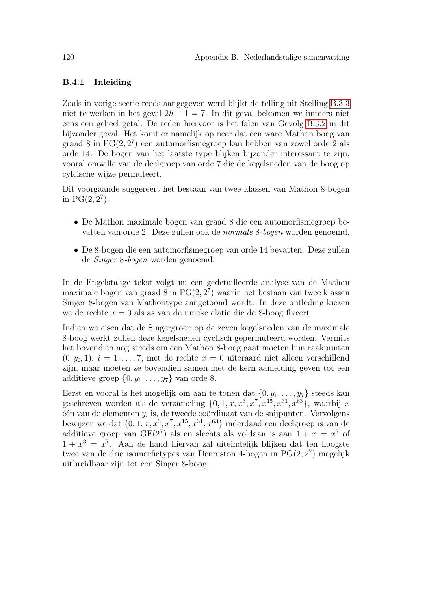#### B.4.1 Inleiding

Zoals in vorige sectie reeds aangegeven werd blijkt de telling uit Stelling [B.3.3](#page-127-0) niet te werken in het geval  $2h + 1 = 7$ . In dit geval bekomen we immers niet eens een geheel getal. De reden hiervoor is het falen van Gevolg [B.3.2](#page-127-1) in dit bijzonder geval. Het komt er namelijk op neer dat een ware Mathon boog van graad 8 in PG(2, 2 7 ) een automorfismegroep kan hebben van zowel orde 2 als orde 14. De bogen van het laatste type blijken bijzonder interessant te zijn, vooral omwille van de deelgroep van orde 7 die de kegelsneden van de boog op cylcische wijze permuteert.

Dit voorgaande suggereert het bestaan van twee klassen van Mathon 8-bogen in  $PG(2, 2^7)$ .

- De Mathon maximale bogen van graad 8 die een automorfismegroep bevatten van orde 2. Deze zullen ook de normale 8-bogen worden genoemd.
- De 8-bogen die een automorfismegroep van orde 14 bevatten. Deze zullen de Singer 8-bogen worden genoemd.

In de Engelstalige tekst volgt nu een gedetailleerde analyse van de Mathon maximale bogen van graad 8 in  $PG(2, 2^7)$  waarin het bestaan van twee klassen Singer 8-bogen van Mathontype aangetoond wordt. In deze ontleding kiezen we de rechte  $x = 0$  als as van de unieke elatie die de 8-boog fixeert.

Indien we eisen dat de Singergroep op de zeven kegelsneden van de maximale 8-boog werkt zullen deze kegelsneden cyclisch gepermuteerd worden. Vermits het bovendien nog steeds om een Mathon 8-boog gaat moeten hun raakpunten  $(0, y_i, 1), i = 1, \ldots, 7$ , met de rechte  $x = 0$  uiteraard niet alleen verschillend zijn, maar moeten ze bovendien samen met de kern aanleiding geven tot een additieve groep  $\{0, y_1, \ldots, y_7\}$  van orde 8.

Eerst en vooral is het mogelijk om aan te tonen dat  $\{0, y_1, \ldots, y_7\}$  steeds kan geschreven worden als de verzameling  $\{0, 1, x, x^3, x^7, x^{15}, x^{31}, x^{63}\},$  waarbij x  $\acute{e}$ én van de elementen  $y_i$  is, de tweede coördinaat van de snijpunten. Vervolgens bewijzen we dat  $\{0, 1, x, x^3, x^7, x^{15}, x^{31}, x^{63}\}\$ inderdaad een deelgroep is van de additieve groep van  $GF(2^7)$  als en slechts als voldaan is aan  $1 + x = x^7$  of  $1 + x<sup>3</sup> = x<sup>7</sup>$ . Aan de hand hiervan zal uiteindelijk blijken dat ten hoogste twee van de drie isomorfietypes van Denniston 4-bogen in PG(2, 2<sup>7</sup>) mogelijk uitbreidbaar zijn tot een Singer 8-boog.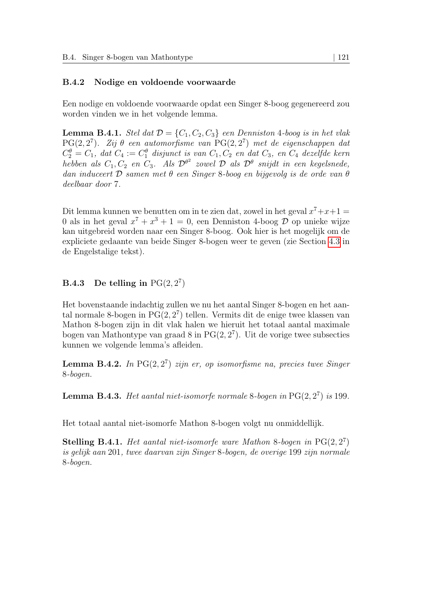#### B.4.2 Nodige en voldoende voorwaarde

Een nodige en voldoende voorwaarde opdat een Singer 8-boog gegenereerd zou worden vinden we in het volgende lemma.

**Lemma B.4.1.** Stel dat  $\mathcal{D} = \{C_1, C_2, C_3\}$  een Denniston 4-boog is in het vlak PG(2,2<sup>7</sup>). Zij  $\theta$  een automorfisme van PG(2,2<sup>7</sup>) met de eigenschappen dat  $C_2^{\theta} = C_1$ , dat  $C_4 := C_1^{\theta}$  disjunct is van  $C_1, C_2$  en dat  $C_3$ , en  $C_4$  dezelfde kern hebben als  $C_1, C_2$  en  $C_3$ . Als  $\mathcal{D}^{\theta^2}$  zowel  $\mathcal D$  als  $\mathcal{D}^{\theta}$  snijdt in een kegelsnede, dan induceert D samen met θ een Singer 8-boog en bijgevolg is de orde van θ deelbaar door 7.

Dit lemma kunnen we benutten om in te zien dat, zowel in het geval  $x^7 + x + 1 =$ 0 als in het geval  $x^7 + x^3 + 1 = 0$ , een Denniston 4-boog  $D$  op unieke wijze kan uitgebreid worden naar een Singer 8-boog. Ook hier is het mogelijk om de expliciete gedaante van beide Singer 8-bogen weer te geven (zie Section [4.3](#page-80-0) in de Engelstalige tekst).

#### **B.4.3** De telling in  $PG(2, 2^7)$

Het bovenstaande indachtig zullen we nu het aantal Singer 8-bogen en het aantal normale 8-bogen in  $PG(2, 2^7)$  tellen. Vermits dit de enige twee klassen van Mathon 8-bogen zijn in dit vlak halen we hieruit het totaal aantal maximale bogen van Mathontype van graad  $8$  in  $PG(2, 2<sup>7</sup>)$ . Uit de vorige twee subsecties kunnen we volgende lemma's afleiden.

**Lemma B.4.2.** In PG $(2, 2^7)$  zijn er, op isomorfisme na, precies twee Singer 8-bogen.

**Lemma B.4.3.** Het aantal niet-isomorfe normale 8-bogen in  $PG(2, 2^7)$  is 199.

Het totaal aantal niet-isomorfe Mathon 8-bogen volgt nu onmiddellijk.

**Stelling B.4.1.** Het aantal niet-isomorfe ware Mathon 8-bogen in  $PG(2,2^7)$ is gelijk aan 201, twee daarvan zijn Singer 8-bogen, de overige 199 zijn normale 8-bogen.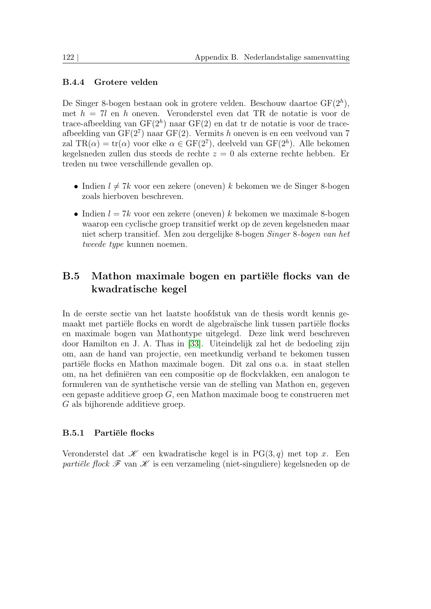#### <span id="page-131-0"></span>B.4.4 Grotere velden

De Singer 8-bogen bestaan ook in grotere velden. Beschouw daartoe  $GF(2<sup>h</sup>)$ , met h = 7l en h oneven. Veronderstel even dat TR de notatie is voor de trace-afbeelding van  $GF(2<sup>h</sup>)$  naar  $GF(2)$  en dat tr de notatie is voor de traceafbeelding van  $GF(2^7)$  naar  $GF(2)$ . Vermits h oneven is en een veelvoud van 7 zal TR( $\alpha$ ) = tr( $\alpha$ ) voor elke  $\alpha \in \text{GF}(2^7)$ , deelveld van GF( $2^h$ ). Alle bekomen kegelsneden zullen dus steeds de rechte  $z = 0$  als externe rechte hebben. Er treden nu twee verschillende gevallen op.

- Indien  $l \neq 7k$  voor een zekere (oneven) k bekomen we de Singer 8-bogen zoals hierboven beschreven.
- Indien  $l = 7k$  voor een zekere (oneven) k bekomen we maximale 8-bogen waarop een cyclische groep transitief werkt op de zeven kegelsneden maar niet scherp transitief. Men zou dergelijke 8-bogen Singer 8-bogen van het tweede type kunnen noemen.

### B.5 Mathon maximale bogen en partiële flocks van de kwadratische kegel

In de eerste sectie van het laatste hoofdstuk van de thesis wordt kennis gemaakt met partiële flocks en wordt de algebraïsche link tussen partiële flocks en maximale bogen van Mathontype uitgelegd. Deze link werd beschreven door Hamilton en J. A. Thas in [\[33\]](#page-140-2). Uiteindelijk zal het de bedoeling zijn om, aan de hand van projectie, een meetkundig verband te bekomen tussen partiële flocks en Mathon maximale bogen. Dit zal ons o.a. in staat stellen om, na het definiëren van een compositie op de flockvlakken, een analogon te formuleren van de synthetische versie van de stelling van Mathon en, gegeven een gepaste additieve groep G, een Mathon maximale boog te construeren met G als bijhorende additieve groep.

#### B.5.1 Partiële flocks

Veronderstel dat  $\mathscr K$  een kwadratische kegel is in PG(3, q) met top x. Een partiële flock  $\mathscr F$  van  $\mathscr K$  is een verzameling (niet-singuliere) kegelsneden op de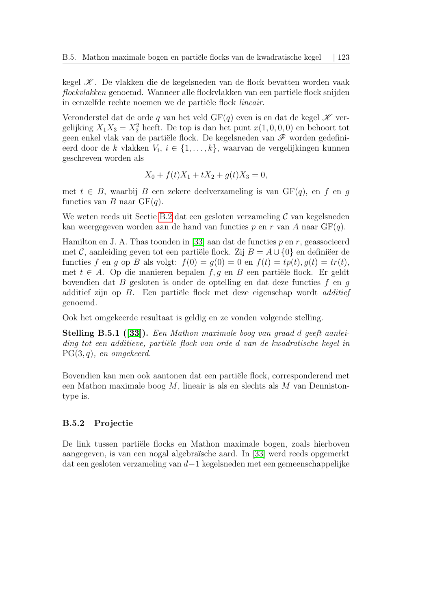<span id="page-132-0"></span>kegel K . De vlakken die de kegelsneden van de flock bevatten worden vaak flockvlakken genoemd. Wanneer alle flockvlakken van een partiële flock snijden in eenzelfde rechte noemen we de partiële flock lineair.

Veronderstel dat de orde q van het veld  $GF(q)$  even is en dat de kegel  $\mathscr K$  vergelijking  $X_1X_3 = X_2^2$  heeft. De top is dan het punt  $x(1, 0, 0, 0)$  en behoort tot geen enkel vlak van de partiële flock. De kegelsneden van  $\mathscr F$  worden gedefinieerd door de k vlakken  $V_i, i \in \{1, ..., k\}$ , waarvan de vergelijkingen kunnen geschreven worden als

$$
X_0 + f(t)X_1 + tX_2 + g(t)X_3 = 0,
$$

met  $t \in B$ , waarbij B een zekere deelverzameling is van GF(q), en f en q functies van B naar  $GF(q)$ .

We weten reeds uit Sectie [B.2](#page-121-0) dat een gesloten verzameling  $\mathcal C$  van kegelsneden kan weergegeven worden aan de hand van functies p en r van A naar  $GF(q)$ .

Hamilton en J. A. Thas toonden in [\[33\]](#page-140-2) aan dat de functies p en r, geassocieerd met C, aanleiding geven tot een partiële flock. Zij  $B = A \cup \{0\}$  en definiëer de functies f en g op B als volgt:  $f(0) = g(0) = 0$  en  $f(t) = tp(t), g(t) = tr(t)$ , met  $t \in A$ . Op die manieren bepalen f, g en B een partiële flock. Er geldt bovendien dat  $B$  gesloten is onder de optelling en dat deze functies  $f$  en  $g$ additief zijn op  $B$ . Een partiële flock met deze eigenschap wordt *additief* genoemd.

Ook het omgekeerde resultaat is geldig en ze vonden volgende stelling.

Stelling B.5.1 ([\[33\]](#page-140-2)). Een Mathon maximale boog van graad d geeft aanleiding tot een additieve, partiële flock van orde d van de kwadratische kegel in  $PG(3, q)$ , en omgekeerd.

Bovendien kan men ook aantonen dat een partiële flock, corresponderend met een Mathon maximale boog  $M$ , lineair is als en slechts als  $M$  van Dennistontype is.

#### B.5.2 Projectie

De link tussen partiële flocks en Mathon maximale bogen, zoals hierboven aangegeven, is van een nogal algebra¨ısche aard. In [\[33\]](#page-140-2) werd reeds opgemerkt dat een gesloten verzameling van d−1 kegelsneden met een gemeenschappelijke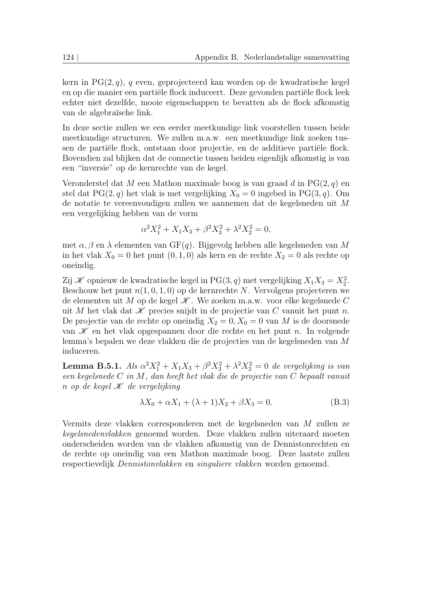kern in  $PG(2, q)$ , q even, geprojecteerd kan worden op de kwadratische kegel en op die manier een partiële flock induceert. Deze gevonden partiële flock leek echter niet dezelfde, mooie eigenschappen te bevatten als de flock afkomstig van de algebraïsche link.

In deze sectie zullen we een eerder meetkundige link voorstellen tussen beide meetkundige structuren. We zullen m.a.w. een meetkundige link zoeken tussen de partiële flock, ontstaan door projectie, en de additieve partiële flock. Bovendien zal blijken dat de connectie tussen beiden eigenlijk afkomstig is van een "inversie" op de kernrechte van de kegel.

Veronderstel dat M een Mathon maximale boog is van graad d in  $PG(2, q)$  en stel dat PG(2, q) het vlak is met vergelijking  $X_0 = 0$  ingebed in PG(3, q). Om de notatie te vereenvoudigen zullen we aannemen dat de kegelsneden uit M een vergelijking hebben van de vorm

$$
\alpha^2 X_1^2 + X_1 X_3 + \beta^2 X_3^2 + \lambda^2 X_2^2 = 0,
$$

met  $\alpha, \beta$  en  $\lambda$  elementen van GF(q). Bijgevolg hebben alle kegelsneden van M in het vlak  $X_0 = 0$  het punt  $(0, 1, 0)$  als kern en de rechte  $X_2 = 0$  als rechte op oneindig.

Zij  $\mathscr K$  opnieuw de kwadratische kegel in PG $(3, q)$  met vergelijking  $X_1X_3 = X_2^2$ . Beschouw het punt  $n(1, 0, 1, 0)$  op de kernrechte N. Vervolgens projecteren we de elementen uit M op de kegel  $K$ . We zoeken m.a.w. voor elke kegelsnede C uit M het vlak dat  $\mathscr K$  precies snijdt in de projectie van C vanuit het punt n. De projectie van de rechte op oneindig  $X_2 = 0, X_0 = 0$  van M is de doorsnede van  $K$  en het vlak opgespannen door die rechte en het punt n. In volgende lemma's bepalen we deze vlakken die de projecties van de kegelsneden van M induceren.

**Lemma B.5.1.** Als  $\alpha^2 X_1^2 + X_1 X_3 + \beta^2 X_3^2 + \lambda^2 X_2^2 = 0$  de vergelijking is van een kegelsnede C in M, dan heeft het vlak die de projectie van C bepaalt vanuit n op de kegel  $\mathscr K$  de vergelijking

$$
\lambda X_0 + \alpha X_1 + (\lambda + 1)X_2 + \beta X_3 = 0.
$$
 (B.3)

Vermits deze vlakken corresponderen met de kegelsneden van M zullen ze kegelsnedenvlakken genoemd worden. Deze vlakken zullen uiteraard moeten onderscheiden worden van de vlakken afkomstig van de Dennistonrechten en de rechte op oneindig van een Mathon maximale boog. Deze laatste zullen respectievelijk Dennistonvlakken en singuliere vlakken worden genoemd.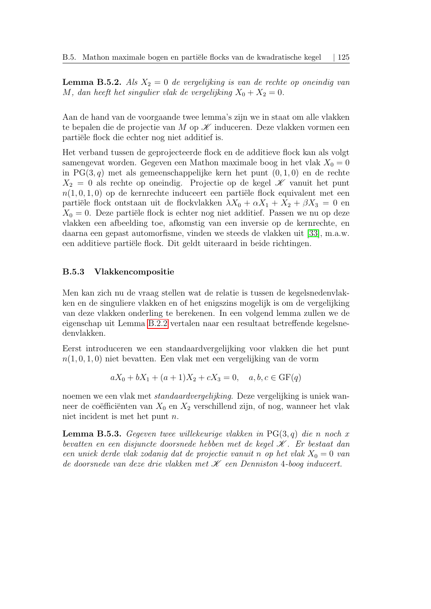<span id="page-134-0"></span>**Lemma B.5.2.** Als  $X_2 = 0$  de vergelijking is van de rechte op oneindig van M, dan heeft het singulier vlak de vergelijking  $X_0 + X_2 = 0$ .

Aan de hand van de voorgaande twee lemma's zijn we in staat om alle vlakken te bepalen die de projectie van M op  $\mathscr K$  induceren. Deze vlakken vormen een partiële flock die echter nog niet additief is.

Het verband tussen de geprojecteerde flock en de additieve flock kan als volgt samengevat worden. Gegeven een Mathon maximale boog in het vlak  $X_0 = 0$ in  $PG(3, q)$  met als gemeenschappelijke kern het punt  $(0, 1, 0)$  en de rechte  $X_2 = 0$  als rechte op oneindig. Projectie op de kegel  $\mathscr K$  vanuit het punt  $n(1, 0, 1, 0)$  op de kernrechte induceert een partiële flock equivalent met een partiële flock ontstaan uit de flockvlakken  $\lambda X_0 + \alpha X_1 + X_2 + \beta X_3 = 0$  en  $X_0 = 0$ . Deze partiële flock is echter nog niet additief. Passen we nu op deze vlakken een afbeelding toe, afkomstig van een inversie op de kernrechte, en daarna een gepast automorfisme, vinden we steeds de vlakken uit [\[33\]](#page-140-2), m.a.w. een additieve partiële flock. Dit geldt uiteraard in beide richtingen.

#### B.5.3 Vlakkencompositie

Men kan zich nu de vraag stellen wat de relatie is tussen de kegelsnedenvlakken en de singuliere vlakken en of het enigszins mogelijk is om de vergelijking van deze vlakken onderling te berekenen. In een volgend lemma zullen we de eigenschap uit Lemma [B.2.2](#page-125-0) vertalen naar een resultaat betreffende kegelsnedenvlakken.

Eerst introduceren we een standaardvergelijking voor vlakken die het punt  $n(1, 0, 1, 0)$  niet bevatten. Een vlak met een vergelijking van de vorm

$$
aX_0 + bX_1 + (a+1)X_2 + cX_3 = 0, \quad a, b, c \in GF(q)
$$

noemen we een vlak met standaardvergelijking. Deze vergelijking is uniek wanneer de coëfficiënten van  $X_0$  en  $X_2$  verschillend zijn, of nog, wanneer het vlak niet incident is met het punt n.

**Lemma B.5.3.** Gegeven twee willekeurige vlakken in  $PG(3, q)$  die n noch x bevatten en een disjuncte doorsnede hebben met de kegel  $\mathscr K$ . Er bestaat dan een uniek derde vlak zodanig dat de projectie vanuit n op het vlak  $X_0 = 0$  van de doorsnede van deze drie vlakken met  $\mathscr K$  een Denniston 4-boog induceert.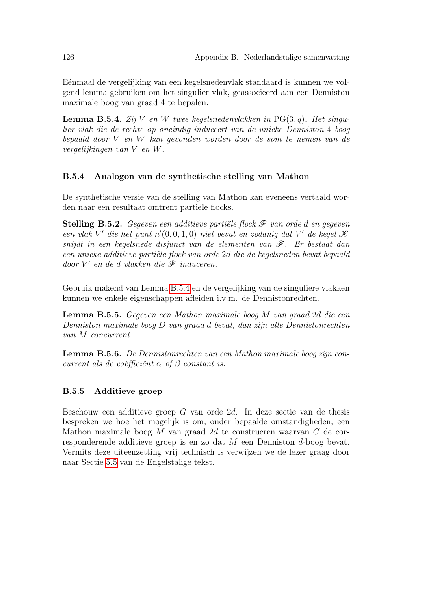Eénmaal de vergelijking van een kegelsnedenvlak standaard is kunnen we volgend lemma gebruiken om het singulier vlak, geassocieerd aan een Denniston maximale boog van graad 4 te bepalen.

<span id="page-135-0"></span>**Lemma B.5.4.** Zij V en W twee kegelsnedenvlakken in  $PG(3, q)$ . Het singulier vlak die de rechte op oneindig induceert van de unieke Denniston 4-boog bepaald door V en W kan gevonden worden door de som te nemen van de vergelijkingen van V en W.

#### B.5.4 Analogon van de synthetische stelling van Mathon

De synthetische versie van de stelling van Mathon kan eveneens vertaald worden naar een resultaat omtrent partiële flocks.

**Stelling B.5.2.** Gegeven een additieve partiële flock  $\mathscr F$  van orde d en gegeven een vlak V' die het punt  $n'(0,0,1,0)$  niet bevat en zodanig dat V' de kegel  $\mathcal K$ snijdt in een kegelsnede disjunct van de elementen van F. Er bestaat dan een unieke additieve partiële flock van orde 2d die de kegelsneden bevat bepaald door  $V'$  en de d vlakken die  $\mathscr F$  induceren.

Gebruik makend van Lemma [B.5.4](#page-135-0) en de vergelijking van de singuliere vlakken kunnen we enkele eigenschappen afleiden i.v.m. de Dennistonrechten.

Lemma B.5.5. Gegeven een Mathon maximale boog M van graad 2d die een Denniston maximale boog D van graad d bevat, dan zijn alle Dennistonrechten van M concurrent.

Lemma B.5.6. De Dennistonrechten van een Mathon maximale boog zijn concurrent als de coëfficiënt  $\alpha$  of  $\beta$  constant is.

#### B.5.5 Additieve groep

Beschouw een additieve groep G van orde 2d. In deze sectie van de thesis bespreken we hoe het mogelijk is om, onder bepaalde omstandigheden, een Mathon maximale boog  $M$  van graad  $2d$  te construeren waarvan  $G$  de corresponderende additieve groep is en zo dat M een Denniston d-boog bevat. Vermits deze uiteenzetting vrij technisch is verwijzen we de lezer graag door naar Sectie [5.5](#page-109-1) van de Engelstalige tekst.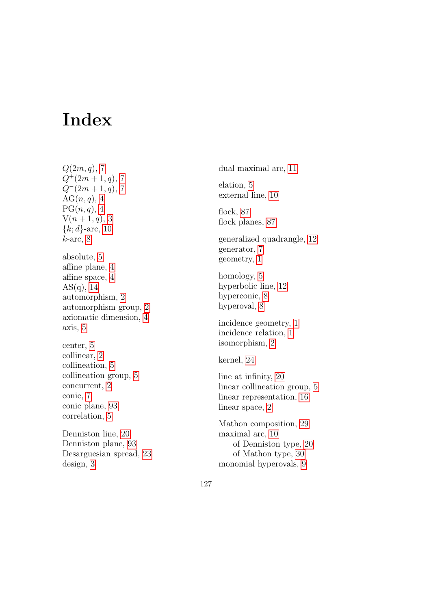# Index

 $Q(2m, q), 7$  $Q(2m, q), 7$  $Q^+(2m+1, q), 7$  $Q^+(2m+1, q), 7$  $Q^-(2m+1, q), 7$  $Q^-(2m+1, q), 7$  $AG(n, q)$ , [4](#page-5-0)  $PG(n, q), 4$  $PG(n, q), 4$  $V(n + 1, q), 3$  $V(n + 1, q), 3$  ${k; d}$ -arc, [10](#page-19-0)  $k$ -arc, [8](#page-9-0) absolute, [5](#page-6-0) affine plane, [4](#page-5-0) affine space, [4](#page-5-0)  $AS(q)$ , [14](#page-23-0) automorphism, [2](#page-1-0) automorphism group, [2](#page-1-0) axiomatic dimension, [4](#page-5-0) axis, [5](#page-6-0) center, [5](#page-6-0) collinear, [2](#page-1-0) collineation, [5](#page-6-0) collineation group, [5](#page-6-0) concurrent, [2](#page-1-0) conic, [7](#page-8-0) conic plane, [93](#page-102-0) correlation, [5](#page-6-0) Denniston line, [20](#page-29-0) Denniston plane, [93](#page-102-0) Desarguesian spread, [23](#page-32-0)

design, [3](#page-4-0)

dual maximal arc, [11](#page-20-0) elation, [5](#page-6-0) external line, [10](#page-19-0) flock, [87](#page-96-0) flock planes, [87](#page-96-0) generalized quadrangle, [12](#page-21-1) generator, [7](#page-8-0) geometry, [1](#page-0-0) homology, [5](#page-6-0) hyperbolic line, [12](#page-21-1) hyperconic, [8](#page-9-0) hyperoval, [8](#page-9-0) incidence geometry, [1](#page-0-0) incidence relation, [1](#page-0-0) isomorphism, [2](#page-1-0) kernel, [24](#page-33-0) line at infinity, [20](#page-29-0) linear collineation group, [5](#page-6-0) linear representation, [16](#page-25-0) linear space, [2](#page-1-0) Mathon composition, [29](#page-38-0) maximal arc, [10](#page-19-0) of Denniston type, [20](#page-29-0) of Mathon type, [30](#page-39-0)

monomial hyperovals, [9](#page-18-0)

127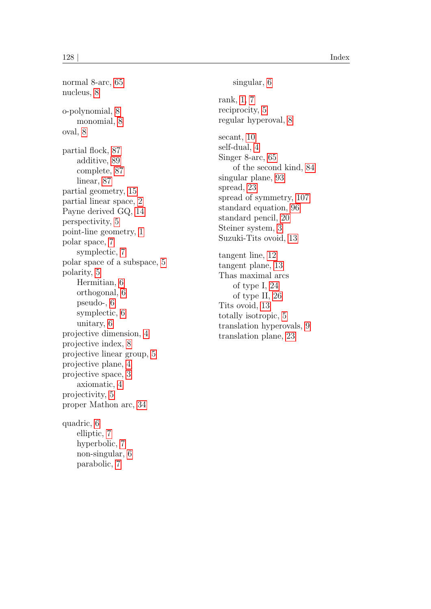normal 8-arc, [65](#page-74-0) nucleus, [8](#page-9-0) o-polynomial, [8](#page-9-0) monomial, [8](#page-9-0) oval, [8](#page-9-0) partial flock, [87](#page-96-0) additive, [89](#page-98-0) complete, [87](#page-96-0) linear, [87](#page-96-0) partial geometry, [15](#page-24-0) partial linear space, [2](#page-1-0) Payne derived GQ, [14](#page-23-0) perspectivity, [5](#page-6-0) point-line geometry, [1](#page-0-0) polar space, [7](#page-8-0) symplectic, [7](#page-8-0) polar space of a subspace, [5](#page-6-0) polarity, [5](#page-6-0) Hermitian, [6](#page-7-0) orthogonal, [6](#page-7-0) pseudo-, [6](#page-7-0) symplectic, [6](#page-7-0) unitary, [6](#page-7-0) projective dimension, [4](#page-5-0) projective index, [8](#page-9-0) projective linear group, [5](#page-6-0) projective plane, [4](#page-5-0) projective space, [3](#page-4-0) axiomatic, [4](#page-5-0) projectivity, [5](#page-6-0) proper Mathon arc, [34](#page-43-0) quadric, [6](#page-7-0) elliptic, [7](#page-8-0) hyperbolic, [7](#page-8-0) non-singular, [6](#page-7-0)

parabolic, [7](#page-8-0)

singular, [6](#page-7-0) rank, [1,](#page-0-0) [7](#page-8-0) reciprocity, [5](#page-6-0) regular hyperoval, [8](#page-9-0) secant, [10](#page-19-0) self-dual, [4](#page-5-0) Singer 8-arc, [65](#page-74-0) of the second kind, [84](#page-93-0) singular plane, [93](#page-102-0) spread, [23](#page-32-0) spread of symmetry, [107](#page-116-1) standard equation, [96](#page-105-0) standard pencil, [20](#page-29-0) Steiner system, [3](#page-4-0) Suzuki-Tits ovoid, [13](#page-22-0) tangent line, [12](#page-21-1) tangent plane, [13](#page-22-0) Thas maximal arcs of type I, [24](#page-33-0) of type II, [26](#page-35-0) Tits ovoid, [13](#page-22-0) totally isotropic, [5](#page-6-0) translation hyperovals, [9](#page-18-0) translation plane, [23](#page-32-0)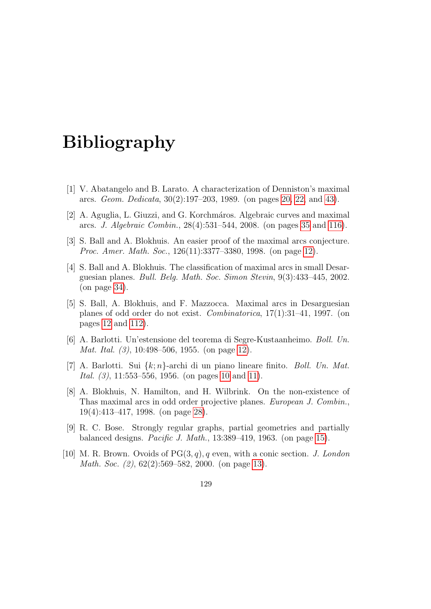# Bibliography

- [1] V. Abatangelo and B. Larato. A characterization of Denniston's maximal arcs. Geom. Dedicata, 30(2):197–203, 1989. (on pages [20,](#page-29-0) [22,](#page-31-0) and [43\)](#page-52-0).
- <span id="page-138-1"></span>[2] A. Aguglia, L. Giuzzi, and G. Korchm´aros. Algebraic curves and maximal arcs. J. Algebraic Combin., 28(4):531–544, 2008. (on pages [35](#page-44-0) and [116\)](#page-125-1).
- [3] S. Ball and A. Blokhuis. An easier proof of the maximal arcs conjecture. Proc. Amer. Math. Soc., 126(11):3377–3380, 1998. (on page [12\)](#page-21-1).
- [4] S. Ball and A. Blokhuis. The classification of maximal arcs in small Desarguesian planes. Bull. Belg. Math. Soc. Simon Stevin, 9(3):433–445, 2002. (on page [34\)](#page-43-0).
- <span id="page-138-0"></span>[5] S. Ball, A. Blokhuis, and F. Mazzocca. Maximal arcs in Desarguesian planes of odd order do not exist. Combinatorica, 17(1):31–41, 1997. (on pages [12](#page-21-1) and [112\)](#page-121-1).
- [6] A. Barlotti. Un'estensione del teorema di Segre-Kustaanheimo. Boll. Un. Mat. Ital. (3), 10:498–506, 1955. (on page [12\)](#page-21-1).
- [7] A. Barlotti. Sui  $\{k; n\}$ -archi di un piano lineare finito. *Boll. Un. Mat. Ital.*  $(3)$ , 11:553–556, 1956. (on pages [10](#page-19-0) and [11\)](#page-20-0).
- [8] A. Blokhuis, N. Hamilton, and H. Wilbrink. On the non-existence of Thas maximal arcs in odd order projective planes. European J. Combin., 19(4):413–417, 1998. (on page [28\)](#page-37-0).
- [9] R. C. Bose. Strongly regular graphs, partial geometries and partially balanced designs. Pacific J. Math., 13:389–419, 1963. (on page [15\)](#page-24-0).
- [10] M. R. Brown. Ovoids of  $PG(3, q)$ , q even, with a conic section. *J. London* Math. Soc. (2), 62(2):569–582, 2000. (on page [13\)](#page-22-0).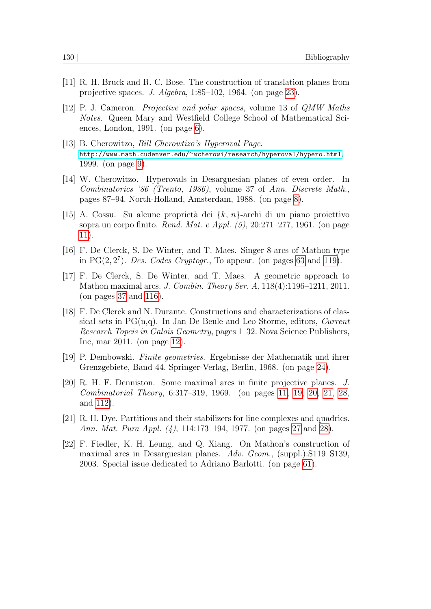- [11] R. H. Bruck and R. C. Bose. The construction of translation planes from projective spaces. J. Algebra, 1:85–102, 1964. (on page [23\)](#page-32-0).
- [12] P. J. Cameron. Projective and polar spaces, volume 13 of QMW Maths Notes. Queen Mary and Westfield College School of Mathematical Sciences, London, 1991. (on page [6\)](#page-7-0).
- [13] B. Cherowitzo, Bill Cherowtizo's Hyperoval Page. http://www.math.cudenver.edu/∼[wcherowi/research/hyperoval/hypero.html](http://www.math.cudenver.edu/~wcherowi/research/hyperoval/hypero.html), 1999. (on page [9\)](#page-18-0).
- [14] W. Cherowitzo. Hyperovals in Desarguesian planes of even order. In Combinatorics '86 (Trento, 1986), volume 37 of Ann. Discrete Math., pages 87–94. North-Holland, Amsterdam, 1988. (on page [8\)](#page-9-0).
- [15] A. Cossu. Su alcune proprietà dei  $\{k, n\}$ -archi di un piano proiettivo sopra un corpo finito. Rend. Mat. e Appl.  $(5)$ , 20:271–277, 1961. (on page [11\)](#page-20-0).
- <span id="page-139-2"></span>[16] F. De Clerck, S. De Winter, and T. Maes. Singer 8-arcs of Mathon type in  $PG(2, 2^7)$ . Des. Codes Cryptogr., To appear. (on pages [63](#page-72-1) and [119\)](#page-128-0).
- <span id="page-139-1"></span>[17] F. De Clerck, S. De Winter, and T. Maes. A geometric approach to Mathon maximal arcs. J. Combin. Theory Ser. A, 118(4):1196–1211, 2011. (on pages [37](#page-46-0) and [116\)](#page-125-1).
- [18] F. De Clerck and N. Durante. Constructions and characterizations of classical sets in  $PG(n,q)$ . In Jan De Beule and Leo Storme, editors, *Current* Research Topcis in Galois Geometry, pages 1–32. Nova Science Publishers, Inc, mar 2011. (on page [12\)](#page-21-1).
- [19] P. Dembowski. Finite geometries. Ergebnisse der Mathematik und ihrer Grenzgebiete, Band 44. Springer-Verlag, Berlin, 1968. (on page [24\)](#page-33-0).
- <span id="page-139-0"></span>[20] R. H. F. Denniston. Some maximal arcs in finite projective planes. J. Combinatorial Theory, 6:317–319, 1969. (on pages [11,](#page-20-0) [19,](#page-28-1) [20,](#page-29-0) [21,](#page-30-0) [28,](#page-37-0) and [112\)](#page-121-1).
- [21] R. H. Dye. Partitions and their stabilizers for line complexes and quadrics. Ann. Mat. Pura Appl. (4), 114:173–194, 1977. (on pages [27](#page-36-0) and [28\)](#page-37-0).
- [22] F. Fiedler, K. H. Leung, and Q. Xiang. On Mathon's construction of maximal arcs in Desarguesian planes. Adv. Geom., (suppl.):S119–S139, 2003. Special issue dedicated to Adriano Barlotti. (on page [61\)](#page-70-0).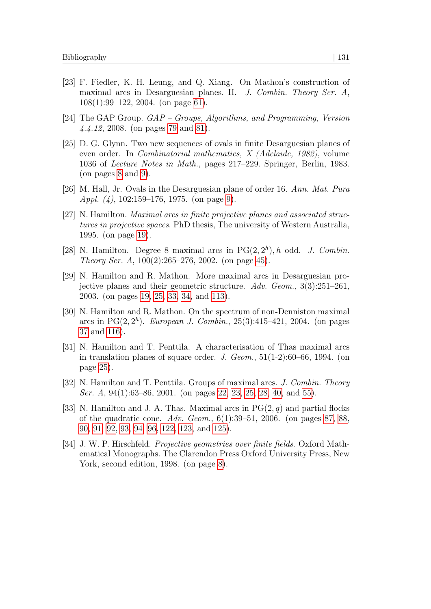- [23] F. Fiedler, K. H. Leung, and Q. Xiang. On Mathon's construction of maximal arcs in Desarguesian planes. II. J. Combin. Theory Ser. A, 108(1):99–122, 2004. (on page [61\)](#page-70-0).
- [24] The GAP Group. GAP Groups, Algorithms, and Programming, Version 4.4.12, 2008. (on pages [79](#page-88-0) and [81\)](#page-90-0).
- [25] D. G. Glynn. Two new sequences of ovals in finite Desarguesian planes of even order. In Combinatorial mathematics, X (Adelaide, 1982), volume 1036 of Lecture Notes in Math., pages 217–229. Springer, Berlin, 1983. (on pages [8](#page-9-0) and [9\)](#page-18-0).
- [26] M. Hall, Jr. Ovals in the Desarguesian plane of order 16. Ann. Mat. Pura Appl. (4), 102:159–176, 1975. (on page [9\)](#page-18-0).
- [27] N. Hamilton. Maximal arcs in finite projective planes and associated structures in projective spaces. PhD thesis, The university of Western Australia, 1995. (on page [19\)](#page-28-1).
- [28] N. Hamilton. Degree 8 maximal arcs in  $PG(2, 2<sup>h</sup>)$ , h odd. J. Combin. Theory Ser. A, 100(2):265–276, 2002. (on page [45\)](#page-54-0).
- <span id="page-140-0"></span>[29] N. Hamilton and R. Mathon. More maximal arcs in Desarguesian projective planes and their geometric structure. Adv. Geom., 3(3):251–261, 2003. (on pages [19,](#page-28-1) [25,](#page-34-0) [33,](#page-42-0) [34,](#page-43-0) and [113\)](#page-122-0).
- <span id="page-140-1"></span>[30] N. Hamilton and R. Mathon. On the spectrum of non-Denniston maximal arcs in PG $(2, 2<sup>h</sup>)$ . European J. Combin., 25 $(3):415-421$ , 2004. (on pages [37](#page-46-0) and [116\)](#page-125-1).
- [31] N. Hamilton and T. Penttila. A characterisation of Thas maximal arcs in translation planes of square order. J. Geom., 51(1-2):60–66, 1994. (on page [25\)](#page-34-0).
- [32] N. Hamilton and T. Penttila. Groups of maximal arcs. J. Combin. Theory Ser. A, 94(1):63–86, 2001. (on pages [22,](#page-31-0) [23,](#page-32-0) [25,](#page-34-0) [28,](#page-37-0) [40,](#page-49-0) and [55\)](#page-64-0).
- <span id="page-140-2"></span>[33] N. Hamilton and J. A. Thas. Maximal arcs in  $PG(2, q)$  and partial flocks of the quadratic cone. Adv. Geom.,  $6(1):39-51$ , 2006. (on pages [87,](#page-96-0) [88,](#page-97-0) [90,](#page-99-0) [91,](#page-100-0) [92,](#page-101-1) [93,](#page-102-0) [94,](#page-103-0) [96,](#page-105-0) [122,](#page-131-0) [123,](#page-132-0) and [125\)](#page-134-0).
- [34] J. W. P. Hirschfeld. Projective geometries over finite fields. Oxford Mathematical Monographs. The Clarendon Press Oxford University Press, New York, second edition, 1998. (on page [8\)](#page-9-0).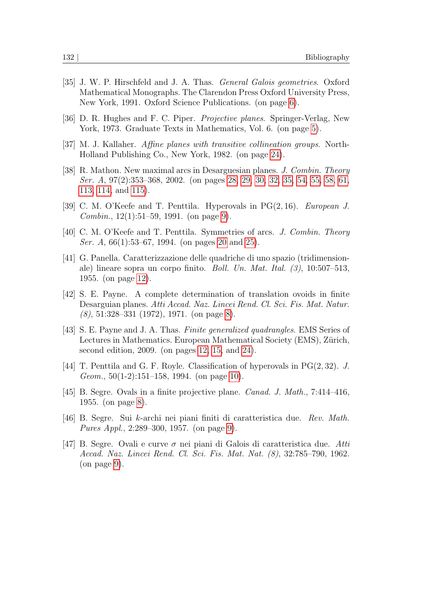- [35] J. W. P. Hirschfeld and J. A. Thas. *General Galois geometries*. Oxford Mathematical Monographs. The Clarendon Press Oxford University Press, New York, 1991. Oxford Science Publications. (on page [6\)](#page-7-0).
- [36] D. R. Hughes and F. C. Piper. Projective planes. Springer-Verlag, New York, 1973. Graduate Texts in Mathematics, Vol. 6. (on page [5\)](#page-6-0).
- [37] M. J. Kallaher. Affine planes with transitive collineation groups. North-Holland Publishing Co., New York, 1982. (on page [24\)](#page-33-0).
- <span id="page-141-0"></span>[38] R. Mathon. New maximal arcs in Desarguesian planes. J. Combin. Theory Ser. A, 97(2):353–368, 2002. (on pages [28,](#page-37-0) [29,](#page-38-0) [30,](#page-39-0) [32,](#page-41-0) [35,](#page-44-0) [54,](#page-63-0) [55,](#page-64-0) [58,](#page-67-0) [61,](#page-70-0) [113,](#page-122-0) [114,](#page-123-1) and [115\)](#page-124-0).
- [39] C. M. O'Keefe and T. Penttila. Hyperovals in PG(2, 16). European J. *Combin.*,  $12(1):51-59$ , 1991. (on page [9\)](#page-18-0).
- [40] C. M. O'Keefe and T. Penttila. Symmetries of arcs. J. Combin. Theory Ser. A, 66(1):53–67, 1994. (on pages [20](#page-29-0) and [25\)](#page-34-0).
- [41] G. Panella. Caratterizzazione delle quadriche di uno spazio (tridimensionale) lineare sopra un corpo finito. *Boll. Un. Mat. Ital.*  $(3)$ , 10:507–513, 1955. (on page [12\)](#page-21-1).
- [42] S. E. Payne. A complete determination of translation ovoids in finite Desarguian planes. Atti Accad. Naz. Lincei Rend. Cl. Sci. Fis. Mat. Natur.  $(8)$ , 51:328–331 (1972), 1971. (on page [8\)](#page-9-0).
- [43] S. E. Payne and J. A. Thas. Finite generalized quadrangles. EMS Series of Lectures in Mathematics. European Mathematical Society (EMS), Zürich, second edition, 2009. (on pages [12,](#page-21-1) [15,](#page-24-0) and [24\)](#page-33-0).
- [44] T. Penttila and G. F. Royle. Classification of hyperovals in  $PG(2, 32)$ . J. Geom.,  $50(1-2):151-158$ , 1994. (on page [10\)](#page-19-0).
- [45] B. Segre. Ovals in a finite projective plane. Canad. J. Math., 7:414–416, 1955. (on page [8\)](#page-9-0).
- [46] B. Segre. Sui k-archi nei piani finiti di caratteristica due. Rev. Math. Pures Appl., 2:289–300, 1957. (on page [9\)](#page-18-0).
- [47] B. Segre. Ovali e curve  $\sigma$  nei piani di Galois di caratteristica due. Atti Accad. Naz. Lincei Rend. Cl. Sci. Fis. Mat. Nat. (8), 32:785–790, 1962.  $($ on page 9 $).$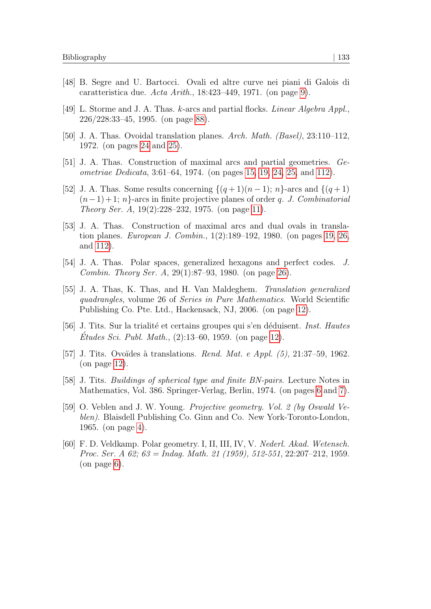- [48] B. Segre and U. Bartocci. Ovali ed altre curve nei piani di Galois di caratteristica due. Acta Arith., 18:423–449, 1971. (on page [9\)](#page-18-0).
- [49] L. Storme and J. A. Thas. k-arcs and partial flocks. Linear Algebra Appl., 226/228:33–45, 1995. (on page [88\)](#page-97-0).
- [50] J. A. Thas. Ovoidal translation planes. Arch. Math. (Basel), 23:110–112, 1972. (on pages [24](#page-33-0) and [25\)](#page-34-0).
- <span id="page-142-0"></span>[51] J. A. Thas. Construction of maximal arcs and partial geometries. Geometriae Dedicata, 3:61–64, 1974. (on pages [15,](#page-24-0) [19,](#page-28-1) [24,](#page-33-0) [25,](#page-34-0) and [112\)](#page-121-1).
- [52] J. A. Thas. Some results concerning  $\{(q+1)(n-1); n\}$ -arcs and  $\{(q+1)$  $(n-1) + 1; n$ }-arcs in finite projective planes of order q. J. Combinatorial Theory Ser. A, 19(2):228–232, 1975. (on page [11\)](#page-20-0).
- <span id="page-142-1"></span>[53] J. A. Thas. Construction of maximal arcs and dual ovals in translation planes. European J. Combin., 1(2):189–192, 1980. (on pages [19,](#page-28-1) [26,](#page-35-0) and [112\)](#page-121-1).
- [54] J. A. Thas. Polar spaces, generalized hexagons and perfect codes. J. Combin. Theory Ser. A, 29(1):87–93, 1980. (on page [26\)](#page-35-0).
- [55] J. A. Thas, K. Thas, and H. Van Maldeghem. Translation generalized quadrangles, volume 26 of Series in Pure Mathematics. World Scientific Publishing Co. Pte. Ltd., Hackensack, NJ, 2006. (on page [12\)](#page-21-1).
- [56] J. Tits. Sur la trialité et certains groupes qui s'en déduisent. Inst. Hautes *Études Sci. Publ. Math.*,  $(2)$ :13–60, 1959. (on page [12\)](#page-21-1).
- [57] J. Tits. Ovoïdes à translations. *Rend. Mat. e Appl.* (5), 21:37–59, 1962. (on page [12\)](#page-21-1).
- [58] J. Tits. Buildings of spherical type and finite BN-pairs. Lecture Notes in Mathematics, Vol. 386. Springer-Verlag, Berlin, 1974. (on pages [6](#page-7-0) and [7\)](#page-8-0).
- [59] O. Veblen and J. W. Young. Projective geometry. Vol. 2 (by Oswald Veblen). Blaisdell Publishing Co. Ginn and Co. New York-Toronto-London, 1965. (on page [4\)](#page-5-0).
- [60] F. D. Veldkamp. Polar geometry. I, II, III, IV, V. Nederl. Akad. Wetensch. Proc. Ser. A 62; 63 = Indag. Math. 21 (1959), 512-551, 22:207–212, 1959. (on page [6\)](#page-7-0).